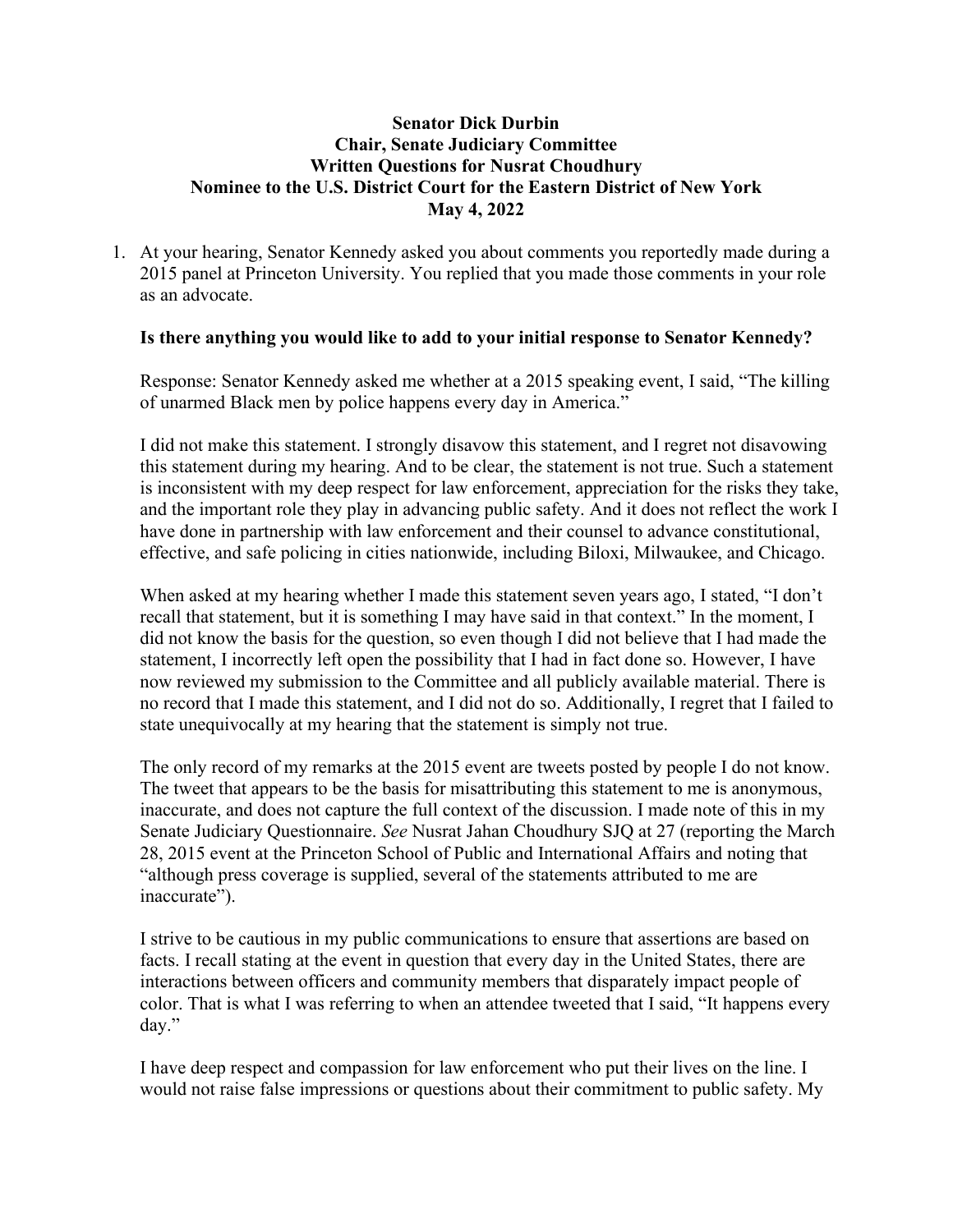# **Senator Dick Durbin Chair, Senate Judiciary Committee Written Questions for Nusrat Choudhury Nominee to the U.S. District Court for the Eastern District of New York May 4, 2022**

1. At your hearing, Senator Kennedy asked you about comments you reportedly made during a 2015 panel at Princeton University. You replied that you made those comments in your role as an advocate.

# **Is there anything you would like to add to your initial response to Senator Kennedy?**

Response: Senator Kennedy asked me whether at a 2015 speaking event, I said, "The killing of unarmed Black men by police happens every day in America."

I did not make this statement. I strongly disavow this statement, and I regret not disavowing this statement during my hearing. And to be clear, the statement is not true. Such a statement is inconsistent with my deep respect for law enforcement, appreciation for the risks they take, and the important role they play in advancing public safety. And it does not reflect the work I have done in partnership with law enforcement and their counsel to advance constitutional, effective, and safe policing in cities nationwide, including Biloxi, Milwaukee, and Chicago.

When asked at my hearing whether I made this statement seven years ago, I stated, "I don't recall that statement, but it is something I may have said in that context." In the moment, I did not know the basis for the question, so even though I did not believe that I had made the statement, I incorrectly left open the possibility that I had in fact done so. However, I have now reviewed my submission to the Committee and all publicly available material. There is no record that I made this statement, and I did not do so. Additionally, I regret that I failed to state unequivocally at my hearing that the statement is simply not true.

The only record of my remarks at the 2015 event are tweets posted by people I do not know. The tweet that appears to be the basis for misattributing this statement to me is anonymous, inaccurate, and does not capture the full context of the discussion. I made note of this in my Senate Judiciary Questionnaire. *See* Nusrat Jahan Choudhury SJQ at 27 (reporting the March 28, 2015 event at the Princeton School of Public and International Affairs and noting that "although press coverage is supplied, several of the statements attributed to me are inaccurate").

I strive to be cautious in my public communications to ensure that assertions are based on facts. I recall stating at the event in question that every day in the United States, there are interactions between officers and community members that disparately impact people of color. That is what I was referring to when an attendee tweeted that I said, "It happens every day."

I have deep respect and compassion for law enforcement who put their lives on the line. I would not raise false impressions or questions about their commitment to public safety. My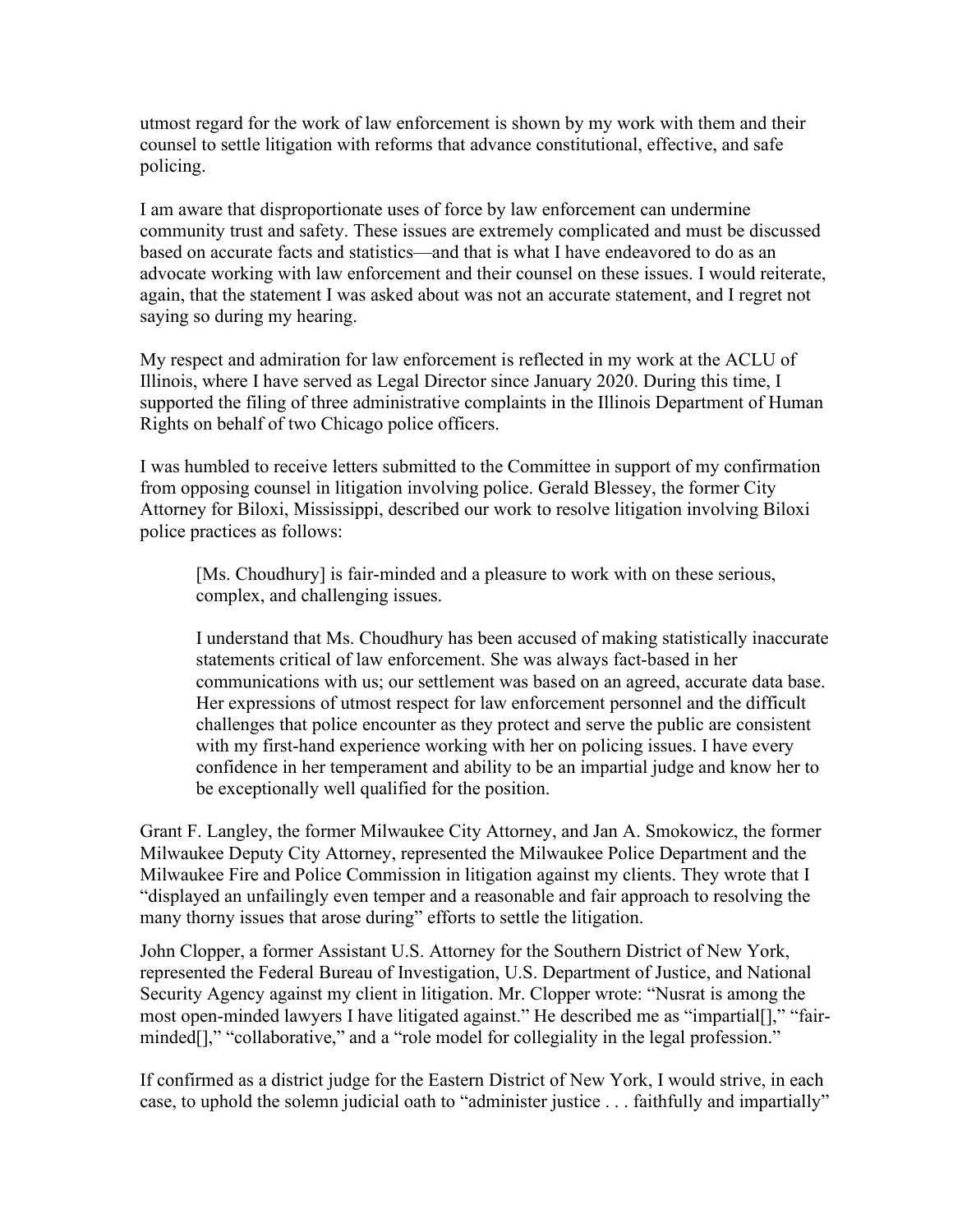utmost regard for the work of law enforcement is shown by my work with them and their counsel to settle litigation with reforms that advance constitutional, effective, and safe policing.

I am aware that disproportionate uses of force by law enforcement can undermine community trust and safety. These issues are extremely complicated and must be discussed based on accurate facts and statistics—and that is what I have endeavored to do as an advocate working with law enforcement and their counsel on these issues. I would reiterate, again, that the statement I was asked about was not an accurate statement, and I regret not saying so during my hearing.

My respect and admiration for law enforcement is reflected in my work at the ACLU of Illinois, where I have served as Legal Director since January 2020. During this time, I supported the filing of three administrative complaints in the Illinois Department of Human Rights on behalf of two Chicago police officers.

I was humbled to receive letters submitted to the Committee in support of my confirmation from opposing counsel in litigation involving police. Gerald Blessey, the former City Attorney for Biloxi, Mississippi, described our work to resolve litigation involving Biloxi police practices as follows:

[Ms. Choudhury] is fair-minded and a pleasure to work with on these serious, complex, and challenging issues.

I understand that Ms. Choudhury has been accused of making statistically inaccurate statements critical of law enforcement. She was always fact-based in her communications with us; our settlement was based on an agreed, accurate data base. Her expressions of utmost respect for law enforcement personnel and the difficult challenges that police encounter as they protect and serve the public are consistent with my first-hand experience working with her on policing issues. I have every confidence in her temperament and ability to be an impartial judge and know her to be exceptionally well qualified for the position.

Grant F. Langley, the former Milwaukee City Attorney, and Jan A. Smokowicz, the former Milwaukee Deputy City Attorney, represented the Milwaukee Police Department and the Milwaukee Fire and Police Commission in litigation against my clients. They wrote that I "displayed an unfailingly even temper and a reasonable and fair approach to resolving the many thorny issues that arose during" efforts to settle the litigation.

John Clopper, a former Assistant U.S. Attorney for the Southern District of New York, represented the Federal Bureau of Investigation, U.S. Department of Justice, and National Security Agency against my client in litigation. Mr. Clopper wrote: "Nusrat is among the most open-minded lawyers I have litigated against." He described me as "impartial[]," "fairminded[]," "collaborative," and a "role model for collegiality in the legal profession."

If confirmed as a district judge for the Eastern District of New York, I would strive, in each case, to uphold the solemn judicial oath to "administer justice . . . faithfully and impartially"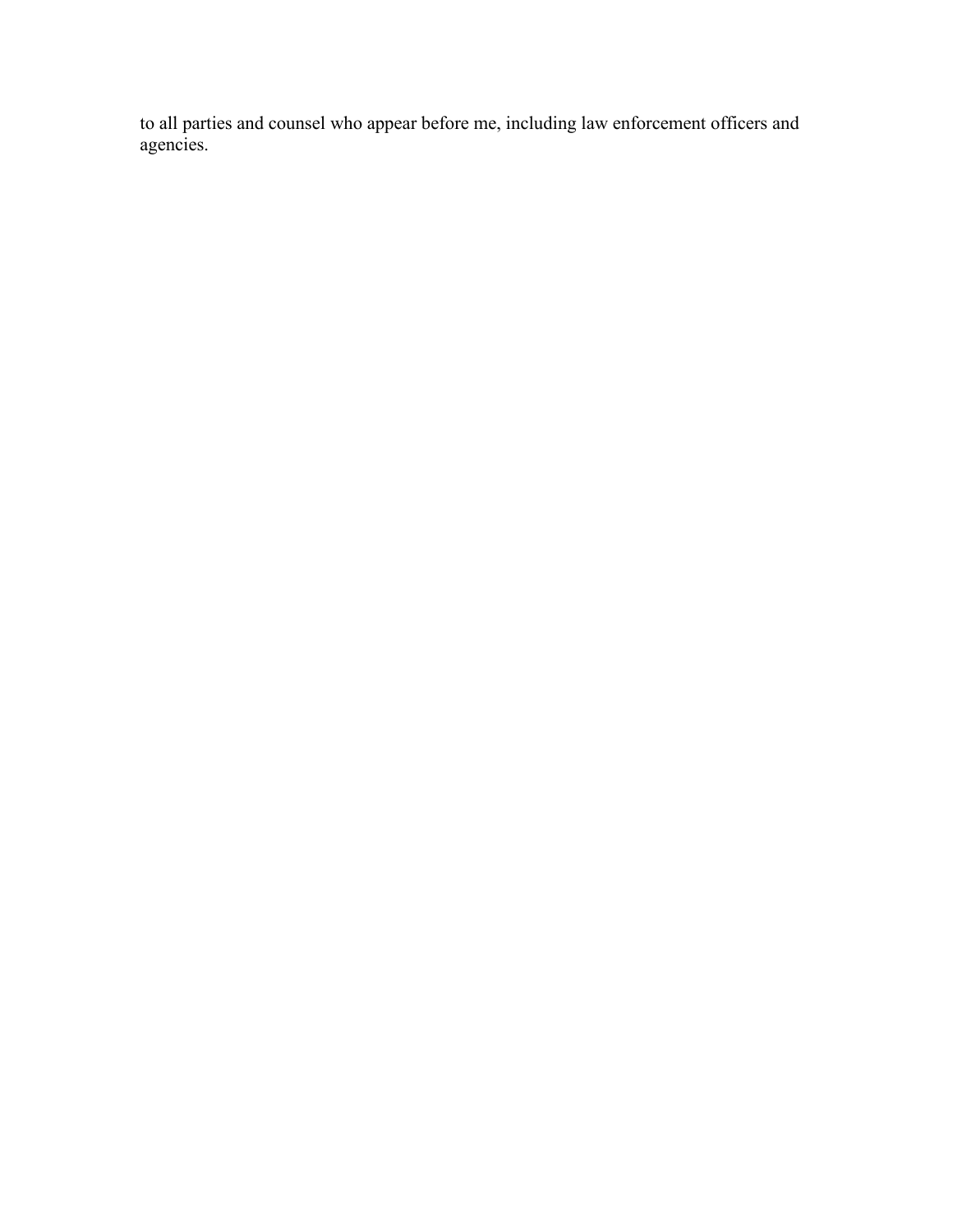to all parties and counsel who appear before me, including law enforcement officers and agencies.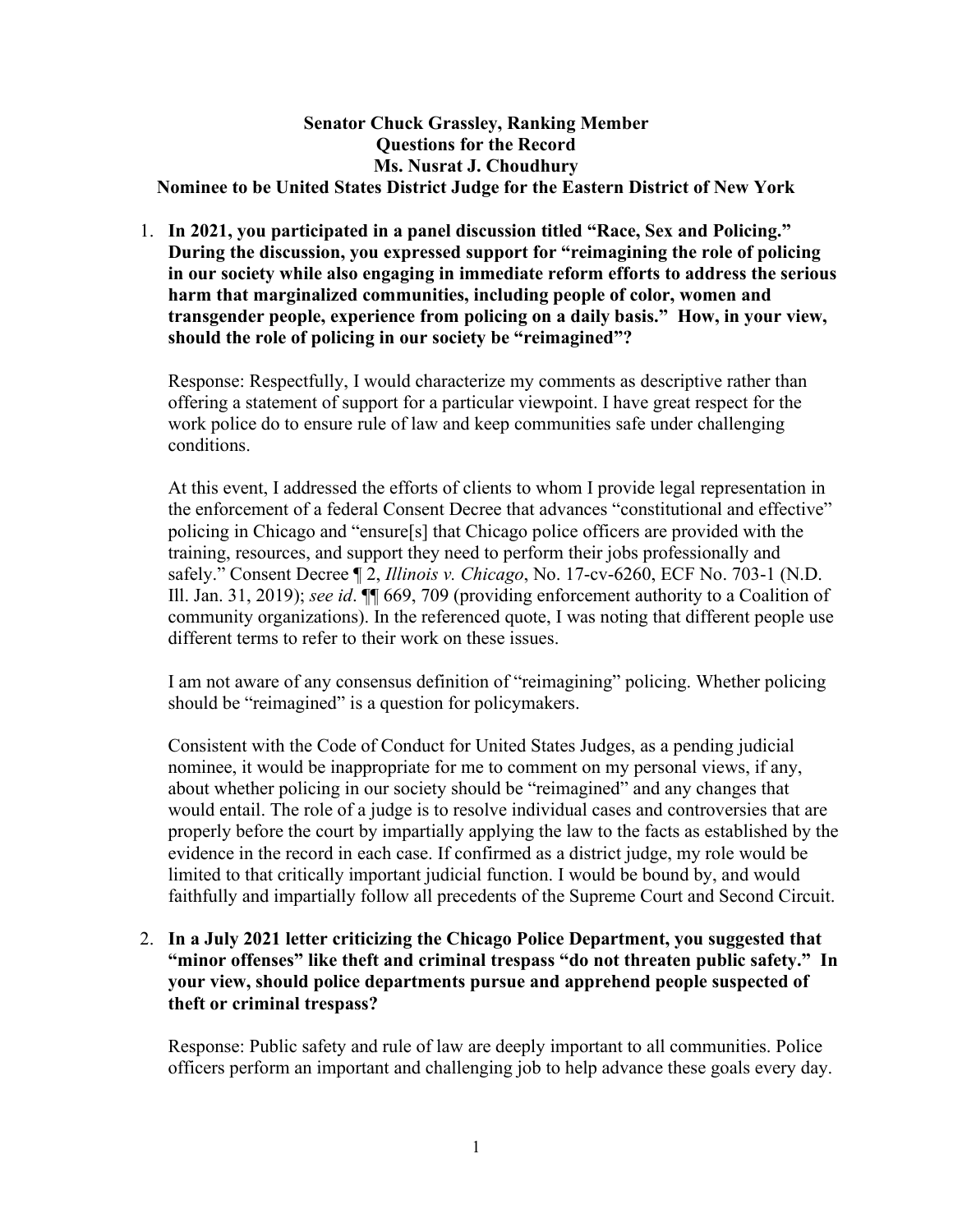#### **Senator Chuck Grassley, Ranking Member Questions for the Record Ms. Nusrat J. Choudhury Nominee to be United States District Judge for the Eastern District of New York**

1. **In 2021, you participated in a panel discussion titled "Race, Sex and Policing." During the discussion, you expressed support for "reimagining the role of policing in our society while also engaging in immediate reform efforts to address the serious harm that marginalized communities, including people of color, women and transgender people, experience from policing on a daily basis." How, in your view, should the role of policing in our society be "reimagined"?**

Response: Respectfully, I would characterize my comments as descriptive rather than offering a statement of support for a particular viewpoint. I have great respect for the work police do to ensure rule of law and keep communities safe under challenging conditions.

At this event, I addressed the efforts of clients to whom I provide legal representation in the enforcement of a federal Consent Decree that advances "constitutional and effective" policing in Chicago and "ensure[s] that Chicago police officers are provided with the training, resources, and support they need to perform their jobs professionally and safely." Consent Decree ¶ 2, *Illinois v. Chicago*, No. 17-cv-6260, ECF No. 703-1 (N.D. Ill. Jan. 31, 2019); *see id*. ¶¶ 669, 709 (providing enforcement authority to a Coalition of community organizations). In the referenced quote, I was noting that different people use different terms to refer to their work on these issues.

I am not aware of any consensus definition of "reimagining" policing. Whether policing should be "reimagined" is a question for policymakers.

Consistent with the Code of Conduct for United States Judges, as a pending judicial nominee, it would be inappropriate for me to comment on my personal views, if any, about whether policing in our society should be "reimagined" and any changes that would entail. The role of a judge is to resolve individual cases and controversies that are properly before the court by impartially applying the law to the facts as established by the evidence in the record in each case. If confirmed as a district judge, my role would be limited to that critically important judicial function. I would be bound by, and would faithfully and impartially follow all precedents of the Supreme Court and Second Circuit.

# 2. **In a July 2021 letter criticizing the Chicago Police Department, you suggested that "minor offenses" like theft and criminal trespass "do not threaten public safety." In your view, should police departments pursue and apprehend people suspected of theft or criminal trespass?**

Response: Public safety and rule of law are deeply important to all communities. Police officers perform an important and challenging job to help advance these goals every day.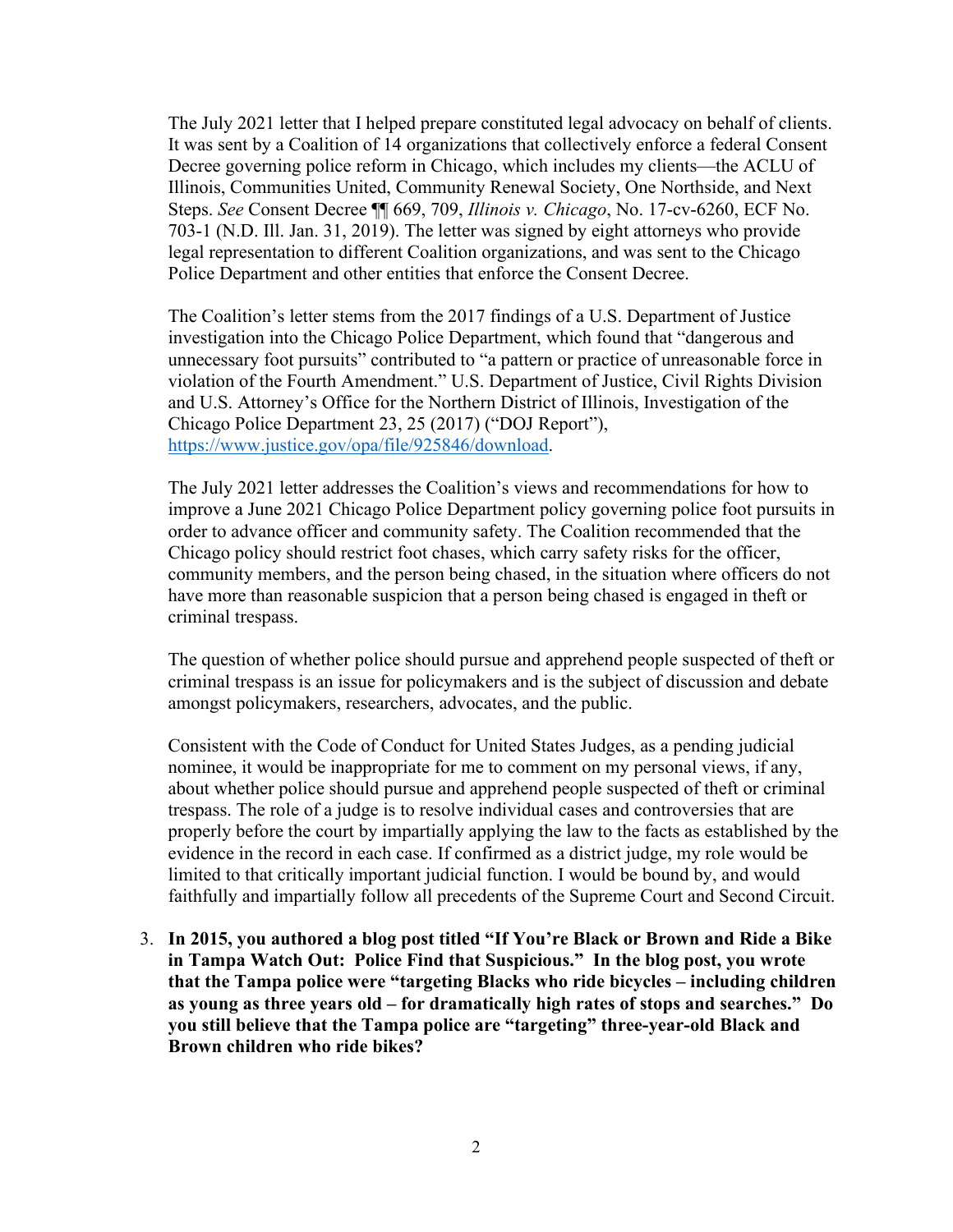The July 2021 letter that I helped prepare constituted legal advocacy on behalf of clients. It was sent by a Coalition of 14 organizations that collectively enforce a federal Consent Decree governing police reform in Chicago, which includes my clients—the ACLU of Illinois, Communities United, Community Renewal Society, One Northside, and Next Steps. *See* Consent Decree ¶¶ 669, 709, *Illinois v. Chicago*, No. 17-cv-6260, ECF No. 703-1 (N.D. Ill. Jan. 31, 2019). The letter was signed by eight attorneys who provide legal representation to different Coalition organizations, and was sent to the Chicago Police Department and other entities that enforce the Consent Decree.

The Coalition's letter stems from the 2017 findings of a U.S. Department of Justice investigation into the Chicago Police Department, which found that "dangerous and unnecessary foot pursuits" contributed to "a pattern or practice of unreasonable force in violation of the Fourth Amendment." U.S. Department of Justice, Civil Rights Division and U.S. Attorney's Office for the Northern District of Illinois, Investigation of the Chicago Police Department 23, 25 (2017) ("DOJ Report"), [https://www.justice.gov/opa/file/925846/download.](https://www.justice.gov/opa/file/925846/download)

The July 2021 letter addresses the Coalition's views and recommendations for how to improve a June 2021 Chicago Police Department policy governing police foot pursuits in order to advance officer and community safety. The Coalition recommended that the Chicago policy should restrict foot chases, which carry safety risks for the officer, community members, and the person being chased, in the situation where officers do not have more than reasonable suspicion that a person being chased is engaged in theft or criminal trespass.

The question of whether police should pursue and apprehend people suspected of theft or criminal trespass is an issue for policymakers and is the subject of discussion and debate amongst policymakers, researchers, advocates, and the public.

Consistent with the Code of Conduct for United States Judges, as a pending judicial nominee, it would be inappropriate for me to comment on my personal views, if any, about whether police should pursue and apprehend people suspected of theft or criminal trespass. The role of a judge is to resolve individual cases and controversies that are properly before the court by impartially applying the law to the facts as established by the evidence in the record in each case. If confirmed as a district judge, my role would be limited to that critically important judicial function. I would be bound by, and would faithfully and impartially follow all precedents of the Supreme Court and Second Circuit.

3. **In 2015, you authored a blog post titled "If You're Black or Brown and Ride a Bike in Tampa Watch Out: Police Find that Suspicious." In the blog post, you wrote that the Tampa police were "targeting Blacks who ride bicycles – including children as young as three years old – for dramatically high rates of stops and searches." Do you still believe that the Tampa police are "targeting" three-year-old Black and Brown children who ride bikes?**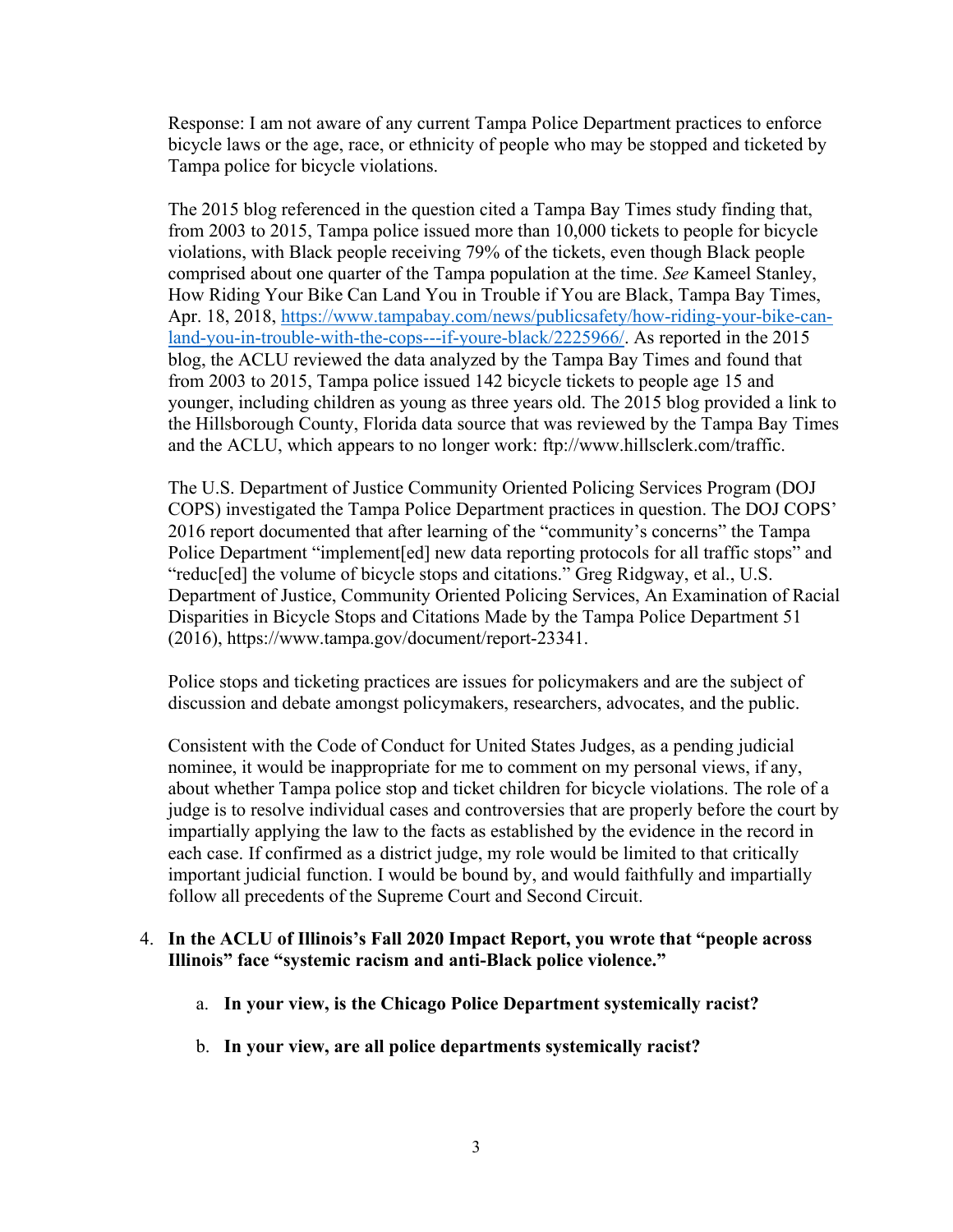Response: I am not aware of any current Tampa Police Department practices to enforce bicycle laws or the age, race, or ethnicity of people who may be stopped and ticketed by Tampa police for bicycle violations.

The 2015 blog referenced in the question cited a Tampa Bay Times study finding that, from 2003 to 2015, Tampa police issued more than 10,000 tickets to people for bicycle violations, with Black people receiving 79% of the tickets, even though Black people comprised about one quarter of the Tampa population at the time. *See* Kameel Stanley, How Riding Your Bike Can Land You in Trouble if You are Black, Tampa Bay Times, Apr. 18, 2018, [https://www.tampabay.com/news/publicsafety/how-riding-your-bike-can](https://www.tampabay.com/news/publicsafety/how-riding-your-bike-can-land-you-in-trouble-with-the-cops---if-youre-black/2225966/)[land-you-in-trouble-with-the-cops---if-youre-black/2225966/.](https://www.tampabay.com/news/publicsafety/how-riding-your-bike-can-land-you-in-trouble-with-the-cops---if-youre-black/2225966/) As reported in the 2015 blog, the ACLU reviewed the data analyzed by the Tampa Bay Times and found that from 2003 to 2015, Tampa police issued 142 bicycle tickets to people age 15 and younger, including children as young as three years old. The 2015 blog provided a link to the Hillsborough County, Florida data source that was reviewed by the Tampa Bay Times and the ACLU, which appears to no longer work: ftp://www.hillsclerk.com/traffic.

The U.S. Department of Justice Community Oriented Policing Services Program (DOJ COPS) investigated the Tampa Police Department practices in question. The DOJ COPS' 2016 report documented that after learning of the "community's concerns" the Tampa Police Department "implement[ed] new data reporting protocols for all traffic stops" and "reduc[ed] the volume of bicycle stops and citations." Greg Ridgway, et al., U.S. Department of Justice, Community Oriented Policing Services, An Examination of Racial Disparities in Bicycle Stops and Citations Made by the Tampa Police Department 51 (2016), https://www.tampa.gov/document/report-23341.

Police stops and ticketing practices are issues for policymakers and are the subject of discussion and debate amongst policymakers, researchers, advocates, and the public.

Consistent with the Code of Conduct for United States Judges, as a pending judicial nominee, it would be inappropriate for me to comment on my personal views, if any, about whether Tampa police stop and ticket children for bicycle violations. The role of a judge is to resolve individual cases and controversies that are properly before the court by impartially applying the law to the facts as established by the evidence in the record in each case. If confirmed as a district judge, my role would be limited to that critically important judicial function. I would be bound by, and would faithfully and impartially follow all precedents of the Supreme Court and Second Circuit.

#### 4. **In the ACLU of Illinois's Fall 2020 Impact Report, you wrote that "people across Illinois" face "systemic racism and anti-Black police violence."**

- a. **In your view, is the Chicago Police Department systemically racist?**
- b. **In your view, are all police departments systemically racist?**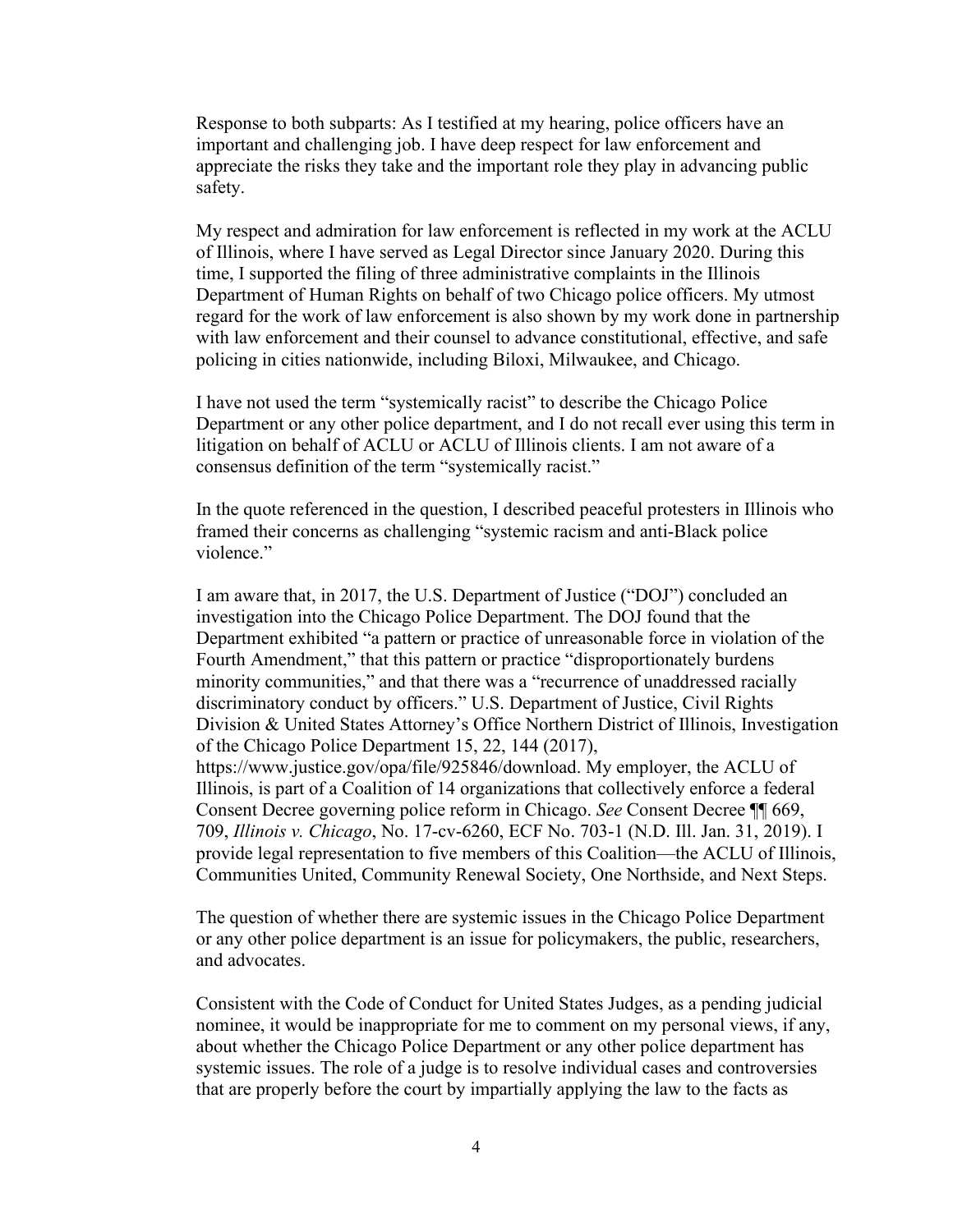Response to both subparts: As I testified at my hearing, police officers have an important and challenging job. I have deep respect for law enforcement and appreciate the risks they take and the important role they play in advancing public safety.

My respect and admiration for law enforcement is reflected in my work at the ACLU of Illinois, where I have served as Legal Director since January 2020. During this time, I supported the filing of three administrative complaints in the Illinois Department of Human Rights on behalf of two Chicago police officers. My utmost regard for the work of law enforcement is also shown by my work done in partnership with law enforcement and their counsel to advance constitutional, effective, and safe policing in cities nationwide, including Biloxi, Milwaukee, and Chicago.

I have not used the term "systemically racist" to describe the Chicago Police Department or any other police department, and I do not recall ever using this term in litigation on behalf of ACLU or ACLU of Illinois clients. I am not aware of a consensus definition of the term "systemically racist."

In the quote referenced in the question, I described peaceful protesters in Illinois who framed their concerns as challenging "systemic racism and anti-Black police violence."

I am aware that, in 2017, the U.S. Department of Justice ("DOJ") concluded an investigation into the Chicago Police Department. The DOJ found that the Department exhibited "a pattern or practice of unreasonable force in violation of the Fourth Amendment," that this pattern or practice "disproportionately burdens minority communities," and that there was a "recurrence of unaddressed racially discriminatory conduct by officers." U.S. Department of Justice, Civil Rights Division & United States Attorney's Office Northern District of Illinois, Investigation of the Chicago Police Department 15, 22, 144 (2017), https://www.justice.gov/opa/file/925846/download. My employer, the ACLU of Illinois, is part of a Coalition of 14 organizations that collectively enforce a federal Consent Decree governing police reform in Chicago. *See* Consent Decree ¶¶ 669, 709, *Illinois v. Chicago*, No. 17-cv-6260, ECF No. 703-1 (N.D. Ill. Jan. 31, 2019). I provide legal representation to five members of this Coalition—the ACLU of Illinois, Communities United, Community Renewal Society, One Northside, and Next Steps.

The question of whether there are systemic issues in the Chicago Police Department or any other police department is an issue for policymakers, the public, researchers, and advocates.

Consistent with the Code of Conduct for United States Judges, as a pending judicial nominee, it would be inappropriate for me to comment on my personal views, if any, about whether the Chicago Police Department or any other police department has systemic issues. The role of a judge is to resolve individual cases and controversies that are properly before the court by impartially applying the law to the facts as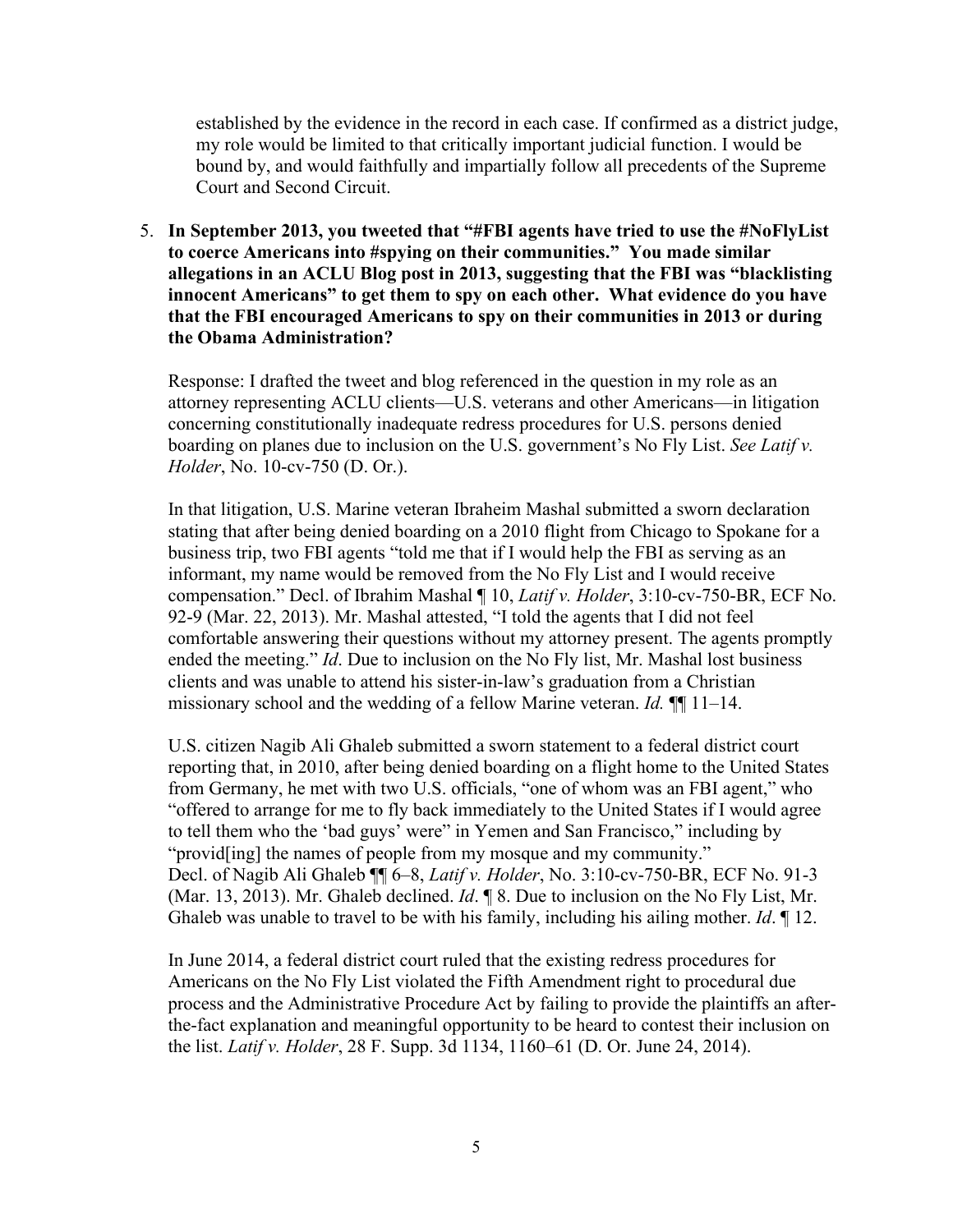established by the evidence in the record in each case. If confirmed as a district judge, my role would be limited to that critically important judicial function. I would be bound by, and would faithfully and impartially follow all precedents of the Supreme Court and Second Circuit.

5. **In September 2013, you tweeted that "#FBI agents have tried to use the #NoFlyList to coerce Americans into #spying on their communities." You made similar allegations in an ACLU Blog post in 2013, suggesting that the FBI was "blacklisting innocent Americans" to get them to spy on each other. What evidence do you have that the FBI encouraged Americans to spy on their communities in 2013 or during the Obama Administration?** 

Response: I drafted the tweet and blog referenced in the question in my role as an attorney representing ACLU clients—U.S. veterans and other Americans—in litigation concerning constitutionally inadequate redress procedures for U.S. persons denied boarding on planes due to inclusion on the U.S. government's No Fly List. *See Latif v. Holder*, No. 10-cv-750 (D. Or.).

In that litigation, U.S. Marine veteran Ibraheim Mashal submitted a sworn declaration stating that after being denied boarding on a 2010 flight from Chicago to Spokane for a business trip, two FBI agents "told me that if I would help the FBI as serving as an informant, my name would be removed from the No Fly List and I would receive compensation." Decl. of Ibrahim Mashal ¶ 10, *Latif v. Holder*, 3:10-cv-750-BR, ECF No. 92-9 (Mar. 22, 2013). Mr. Mashal attested, "I told the agents that I did not feel comfortable answering their questions without my attorney present. The agents promptly ended the meeting." *Id*. Due to inclusion on the No Fly list, Mr. Mashal lost business clients and was unable to attend his sister-in-law's graduation from a Christian missionary school and the wedding of a fellow Marine veteran. *Id.* ¶¶ 11–14.

U.S. citizen Nagib Ali Ghaleb submitted a sworn statement to a federal district court reporting that, in 2010, after being denied boarding on a flight home to the United States from Germany, he met with two U.S. officials, "one of whom was an FBI agent," who "offered to arrange for me to fly back immediately to the United States if I would agree to tell them who the 'bad guys' were" in Yemen and San Francisco," including by "provid[ing] the names of people from my mosque and my community." Decl. of Nagib Ali Ghaleb ¶¶ 6–8, *Latif v. Holder*, No. 3:10-cv-750-BR, ECF No. 91-3 (Mar. 13, 2013). Mr. Ghaleb declined. *Id*. ¶ 8. Due to inclusion on the No Fly List, Mr. Ghaleb was unable to travel to be with his family, including his ailing mother. *Id*. ¶ 12.

In June 2014, a federal district court ruled that the existing redress procedures for Americans on the No Fly List violated the Fifth Amendment right to procedural due process and the Administrative Procedure Act by failing to provide the plaintiffs an afterthe-fact explanation and meaningful opportunity to be heard to contest their inclusion on the list. *Latif v. Holder*, 28 F. Supp. 3d 1134, 1160–61 (D. Or. June 24, 2014).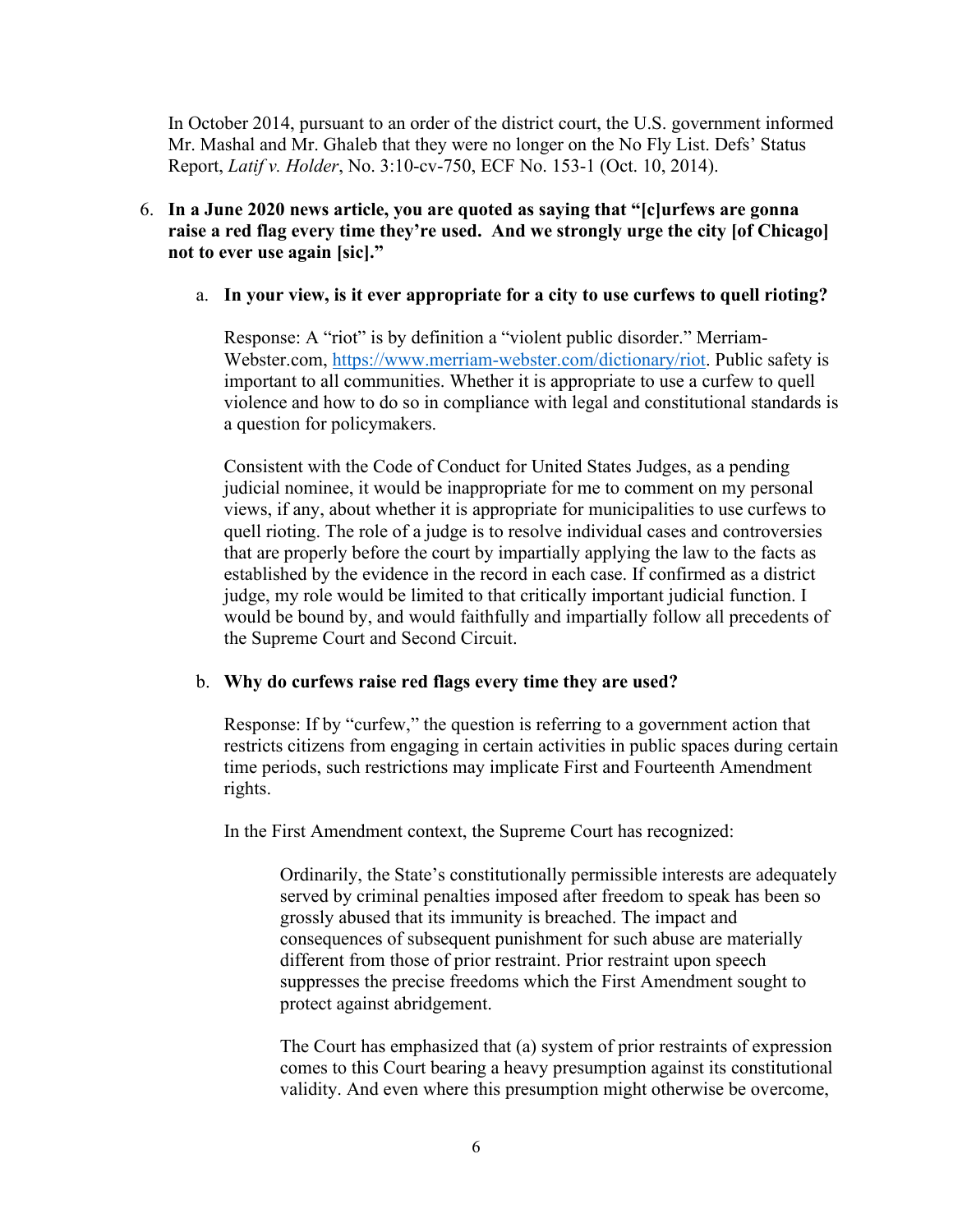In October 2014, pursuant to an order of the district court, the U.S. government informed Mr. Mashal and Mr. Ghaleb that they were no longer on the No Fly List. Defs' Status Report, *Latif v. Holder*, No. 3:10-cv-750, ECF No. 153-1 (Oct. 10, 2014).

# 6. **In a June 2020 news article, you are quoted as saying that "[c]urfews are gonna raise a red flag every time they're used. And we strongly urge the city [of Chicago] not to ever use again [sic]."**

# a. **In your view, is it ever appropriate for a city to use curfews to quell rioting?**

Response: A "riot" is by definition a "violent public disorder." Merriam-Webster.com, [https://www.merriam-webster.com/dictionary/riot.](https://www.merriam-webster.com/dictionary/riot) Public safety is important to all communities. Whether it is appropriate to use a curfew to quell violence and how to do so in compliance with legal and constitutional standards is a question for policymakers.

Consistent with the Code of Conduct for United States Judges, as a pending judicial nominee, it would be inappropriate for me to comment on my personal views, if any, about whether it is appropriate for municipalities to use curfews to quell rioting. The role of a judge is to resolve individual cases and controversies that are properly before the court by impartially applying the law to the facts as established by the evidence in the record in each case. If confirmed as a district judge, my role would be limited to that critically important judicial function. I would be bound by, and would faithfully and impartially follow all precedents of the Supreme Court and Second Circuit.

#### b. **Why do curfews raise red flags every time they are used?**

Response: If by "curfew," the question is referring to a government action that restricts citizens from engaging in certain activities in public spaces during certain time periods, such restrictions may implicate First and Fourteenth Amendment rights.

In the First Amendment context, the Supreme Court has recognized:

Ordinarily, the State's constitutionally permissible interests are adequately served by criminal penalties imposed after freedom to speak has been so grossly abused that its immunity is breached. The impact and consequences of subsequent punishment for such abuse are materially different from those of prior restraint. Prior restraint upon speech suppresses the precise freedoms which the First Amendment sought to protect against abridgement.

The Court has emphasized that (a) system of prior restraints of expression comes to this Court bearing a heavy presumption against its constitutional validity. And even where this presumption might otherwise be overcome,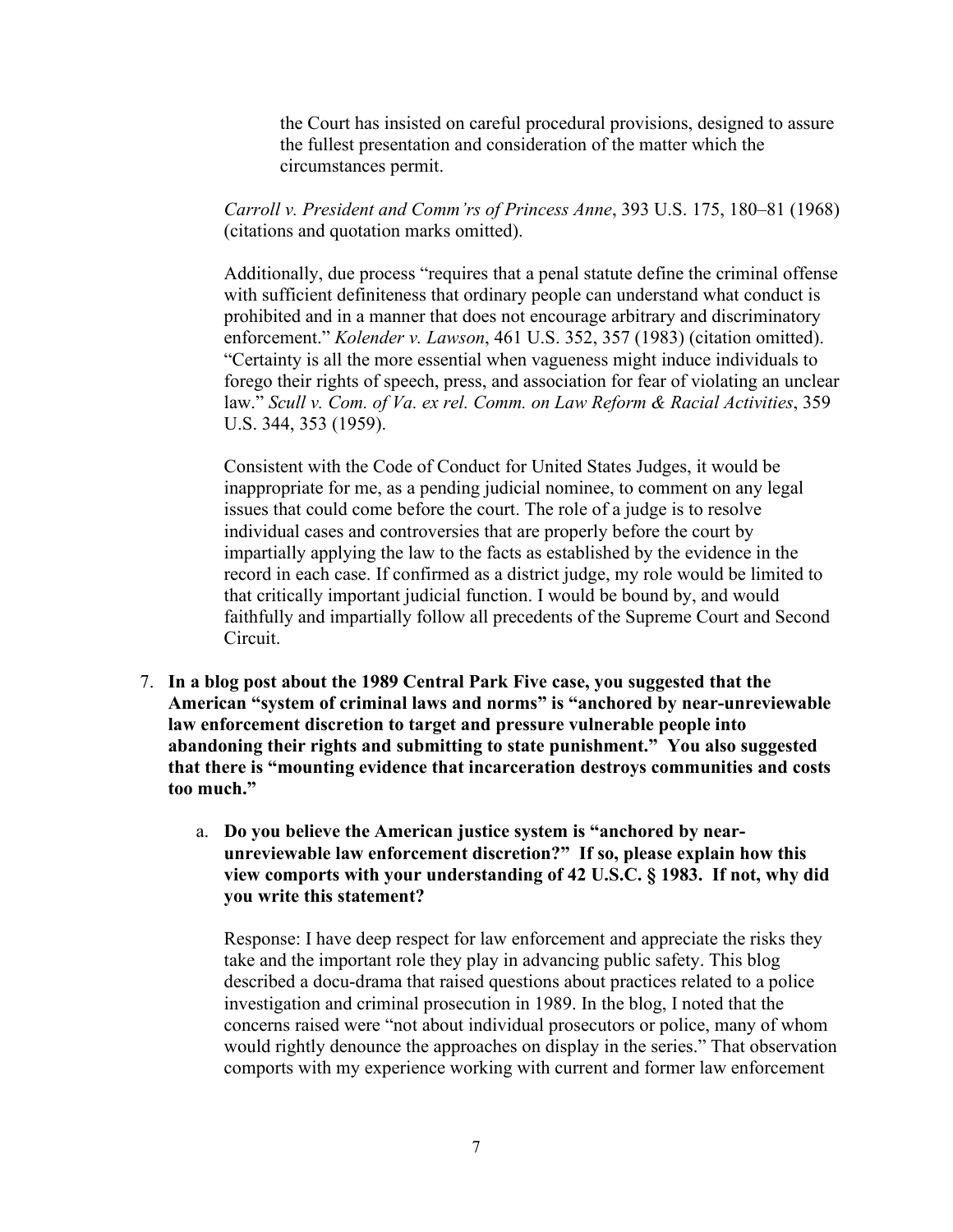the Court has insisted on careful procedural provisions, designed to assure the fullest presentation and consideration of the matter which the circumstances permit.

*Carroll v. President and Comm'rs of Princess Anne*, 393 U.S. 175, 180–81 (1968) (citations and quotation marks omitted).

Additionally, due process "requires that a penal statute define the criminal offense with sufficient definiteness that ordinary people can understand what conduct is prohibited and in a manner that does not encourage arbitrary and discriminatory enforcement." *Kolender v. Lawson*, 461 U.S. 352, 357 (1983) (citation omitted). "Certainty is all the more essential when vagueness might induce individuals to forego their rights of speech, press, and association for fear of violating an unclear law." *Scull v. Com. of Va. ex rel. Comm. on Law Reform & Racial Activities*, 359 U.S. 344, 353 (1959).

Consistent with the Code of Conduct for United States Judges, it would be inappropriate for me, as a pending judicial nominee, to comment on any legal issues that could come before the court. The role of a judge is to resolve individual cases and controversies that are properly before the court by impartially applying the law to the facts as established by the evidence in the record in each case. If confirmed as a district judge, my role would be limited to that critically important judicial function. I would be bound by, and would faithfully and impartially follow all precedents of the Supreme Court and Second Circuit.

- 7. **In a blog post about the 1989 Central Park Five case, you suggested that the American "system of criminal laws and norms" is "anchored by near-unreviewable law enforcement discretion to target and pressure vulnerable people into abandoning their rights and submitting to state punishment." You also suggested that there is "mounting evidence that incarceration destroys communities and costs too much."** 
	- a. **Do you believe the American justice system is "anchored by nearunreviewable law enforcement discretion?" If so, please explain how this view comports with your understanding of 42 U.S.C. § 1983. If not, why did you write this statement?**

Response: I have deep respect for law enforcement and appreciate the risks they take and the important role they play in advancing public safety. This blog described a docu-drama that raised questions about practices related to a police investigation and criminal prosecution in 1989. In the blog, I noted that the concerns raised were "not about individual prosecutors or police, many of whom would rightly denounce the approaches on display in the series." That observation comports with my experience working with current and former law enforcement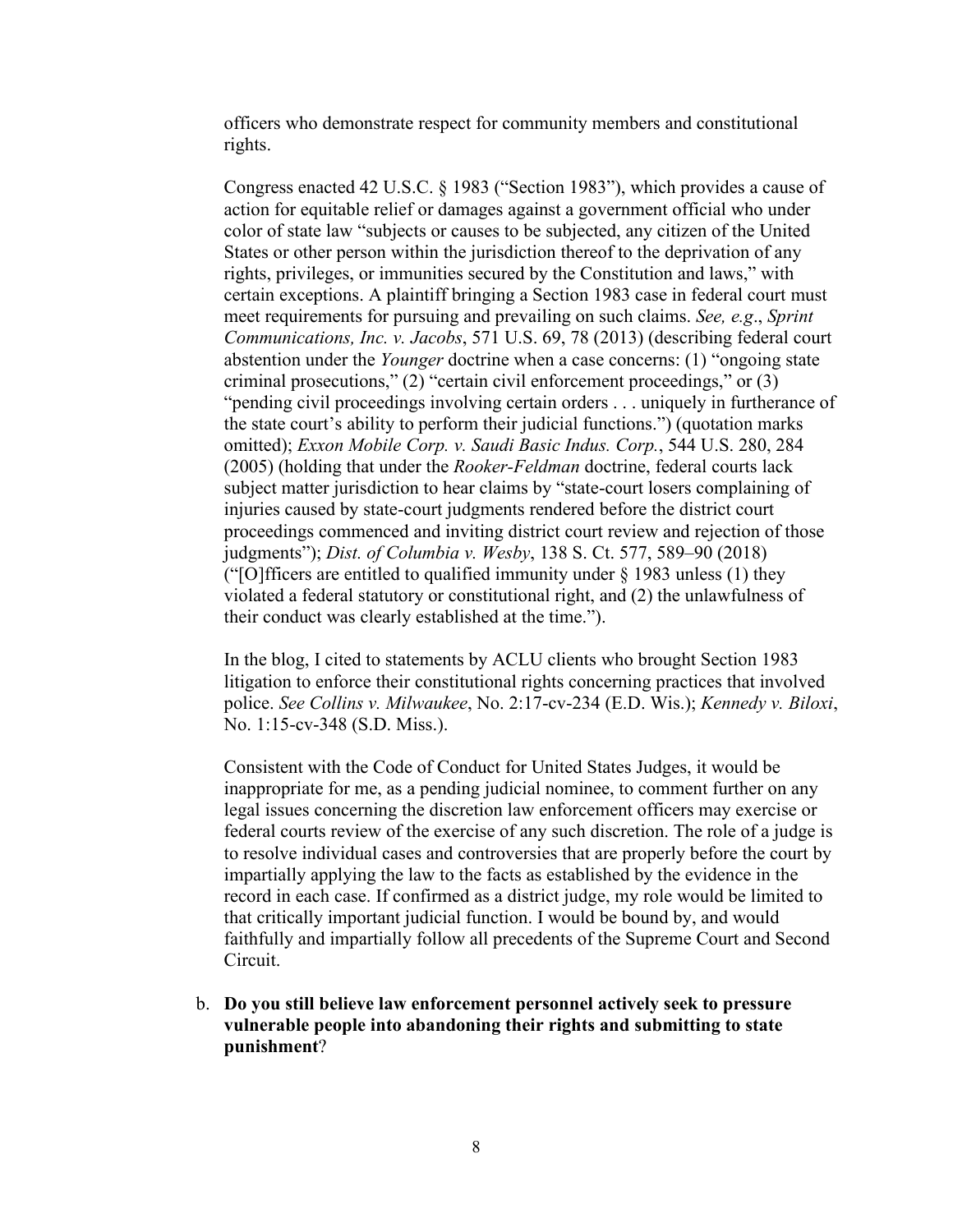officers who demonstrate respect for community members and constitutional rights.

Congress enacted 42 U.S.C. § 1983 ("Section 1983"), which provides a cause of action for equitable relief or damages against a government official who under color of state law "subjects or causes to be subjected, any citizen of the United States or other person within the jurisdiction thereof to the deprivation of any rights, privileges, or immunities secured by the Constitution and laws," with certain exceptions. A plaintiff bringing a Section 1983 case in federal court must meet requirements for pursuing and prevailing on such claims. *See, e.g*., *Sprint Communications, Inc. v. Jacobs*, 571 U.S. 69, 78 (2013) (describing federal court abstention under the *Younger* doctrine when a case concerns: (1) "ongoing state criminal prosecutions," (2) "certain civil enforcement proceedings," or (3) "pending civil proceedings involving certain orders . . . uniquely in furtherance of the state court's ability to perform their judicial functions.") (quotation marks omitted); *Exxon Mobile Corp. v. Saudi Basic Indus. Corp.*, 544 U.S. 280, 284 (2005) (holding that under the *Rooker-Feldman* doctrine, federal courts lack subject matter jurisdiction to hear claims by "state-court losers complaining of injuries caused by state-court judgments rendered before the district court proceedings commenced and inviting district court review and rejection of those judgments"); *Dist. of Columbia v. Wesby*, 138 S. Ct. 577, 589–90 (2018) ("[O]fficers are entitled to qualified immunity under  $\frac{1}{2}$  1983 unless (1) they violated a federal statutory or constitutional right, and (2) the unlawfulness of their conduct was clearly established at the time.").

In the blog, I cited to statements by ACLU clients who brought Section 1983 litigation to enforce their constitutional rights concerning practices that involved police. *See Collins v. Milwaukee*, No. 2:17-cv-234 (E.D. Wis.); *Kennedy v. Biloxi*, No. 1:15-cv-348 (S.D. Miss.).

Consistent with the Code of Conduct for United States Judges, it would be inappropriate for me, as a pending judicial nominee, to comment further on any legal issues concerning the discretion law enforcement officers may exercise or federal courts review of the exercise of any such discretion. The role of a judge is to resolve individual cases and controversies that are properly before the court by impartially applying the law to the facts as established by the evidence in the record in each case. If confirmed as a district judge, my role would be limited to that critically important judicial function. I would be bound by, and would faithfully and impartially follow all precedents of the Supreme Court and Second Circuit.

b. **Do you still believe law enforcement personnel actively seek to pressure vulnerable people into abandoning their rights and submitting to state punishment**?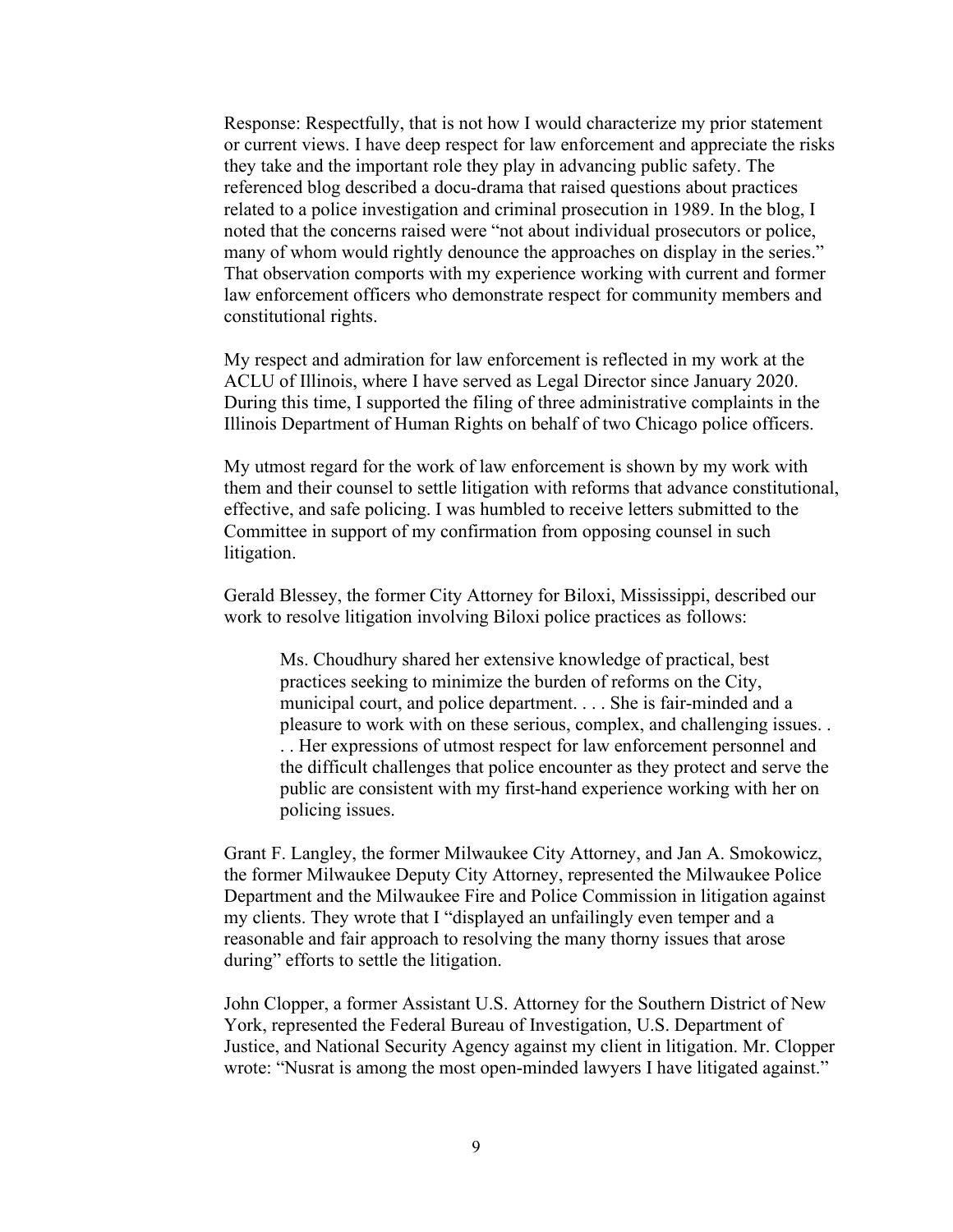Response: Respectfully, that is not how I would characterize my prior statement or current views. I have deep respect for law enforcement and appreciate the risks they take and the important role they play in advancing public safety. The referenced blog described a docu-drama that raised questions about practices related to a police investigation and criminal prosecution in 1989. In the blog, I noted that the concerns raised were "not about individual prosecutors or police, many of whom would rightly denounce the approaches on display in the series." That observation comports with my experience working with current and former law enforcement officers who demonstrate respect for community members and constitutional rights.

My respect and admiration for law enforcement is reflected in my work at the ACLU of Illinois, where I have served as Legal Director since January 2020. During this time, I supported the filing of three administrative complaints in the Illinois Department of Human Rights on behalf of two Chicago police officers.

My utmost regard for the work of law enforcement is shown by my work with them and their counsel to settle litigation with reforms that advance constitutional, effective, and safe policing. I was humbled to receive letters submitted to the Committee in support of my confirmation from opposing counsel in such litigation.

Gerald Blessey, the former City Attorney for Biloxi, Mississippi, described our work to resolve litigation involving Biloxi police practices as follows:

Ms. Choudhury shared her extensive knowledge of practical, best practices seeking to minimize the burden of reforms on the City, municipal court, and police department. . . . She is fair-minded and a pleasure to work with on these serious, complex, and challenging issues. . . . Her expressions of utmost respect for law enforcement personnel and the difficult challenges that police encounter as they protect and serve the public are consistent with my first-hand experience working with her on policing issues.

Grant F. Langley, the former Milwaukee City Attorney, and Jan A. Smokowicz, the former Milwaukee Deputy City Attorney, represented the Milwaukee Police Department and the Milwaukee Fire and Police Commission in litigation against my clients. They wrote that I "displayed an unfailingly even temper and a reasonable and fair approach to resolving the many thorny issues that arose during" efforts to settle the litigation.

John Clopper, a former Assistant U.S. Attorney for the Southern District of New York, represented the Federal Bureau of Investigation, U.S. Department of Justice, and National Security Agency against my client in litigation. Mr. Clopper wrote: "Nusrat is among the most open-minded lawyers I have litigated against."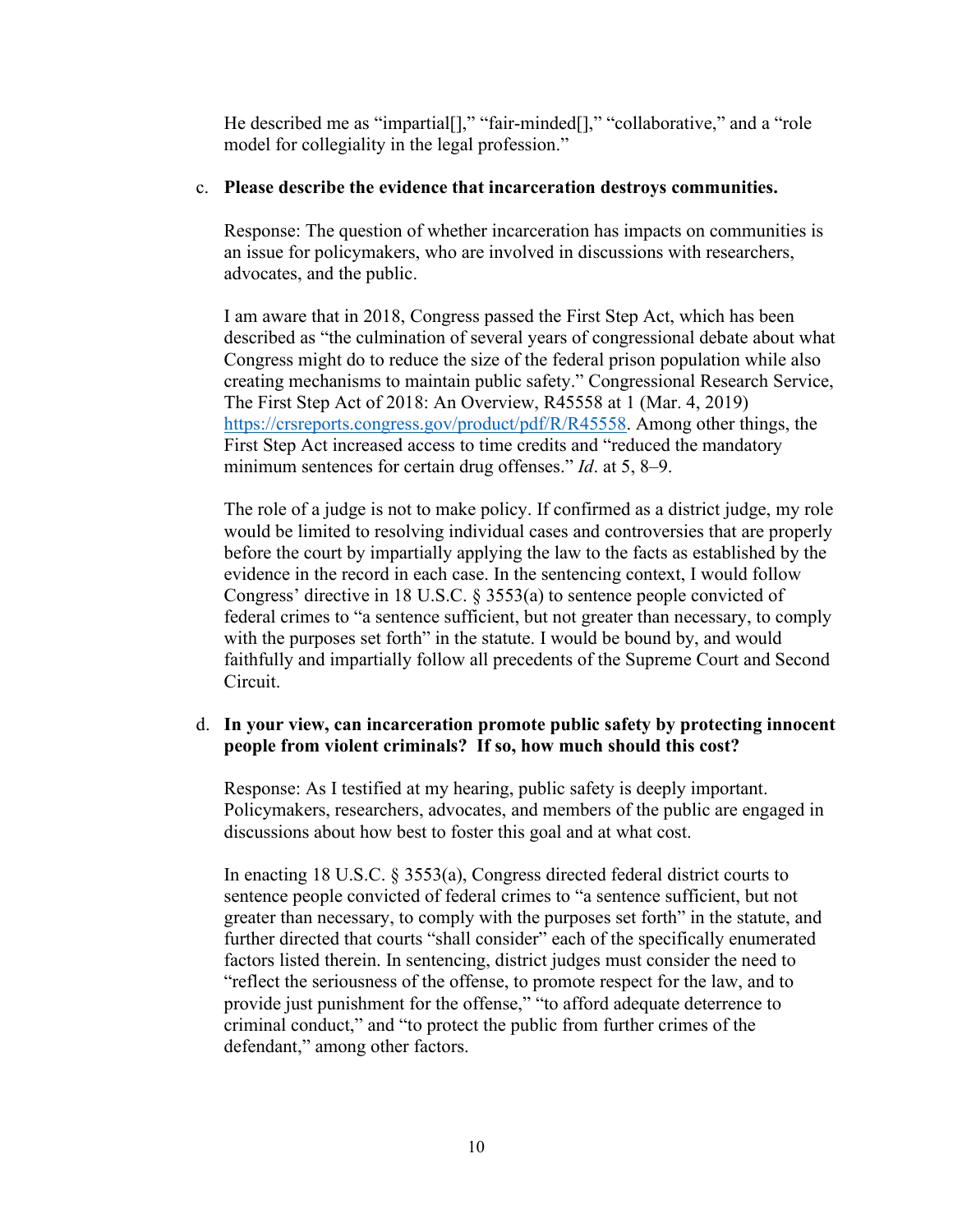He described me as "impartial[]," "fair-minded[]," "collaborative," and a "role model for collegiality in the legal profession."

#### c. **Please describe the evidence that incarceration destroys communities.**

Response: The question of whether incarceration has impacts on communities is an issue for policymakers, who are involved in discussions with researchers, advocates, and the public.

I am aware that in 2018, Congress passed the First Step Act, which has been described as "the culmination of several years of congressional debate about what Congress might do to reduce the size of the federal prison population while also creating mechanisms to maintain public safety." Congressional Research Service, The First Step Act of 2018: An Overview, R45558 at 1 (Mar. 4, 2019) [https://crsreports.congress.gov/product/pdf/R/R45558.](https://crsreports.congress.gov/product/pdf/R/R45558) Among other things, the First Step Act increased access to time credits and "reduced the mandatory minimum sentences for certain drug offenses." *Id*. at 5, 8–9.

The role of a judge is not to make policy. If confirmed as a district judge, my role would be limited to resolving individual cases and controversies that are properly before the court by impartially applying the law to the facts as established by the evidence in the record in each case. In the sentencing context, I would follow Congress' directive in 18 U.S.C. § 3553(a) to sentence people convicted of federal crimes to "a sentence sufficient, but not greater than necessary, to comply with the purposes set forth" in the statute. I would be bound by, and would faithfully and impartially follow all precedents of the Supreme Court and Second Circuit.

# d. **In your view, can incarceration promote public safety by protecting innocent people from violent criminals? If so, how much should this cost?**

Response: As I testified at my hearing, public safety is deeply important. Policymakers, researchers, advocates, and members of the public are engaged in discussions about how best to foster this goal and at what cost.

In enacting 18 U.S.C. § 3553(a), Congress directed federal district courts to sentence people convicted of federal crimes to "a sentence sufficient, but not greater than necessary, to comply with the purposes set forth" in the statute, and further directed that courts "shall consider" each of the specifically enumerated factors listed therein. In sentencing, district judges must consider the need to "reflect the seriousness of the offense, to promote respect for the law, and to provide just punishment for the offense," "to afford adequate deterrence to criminal conduct," and "to protect the public from further crimes of the defendant," among other factors.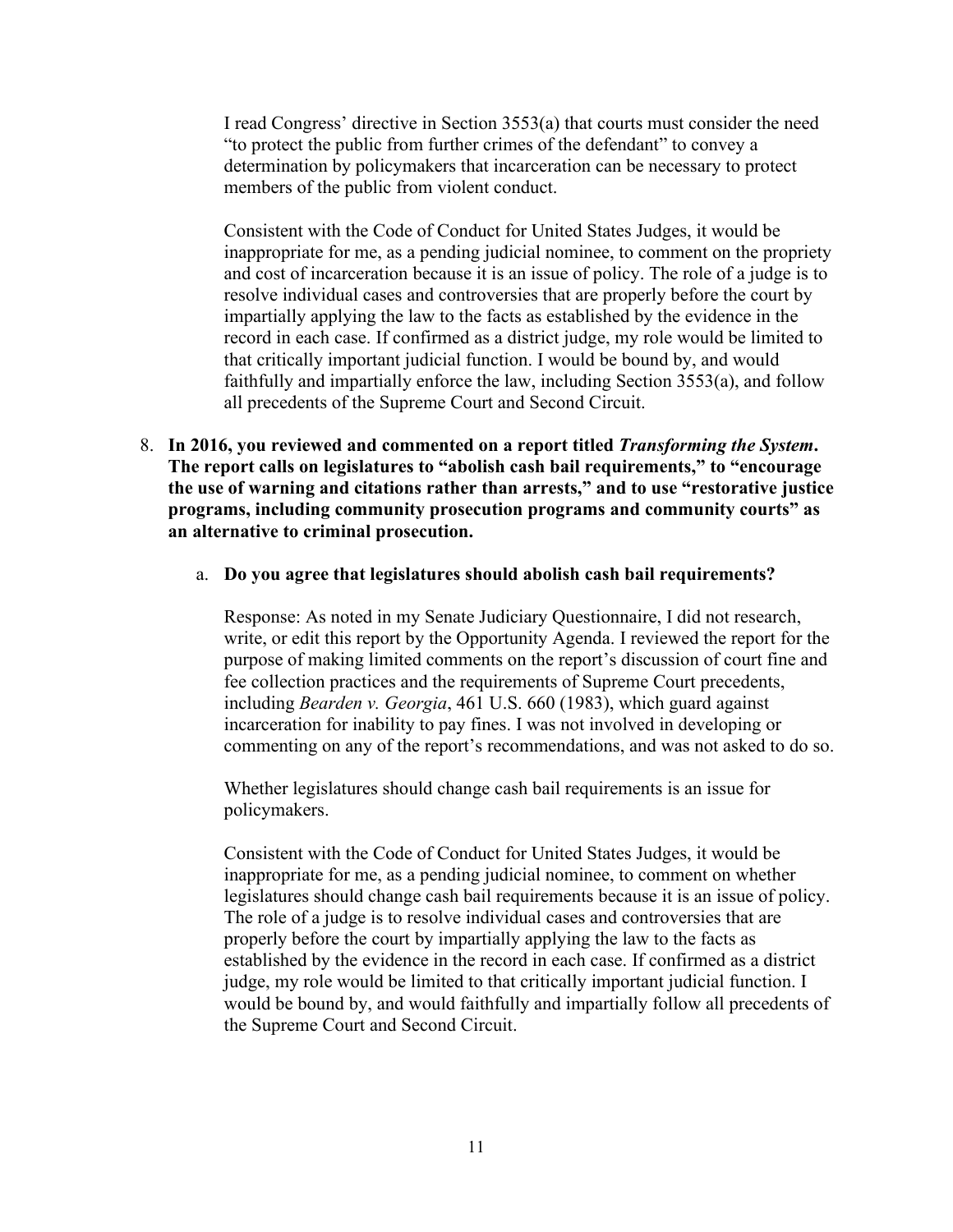I read Congress' directive in Section 3553(a) that courts must consider the need "to protect the public from further crimes of the defendant" to convey a determination by policymakers that incarceration can be necessary to protect members of the public from violent conduct.

Consistent with the Code of Conduct for United States Judges, it would be inappropriate for me, as a pending judicial nominee, to comment on the propriety and cost of incarceration because it is an issue of policy. The role of a judge is to resolve individual cases and controversies that are properly before the court by impartially applying the law to the facts as established by the evidence in the record in each case. If confirmed as a district judge, my role would be limited to that critically important judicial function. I would be bound by, and would faithfully and impartially enforce the law, including Section 3553(a), and follow all precedents of the Supreme Court and Second Circuit.

- 8. **In 2016, you reviewed and commented on a report titled** *Transforming the System***. The report calls on legislatures to "abolish cash bail requirements," to "encourage the use of warning and citations rather than arrests," and to use "restorative justice programs, including community prosecution programs and community courts" as an alternative to criminal prosecution.**
	- a. **Do you agree that legislatures should abolish cash bail requirements?**

Response: As noted in my Senate Judiciary Questionnaire, I did not research, write, or edit this report by the Opportunity Agenda. I reviewed the report for the purpose of making limited comments on the report's discussion of court fine and fee collection practices and the requirements of Supreme Court precedents, including *Bearden v. Georgia*, 461 U.S. 660 (1983), which guard against incarceration for inability to pay fines. I was not involved in developing or commenting on any of the report's recommendations, and was not asked to do so.

Whether legislatures should change cash bail requirements is an issue for policymakers.

Consistent with the Code of Conduct for United States Judges, it would be inappropriate for me, as a pending judicial nominee, to comment on whether legislatures should change cash bail requirements because it is an issue of policy. The role of a judge is to resolve individual cases and controversies that are properly before the court by impartially applying the law to the facts as established by the evidence in the record in each case. If confirmed as a district judge, my role would be limited to that critically important judicial function. I would be bound by, and would faithfully and impartially follow all precedents of the Supreme Court and Second Circuit.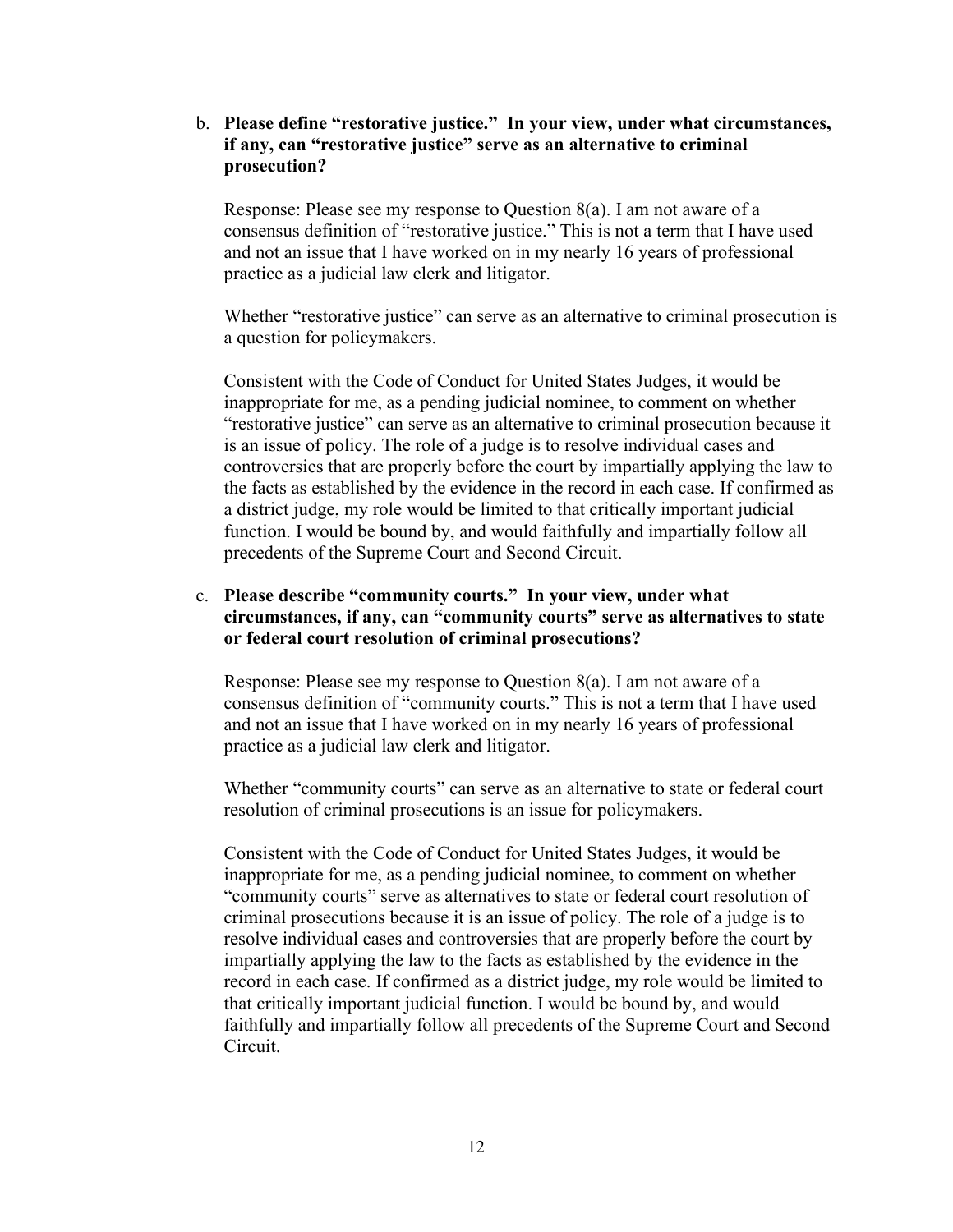b. **Please define "restorative justice." In your view, under what circumstances, if any, can "restorative justice" serve as an alternative to criminal prosecution?**

Response: Please see my response to Question 8(a). I am not aware of a consensus definition of "restorative justice." This is not a term that I have used and not an issue that I have worked on in my nearly 16 years of professional practice as a judicial law clerk and litigator.

Whether "restorative justice" can serve as an alternative to criminal prosecution is a question for policymakers.

Consistent with the Code of Conduct for United States Judges, it would be inappropriate for me, as a pending judicial nominee, to comment on whether "restorative justice" can serve as an alternative to criminal prosecution because it is an issue of policy. The role of a judge is to resolve individual cases and controversies that are properly before the court by impartially applying the law to the facts as established by the evidence in the record in each case. If confirmed as a district judge, my role would be limited to that critically important judicial function. I would be bound by, and would faithfully and impartially follow all precedents of the Supreme Court and Second Circuit.

#### c. **Please describe "community courts." In your view, under what circumstances, if any, can "community courts" serve as alternatives to state or federal court resolution of criminal prosecutions?**

Response: Please see my response to Question 8(a). I am not aware of a consensus definition of "community courts." This is not a term that I have used and not an issue that I have worked on in my nearly 16 years of professional practice as a judicial law clerk and litigator.

Whether "community courts" can serve as an alternative to state or federal court resolution of criminal prosecutions is an issue for policymakers.

Consistent with the Code of Conduct for United States Judges, it would be inappropriate for me, as a pending judicial nominee, to comment on whether "community courts" serve as alternatives to state or federal court resolution of criminal prosecutions because it is an issue of policy. The role of a judge is to resolve individual cases and controversies that are properly before the court by impartially applying the law to the facts as established by the evidence in the record in each case. If confirmed as a district judge, my role would be limited to that critically important judicial function. I would be bound by, and would faithfully and impartially follow all precedents of the Supreme Court and Second Circuit.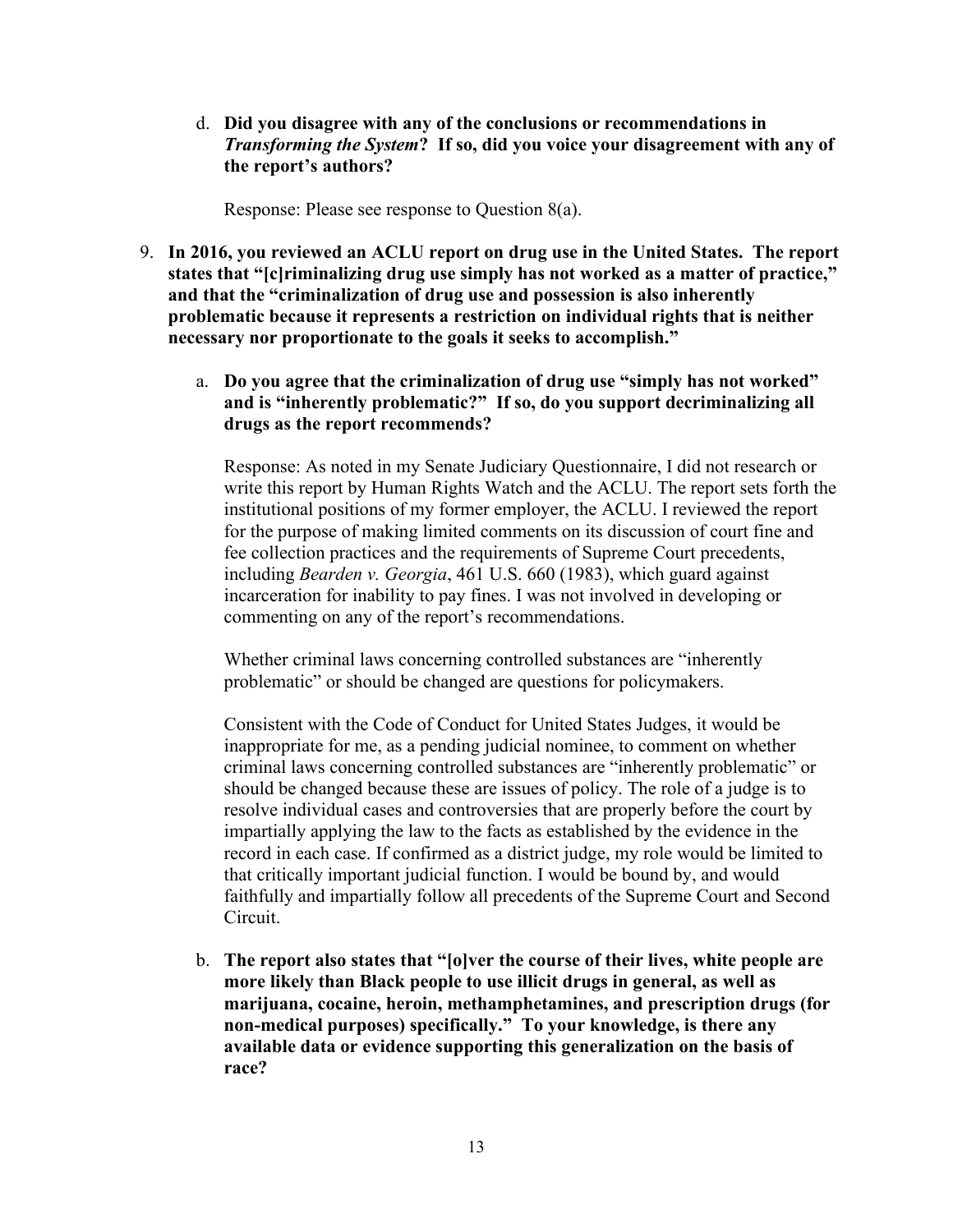d. **Did you disagree with any of the conclusions or recommendations in**  *Transforming the System***? If so, did you voice your disagreement with any of the report's authors?**

Response: Please see response to Question 8(a).

- 9. **In 2016, you reviewed an ACLU report on drug use in the United States. The report states that "[c]riminalizing drug use simply has not worked as a matter of practice," and that the "criminalization of drug use and possession is also inherently problematic because it represents a restriction on individual rights that is neither necessary nor proportionate to the goals it seeks to accomplish."** 
	- a. **Do you agree that the criminalization of drug use "simply has not worked" and is "inherently problematic?" If so, do you support decriminalizing all drugs as the report recommends?**

Response: As noted in my Senate Judiciary Questionnaire, I did not research or write this report by Human Rights Watch and the ACLU. The report sets forth the institutional positions of my former employer, the ACLU. I reviewed the report for the purpose of making limited comments on its discussion of court fine and fee collection practices and the requirements of Supreme Court precedents, including *Bearden v. Georgia*, 461 U.S. 660 (1983), which guard against incarceration for inability to pay fines. I was not involved in developing or commenting on any of the report's recommendations.

Whether criminal laws concerning controlled substances are "inherently problematic" or should be changed are questions for policymakers.

Consistent with the Code of Conduct for United States Judges, it would be inappropriate for me, as a pending judicial nominee, to comment on whether criminal laws concerning controlled substances are "inherently problematic" or should be changed because these are issues of policy. The role of a judge is to resolve individual cases and controversies that are properly before the court by impartially applying the law to the facts as established by the evidence in the record in each case. If confirmed as a district judge, my role would be limited to that critically important judicial function. I would be bound by, and would faithfully and impartially follow all precedents of the Supreme Court and Second Circuit.

b. **The report also states that "[o]ver the course of their lives, white people are more likely than Black people to use illicit drugs in general, as well as marijuana, cocaine, heroin, methamphetamines, and prescription drugs (for non-medical purposes) specifically." To your knowledge, is there any available data or evidence supporting this generalization on the basis of race?**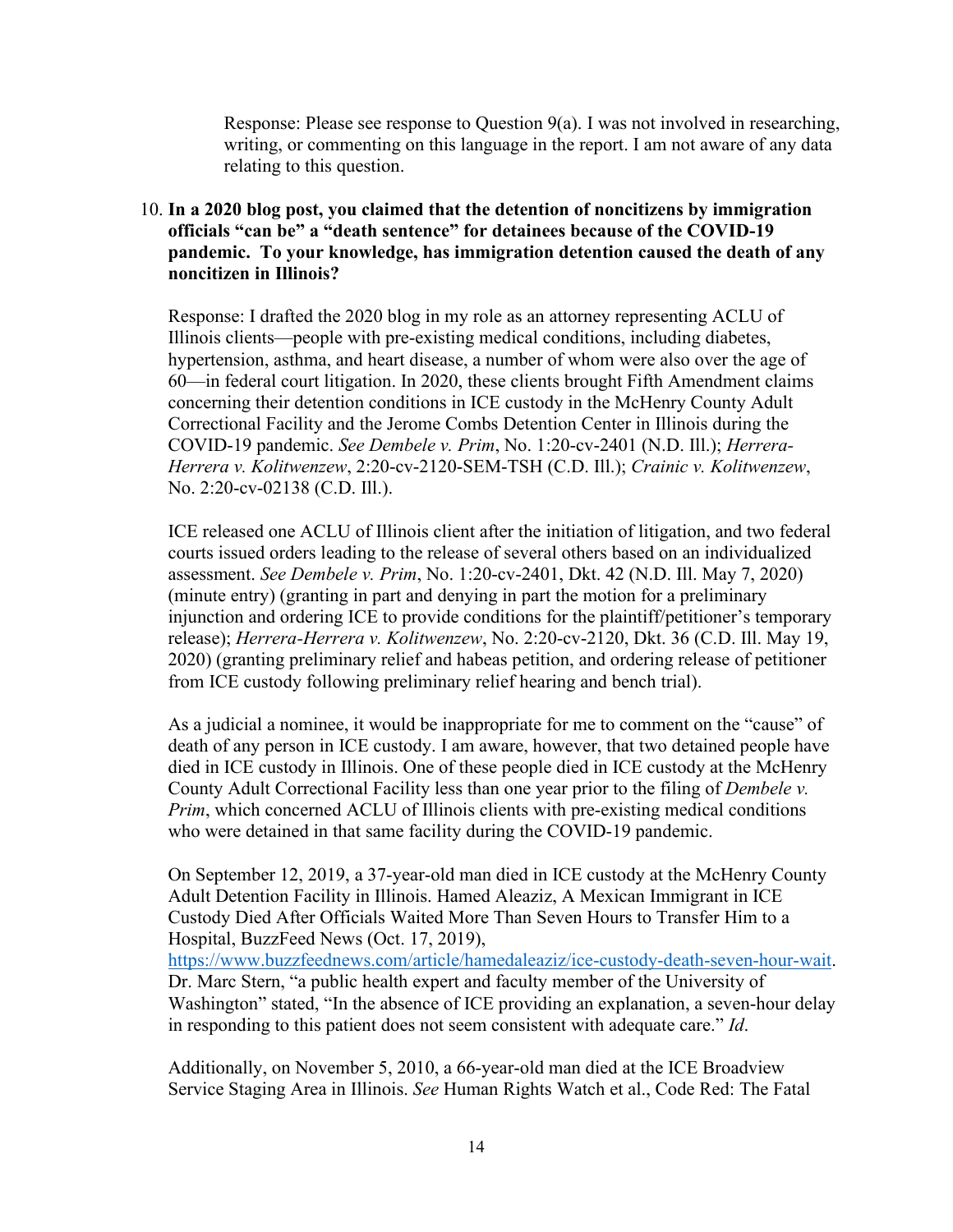Response: Please see response to Question  $9(a)$ . I was not involved in researching, writing, or commenting on this language in the report. I am not aware of any data relating to this question.

## 10. **In a 2020 blog post, you claimed that the detention of noncitizens by immigration officials "can be" a "death sentence" for detainees because of the COVID-19 pandemic. To your knowledge, has immigration detention caused the death of any noncitizen in Illinois?**

Response: I drafted the 2020 blog in my role as an attorney representing ACLU of Illinois clients—people with pre-existing medical conditions, including diabetes, hypertension, asthma, and heart disease, a number of whom were also over the age of 60—in federal court litigation. In 2020, these clients brought Fifth Amendment claims concerning their detention conditions in ICE custody in the McHenry County Adult Correctional Facility and the Jerome Combs Detention Center in Illinois during the COVID-19 pandemic. *See Dembele v. Prim*, No. 1:20-cv-2401 (N.D. Ill.); *Herrera-Herrera v. Kolitwenzew*, 2:20-cv-2120-SEM-TSH (C.D. Ill.); *Crainic v. Kolitwenzew*, No. 2:20-cv-02138 (C.D. Ill.).

ICE released one ACLU of Illinois client after the initiation of litigation, and two federal courts issued orders leading to the release of several others based on an individualized assessment. *See Dembele v. Prim*, No. 1:20-cv-2401, Dkt. 42 (N.D. Ill. May 7, 2020) (minute entry) (granting in part and denying in part the motion for a preliminary injunction and ordering ICE to provide conditions for the plaintiff/petitioner's temporary release); *Herrera-Herrera v. Kolitwenzew*, No. 2:20-cv-2120, Dkt. 36 (C.D. Ill. May 19, 2020) (granting preliminary relief and habeas petition, and ordering release of petitioner from ICE custody following preliminary relief hearing and bench trial).

As a judicial a nominee, it would be inappropriate for me to comment on the "cause" of death of any person in ICE custody. I am aware, however, that two detained people have died in ICE custody in Illinois. One of these people died in ICE custody at the McHenry County Adult Correctional Facility less than one year prior to the filing of *Dembele v. Prim*, which concerned ACLU of Illinois clients with pre-existing medical conditions who were detained in that same facility during the COVID-19 pandemic.

On September 12, 2019, a 37-year-old man died in ICE custody at the McHenry County Adult Detention Facility in Illinois. Hamed Aleaziz, A Mexican Immigrant in ICE Custody Died After Officials Waited More Than Seven Hours to Transfer Him to a Hospital, BuzzFeed News (Oct. 17, 2019),

[https://www.buzzfeednews.com/article/hamedaleaziz/ice-custody-death-seven-hour-wait.](https://www.buzzfeednews.com/article/hamedaleaziz/ice-custody-death-seven-hour-wait) Dr. Marc Stern, "a public health expert and faculty member of the University of Washington" stated, "In the absence of ICE providing an explanation, a seven-hour delay in responding to this patient does not seem consistent with adequate care." *Id*.

Additionally, on November 5, 2010, a 66-year-old man died at the ICE Broadview Service Staging Area in Illinois. *See* Human Rights Watch et al., Code Red: The Fatal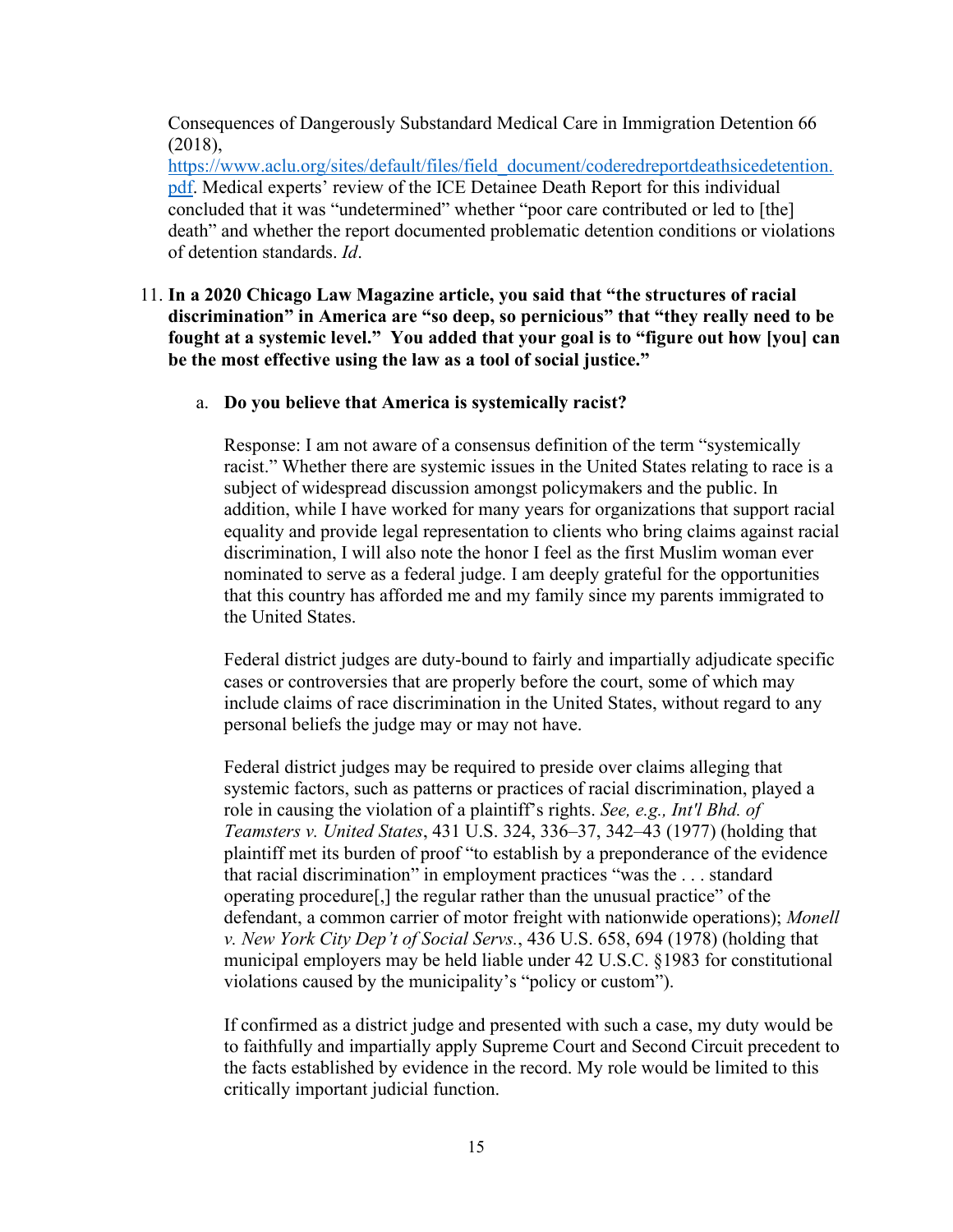Consequences of Dangerously Substandard Medical Care in Immigration Detention 66 (2018),

[https://www.aclu.org/sites/default/files/field\\_document/coderedreportdeathsicedetention.](https://www.aclu.org/sites/default/files/field_document/coderedreportdeathsicedetention.pdf) [pdf.](https://www.aclu.org/sites/default/files/field_document/coderedreportdeathsicedetention.pdf) Medical experts' review of the ICE Detainee Death Report for this individual concluded that it was "undetermined" whether "poor care contributed or led to [the] death" and whether the report documented problematic detention conditions or violations of detention standards. *Id*.

#### 11. **In a 2020 Chicago Law Magazine article, you said that "the structures of racial discrimination" in America are "so deep, so pernicious" that "they really need to be fought at a systemic level." You added that your goal is to "figure out how [you] can be the most effective using the law as a tool of social justice."**

#### a. **Do you believe that America is systemically racist?**

Response: I am not aware of a consensus definition of the term "systemically racist." Whether there are systemic issues in the United States relating to race is a subject of widespread discussion amongst policymakers and the public. In addition, while I have worked for many years for organizations that support racial equality and provide legal representation to clients who bring claims against racial discrimination, I will also note the honor I feel as the first Muslim woman ever nominated to serve as a federal judge. I am deeply grateful for the opportunities that this country has afforded me and my family since my parents immigrated to the United States.

Federal district judges are duty-bound to fairly and impartially adjudicate specific cases or controversies that are properly before the court, some of which may include claims of race discrimination in the United States, without regard to any personal beliefs the judge may or may not have.

Federal district judges may be required to preside over claims alleging that systemic factors, such as patterns or practices of racial discrimination, played a role in causing the violation of a plaintiff's rights. *See, e.g., Int'l Bhd. of Teamsters v. United States*, 431 U.S. 324, 336–37, 342–43 (1977) (holding that plaintiff met its burden of proof "to establish by a preponderance of the evidence that racial discrimination" in employment practices "was the . . . standard operating procedure[,] the regular rather than the unusual practice" of the defendant, a common carrier of motor freight with nationwide operations); *Monell v. New York City Dep't of Social Servs.*, 436 U.S. 658, 694 (1978) (holding that municipal employers may be held liable under 42 U.S.C. §1983 for constitutional violations caused by the municipality's "policy or custom").

If confirmed as a district judge and presented with such a case, my duty would be to faithfully and impartially apply Supreme Court and Second Circuit precedent to the facts established by evidence in the record. My role would be limited to this critically important judicial function.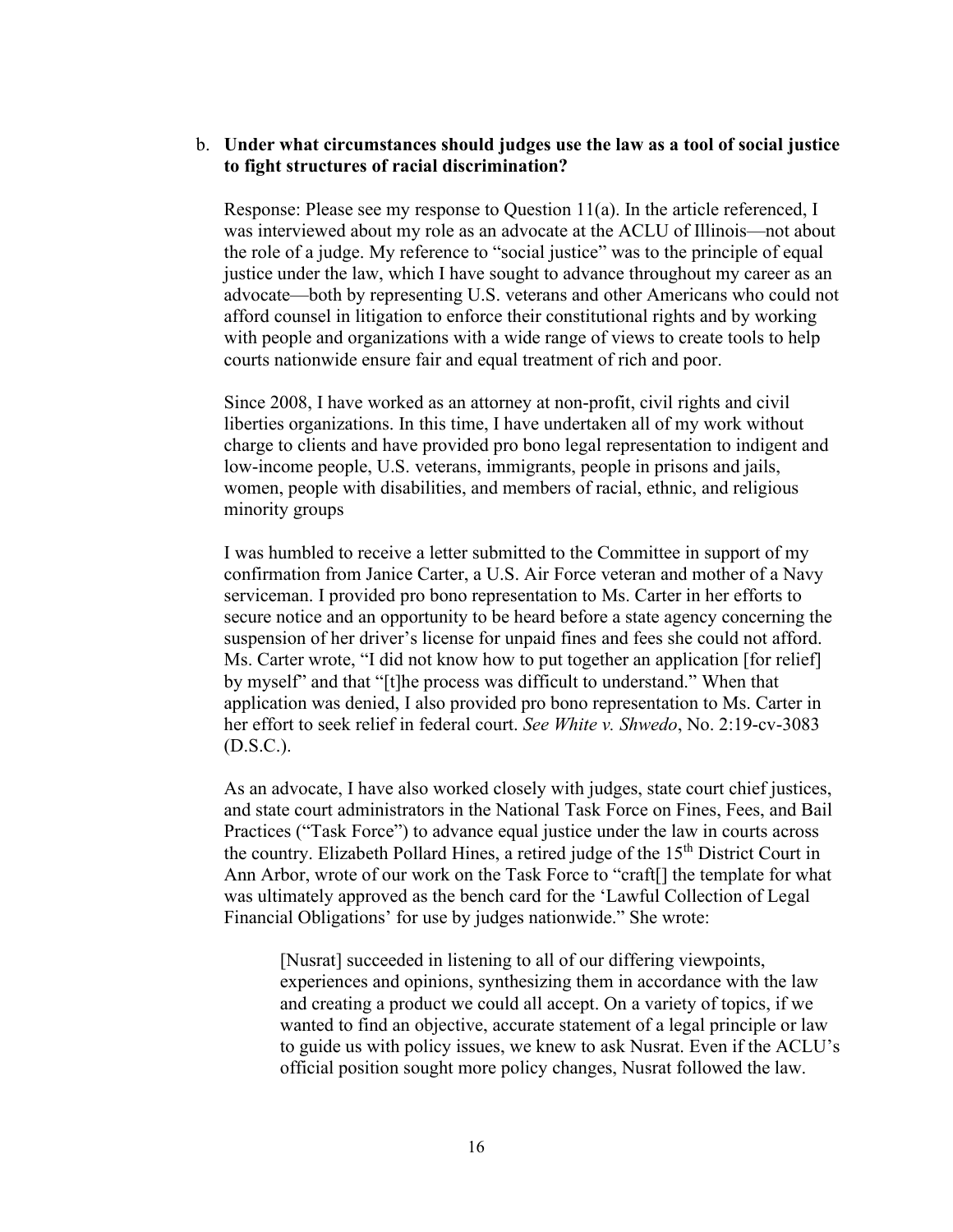#### b. **Under what circumstances should judges use the law as a tool of social justice to fight structures of racial discrimination?**

Response: Please see my response to Question 11(a). In the article referenced, I was interviewed about my role as an advocate at the ACLU of Illinois—not about the role of a judge. My reference to "social justice" was to the principle of equal justice under the law, which I have sought to advance throughout my career as an advocate—both by representing U.S. veterans and other Americans who could not afford counsel in litigation to enforce their constitutional rights and by working with people and organizations with a wide range of views to create tools to help courts nationwide ensure fair and equal treatment of rich and poor.

Since 2008, I have worked as an attorney at non-profit, civil rights and civil liberties organizations. In this time, I have undertaken all of my work without charge to clients and have provided pro bono legal representation to indigent and low-income people, U.S. veterans, immigrants, people in prisons and jails, women, people with disabilities, and members of racial, ethnic, and religious minority groups

I was humbled to receive a letter submitted to the Committee in support of my confirmation from Janice Carter, a U.S. Air Force veteran and mother of a Navy serviceman. I provided pro bono representation to Ms. Carter in her efforts to secure notice and an opportunity to be heard before a state agency concerning the suspension of her driver's license for unpaid fines and fees she could not afford. Ms. Carter wrote, "I did not know how to put together an application [for relief] by myself" and that "[t]he process was difficult to understand." When that application was denied, I also provided pro bono representation to Ms. Carter in her effort to seek relief in federal court. *See White v. Shwedo*, No. 2:19-cv-3083 (D.S.C.).

As an advocate, I have also worked closely with judges, state court chief justices, and state court administrators in the National Task Force on Fines, Fees, and Bail Practices ("Task Force") to advance equal justice under the law in courts across the country. Elizabeth Pollard Hines, a retired judge of the  $15<sup>th</sup>$  District Court in Ann Arbor, wrote of our work on the Task Force to "craft[] the template for what was ultimately approved as the bench card for the 'Lawful Collection of Legal Financial Obligations' for use by judges nationwide." She wrote:

[Nusrat] succeeded in listening to all of our differing viewpoints, experiences and opinions, synthesizing them in accordance with the law and creating a product we could all accept. On a variety of topics, if we wanted to find an objective, accurate statement of a legal principle or law to guide us with policy issues, we knew to ask Nusrat. Even if the ACLU's official position sought more policy changes, Nusrat followed the law.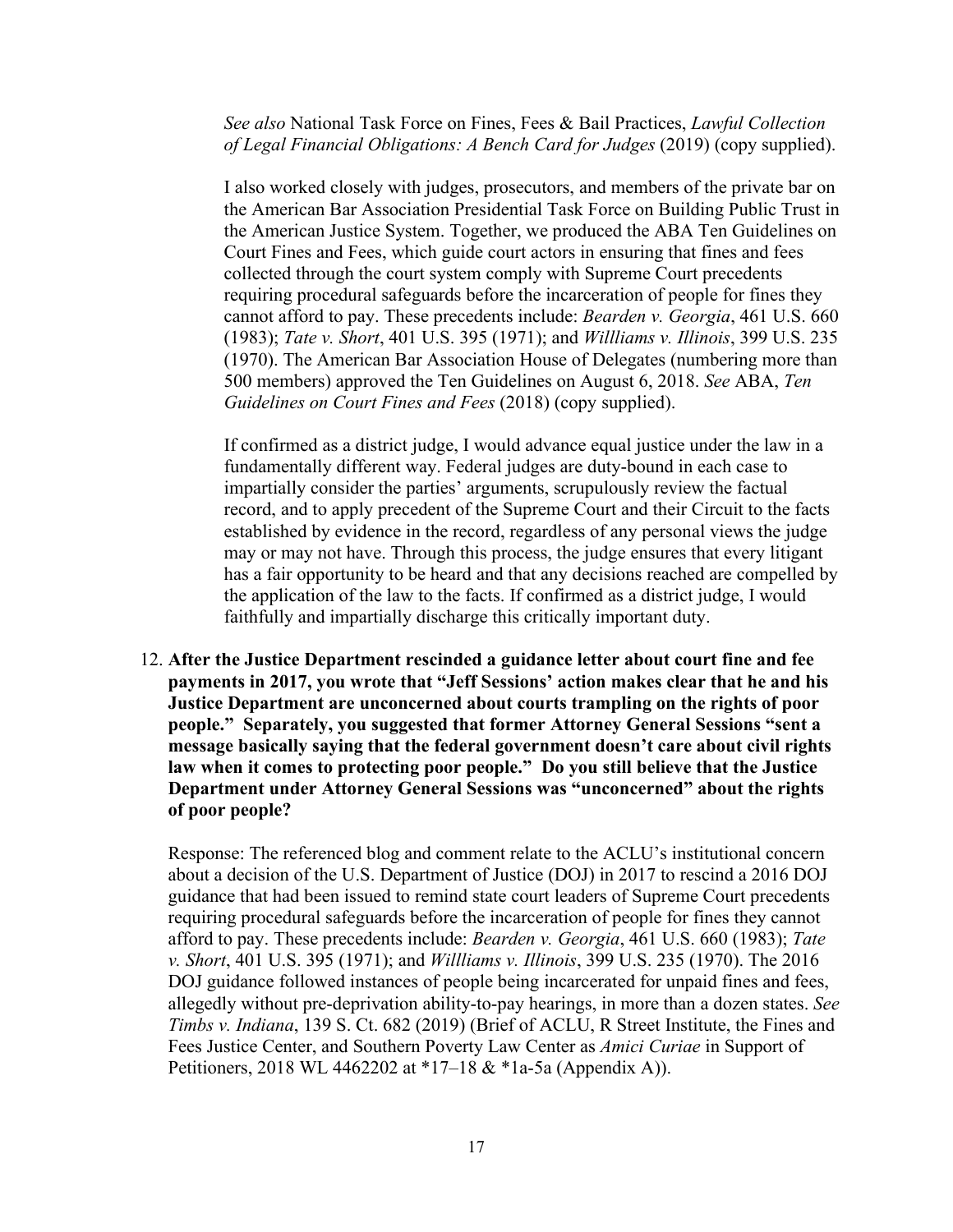*See also* National Task Force on Fines, Fees & Bail Practices, *Lawful Collection of Legal Financial Obligations: A Bench Card for Judges* (2019) (copy supplied).

I also worked closely with judges, prosecutors, and members of the private bar on the American Bar Association Presidential Task Force on Building Public Trust in the American Justice System. Together, we produced the ABA Ten Guidelines on Court Fines and Fees, which guide court actors in ensuring that fines and fees collected through the court system comply with Supreme Court precedents requiring procedural safeguards before the incarceration of people for fines they cannot afford to pay. These precedents include: *Bearden v. Georgia*, 461 U.S. 660 (1983); *Tate v. Short*, 401 U.S. 395 (1971); and *Willliams v. Illinois*, 399 U.S. 235 (1970). The American Bar Association House of Delegates (numbering more than 500 members) approved the Ten Guidelines on August 6, 2018. *See* ABA, *Ten Guidelines on Court Fines and Fees* (2018) (copy supplied).

If confirmed as a district judge, I would advance equal justice under the law in a fundamentally different way. Federal judges are duty-bound in each case to impartially consider the parties' arguments, scrupulously review the factual record, and to apply precedent of the Supreme Court and their Circuit to the facts established by evidence in the record, regardless of any personal views the judge may or may not have. Through this process, the judge ensures that every litigant has a fair opportunity to be heard and that any decisions reached are compelled by the application of the law to the facts. If confirmed as a district judge, I would faithfully and impartially discharge this critically important duty.

12. **After the Justice Department rescinded a guidance letter about court fine and fee payments in 2017, you wrote that "Jeff Sessions' action makes clear that he and his Justice Department are unconcerned about courts trampling on the rights of poor people." Separately, you suggested that former Attorney General Sessions "sent a message basically saying that the federal government doesn't care about civil rights law when it comes to protecting poor people." Do you still believe that the Justice Department under Attorney General Sessions was "unconcerned" about the rights of poor people?** 

Response: The referenced blog and comment relate to the ACLU's institutional concern about a decision of the U.S. Department of Justice (DOJ) in 2017 to rescind a 2016 DOJ guidance that had been issued to remind state court leaders of Supreme Court precedents requiring procedural safeguards before the incarceration of people for fines they cannot afford to pay. These precedents include: *Bearden v. Georgia*, 461 U.S. 660 (1983); *Tate v. Short*, 401 U.S. 395 (1971); and *Willliams v. Illinois*, 399 U.S. 235 (1970). The 2016 DOJ guidance followed instances of people being incarcerated for unpaid fines and fees, allegedly without pre-deprivation ability-to-pay hearings, in more than a dozen states. *See Timbs v. Indiana*, 139 S. Ct. 682 (2019) (Brief of ACLU, R Street Institute, the Fines and Fees Justice Center, and Southern Poverty Law Center as *Amici Curiae* in Support of Petitioners, 2018 WL 4462202 at \*17–18 & \*1a-5a (Appendix A)).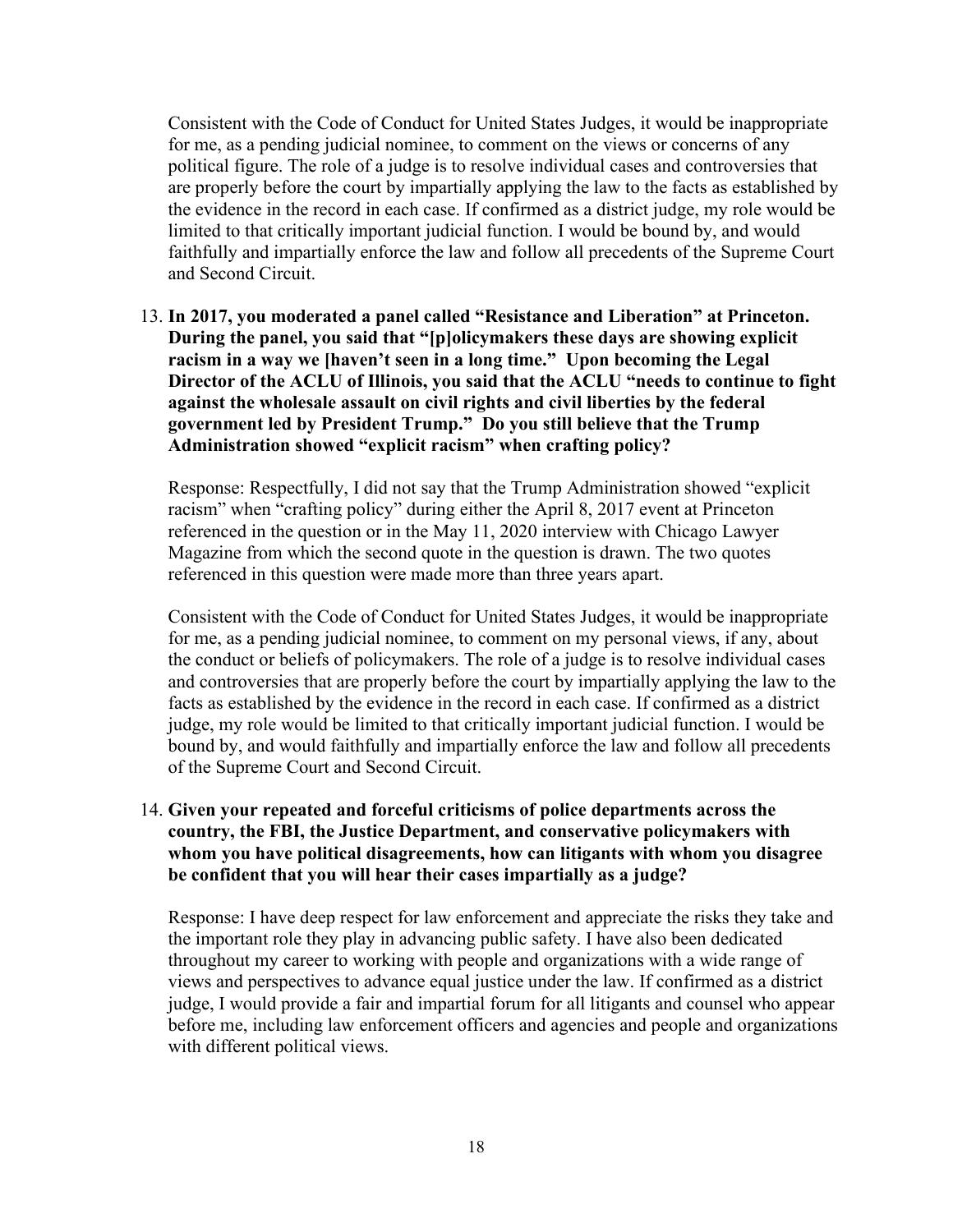Consistent with the Code of Conduct for United States Judges, it would be inappropriate for me, as a pending judicial nominee, to comment on the views or concerns of any political figure. The role of a judge is to resolve individual cases and controversies that are properly before the court by impartially applying the law to the facts as established by the evidence in the record in each case. If confirmed as a district judge, my role would be limited to that critically important judicial function. I would be bound by, and would faithfully and impartially enforce the law and follow all precedents of the Supreme Court and Second Circuit.

13. **In 2017, you moderated a panel called "Resistance and Liberation" at Princeton. During the panel, you said that "[p]olicymakers these days are showing explicit racism in a way we [haven't seen in a long time." Upon becoming the Legal Director of the ACLU of Illinois, you said that the ACLU "needs to continue to fight against the wholesale assault on civil rights and civil liberties by the federal government led by President Trump." Do you still believe that the Trump Administration showed "explicit racism" when crafting policy?**

Response: Respectfully, I did not say that the Trump Administration showed "explicit racism" when "crafting policy" during either the April 8, 2017 event at Princeton referenced in the question or in the May 11, 2020 interview with Chicago Lawyer Magazine from which the second quote in the question is drawn. The two quotes referenced in this question were made more than three years apart.

Consistent with the Code of Conduct for United States Judges, it would be inappropriate for me, as a pending judicial nominee, to comment on my personal views, if any, about the conduct or beliefs of policymakers. The role of a judge is to resolve individual cases and controversies that are properly before the court by impartially applying the law to the facts as established by the evidence in the record in each case. If confirmed as a district judge, my role would be limited to that critically important judicial function. I would be bound by, and would faithfully and impartially enforce the law and follow all precedents of the Supreme Court and Second Circuit.

# 14. **Given your repeated and forceful criticisms of police departments across the country, the FBI, the Justice Department, and conservative policymakers with whom you have political disagreements, how can litigants with whom you disagree be confident that you will hear their cases impartially as a judge?**

Response: I have deep respect for law enforcement and appreciate the risks they take and the important role they play in advancing public safety. I have also been dedicated throughout my career to working with people and organizations with a wide range of views and perspectives to advance equal justice under the law. If confirmed as a district judge, I would provide a fair and impartial forum for all litigants and counsel who appear before me, including law enforcement officers and agencies and people and organizations with different political views.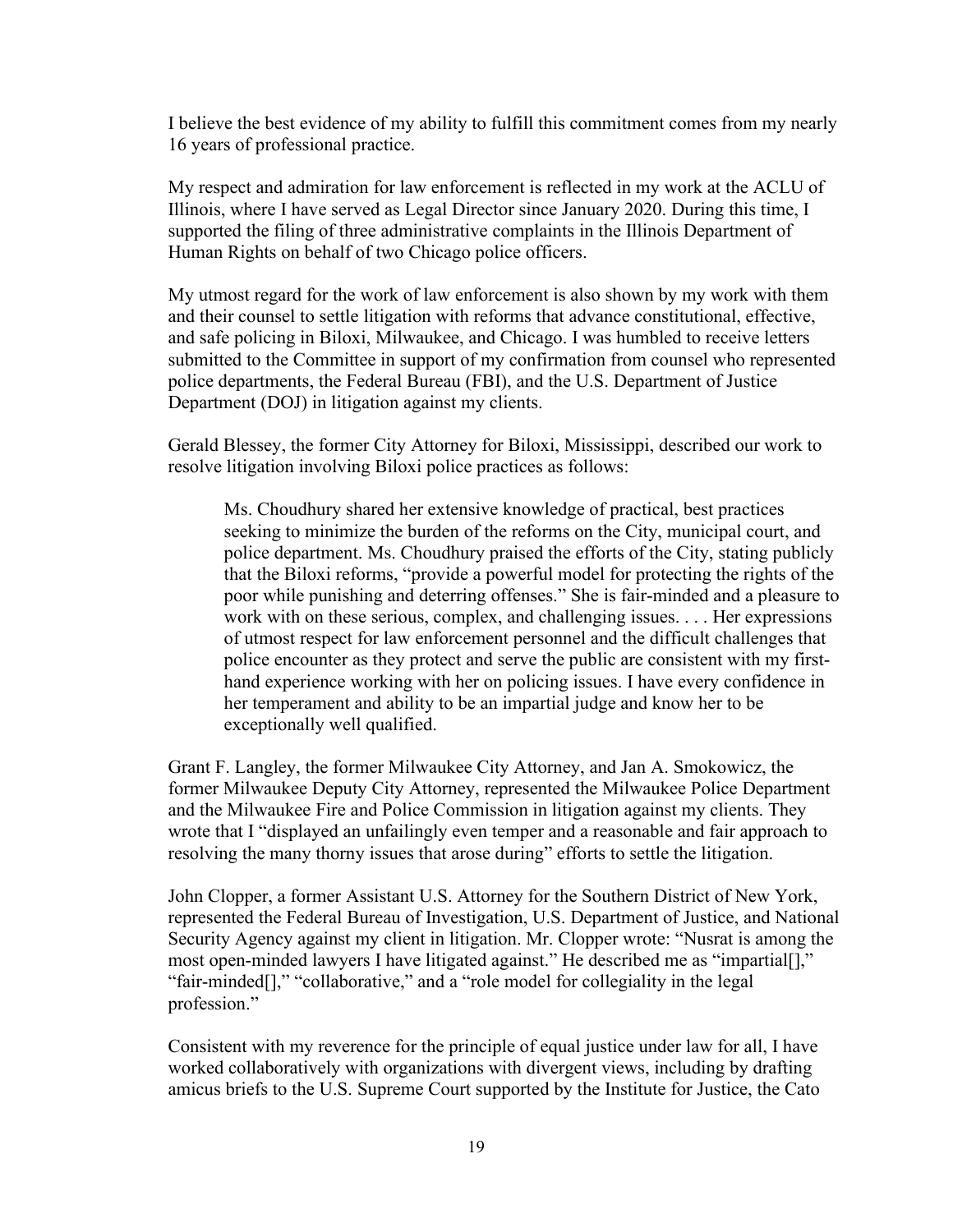I believe the best evidence of my ability to fulfill this commitment comes from my nearly 16 years of professional practice.

My respect and admiration for law enforcement is reflected in my work at the ACLU of Illinois, where I have served as Legal Director since January 2020. During this time, I supported the filing of three administrative complaints in the Illinois Department of Human Rights on behalf of two Chicago police officers.

My utmost regard for the work of law enforcement is also shown by my work with them and their counsel to settle litigation with reforms that advance constitutional, effective, and safe policing in Biloxi, Milwaukee, and Chicago. I was humbled to receive letters submitted to the Committee in support of my confirmation from counsel who represented police departments, the Federal Bureau (FBI), and the U.S. Department of Justice Department (DOJ) in litigation against my clients.

Gerald Blessey, the former City Attorney for Biloxi, Mississippi, described our work to resolve litigation involving Biloxi police practices as follows:

Ms. Choudhury shared her extensive knowledge of practical, best practices seeking to minimize the burden of the reforms on the City, municipal court, and police department. Ms. Choudhury praised the efforts of the City, stating publicly that the Biloxi reforms, "provide a powerful model for protecting the rights of the poor while punishing and deterring offenses." She is fair-minded and a pleasure to work with on these serious, complex, and challenging issues. . . . Her expressions of utmost respect for law enforcement personnel and the difficult challenges that police encounter as they protect and serve the public are consistent with my firsthand experience working with her on policing issues. I have every confidence in her temperament and ability to be an impartial judge and know her to be exceptionally well qualified.

Grant F. Langley, the former Milwaukee City Attorney, and Jan A. Smokowicz, the former Milwaukee Deputy City Attorney, represented the Milwaukee Police Department and the Milwaukee Fire and Police Commission in litigation against my clients. They wrote that I "displayed an unfailingly even temper and a reasonable and fair approach to resolving the many thorny issues that arose during" efforts to settle the litigation.

John Clopper, a former Assistant U.S. Attorney for the Southern District of New York, represented the Federal Bureau of Investigation, U.S. Department of Justice, and National Security Agency against my client in litigation. Mr. Clopper wrote: "Nusrat is among the most open-minded lawyers I have litigated against." He described me as "impartial[]," "fair-minded<sup>[]</sup>," "collaborative," and a "role model for collegiality in the legal profession."

Consistent with my reverence for the principle of equal justice under law for all, I have worked collaboratively with organizations with divergent views, including by drafting amicus briefs to the U.S. Supreme Court supported by the Institute for Justice, the Cato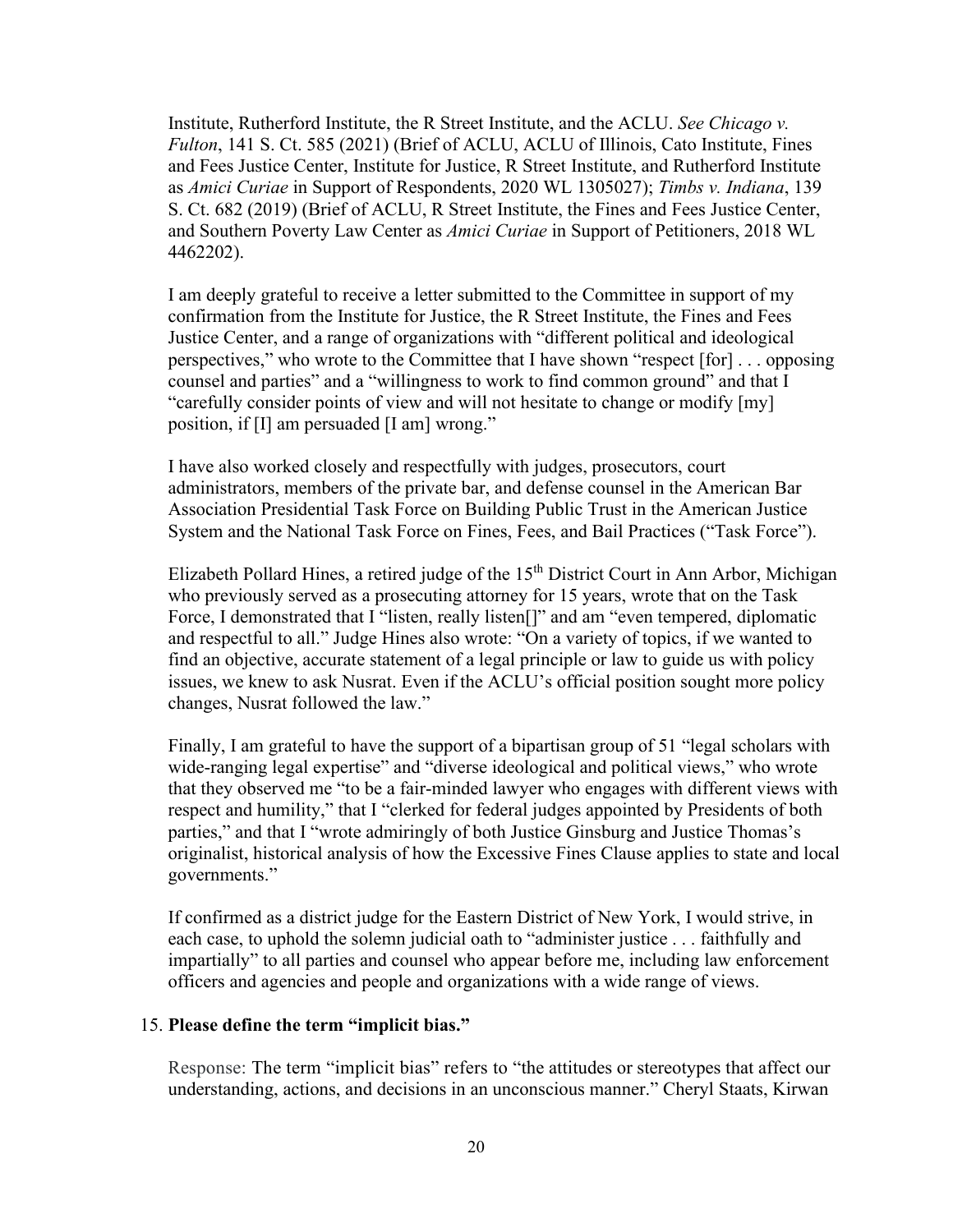Institute, Rutherford Institute, the R Street Institute, and the ACLU. *See Chicago v. Fulton*, 141 S. Ct. 585 (2021) (Brief of ACLU, ACLU of Illinois, Cato Institute, Fines and Fees Justice Center, Institute for Justice, R Street Institute, and Rutherford Institute as *Amici Curiae* in Support of Respondents, 2020 WL 1305027); *Timbs v. Indiana*, 139 S. Ct. 682 (2019) (Brief of ACLU, R Street Institute, the Fines and Fees Justice Center, and Southern Poverty Law Center as *Amici Curiae* in Support of Petitioners, 2018 WL 4462202).

I am deeply grateful to receive a letter submitted to the Committee in support of my confirmation from the Institute for Justice, the R Street Institute, the Fines and Fees Justice Center, and a range of organizations with "different political and ideological perspectives," who wrote to the Committee that I have shown "respect [for] . . . opposing counsel and parties" and a "willingness to work to find common ground" and that I "carefully consider points of view and will not hesitate to change or modify [my] position, if [I] am persuaded [I am] wrong."

I have also worked closely and respectfully with judges, prosecutors, court administrators, members of the private bar, and defense counsel in the American Bar Association Presidential Task Force on Building Public Trust in the American Justice System and the National Task Force on Fines, Fees, and Bail Practices ("Task Force").

Elizabeth Pollard Hines, a retired judge of the  $15<sup>th</sup>$  District Court in Ann Arbor, Michigan who previously served as a prosecuting attorney for 15 years, wrote that on the Task Force, I demonstrated that I "listen, really listen<sup>[]"</sup> and am "even tempered, diplomatic and respectful to all." Judge Hines also wrote: "On a variety of topics, if we wanted to find an objective, accurate statement of a legal principle or law to guide us with policy issues, we knew to ask Nusrat. Even if the ACLU's official position sought more policy changes, Nusrat followed the law."

Finally, I am grateful to have the support of a bipartisan group of 51 "legal scholars with wide-ranging legal expertise" and "diverse ideological and political views," who wrote that they observed me "to be a fair-minded lawyer who engages with different views with respect and humility," that I "clerked for federal judges appointed by Presidents of both parties," and that I "wrote admiringly of both Justice Ginsburg and Justice Thomas's originalist, historical analysis of how the Excessive Fines Clause applies to state and local governments."

If confirmed as a district judge for the Eastern District of New York, I would strive, in each case, to uphold the solemn judicial oath to "administer justice . . . faithfully and impartially" to all parties and counsel who appear before me, including law enforcement officers and agencies and people and organizations with a wide range of views.

#### 15. **Please define the term "implicit bias."**

Response: The term "implicit bias" refers to "the attitudes or stereotypes that affect our understanding, actions, and decisions in an unconscious manner." Cheryl Staats, Kirwan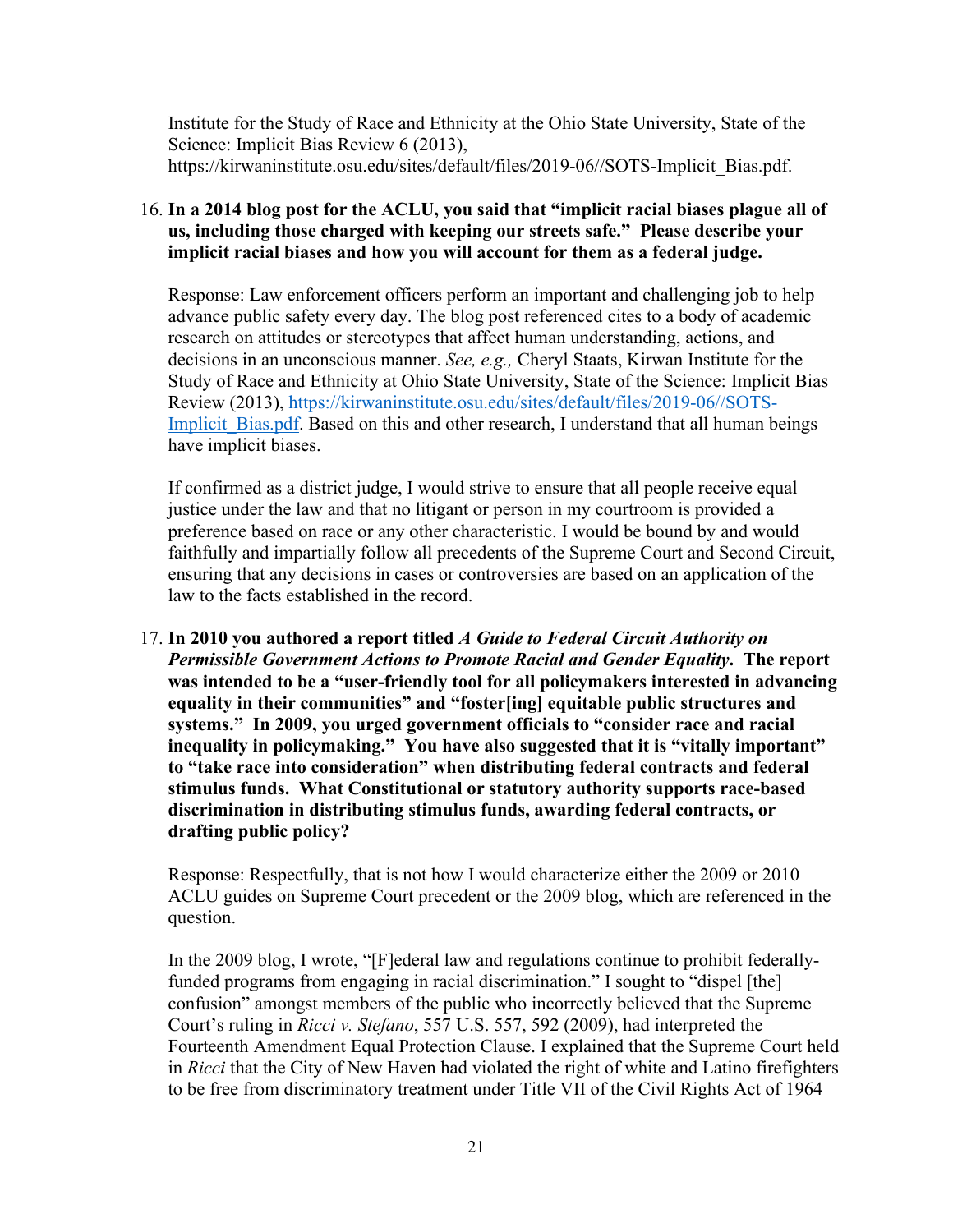Institute for the Study of Race and Ethnicity at the Ohio State University, State of the Science: Implicit Bias Review 6 (2013), https://kirwaninstitute.osu.edu/sites/default/files/2019-06//SOTS-Implicit\_Bias.pdf.

# 16. **In a 2014 blog post for the ACLU, you said that "implicit racial biases plague all of us, including those charged with keeping our streets safe." Please describe your implicit racial biases and how you will account for them as a federal judge.**

Response: Law enforcement officers perform an important and challenging job to help advance public safety every day. The blog post referenced cites to a body of academic research on attitudes or stereotypes that affect human understanding, actions, and decisions in an unconscious manner. *See, e.g.,* Cheryl Staats, Kirwan Institute for the Study of Race and Ethnicity at Ohio State University, State of the Science: Implicit Bias Review (2013), [https://kirwaninstitute.osu.edu/sites/default/files/2019-06//SOTS-](https://kirwaninstitute.osu.edu/sites/default/files/2019-06/SOTS-Implicit_Bias.pdf)Implicit Bias.pdf. Based on this and other research, I understand that all human beings have implicit biases.

If confirmed as a district judge, I would strive to ensure that all people receive equal justice under the law and that no litigant or person in my courtroom is provided a preference based on race or any other characteristic. I would be bound by and would faithfully and impartially follow all precedents of the Supreme Court and Second Circuit, ensuring that any decisions in cases or controversies are based on an application of the law to the facts established in the record.

17. **In 2010 you authored a report titled** *A Guide to Federal Circuit Authority on Permissible Government Actions to Promote Racial and Gender Equality***. The report was intended to be a "user-friendly tool for all policymakers interested in advancing equality in their communities" and "foster[ing] equitable public structures and systems." In 2009, you urged government officials to "consider race and racial inequality in policymaking." You have also suggested that it is "vitally important" to "take race into consideration" when distributing federal contracts and federal stimulus funds. What Constitutional or statutory authority supports race-based discrimination in distributing stimulus funds, awarding federal contracts, or drafting public policy?** 

Response: Respectfully, that is not how I would characterize either the 2009 or 2010 ACLU guides on Supreme Court precedent or the 2009 blog, which are referenced in the question.

In the 2009 blog, I wrote, "[F]ederal law and regulations continue to prohibit federallyfunded programs from engaging in racial discrimination." I sought to "dispel [the] confusion" amongst members of the public who incorrectly believed that the Supreme Court's ruling in *Ricci v. Stefano*, 557 U.S. 557, 592 (2009), had interpreted the Fourteenth Amendment Equal Protection Clause. I explained that the Supreme Court held in *Ricci* that the City of New Haven had violated the right of white and Latino firefighters to be free from discriminatory treatment under Title VII of the Civil Rights Act of 1964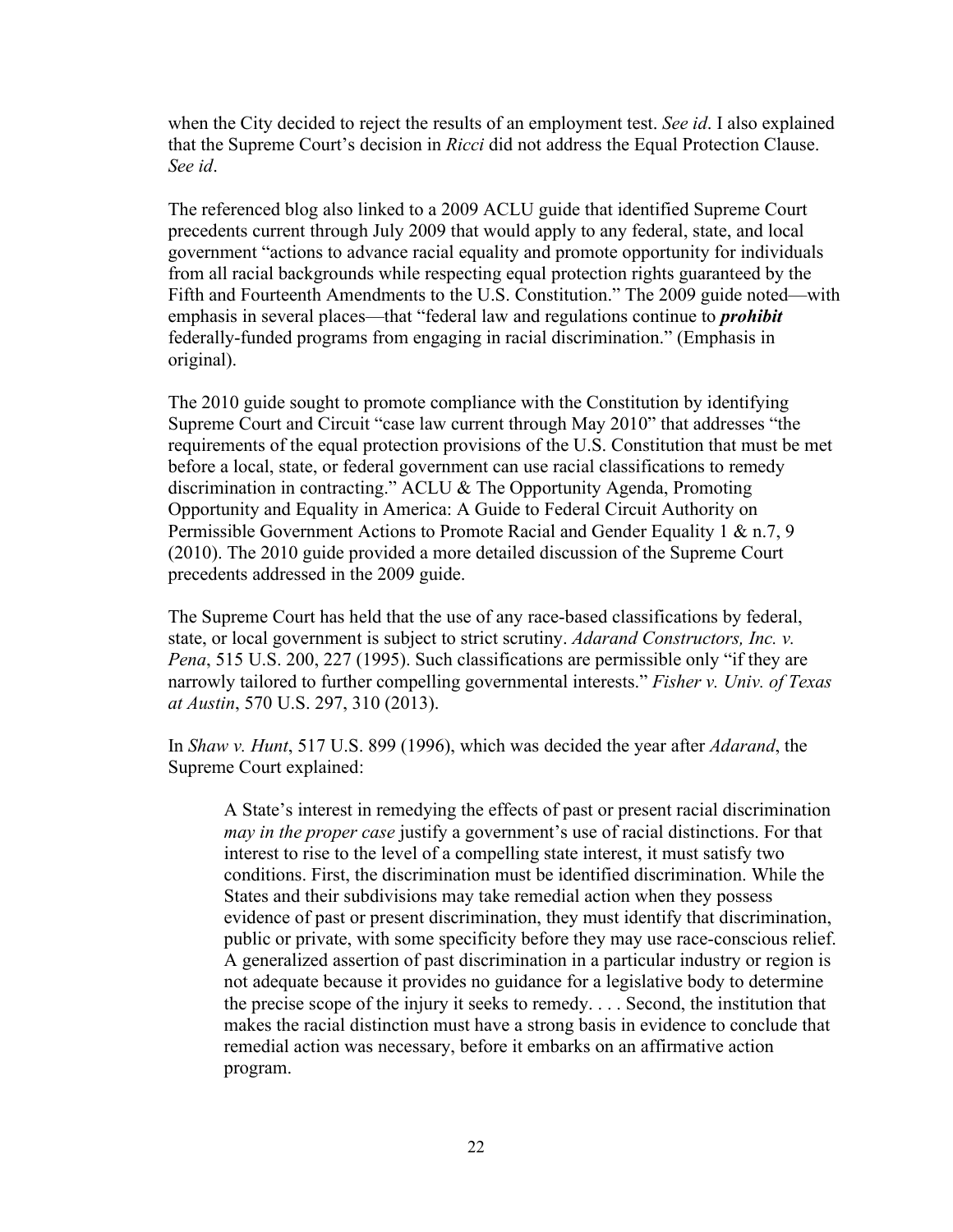when the City decided to reject the results of an employment test. *See id*. I also explained that the Supreme Court's decision in *Ricci* did not address the Equal Protection Clause. *See id*.

The referenced blog also linked to a 2009 ACLU guide that identified Supreme Court precedents current through July 2009 that would apply to any federal, state, and local government "actions to advance racial equality and promote opportunity for individuals from all racial backgrounds while respecting equal protection rights guaranteed by the Fifth and Fourteenth Amendments to the U.S. Constitution." The 2009 guide noted—with emphasis in several places—that "federal law and regulations continue to *prohibit* federally-funded programs from engaging in racial discrimination." (Emphasis in original).

The 2010 guide sought to promote compliance with the Constitution by identifying Supreme Court and Circuit "case law current through May 2010" that addresses "the requirements of the equal protection provisions of the U.S. Constitution that must be met before a local, state, or federal government can use racial classifications to remedy discrimination in contracting." ACLU & The Opportunity Agenda, Promoting Opportunity and Equality in America: A Guide to Federal Circuit Authority on Permissible Government Actions to Promote Racial and Gender Equality 1 & n.7, 9 (2010). The 2010 guide provided a more detailed discussion of the Supreme Court precedents addressed in the 2009 guide.

The Supreme Court has held that the use of any race-based classifications by federal, state, or local government is subject to strict scrutiny. *Adarand Constructors, Inc. v. Pena*, 515 U.S. 200, 227 (1995). Such classifications are permissible only "if they are narrowly tailored to further compelling governmental interests." *Fisher v. Univ. of Texas at Austin*, 570 U.S. 297, 310 (2013).

In *Shaw v. Hunt*, 517 U.S. 899 (1996), which was decided the year after *Adarand*, the Supreme Court explained:

A State's interest in remedying the effects of past or present racial discrimination *may in the proper case* justify a government's use of racial distinctions. For that interest to rise to the level of a compelling state interest, it must satisfy two conditions. First, the discrimination must be identified discrimination. While the States and their subdivisions may take remedial action when they possess evidence of past or present discrimination, they must identify that discrimination, public or private, with some specificity before they may use race-conscious relief. A generalized assertion of past discrimination in a particular industry or region is not adequate because it provides no guidance for a legislative body to determine the precise scope of the injury it seeks to remedy. . . . Second, the institution that makes the racial distinction must have a strong basis in evidence to conclude that remedial action was necessary, before it embarks on an affirmative action program.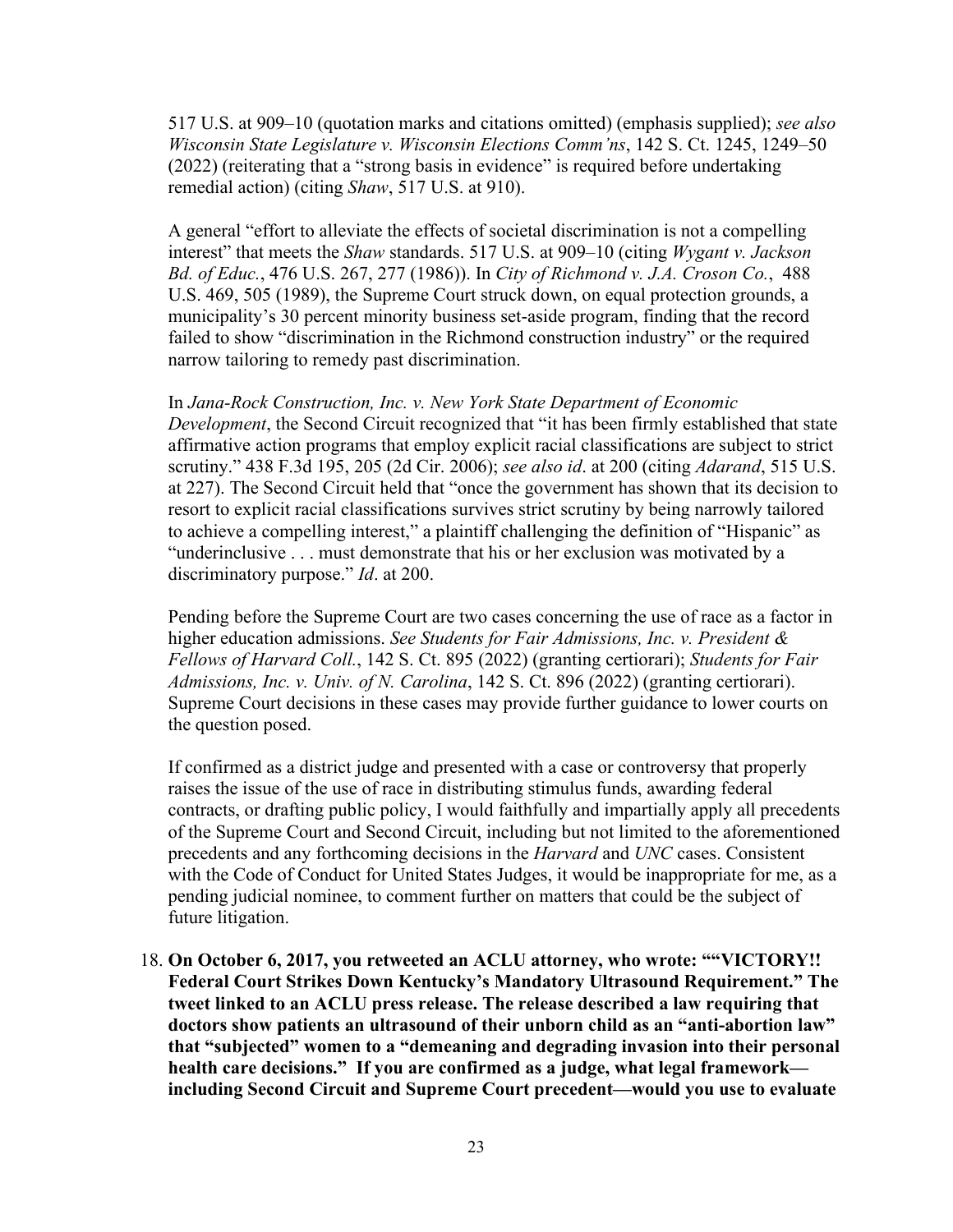517 U.S. at 909–10 (quotation marks and citations omitted) (emphasis supplied); *see also Wisconsin State Legislature v. Wisconsin Elections Comm'ns*, 142 S. Ct. 1245, 1249–50 (2022) (reiterating that a "strong basis in evidence" is required before undertaking remedial action) (citing *Shaw*, 517 U.S. at 910).

A general "effort to alleviate the effects of societal discrimination is not a compelling interest" that meets the *Shaw* standards. 517 U.S. at 909–10 (citing *Wygant v. Jackson Bd. of Educ.*, 476 U.S. 267, 277 (1986)). In *City of Richmond v. J.A. Croson Co.*, 488 U.S. 469, 505 (1989), the Supreme Court struck down, on equal protection grounds, a municipality's 30 percent minority business set-aside program, finding that the record failed to show "discrimination in the Richmond construction industry" or the required narrow tailoring to remedy past discrimination.

In *Jana-Rock Construction, Inc. v. New York State Department of Economic* 

*Development*, the Second Circuit recognized that "it has been firmly established that state affirmative action programs that employ explicit racial classifications are subject to strict scrutiny." 438 F.3d 195, 205 (2d Cir. 2006); *see also id*. at 200 (citing *Adarand*, 515 U.S. at 227). The Second Circuit held that "once the government has shown that its decision to resort to explicit racial classifications survives strict scrutiny by being narrowly tailored to achieve a compelling interest," a plaintiff challenging the definition of "Hispanic" as "underinclusive . . . must demonstrate that his or her exclusion was motivated by a discriminatory purpose." *Id*. at 200.

Pending before the Supreme Court are two cases concerning the use of race as a factor in higher education admissions. *See Students for Fair Admissions, Inc. v. President & Fellows of Harvard Coll.*, 142 S. Ct. 895 (2022) (granting certiorari); *Students for Fair Admissions, Inc. v. Univ. of N. Carolina*, 142 S. Ct. 896 (2022) (granting certiorari). Supreme Court decisions in these cases may provide further guidance to lower courts on the question posed.

If confirmed as a district judge and presented with a case or controversy that properly raises the issue of the use of race in distributing stimulus funds, awarding federal contracts, or drafting public policy, I would faithfully and impartially apply all precedents of the Supreme Court and Second Circuit, including but not limited to the aforementioned precedents and any forthcoming decisions in the *Harvard* and *UNC* cases. Consistent with the Code of Conduct for United States Judges, it would be inappropriate for me, as a pending judicial nominee, to comment further on matters that could be the subject of future litigation.

18. **On October 6, 2017, you retweeted an ACLU attorney, who wrote: ""VICTORY!! Federal Court Strikes Down Kentucky's Mandatory Ultrasound Requirement." The tweet linked to an ACLU press release. The release described a law requiring that doctors show patients an ultrasound of their unborn child as an "anti-abortion law" that "subjected" women to a "demeaning and degrading invasion into their personal health care decisions." If you are confirmed as a judge, what legal framework including Second Circuit and Supreme Court precedent—would you use to evaluate**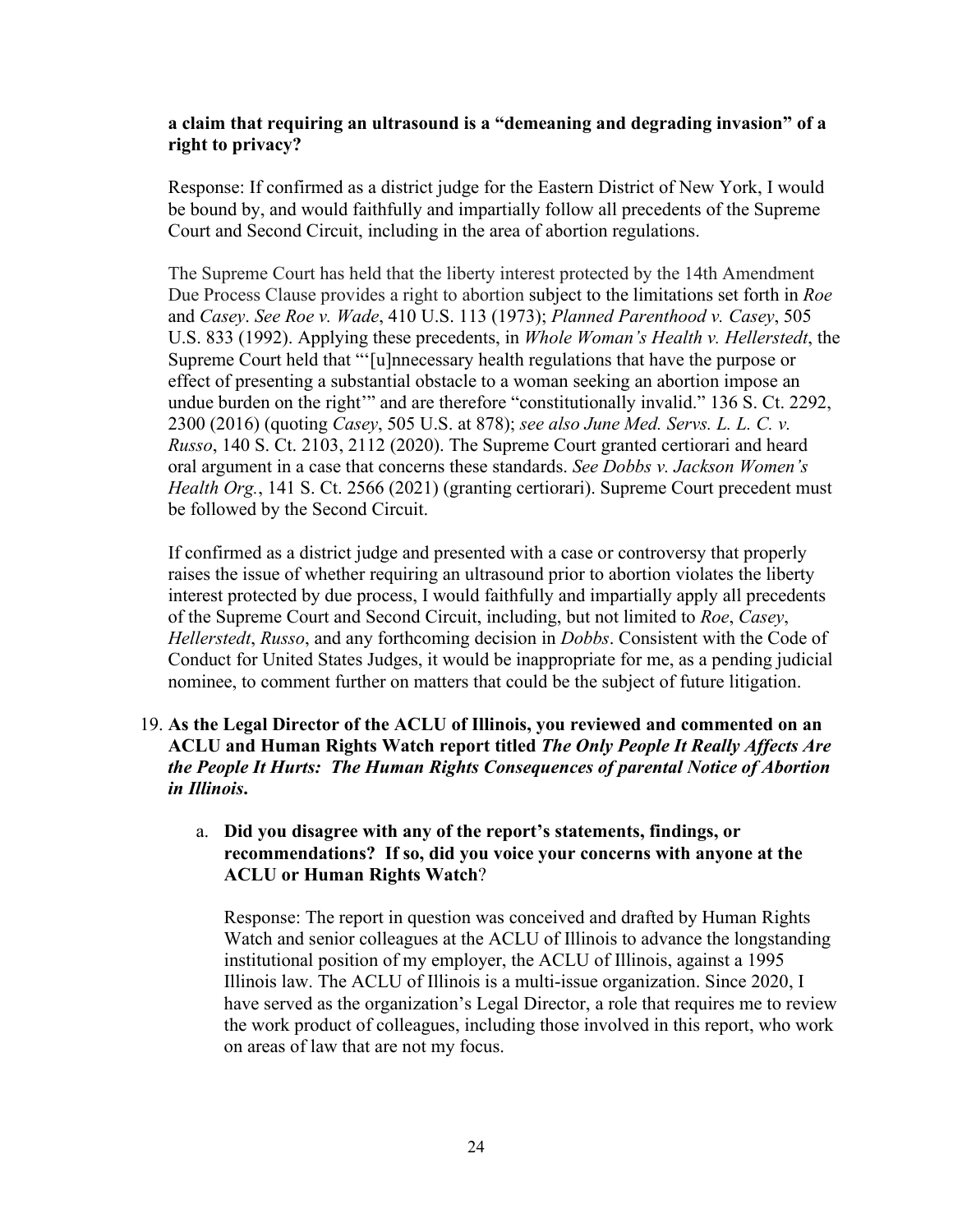# **a claim that requiring an ultrasound is a "demeaning and degrading invasion" of a right to privacy?**

Response: If confirmed as a district judge for the Eastern District of New York, I would be bound by, and would faithfully and impartially follow all precedents of the Supreme Court and Second Circuit, including in the area of abortion regulations.

The Supreme Court has held that the liberty interest protected by the 14th Amendment Due Process Clause provides a right to abortion subject to the limitations set forth in *Roe*  and *Casey*. *See Roe v. Wade*, 410 U.S. 113 (1973); *Planned Parenthood v. Casey*, 505 U.S. 833 (1992). Applying these precedents, in *Whole Woman's Health v. Hellerstedt*, the Supreme Court held that "'[u]nnecessary health regulations that have the purpose or effect of presenting a substantial obstacle to a woman seeking an abortion impose an undue burden on the right'" and are therefore "constitutionally invalid." 136 S. Ct. 2292, 2300 (2016) (quoting *Casey*, 505 U.S. at 878); *see also June Med. Servs. L. L. C. v. Russo*, 140 S. Ct. 2103, 2112 (2020). The Supreme Court granted certiorari and heard oral argument in a case that concerns these standards. *See Dobbs v. Jackson Women's Health Org.*, 141 S. Ct. 2566 (2021) (granting certiorari). Supreme Court precedent must be followed by the Second Circuit.

If confirmed as a district judge and presented with a case or controversy that properly raises the issue of whether requiring an ultrasound prior to abortion violates the liberty interest protected by due process, I would faithfully and impartially apply all precedents of the Supreme Court and Second Circuit, including, but not limited to *Roe*, *Casey*, *Hellerstedt*, *Russo*, and any forthcoming decision in *Dobbs*. Consistent with the Code of Conduct for United States Judges, it would be inappropriate for me, as a pending judicial nominee, to comment further on matters that could be the subject of future litigation.

# 19. **As the Legal Director of the ACLU of Illinois, you reviewed and commented on an ACLU and Human Rights Watch report titled** *The Only People It Really Affects Are the People It Hurts: The Human Rights Consequences of parental Notice of Abortion in Illinois***.**

## a. **Did you disagree with any of the report's statements, findings, or recommendations? If so, did you voice your concerns with anyone at the ACLU or Human Rights Watch**?

Response: The report in question was conceived and drafted by Human Rights Watch and senior colleagues at the ACLU of Illinois to advance the longstanding institutional position of my employer, the ACLU of Illinois, against a 1995 Illinois law. The ACLU of Illinois is a multi-issue organization. Since 2020, I have served as the organization's Legal Director, a role that requires me to review the work product of colleagues, including those involved in this report, who work on areas of law that are not my focus.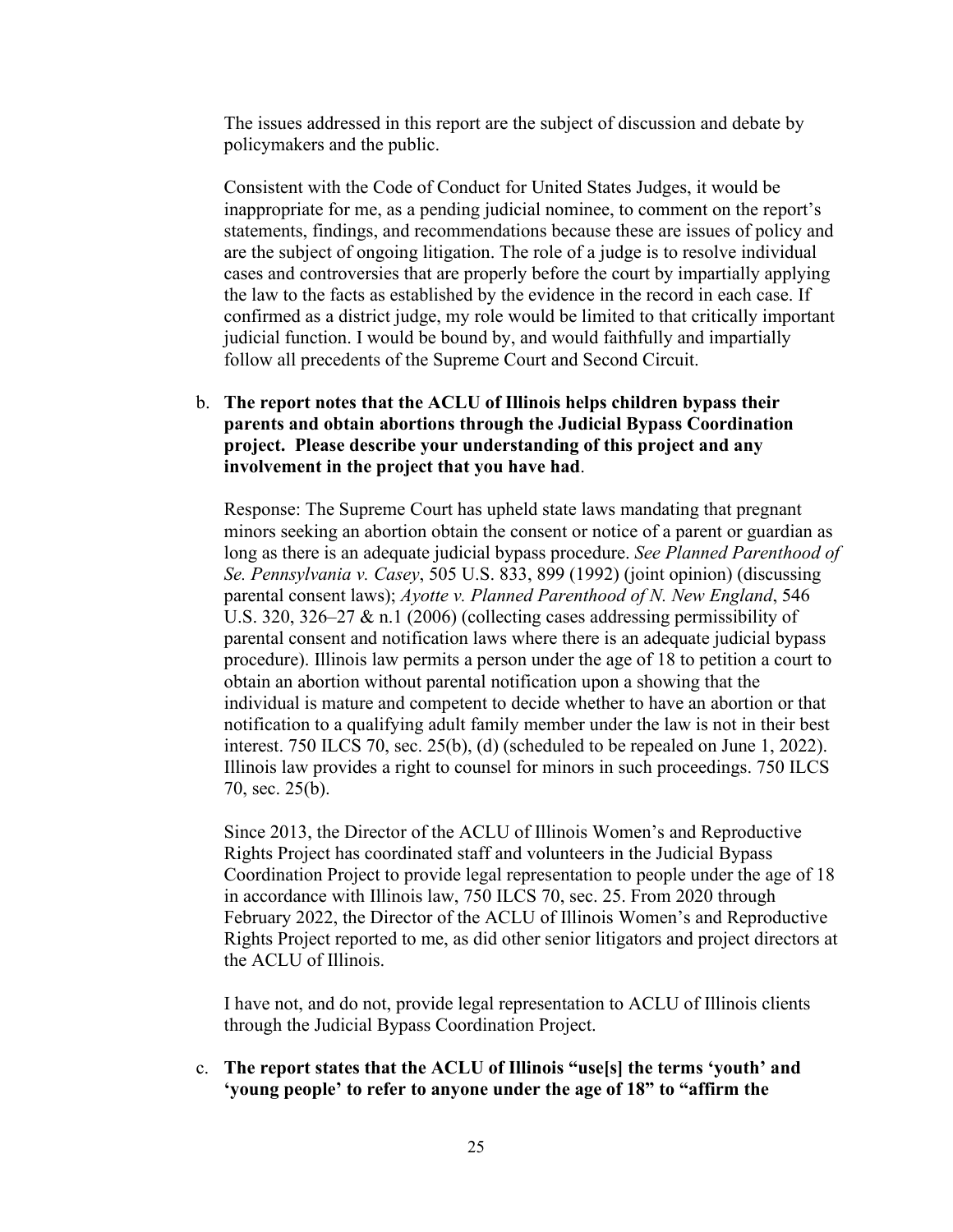The issues addressed in this report are the subject of discussion and debate by policymakers and the public.

Consistent with the Code of Conduct for United States Judges, it would be inappropriate for me, as a pending judicial nominee, to comment on the report's statements, findings, and recommendations because these are issues of policy and are the subject of ongoing litigation. The role of a judge is to resolve individual cases and controversies that are properly before the court by impartially applying the law to the facts as established by the evidence in the record in each case. If confirmed as a district judge, my role would be limited to that critically important judicial function. I would be bound by, and would faithfully and impartially follow all precedents of the Supreme Court and Second Circuit.

#### b. **The report notes that the ACLU of Illinois helps children bypass their parents and obtain abortions through the Judicial Bypass Coordination project. Please describe your understanding of this project and any involvement in the project that you have had**.

Response: The Supreme Court has upheld state laws mandating that pregnant minors seeking an abortion obtain the consent or notice of a parent or guardian as long as there is an adequate judicial bypass procedure. *See Planned Parenthood of Se. Pennsylvania v. Casey*, 505 U.S. 833, 899 (1992) (joint opinion) (discussing parental consent laws); *Ayotte v. Planned Parenthood of N. New England*, 546 U.S. 320, 326–27 & n.1 (2006) (collecting cases addressing permissibility of parental consent and notification laws where there is an adequate judicial bypass procedure). Illinois law permits a person under the age of 18 to petition a court to obtain an abortion without parental notification upon a showing that the individual is mature and competent to decide whether to have an abortion or that notification to a qualifying adult family member under the law is not in their best interest. 750 ILCS 70, sec. 25(b), (d) (scheduled to be repealed on June 1, 2022). Illinois law provides a right to counsel for minors in such proceedings. 750 ILCS 70, sec. 25(b).

Since 2013, the Director of the ACLU of Illinois Women's and Reproductive Rights Project has coordinated staff and volunteers in the Judicial Bypass Coordination Project to provide legal representation to people under the age of 18 in accordance with Illinois law, 750 ILCS 70, sec. 25. From 2020 through February 2022, the Director of the ACLU of Illinois Women's and Reproductive Rights Project reported to me, as did other senior litigators and project directors at the ACLU of Illinois.

I have not, and do not, provide legal representation to ACLU of Illinois clients through the Judicial Bypass Coordination Project.

c. **The report states that the ACLU of Illinois "use[s] the terms 'youth' and 'young people' to refer to anyone under the age of 18" to "affirm the**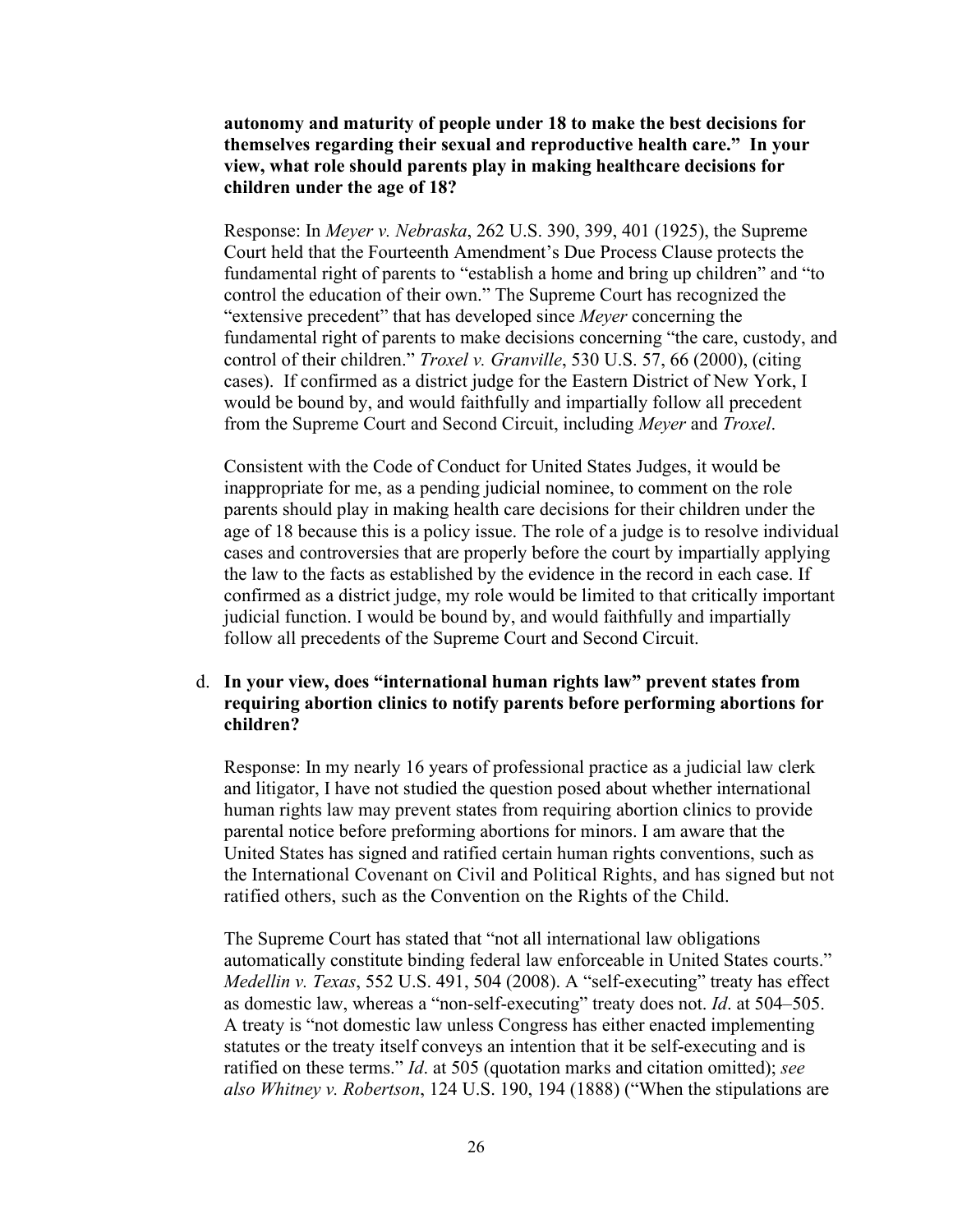**autonomy and maturity of people under 18 to make the best decisions for themselves regarding their sexual and reproductive health care." In your view, what role should parents play in making healthcare decisions for children under the age of 18?**

Response: In *Meyer v. Nebraska*, 262 U.S. 390, 399, 401 (1925), the Supreme Court held that the Fourteenth Amendment's Due Process Clause protects the fundamental right of parents to "establish a home and bring up children" and "to control the education of their own." The Supreme Court has recognized the "extensive precedent" that has developed since *Meyer* concerning the fundamental right of parents to make decisions concerning "the care, custody, and control of their children." *Troxel v. Granville*, 530 U.S. 57, 66 (2000), (citing cases). If confirmed as a district judge for the Eastern District of New York, I would be bound by, and would faithfully and impartially follow all precedent from the Supreme Court and Second Circuit, including *Meyer* and *Troxel*.

Consistent with the Code of Conduct for United States Judges, it would be inappropriate for me, as a pending judicial nominee, to comment on the role parents should play in making health care decisions for their children under the age of 18 because this is a policy issue. The role of a judge is to resolve individual cases and controversies that are properly before the court by impartially applying the law to the facts as established by the evidence in the record in each case. If confirmed as a district judge, my role would be limited to that critically important judicial function. I would be bound by, and would faithfully and impartially follow all precedents of the Supreme Court and Second Circuit.

#### d. **In your view, does "international human rights law" prevent states from requiring abortion clinics to notify parents before performing abortions for children?**

Response: In my nearly 16 years of professional practice as a judicial law clerk and litigator, I have not studied the question posed about whether international human rights law may prevent states from requiring abortion clinics to provide parental notice before preforming abortions for minors. I am aware that the United States has signed and ratified certain human rights conventions, such as the International Covenant on Civil and Political Rights, and has signed but not ratified others, such as the Convention on the Rights of the Child.

The Supreme Court has stated that "not all international law obligations automatically constitute binding federal law enforceable in United States courts." *Medellin v. Texas*, 552 U.S. 491, 504 (2008). A "self-executing" treaty has effect as domestic law, whereas a "non-self-executing" treaty does not. *Id*. at 504–505. A treaty is "not domestic law unless Congress has either enacted implementing statutes or the treaty itself conveys an intention that it be self-executing and is ratified on these terms." *Id*. at 505 (quotation marks and citation omitted); *see also Whitney v. Robertson*, 124 U.S. 190, 194 (1888) ("When the stipulations are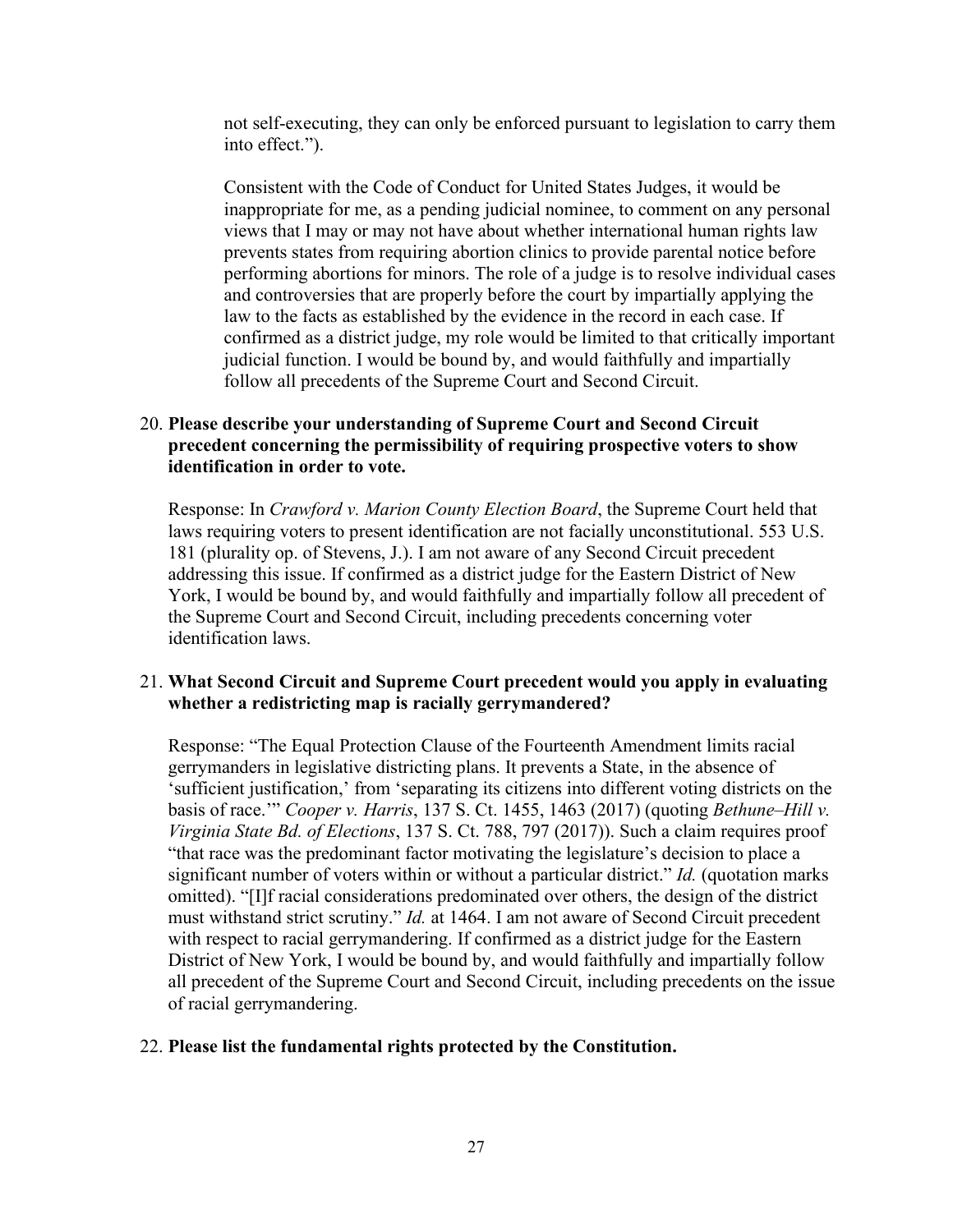not self-executing, they can only be enforced pursuant to legislation to carry them into effect.").

Consistent with the Code of Conduct for United States Judges, it would be inappropriate for me, as a pending judicial nominee, to comment on any personal views that I may or may not have about whether international human rights law prevents states from requiring abortion clinics to provide parental notice before performing abortions for minors. The role of a judge is to resolve individual cases and controversies that are properly before the court by impartially applying the law to the facts as established by the evidence in the record in each case. If confirmed as a district judge, my role would be limited to that critically important judicial function. I would be bound by, and would faithfully and impartially follow all precedents of the Supreme Court and Second Circuit.

# 20. **Please describe your understanding of Supreme Court and Second Circuit precedent concerning the permissibility of requiring prospective voters to show identification in order to vote.**

Response: In *Crawford v. Marion County Election Board*, the Supreme Court held that laws requiring voters to present identification are not facially unconstitutional. 553 U.S. 181 (plurality op. of Stevens, J.). I am not aware of any Second Circuit precedent addressing this issue. If confirmed as a district judge for the Eastern District of New York, I would be bound by, and would faithfully and impartially follow all precedent of the Supreme Court and Second Circuit, including precedents concerning voter identification laws.

# 21. **What Second Circuit and Supreme Court precedent would you apply in evaluating whether a redistricting map is racially gerrymandered?**

Response: "The Equal Protection Clause of the Fourteenth Amendment limits racial gerrymanders in legislative districting plans. It prevents a State, in the absence of 'sufficient justification,' from 'separating its citizens into different voting districts on the basis of race.'" *Cooper v. Harris*, 137 S. Ct. 1455, 1463 (2017) (quoting *Bethune–Hill v. Virginia State Bd. of Elections*, 137 S. Ct. 788, 797 (2017)). Such a claim requires proof "that race was the predominant factor motivating the legislature's decision to place a significant number of voters within or without a particular district." *Id.* (quotation marks omitted). "[I]f racial considerations predominated over others, the design of the district must withstand strict scrutiny." *Id.* at 1464. I am not aware of Second Circuit precedent with respect to racial gerrymandering. If confirmed as a district judge for the Eastern District of New York, I would be bound by, and would faithfully and impartially follow all precedent of the Supreme Court and Second Circuit, including precedents on the issue of racial gerrymandering.

#### 22. **Please list the fundamental rights protected by the Constitution.**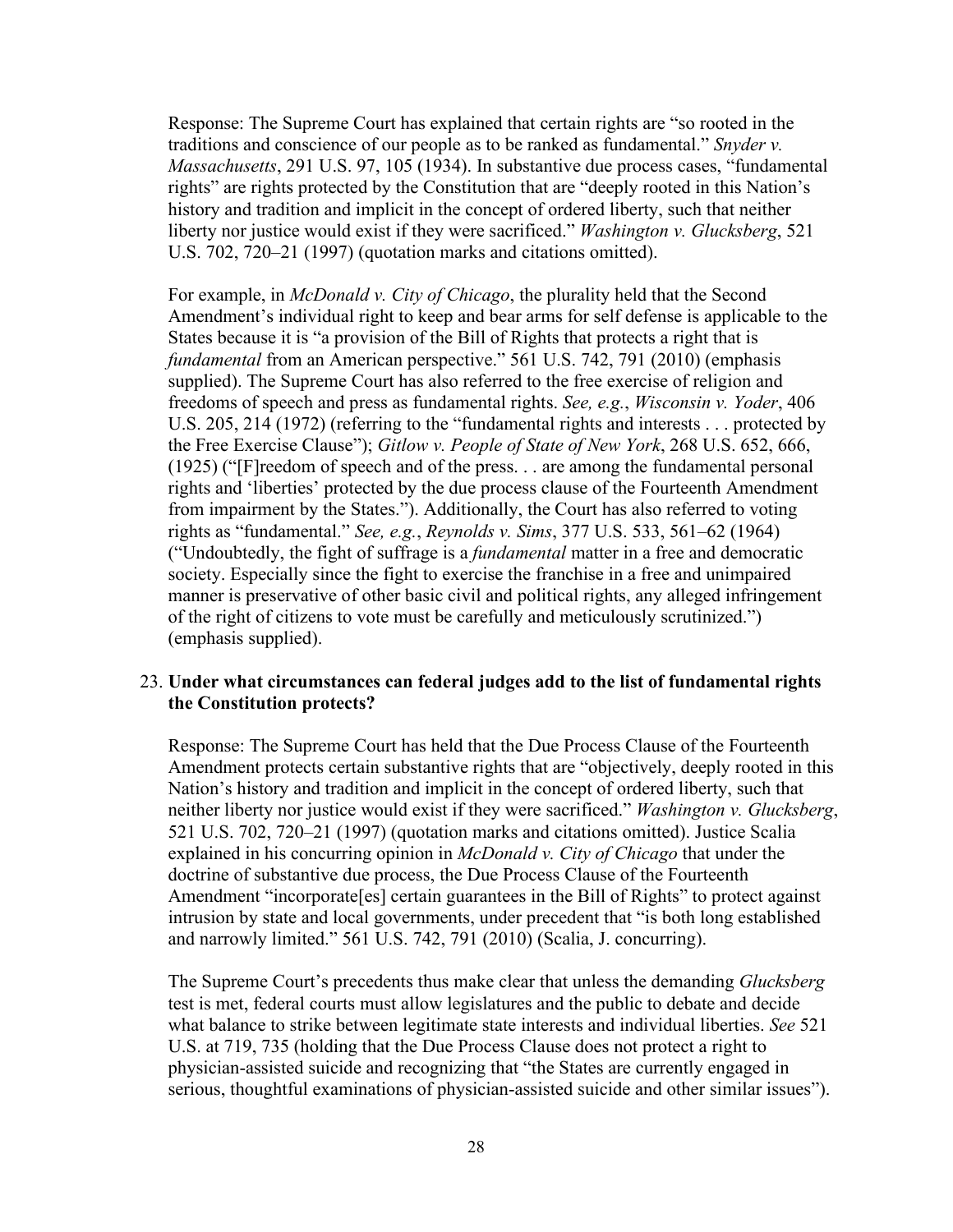Response: The Supreme Court has explained that certain rights are "so rooted in the traditions and conscience of our people as to be ranked as fundamental." *Snyder v. Massachusetts*, 291 U.S. 97, 105 (1934). In substantive due process cases, "fundamental rights" are rights protected by the Constitution that are "deeply rooted in this Nation's history and tradition and implicit in the concept of ordered liberty, such that neither liberty nor justice would exist if they were sacrificed." *Washington v. Glucksberg*, 521 U.S. 702, 720–21 (1997) (quotation marks and citations omitted).

For example, in *McDonald v. City of Chicago*, the plurality held that the Second Amendment's individual right to keep and bear arms for self defense is applicable to the States because it is "a provision of the Bill of Rights that protects a right that is *fundamental* from an American perspective." 561 U.S. 742, 791 (2010) (emphasis supplied). The Supreme Court has also referred to the free exercise of religion and freedoms of speech and press as fundamental rights. *See, e.g.*, *Wisconsin v. Yoder*, 406 U.S. 205, 214 (1972) (referring to the "fundamental rights and interests . . . protected by the Free Exercise Clause"); *Gitlow v. People of State of New York*, 268 U.S. 652, 666, (1925) ("[F]reedom of speech and of the press. . . are among the fundamental personal rights and 'liberties' protected by the due process clause of the Fourteenth Amendment from impairment by the States."). Additionally, the Court has also referred to voting rights as "fundamental." *See, e.g.*, *Reynolds v. Sims*, 377 U.S. 533, 561–62 (1964) ("Undoubtedly, the fight of suffrage is a *fundamental* matter in a free and democratic society. Especially since the fight to exercise the franchise in a free and unimpaired manner is preservative of other basic civil and political rights, any alleged infringement of the right of citizens to vote must be carefully and meticulously scrutinized.") (emphasis supplied).

# 23. **Under what circumstances can federal judges add to the list of fundamental rights the Constitution protects?**

Response: The Supreme Court has held that the Due Process Clause of the Fourteenth Amendment protects certain substantive rights that are "objectively, deeply rooted in this Nation's history and tradition and implicit in the concept of ordered liberty, such that neither liberty nor justice would exist if they were sacrificed." *Washington v. Glucksberg*, 521 U.S. 702, 720–21 (1997) (quotation marks and citations omitted). Justice Scalia explained in his concurring opinion in *McDonald v. City of Chicago* that under the doctrine of substantive due process, the Due Process Clause of the Fourteenth Amendment "incorporate[es] certain guarantees in the Bill of Rights" to protect against intrusion by state and local governments, under precedent that "is both long established and narrowly limited." 561 U.S. 742, 791 (2010) (Scalia, J. concurring).

The Supreme Court's precedents thus make clear that unless the demanding *Glucksberg* test is met, federal courts must allow legislatures and the public to debate and decide what balance to strike between legitimate state interests and individual liberties. *See* 521 U.S. at 719, 735 (holding that the Due Process Clause does not protect a right to physician-assisted suicide and recognizing that "the States are currently engaged in serious, thoughtful examinations of physician-assisted suicide and other similar issues").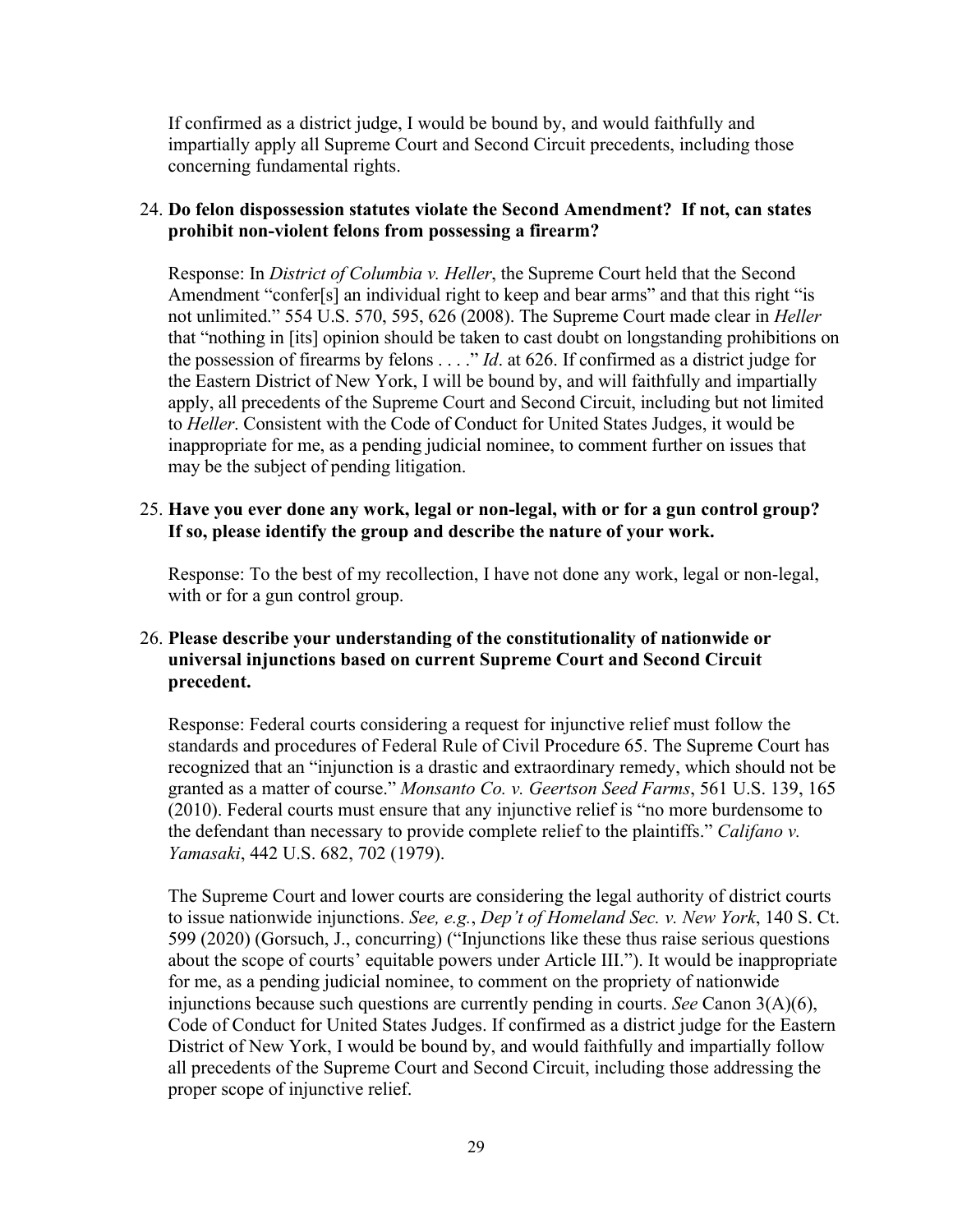If confirmed as a district judge, I would be bound by, and would faithfully and impartially apply all Supreme Court and Second Circuit precedents, including those concerning fundamental rights.

# 24. **Do felon dispossession statutes violate the Second Amendment? If not, can states prohibit non-violent felons from possessing a firearm?**

Response: In *District of Columbia v. Heller*, the Supreme Court held that the Second Amendment "confer[s] an individual right to keep and bear arms" and that this right "is not unlimited." 554 U.S. 570, 595, 626 (2008). The Supreme Court made clear in *Heller* that "nothing in [its] opinion should be taken to cast doubt on longstanding prohibitions on the possession of firearms by felons . . . ." *Id*. at 626. If confirmed as a district judge for the Eastern District of New York, I will be bound by, and will faithfully and impartially apply, all precedents of the Supreme Court and Second Circuit, including but not limited to *Heller*. Consistent with the Code of Conduct for United States Judges, it would be inappropriate for me, as a pending judicial nominee, to comment further on issues that may be the subject of pending litigation.

#### 25. **Have you ever done any work, legal or non-legal, with or for a gun control group? If so, please identify the group and describe the nature of your work.**

Response: To the best of my recollection, I have not done any work, legal or non-legal, with or for a gun control group.

# 26. **Please describe your understanding of the constitutionality of nationwide or universal injunctions based on current Supreme Court and Second Circuit precedent.**

Response: Federal courts considering a request for injunctive relief must follow the standards and procedures of Federal Rule of Civil Procedure 65. The Supreme Court has recognized that an "injunction is a drastic and extraordinary remedy, which should not be granted as a matter of course." *Monsanto Co. v. Geertson Seed Farms*, 561 U.S. 139, 165 (2010). Federal courts must ensure that any injunctive relief is "no more burdensome to the defendant than necessary to provide complete relief to the plaintiffs." *Califano v. Yamasaki*, 442 U.S. 682, 702 (1979).

The Supreme Court and lower courts are considering the legal authority of district courts to issue nationwide injunctions. *See, e.g.*, *Dep't of Homeland Sec. v. New York*, 140 S. Ct. 599 (2020) (Gorsuch, J., concurring) ("Injunctions like these thus raise serious questions about the scope of courts' equitable powers under Article III."). It would be inappropriate for me, as a pending judicial nominee, to comment on the propriety of nationwide injunctions because such questions are currently pending in courts. *See* Canon 3(A)(6), Code of Conduct for United States Judges. If confirmed as a district judge for the Eastern District of New York, I would be bound by, and would faithfully and impartially follow all precedents of the Supreme Court and Second Circuit, including those addressing the proper scope of injunctive relief.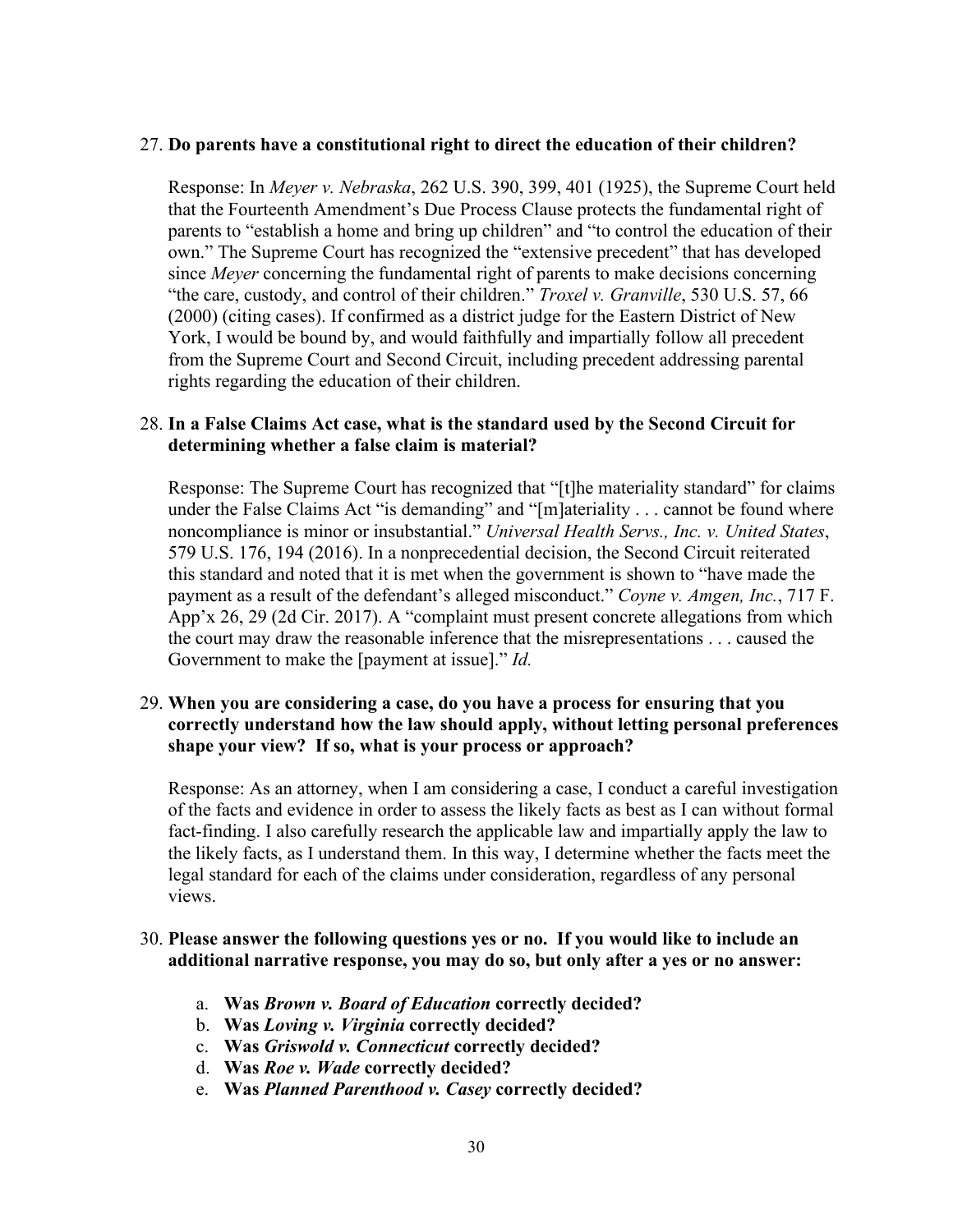#### 27. **Do parents have a constitutional right to direct the education of their children?**

Response: In *Meyer v. Nebraska*, 262 U.S. 390, 399, 401 (1925), the Supreme Court held that the Fourteenth Amendment's Due Process Clause protects the fundamental right of parents to "establish a home and bring up children" and "to control the education of their own." The Supreme Court has recognized the "extensive precedent" that has developed since *Meyer* concerning the fundamental right of parents to make decisions concerning "the care, custody, and control of their children." *Troxel v. Granville*, 530 U.S. 57, 66 (2000) (citing cases). If confirmed as a district judge for the Eastern District of New York, I would be bound by, and would faithfully and impartially follow all precedent from the Supreme Court and Second Circuit, including precedent addressing parental rights regarding the education of their children.

# 28. **In a False Claims Act case, what is the standard used by the Second Circuit for determining whether a false claim is material?**

Response: The Supreme Court has recognized that "[t]he materiality standard" for claims under the False Claims Act "is demanding" and "[m]ateriality . . . cannot be found where noncompliance is minor or insubstantial." *Universal Health Servs., Inc. v. United States*, 579 U.S. 176, 194 (2016). In a nonprecedential decision, the Second Circuit reiterated this standard and noted that it is met when the government is shown to "have made the payment as a result of the defendant's alleged misconduct." *Coyne v. Amgen, Inc.*, 717 F. App'x 26, 29 (2d Cir. 2017). A "complaint must present concrete allegations from which the court may draw the reasonable inference that the misrepresentations . . . caused the Government to make the [payment at issue]." *Id.*

## 29. **When you are considering a case, do you have a process for ensuring that you correctly understand how the law should apply, without letting personal preferences shape your view? If so, what is your process or approach?**

Response: As an attorney, when I am considering a case, I conduct a careful investigation of the facts and evidence in order to assess the likely facts as best as I can without formal fact-finding. I also carefully research the applicable law and impartially apply the law to the likely facts, as I understand them. In this way, I determine whether the facts meet the legal standard for each of the claims under consideration, regardless of any personal views.

#### 30. **Please answer the following questions yes or no. If you would like to include an additional narrative response, you may do so, but only after a yes or no answer:**

- a. **Was** *Brown v. Board of Education* **correctly decided?**
- b. **Was** *Loving v. Virginia* **correctly decided?**
- c. **Was** *Griswold v. Connecticut* **correctly decided?**
- d. **Was** *Roe v. Wade* **correctly decided?**
- e. **Was** *Planned Parenthood v. Casey* **correctly decided?**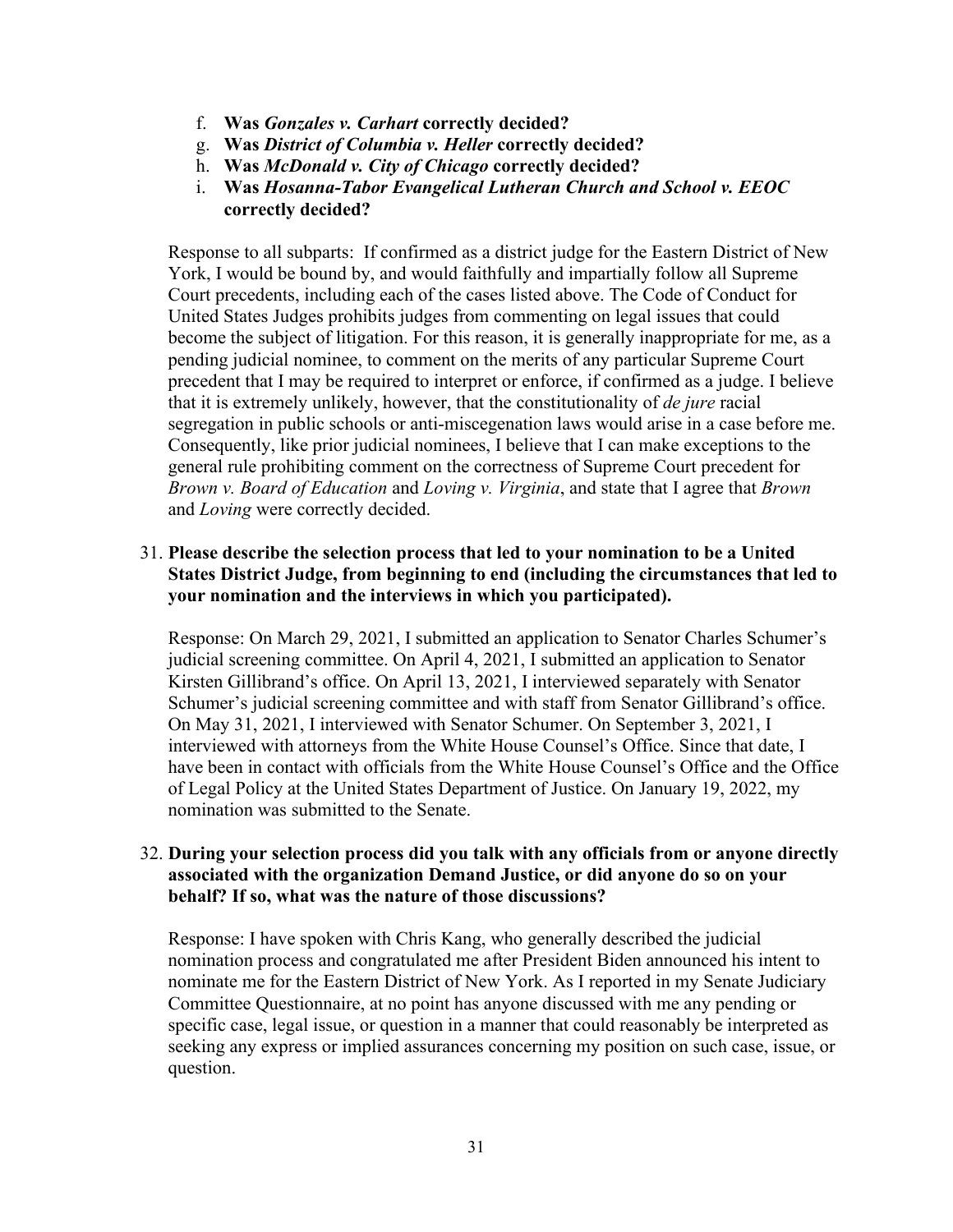- f. **Was** *Gonzales v. Carhart* **correctly decided?**
- g. **Was** *District of Columbia v. Heller* **correctly decided?**
- h. **Was** *McDonald v. City of Chicago* **correctly decided?**
- i. **Was** *Hosanna-Tabor Evangelical Lutheran Church and School v. EEOC*  **correctly decided?**

Response to all subparts: If confirmed as a district judge for the Eastern District of New York, I would be bound by, and would faithfully and impartially follow all Supreme Court precedents, including each of the cases listed above. The Code of Conduct for United States Judges prohibits judges from commenting on legal issues that could become the subject of litigation. For this reason, it is generally inappropriate for me, as a pending judicial nominee, to comment on the merits of any particular Supreme Court precedent that I may be required to interpret or enforce, if confirmed as a judge. I believe that it is extremely unlikely, however, that the constitutionality of *de jure* racial segregation in public schools or anti-miscegenation laws would arise in a case before me. Consequently, like prior judicial nominees, I believe that I can make exceptions to the general rule prohibiting comment on the correctness of Supreme Court precedent for *Brown v. Board of Education* and *Loving v. Virginia*, and state that I agree that *Brown*  and *Loving* were correctly decided.

# 31. **Please describe the selection process that led to your nomination to be a United States District Judge, from beginning to end (including the circumstances that led to your nomination and the interviews in which you participated).**

Response: On March 29, 2021, I submitted an application to Senator Charles Schumer's judicial screening committee. On April 4, 2021, I submitted an application to Senator Kirsten Gillibrand's office. On April 13, 2021, I interviewed separately with Senator Schumer's judicial screening committee and with staff from Senator Gillibrand's office. On May 31, 2021, I interviewed with Senator Schumer. On September 3, 2021, I interviewed with attorneys from the White House Counsel's Office. Since that date, I have been in contact with officials from the White House Counsel's Office and the Office of Legal Policy at the United States Department of Justice. On January 19, 2022, my nomination was submitted to the Senate.

## 32. **During your selection process did you talk with any officials from or anyone directly associated with the organization Demand Justice, or did anyone do so on your behalf? If so, what was the nature of those discussions?**

Response: I have spoken with Chris Kang, who generally described the judicial nomination process and congratulated me after President Biden announced his intent to nominate me for the Eastern District of New York. As I reported in my Senate Judiciary Committee Questionnaire, at no point has anyone discussed with me any pending or specific case, legal issue, or question in a manner that could reasonably be interpreted as seeking any express or implied assurances concerning my position on such case, issue, or question.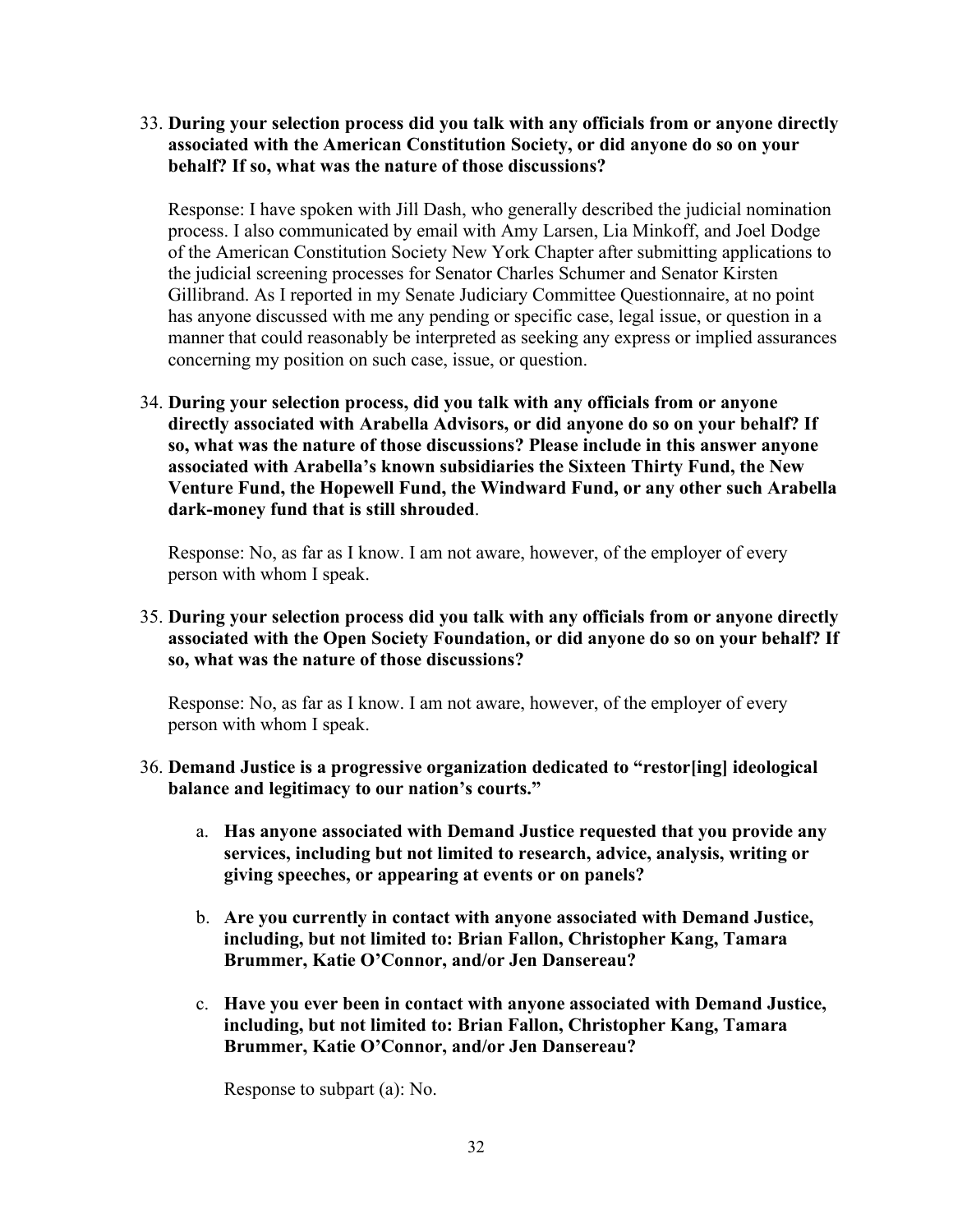33. **During your selection process did you talk with any officials from or anyone directly associated with the American Constitution Society, or did anyone do so on your behalf? If so, what was the nature of those discussions?** 

Response: I have spoken with Jill Dash, who generally described the judicial nomination process. I also communicated by email with Amy Larsen, Lia Minkoff, and Joel Dodge of the American Constitution Society New York Chapter after submitting applications to the judicial screening processes for Senator Charles Schumer and Senator Kirsten Gillibrand. As I reported in my Senate Judiciary Committee Questionnaire, at no point has anyone discussed with me any pending or specific case, legal issue, or question in a manner that could reasonably be interpreted as seeking any express or implied assurances concerning my position on such case, issue, or question.

34. **During your selection process, did you talk with any officials from or anyone directly associated with Arabella Advisors, or did anyone do so on your behalf? If so, what was the nature of those discussions? Please include in this answer anyone associated with Arabella's known subsidiaries the Sixteen Thirty Fund, the New Venture Fund, the Hopewell Fund, the Windward Fund, or any other such Arabella dark-money fund that is still shrouded**.

Response: No, as far as I know. I am not aware, however, of the employer of every person with whom I speak.

35. **During your selection process did you talk with any officials from or anyone directly associated with the Open Society Foundation, or did anyone do so on your behalf? If so, what was the nature of those discussions?**

Response: No, as far as I know. I am not aware, however, of the employer of every person with whom I speak.

- 36. **Demand Justice is a progressive organization dedicated to "restor[ing] ideological balance and legitimacy to our nation's courts."**
	- a. **Has anyone associated with Demand Justice requested that you provide any services, including but not limited to research, advice, analysis, writing or giving speeches, or appearing at events or on panels?**
	- b. **Are you currently in contact with anyone associated with Demand Justice, including, but not limited to: Brian Fallon, Christopher Kang, Tamara Brummer, Katie O'Connor, and/or Jen Dansereau?**
	- c. **Have you ever been in contact with anyone associated with Demand Justice, including, but not limited to: Brian Fallon, Christopher Kang, Tamara Brummer, Katie O'Connor, and/or Jen Dansereau?**

Response to subpart (a): No.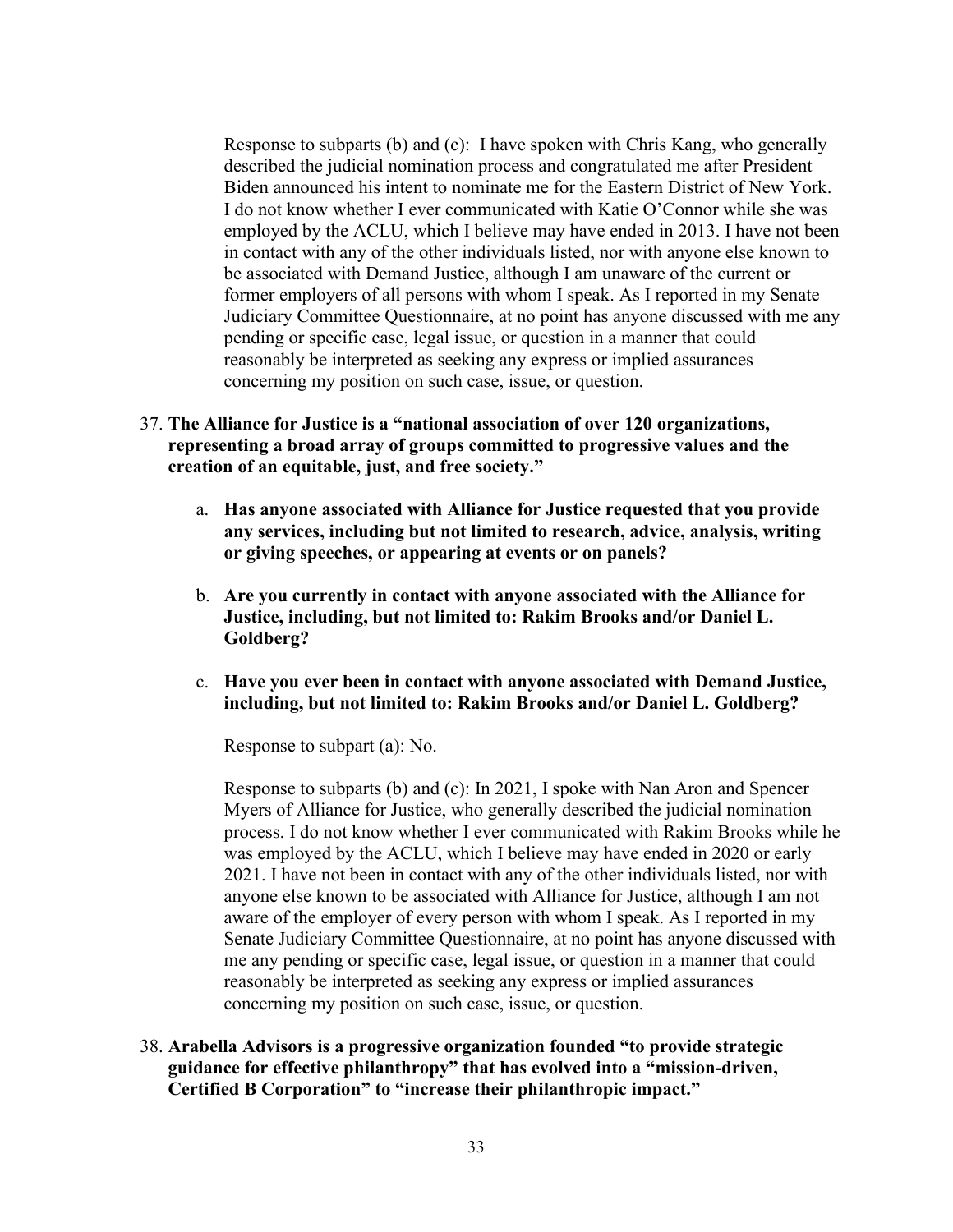Response to subparts (b) and (c): I have spoken with Chris Kang, who generally described the judicial nomination process and congratulated me after President Biden announced his intent to nominate me for the Eastern District of New York. I do not know whether I ever communicated with Katie O'Connor while she was employed by the ACLU, which I believe may have ended in 2013. I have not been in contact with any of the other individuals listed, nor with anyone else known to be associated with Demand Justice, although I am unaware of the current or former employers of all persons with whom I speak. As I reported in my Senate Judiciary Committee Questionnaire, at no point has anyone discussed with me any pending or specific case, legal issue, or question in a manner that could reasonably be interpreted as seeking any express or implied assurances concerning my position on such case, issue, or question.

- 37. **The Alliance for Justice is a "national association of over 120 organizations, representing a broad array of groups committed to progressive values and the creation of an equitable, just, and free society."** 
	- a. **Has anyone associated with Alliance for Justice requested that you provide any services, including but not limited to research, advice, analysis, writing or giving speeches, or appearing at events or on panels?**
	- b. **Are you currently in contact with anyone associated with the Alliance for Justice, including, but not limited to: Rakim Brooks and/or Daniel L. Goldberg?**
	- c. **Have you ever been in contact with anyone associated with Demand Justice, including, but not limited to: Rakim Brooks and/or Daniel L. Goldberg?**

Response to subpart (a): No.

Response to subparts (b) and (c): In 2021, I spoke with Nan Aron and Spencer Myers of Alliance for Justice, who generally described the judicial nomination process. I do not know whether I ever communicated with Rakim Brooks while he was employed by the ACLU, which I believe may have ended in 2020 or early 2021. I have not been in contact with any of the other individuals listed, nor with anyone else known to be associated with Alliance for Justice, although I am not aware of the employer of every person with whom I speak. As I reported in my Senate Judiciary Committee Questionnaire, at no point has anyone discussed with me any pending or specific case, legal issue, or question in a manner that could reasonably be interpreted as seeking any express or implied assurances concerning my position on such case, issue, or question.

38. **Arabella Advisors is a progressive organization founded "to provide strategic guidance for effective philanthropy" that has evolved into a "mission-driven, Certified B Corporation" to "increase their philanthropic impact."**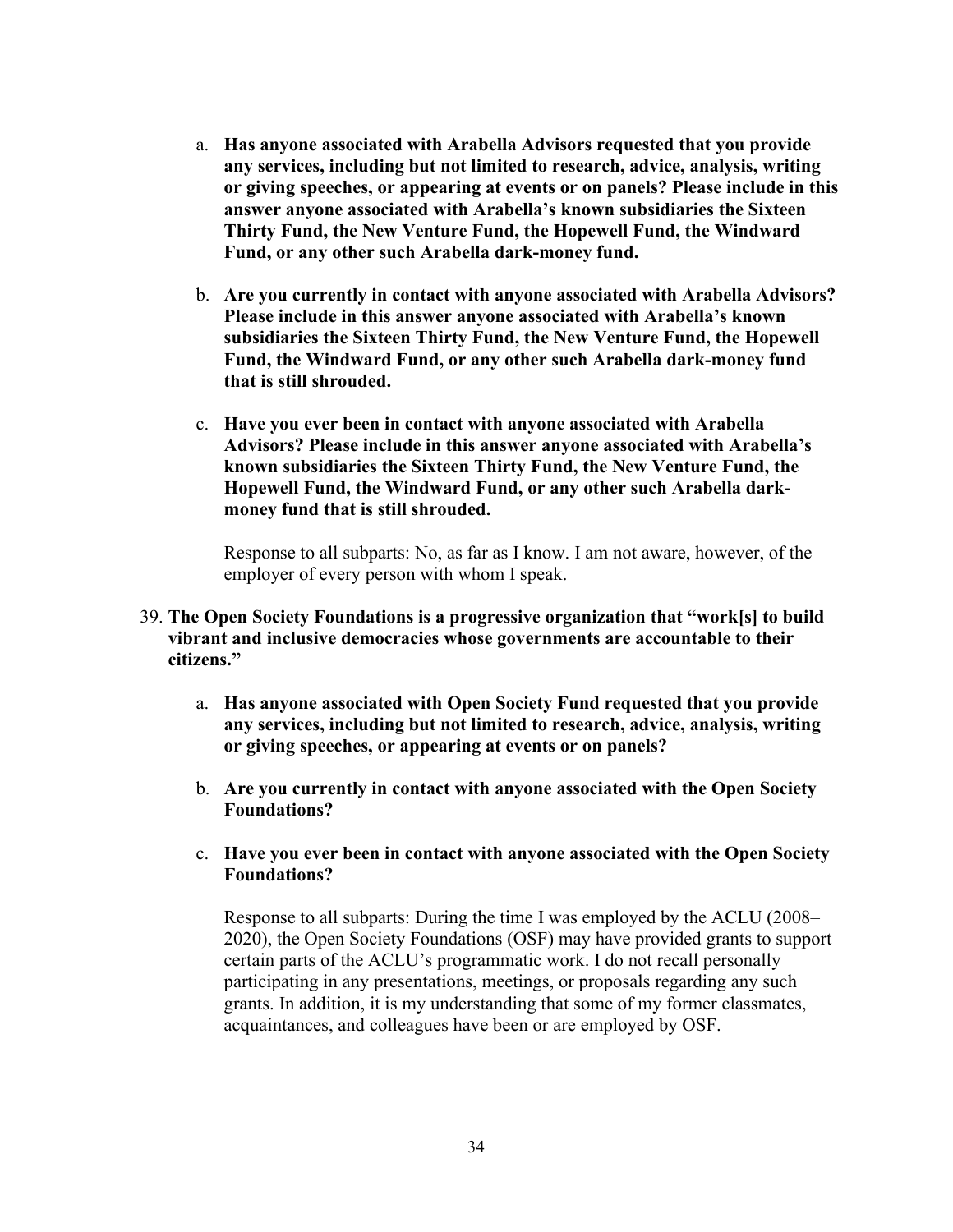- a. **Has anyone associated with Arabella Advisors requested that you provide any services, including but not limited to research, advice, analysis, writing or giving speeches, or appearing at events or on panels? Please include in this answer anyone associated with Arabella's known subsidiaries the Sixteen Thirty Fund, the New Venture Fund, the Hopewell Fund, the Windward Fund, or any other such Arabella dark-money fund.**
- b. **Are you currently in contact with anyone associated with Arabella Advisors? Please include in this answer anyone associated with Arabella's known subsidiaries the Sixteen Thirty Fund, the New Venture Fund, the Hopewell Fund, the Windward Fund, or any other such Arabella dark-money fund that is still shrouded.**
- c. **Have you ever been in contact with anyone associated with Arabella Advisors? Please include in this answer anyone associated with Arabella's known subsidiaries the Sixteen Thirty Fund, the New Venture Fund, the Hopewell Fund, the Windward Fund, or any other such Arabella darkmoney fund that is still shrouded.**

Response to all subparts: No, as far as I know. I am not aware, however, of the employer of every person with whom I speak.

- 39. **The Open Society Foundations is a progressive organization that "work[s] to build vibrant and inclusive democracies whose governments are accountable to their citizens."**
	- a. **Has anyone associated with Open Society Fund requested that you provide any services, including but not limited to research, advice, analysis, writing or giving speeches, or appearing at events or on panels?**
	- b. **Are you currently in contact with anyone associated with the Open Society Foundations?**
	- c. **Have you ever been in contact with anyone associated with the Open Society Foundations?**

Response to all subparts: During the time I was employed by the ACLU (2008– 2020), the Open Society Foundations (OSF) may have provided grants to support certain parts of the ACLU's programmatic work. I do not recall personally participating in any presentations, meetings, or proposals regarding any such grants. In addition, it is my understanding that some of my former classmates, acquaintances, and colleagues have been or are employed by OSF.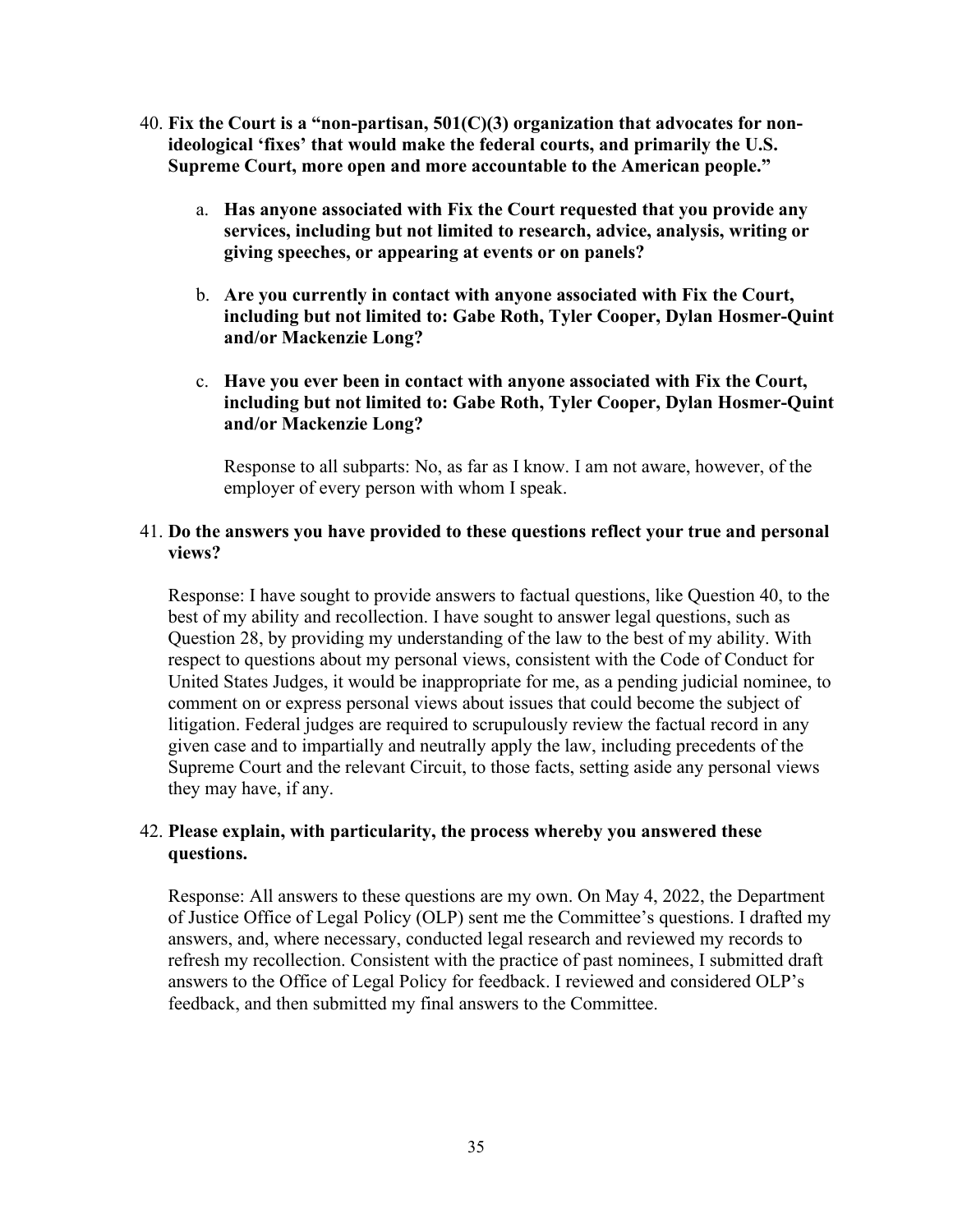- 40. **Fix the Court is a "non-partisan, 501(C)(3) organization that advocates for nonideological 'fixes' that would make the federal courts, and primarily the U.S. Supreme Court, more open and more accountable to the American people."**
	- a. **Has anyone associated with Fix the Court requested that you provide any services, including but not limited to research, advice, analysis, writing or giving speeches, or appearing at events or on panels?**
	- b. **Are you currently in contact with anyone associated with Fix the Court, including but not limited to: Gabe Roth, Tyler Cooper, Dylan Hosmer-Quint and/or Mackenzie Long?**
	- c. **Have you ever been in contact with anyone associated with Fix the Court, including but not limited to: Gabe Roth, Tyler Cooper, Dylan Hosmer-Quint and/or Mackenzie Long?**

Response to all subparts: No, as far as I know. I am not aware, however, of the employer of every person with whom I speak.

#### 41. **Do the answers you have provided to these questions reflect your true and personal views?**

Response: I have sought to provide answers to factual questions, like Question 40, to the best of my ability and recollection. I have sought to answer legal questions, such as Question 28, by providing my understanding of the law to the best of my ability. With respect to questions about my personal views, consistent with the Code of Conduct for United States Judges, it would be inappropriate for me, as a pending judicial nominee, to comment on or express personal views about issues that could become the subject of litigation. Federal judges are required to scrupulously review the factual record in any given case and to impartially and neutrally apply the law, including precedents of the Supreme Court and the relevant Circuit, to those facts, setting aside any personal views they may have, if any.

### 42. **Please explain, with particularity, the process whereby you answered these questions.**

Response: All answers to these questions are my own. On May 4, 2022, the Department of Justice Office of Legal Policy (OLP) sent me the Committee's questions. I drafted my answers, and, where necessary, conducted legal research and reviewed my records to refresh my recollection. Consistent with the practice of past nominees, I submitted draft answers to the Office of Legal Policy for feedback. I reviewed and considered OLP's feedback, and then submitted my final answers to the Committee.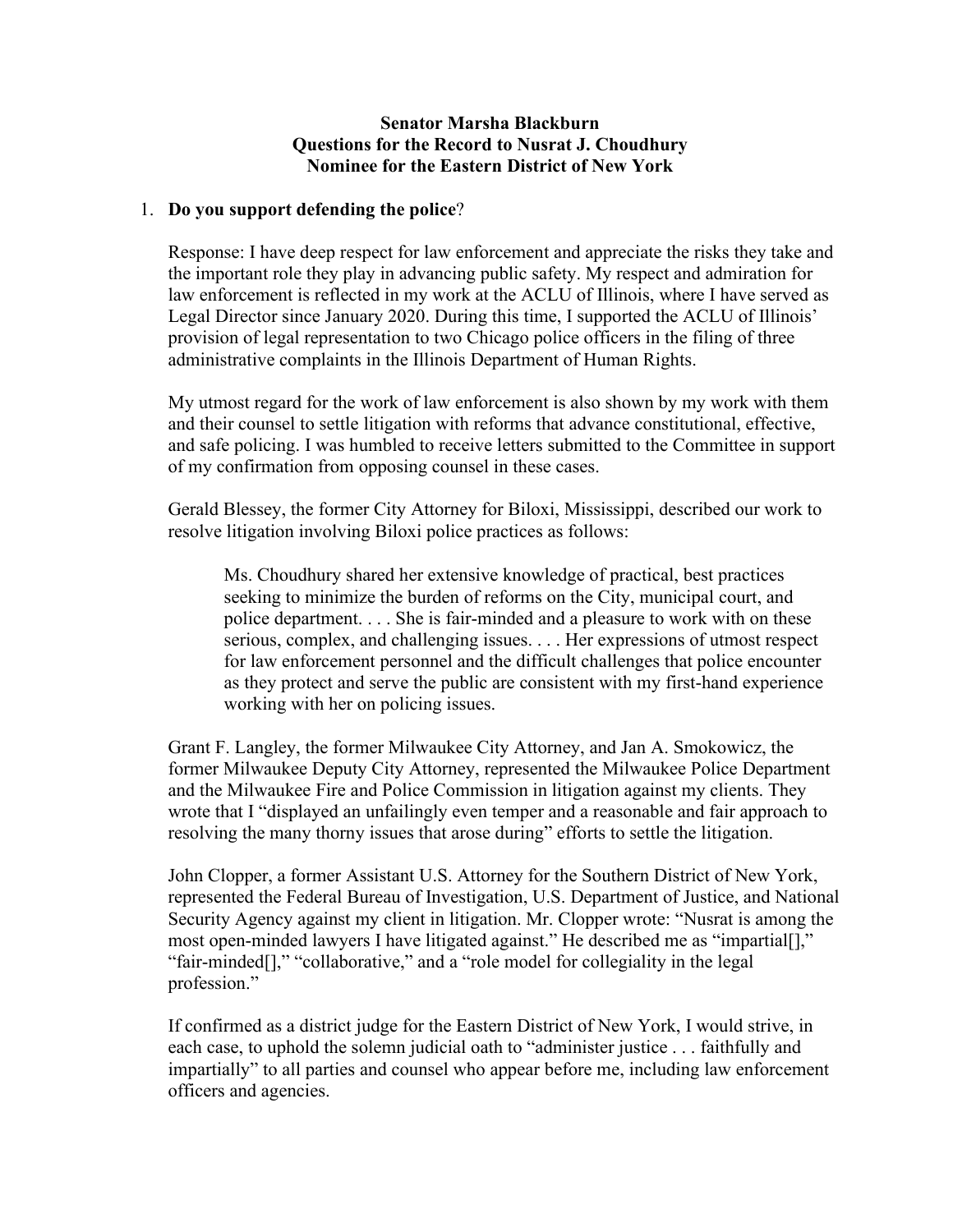#### **Senator Marsha Blackburn Questions for the Record to Nusrat J. Choudhury Nominee for the Eastern District of New York**

#### 1. **Do you support defending the police**?

Response: I have deep respect for law enforcement and appreciate the risks they take and the important role they play in advancing public safety. My respect and admiration for law enforcement is reflected in my work at the ACLU of Illinois, where I have served as Legal Director since January 2020. During this time, I supported the ACLU of Illinois' provision of legal representation to two Chicago police officers in the filing of three administrative complaints in the Illinois Department of Human Rights.

My utmost regard for the work of law enforcement is also shown by my work with them and their counsel to settle litigation with reforms that advance constitutional, effective, and safe policing. I was humbled to receive letters submitted to the Committee in support of my confirmation from opposing counsel in these cases.

Gerald Blessey, the former City Attorney for Biloxi, Mississippi, described our work to resolve litigation involving Biloxi police practices as follows:

Ms. Choudhury shared her extensive knowledge of practical, best practices seeking to minimize the burden of reforms on the City, municipal court, and police department. . . . She is fair-minded and a pleasure to work with on these serious, complex, and challenging issues. . . . Her expressions of utmost respect for law enforcement personnel and the difficult challenges that police encounter as they protect and serve the public are consistent with my first-hand experience working with her on policing issues.

Grant F. Langley, the former Milwaukee City Attorney, and Jan A. Smokowicz, the former Milwaukee Deputy City Attorney, represented the Milwaukee Police Department and the Milwaukee Fire and Police Commission in litigation against my clients. They wrote that I "displayed an unfailingly even temper and a reasonable and fair approach to resolving the many thorny issues that arose during" efforts to settle the litigation.

John Clopper, a former Assistant U.S. Attorney for the Southern District of New York, represented the Federal Bureau of Investigation, U.S. Department of Justice, and National Security Agency against my client in litigation. Mr. Clopper wrote: "Nusrat is among the most open-minded lawyers I have litigated against." He described me as "impartial[]," "fair-minded[]," "collaborative," and a "role model for collegiality in the legal profession."

If confirmed as a district judge for the Eastern District of New York, I would strive, in each case, to uphold the solemn judicial oath to "administer justice . . . faithfully and impartially" to all parties and counsel who appear before me, including law enforcement officers and agencies.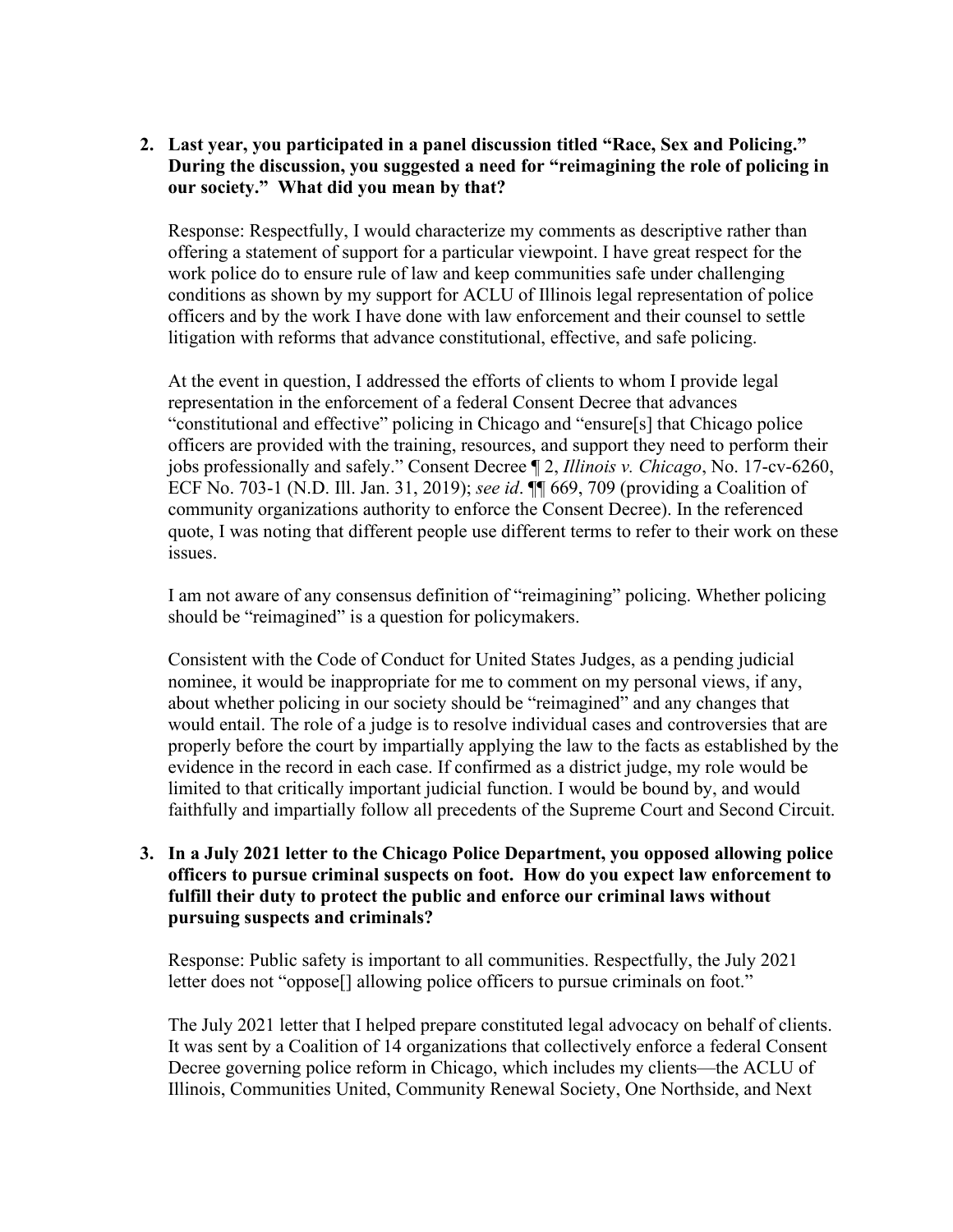# **2. Last year, you participated in a panel discussion titled "Race, Sex and Policing." During the discussion, you suggested a need for "reimagining the role of policing in our society." What did you mean by that?**

Response: Respectfully, I would characterize my comments as descriptive rather than offering a statement of support for a particular viewpoint. I have great respect for the work police do to ensure rule of law and keep communities safe under challenging conditions as shown by my support for ACLU of Illinois legal representation of police officers and by the work I have done with law enforcement and their counsel to settle litigation with reforms that advance constitutional, effective, and safe policing.

At the event in question, I addressed the efforts of clients to whom I provide legal representation in the enforcement of a federal Consent Decree that advances "constitutional and effective" policing in Chicago and "ensure[s] that Chicago police officers are provided with the training, resources, and support they need to perform their jobs professionally and safely." Consent Decree ¶ 2, *Illinois v. Chicago*, No. 17-cv-6260, ECF No. 703-1 (N.D. Ill. Jan. 31, 2019); *see id*. ¶¶ 669, 709 (providing a Coalition of community organizations authority to enforce the Consent Decree). In the referenced quote, I was noting that different people use different terms to refer to their work on these issues.

I am not aware of any consensus definition of "reimagining" policing. Whether policing should be "reimagined" is a question for policymakers.

Consistent with the Code of Conduct for United States Judges, as a pending judicial nominee, it would be inappropriate for me to comment on my personal views, if any, about whether policing in our society should be "reimagined" and any changes that would entail. The role of a judge is to resolve individual cases and controversies that are properly before the court by impartially applying the law to the facts as established by the evidence in the record in each case. If confirmed as a district judge, my role would be limited to that critically important judicial function. I would be bound by, and would faithfully and impartially follow all precedents of the Supreme Court and Second Circuit.

## **3. In a July 2021 letter to the Chicago Police Department, you opposed allowing police officers to pursue criminal suspects on foot. How do you expect law enforcement to fulfill their duty to protect the public and enforce our criminal laws without pursuing suspects and criminals?**

Response: Public safety is important to all communities. Respectfully, the July 2021 letter does not "oppose[] allowing police officers to pursue criminals on foot."

The July 2021 letter that I helped prepare constituted legal advocacy on behalf of clients. It was sent by a Coalition of 14 organizations that collectively enforce a federal Consent Decree governing police reform in Chicago, which includes my clients—the ACLU of Illinois, Communities United, Community Renewal Society, One Northside, and Next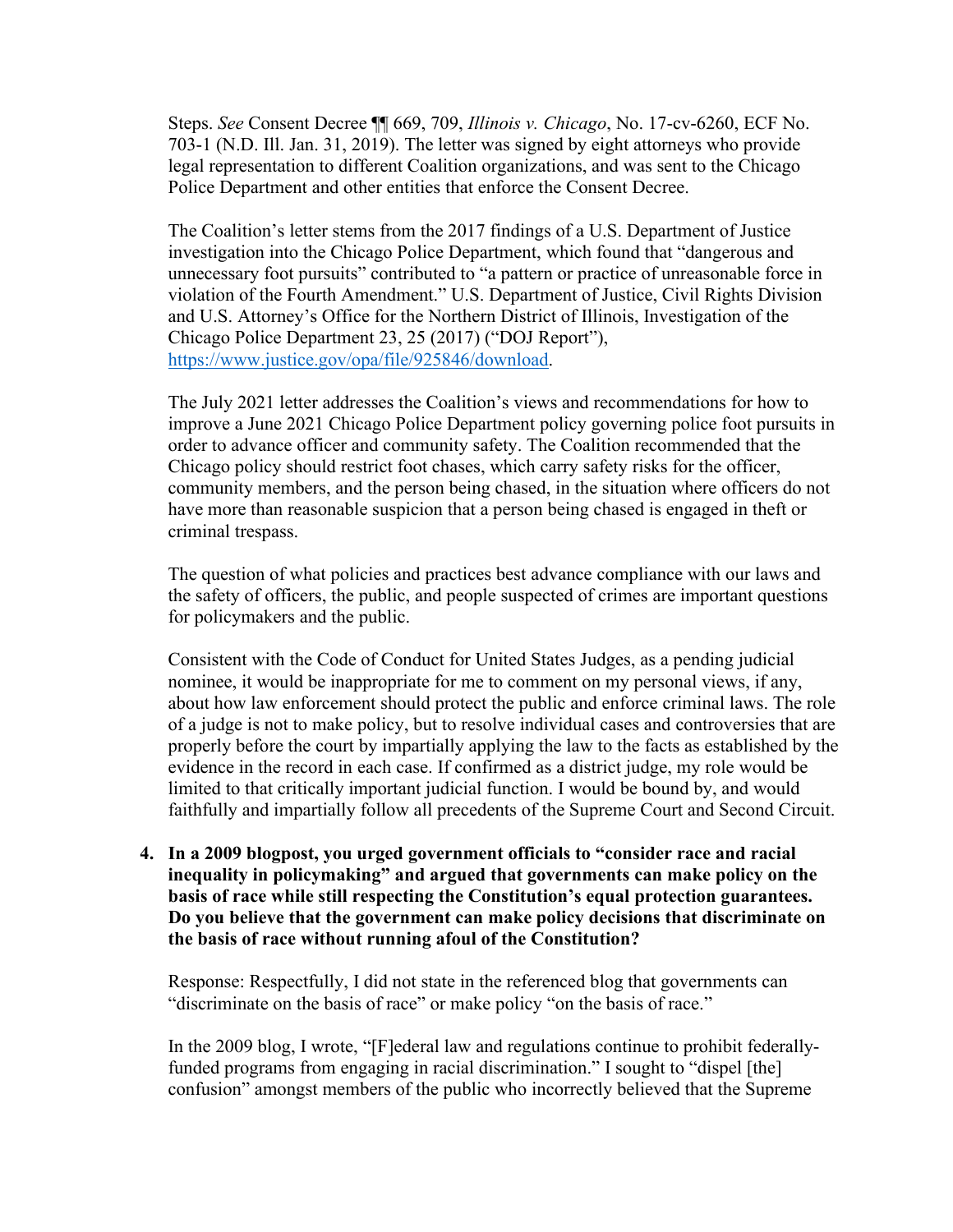Steps. *See* Consent Decree ¶¶ 669, 709, *Illinois v. Chicago*, No. 17-cv-6260, ECF No. 703-1 (N.D. Ill. Jan. 31, 2019). The letter was signed by eight attorneys who provide legal representation to different Coalition organizations, and was sent to the Chicago Police Department and other entities that enforce the Consent Decree.

The Coalition's letter stems from the 2017 findings of a U.S. Department of Justice investigation into the Chicago Police Department, which found that "dangerous and unnecessary foot pursuits" contributed to "a pattern or practice of unreasonable force in violation of the Fourth Amendment." U.S. Department of Justice, Civil Rights Division and U.S. Attorney's Office for the Northern District of Illinois, Investigation of the Chicago Police Department 23, 25 (2017) ("DOJ Report"), [https://www.justice.gov/opa/file/925846/download.](https://www.justice.gov/opa/file/925846/download)

The July 2021 letter addresses the Coalition's views and recommendations for how to improve a June 2021 Chicago Police Department policy governing police foot pursuits in order to advance officer and community safety. The Coalition recommended that the Chicago policy should restrict foot chases, which carry safety risks for the officer, community members, and the person being chased, in the situation where officers do not have more than reasonable suspicion that a person being chased is engaged in theft or criminal trespass.

The question of what policies and practices best advance compliance with our laws and the safety of officers, the public, and people suspected of crimes are important questions for policymakers and the public.

Consistent with the Code of Conduct for United States Judges, as a pending judicial nominee, it would be inappropriate for me to comment on my personal views, if any, about how law enforcement should protect the public and enforce criminal laws. The role of a judge is not to make policy, but to resolve individual cases and controversies that are properly before the court by impartially applying the law to the facts as established by the evidence in the record in each case. If confirmed as a district judge, my role would be limited to that critically important judicial function. I would be bound by, and would faithfully and impartially follow all precedents of the Supreme Court and Second Circuit.

**4. In a 2009 blogpost, you urged government officials to "consider race and racial inequality in policymaking" and argued that governments can make policy on the basis of race while still respecting the Constitution's equal protection guarantees. Do you believe that the government can make policy decisions that discriminate on the basis of race without running afoul of the Constitution?**

Response: Respectfully, I did not state in the referenced blog that governments can "discriminate on the basis of race" or make policy "on the basis of race."

In the 2009 blog, I wrote, "[F]ederal law and regulations continue to prohibit federallyfunded programs from engaging in racial discrimination." I sought to "dispel [the] confusion" amongst members of the public who incorrectly believed that the Supreme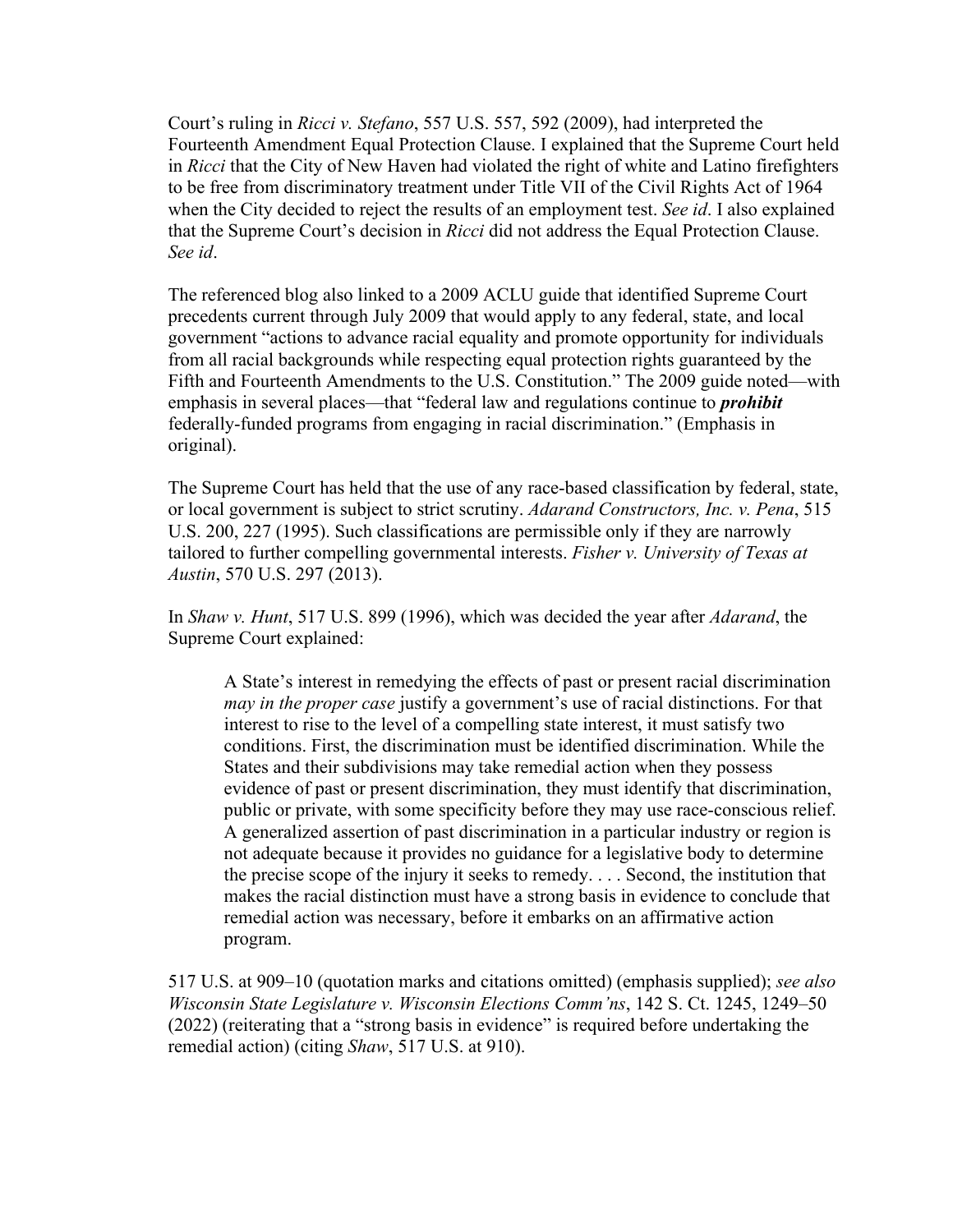Court's ruling in *Ricci v. Stefano*, 557 U.S. 557, 592 (2009), had interpreted the Fourteenth Amendment Equal Protection Clause. I explained that the Supreme Court held in *Ricci* that the City of New Haven had violated the right of white and Latino firefighters to be free from discriminatory treatment under Title VII of the Civil Rights Act of 1964 when the City decided to reject the results of an employment test. *See id*. I also explained that the Supreme Court's decision in *Ricci* did not address the Equal Protection Clause. *See id*.

The referenced blog also linked to a 2009 ACLU guide that identified Supreme Court precedents current through July 2009 that would apply to any federal, state, and local government "actions to advance racial equality and promote opportunity for individuals from all racial backgrounds while respecting equal protection rights guaranteed by the Fifth and Fourteenth Amendments to the U.S. Constitution." The 2009 guide noted—with emphasis in several places—that "federal law and regulations continue to *prohibit* federally-funded programs from engaging in racial discrimination." (Emphasis in original).

The Supreme Court has held that the use of any race-based classification by federal, state, or local government is subject to strict scrutiny. *Adarand Constructors, Inc. v. Pena*, 515 U.S. 200, 227 (1995). Such classifications are permissible only if they are narrowly tailored to further compelling governmental interests. *Fisher v. University of Texas at Austin*, 570 U.S. 297 (2013).

In *Shaw v. Hunt*, 517 U.S. 899 (1996), which was decided the year after *Adarand*, the Supreme Court explained:

A State's interest in remedying the effects of past or present racial discrimination *may in the proper case* justify a government's use of racial distinctions. For that interest to rise to the level of a compelling state interest, it must satisfy two conditions. First, the discrimination must be identified discrimination. While the States and their subdivisions may take remedial action when they possess evidence of past or present discrimination, they must identify that discrimination, public or private, with some specificity before they may use race-conscious relief. A generalized assertion of past discrimination in a particular industry or region is not adequate because it provides no guidance for a legislative body to determine the precise scope of the injury it seeks to remedy. . . . Second, the institution that makes the racial distinction must have a strong basis in evidence to conclude that remedial action was necessary, before it embarks on an affirmative action program.

517 U.S. at 909–10 (quotation marks and citations omitted) (emphasis supplied); *see also Wisconsin State Legislature v. Wisconsin Elections Comm'ns*, 142 S. Ct. 1245, 1249–50 (2022) (reiterating that a "strong basis in evidence" is required before undertaking the remedial action) (citing *Shaw*, 517 U.S. at 910).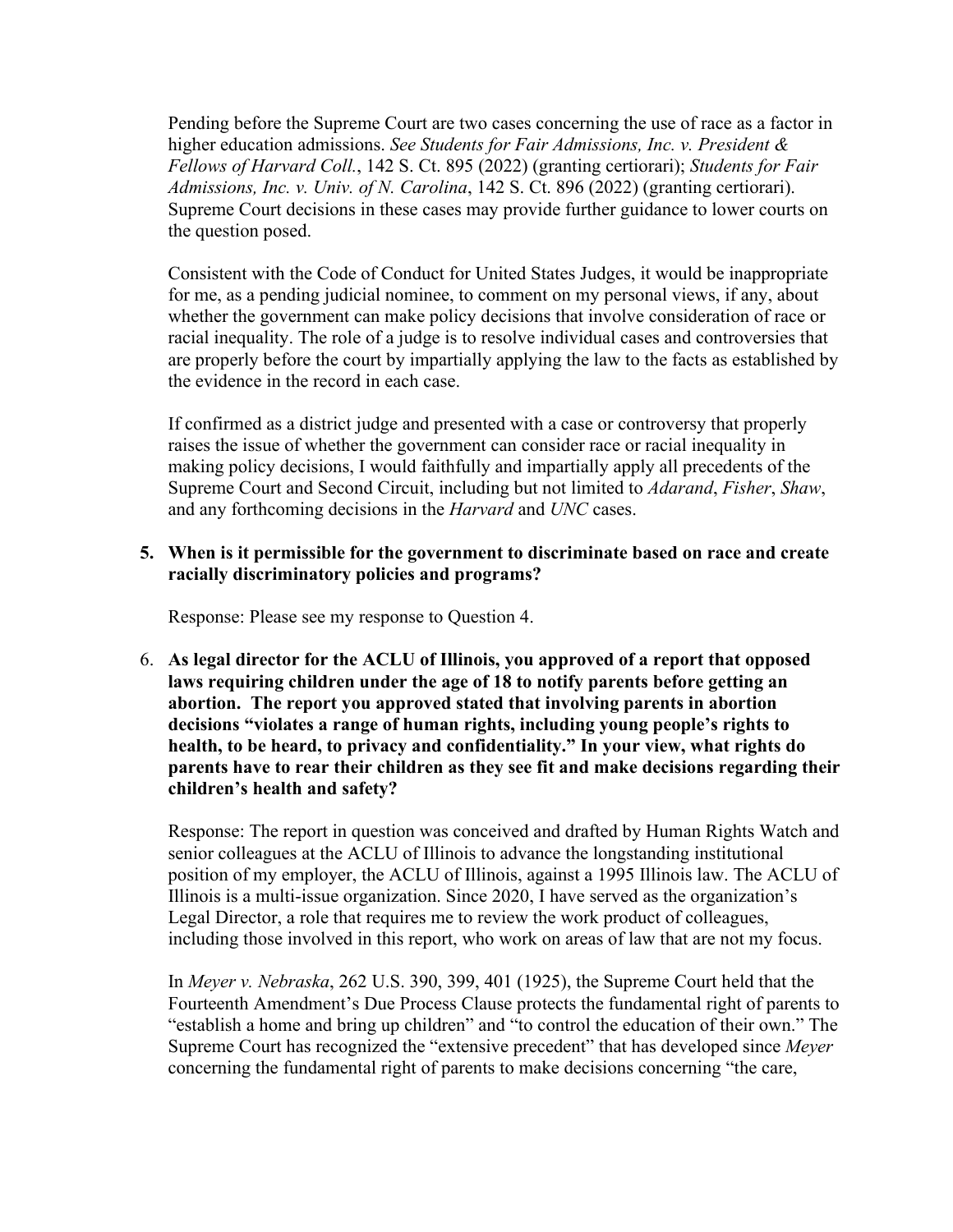Pending before the Supreme Court are two cases concerning the use of race as a factor in higher education admissions. *See Students for Fair Admissions, Inc. v. President & Fellows of Harvard Coll.*, 142 S. Ct. 895 (2022) (granting certiorari); *Students for Fair Admissions, Inc. v. Univ. of N. Carolina*, 142 S. Ct. 896 (2022) (granting certiorari). Supreme Court decisions in these cases may provide further guidance to lower courts on the question posed.

Consistent with the Code of Conduct for United States Judges, it would be inappropriate for me, as a pending judicial nominee, to comment on my personal views, if any, about whether the government can make policy decisions that involve consideration of race or racial inequality. The role of a judge is to resolve individual cases and controversies that are properly before the court by impartially applying the law to the facts as established by the evidence in the record in each case.

If confirmed as a district judge and presented with a case or controversy that properly raises the issue of whether the government can consider race or racial inequality in making policy decisions, I would faithfully and impartially apply all precedents of the Supreme Court and Second Circuit, including but not limited to *Adarand*, *Fisher*, *Shaw*, and any forthcoming decisions in the *Harvard* and *UNC* cases.

#### **5. When is it permissible for the government to discriminate based on race and create racially discriminatory policies and programs?**

Response: Please see my response to Question 4.

6. **As legal director for the ACLU of Illinois, you approved of a report that opposed laws requiring children under the age of 18 to notify parents before getting an abortion. The report you approved stated that involving parents in abortion decisions "violates a range of human rights, including young people's rights to health, to be heard, to privacy and confidentiality." In your view, what rights do parents have to rear their children as they see fit and make decisions regarding their children's health and safety?**

Response: The report in question was conceived and drafted by Human Rights Watch and senior colleagues at the ACLU of Illinois to advance the longstanding institutional position of my employer, the ACLU of Illinois, against a 1995 Illinois law. The ACLU of Illinois is a multi-issue organization. Since 2020, I have served as the organization's Legal Director, a role that requires me to review the work product of colleagues, including those involved in this report, who work on areas of law that are not my focus.

In *Meyer v. Nebraska*, 262 U.S. 390, 399, 401 (1925), the Supreme Court held that the Fourteenth Amendment's Due Process Clause protects the fundamental right of parents to "establish a home and bring up children" and "to control the education of their own." The Supreme Court has recognized the "extensive precedent" that has developed since *Meyer*  concerning the fundamental right of parents to make decisions concerning "the care,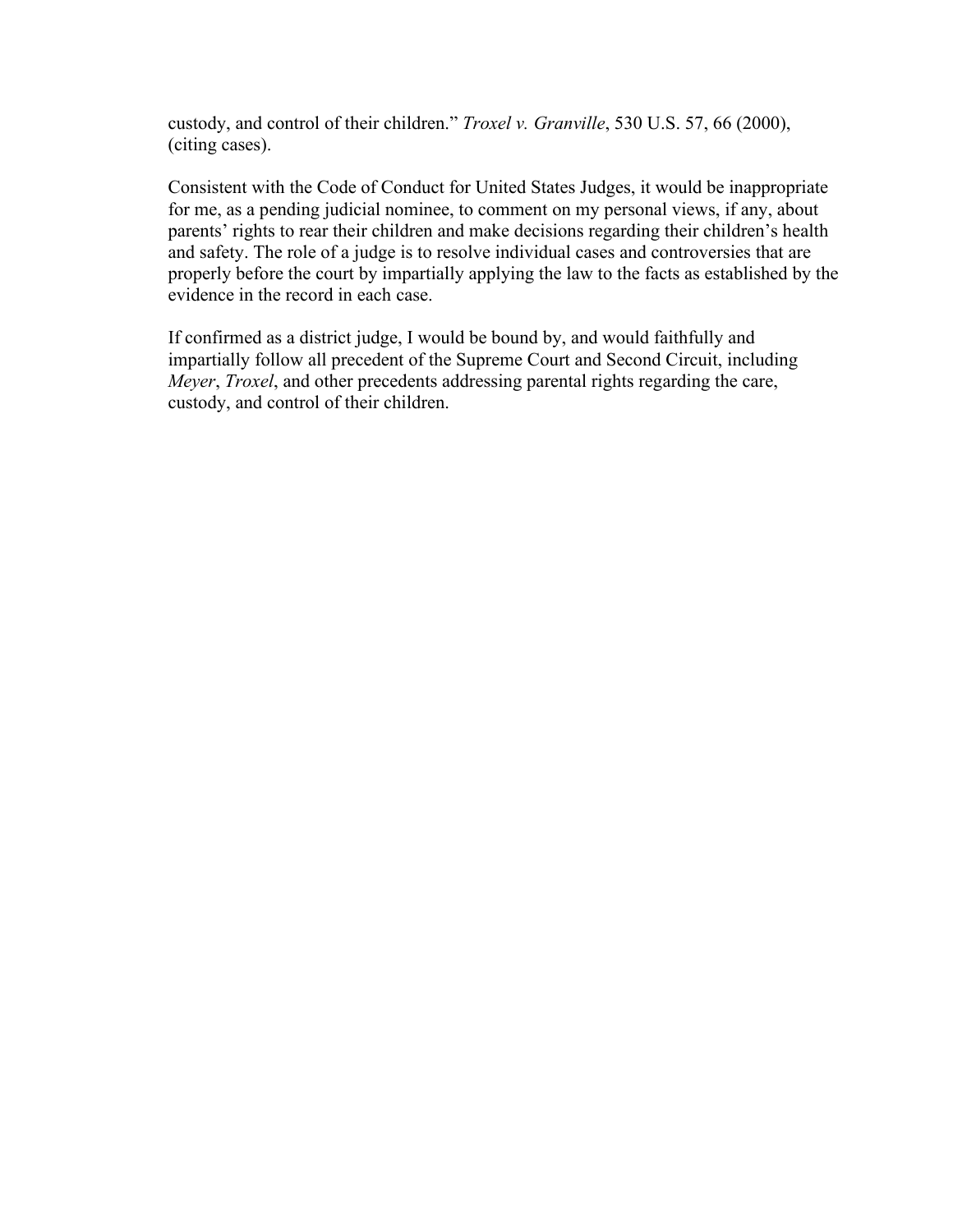custody, and control of their children." *Troxel v. Granville*, 530 U.S. 57, 66 (2000), (citing cases).

Consistent with the Code of Conduct for United States Judges, it would be inappropriate for me, as a pending judicial nominee, to comment on my personal views, if any, about parents' rights to rear their children and make decisions regarding their children's health and safety. The role of a judge is to resolve individual cases and controversies that are properly before the court by impartially applying the law to the facts as established by the evidence in the record in each case.

If confirmed as a district judge, I would be bound by, and would faithfully and impartially follow all precedent of the Supreme Court and Second Circuit, including *Meyer*, *Troxel*, and other precedents addressing parental rights regarding the care, custody, and control of their children.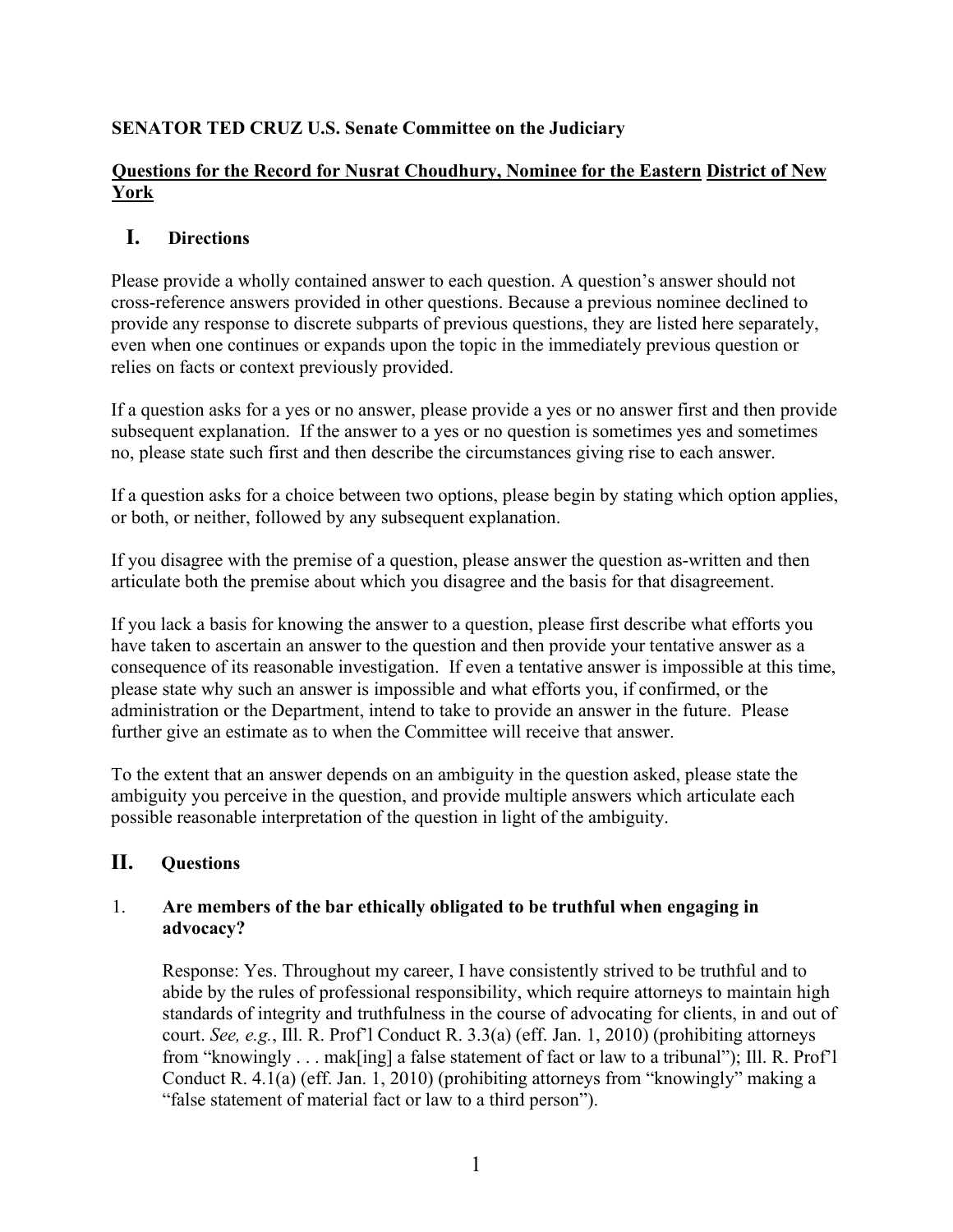# **SENATOR TED CRUZ U.S. Senate Committee on the Judiciary**

# **Questions for the Record for Nusrat Choudhury, Nominee for the Eastern District of New York**

# **I. Directions**

Please provide a wholly contained answer to each question. A question's answer should not cross-reference answers provided in other questions. Because a previous nominee declined to provide any response to discrete subparts of previous questions, they are listed here separately, even when one continues or expands upon the topic in the immediately previous question or relies on facts or context previously provided.

If a question asks for a yes or no answer, please provide a yes or no answer first and then provide subsequent explanation. If the answer to a yes or no question is sometimes yes and sometimes no, please state such first and then describe the circumstances giving rise to each answer.

If a question asks for a choice between two options, please begin by stating which option applies, or both, or neither, followed by any subsequent explanation.

If you disagree with the premise of a question, please answer the question as-written and then articulate both the premise about which you disagree and the basis for that disagreement.

If you lack a basis for knowing the answer to a question, please first describe what efforts you have taken to ascertain an answer to the question and then provide your tentative answer as a consequence of its reasonable investigation. If even a tentative answer is impossible at this time, please state why such an answer is impossible and what efforts you, if confirmed, or the administration or the Department, intend to take to provide an answer in the future. Please further give an estimate as to when the Committee will receive that answer.

To the extent that an answer depends on an ambiguity in the question asked, please state the ambiguity you perceive in the question, and provide multiple answers which articulate each possible reasonable interpretation of the question in light of the ambiguity.

# **II. Questions**

# 1. **Are members of the bar ethically obligated to be truthful when engaging in advocacy?**

Response: Yes. Throughout my career, I have consistently strived to be truthful and to abide by the rules of professional responsibility, which require attorneys to maintain high standards of integrity and truthfulness in the course of advocating for clients, in and out of court. *See, e.g.*, Ill. R. Prof'l Conduct R. 3.3(a) (eff. Jan. 1, 2010) (prohibiting attorneys from "knowingly . . . mak[ing] a false statement of fact or law to a tribunal"); Ill. R. Prof'l Conduct R. 4.1(a) (eff. Jan. 1, 2010) (prohibiting attorneys from "knowingly" making a "false statement of material fact or law to a third person").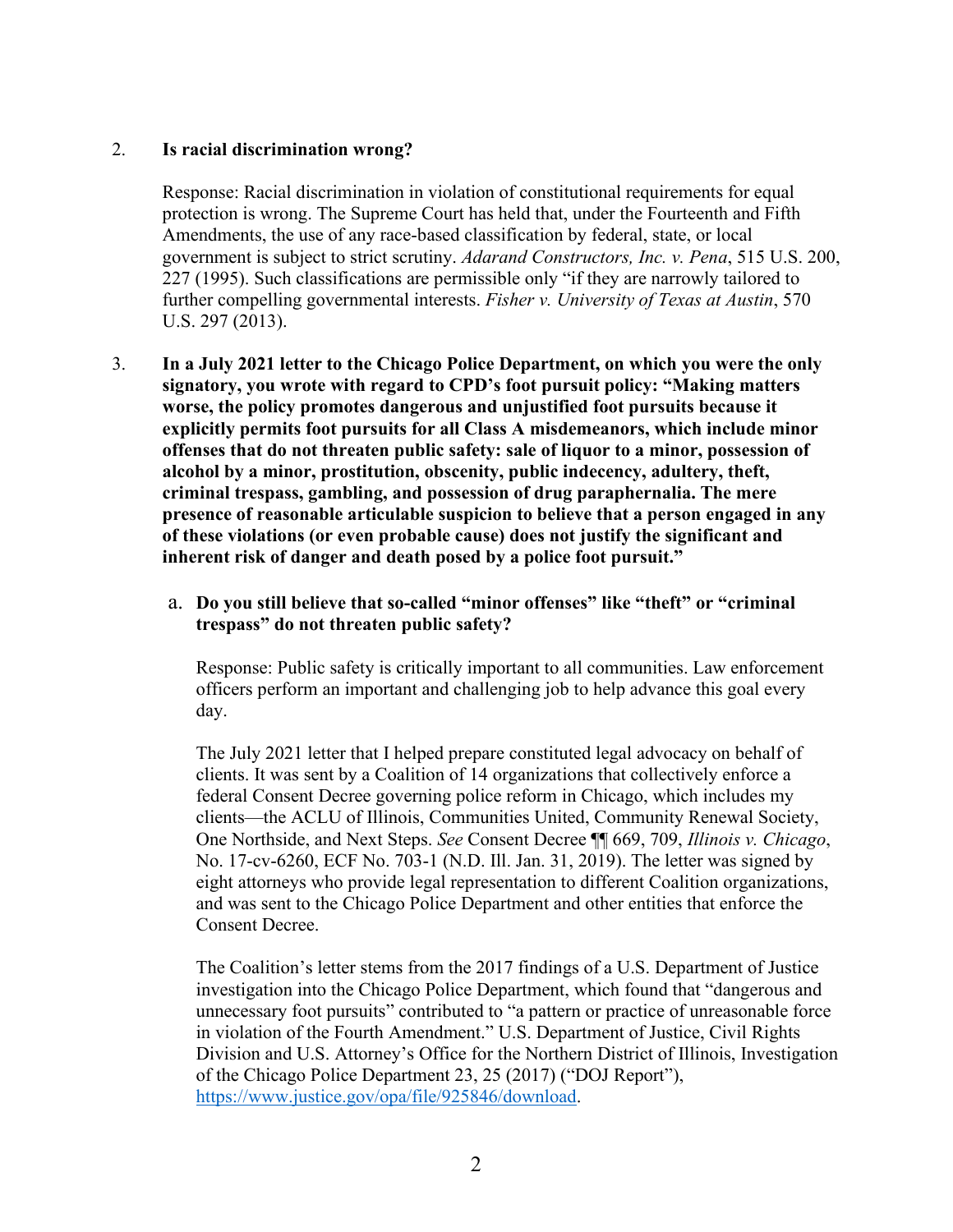### 2. **Is racial discrimination wrong?**

Response: Racial discrimination in violation of constitutional requirements for equal protection is wrong. The Supreme Court has held that, under the Fourteenth and Fifth Amendments, the use of any race-based classification by federal, state, or local government is subject to strict scrutiny. *Adarand Constructors, Inc. v. Pena*, 515 U.S. 200, 227 (1995). Such classifications are permissible only "if they are narrowly tailored to further compelling governmental interests. *Fisher v. University of Texas at Austin*, 570 U.S. 297 (2013).

3. **In a July 2021 letter to the Chicago Police Department, on which you were the only signatory, you wrote with regard to CPD's foot pursuit policy: "Making matters worse, the policy promotes dangerous and unjustified foot pursuits because it explicitly permits foot pursuits for all Class A misdemeanors, which include minor offenses that do not threaten public safety: sale of liquor to a minor, possession of alcohol by a minor, prostitution, obscenity, public indecency, adultery, theft, criminal trespass, gambling, and possession of drug paraphernalia. The mere presence of reasonable articulable suspicion to believe that a person engaged in any of these violations (or even probable cause) does not justify the significant and inherent risk of danger and death posed by a police foot pursuit."** 

## a. **Do you still believe that so-called "minor offenses" like "theft" or "criminal trespass" do not threaten public safety?**

Response: Public safety is critically important to all communities. Law enforcement officers perform an important and challenging job to help advance this goal every day.

The July 2021 letter that I helped prepare constituted legal advocacy on behalf of clients. It was sent by a Coalition of 14 organizations that collectively enforce a federal Consent Decree governing police reform in Chicago, which includes my clients—the ACLU of Illinois, Communities United, Community Renewal Society, One Northside, and Next Steps. *See* Consent Decree ¶¶ 669, 709, *Illinois v. Chicago*, No. 17-cv-6260, ECF No. 703-1 (N.D. Ill. Jan. 31, 2019). The letter was signed by eight attorneys who provide legal representation to different Coalition organizations, and was sent to the Chicago Police Department and other entities that enforce the Consent Decree.

The Coalition's letter stems from the 2017 findings of a U.S. Department of Justice investigation into the Chicago Police Department, which found that "dangerous and unnecessary foot pursuits" contributed to "a pattern or practice of unreasonable force in violation of the Fourth Amendment." U.S. Department of Justice, Civil Rights Division and U.S. Attorney's Office for the Northern District of Illinois, Investigation of the Chicago Police Department 23, 25 (2017) ("DOJ Report"), [https://www.justice.gov/opa/file/925846/download.](https://www.justice.gov/opa/file/925846/download)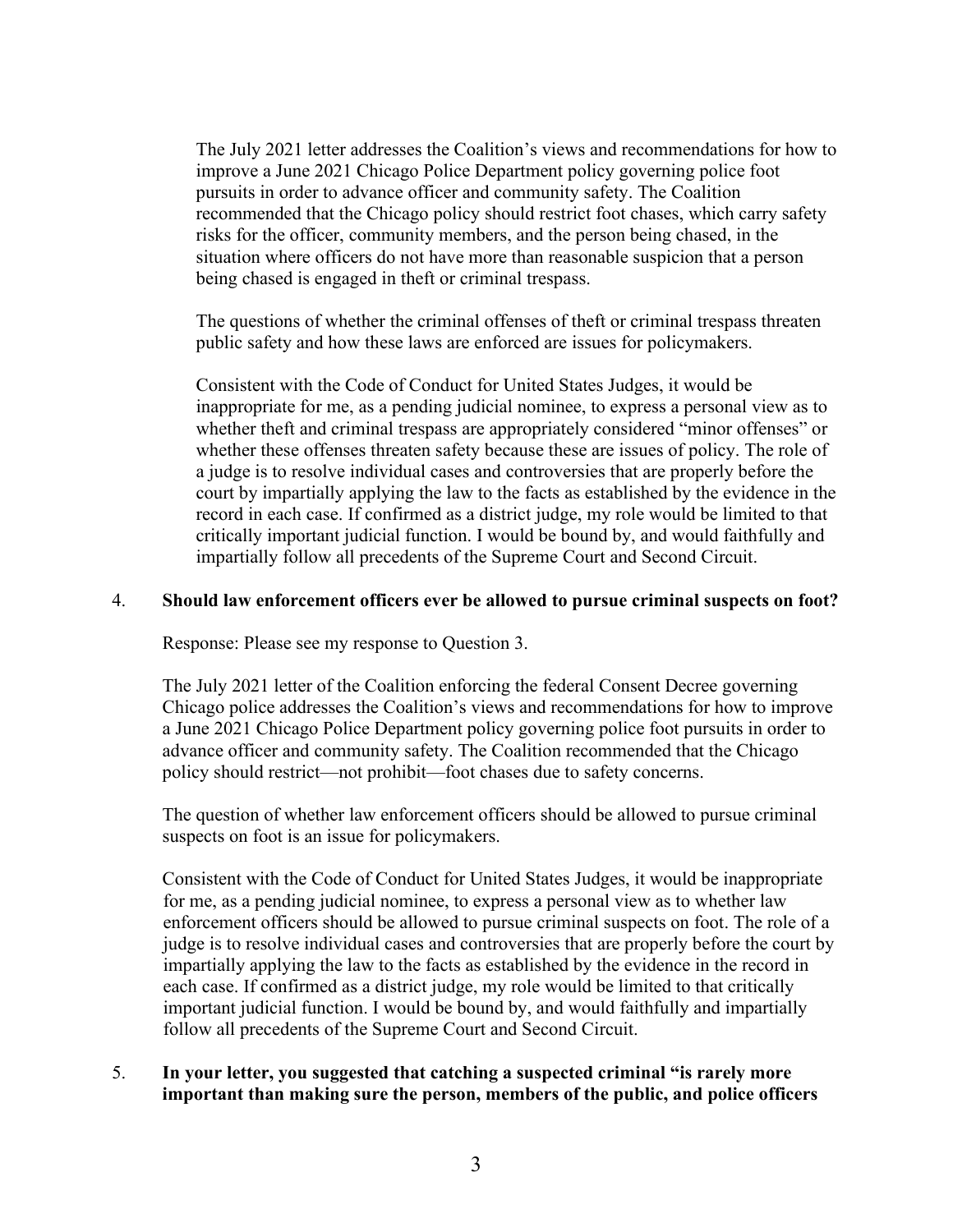The July 2021 letter addresses the Coalition's views and recommendations for how to improve a June 2021 Chicago Police Department policy governing police foot pursuits in order to advance officer and community safety. The Coalition recommended that the Chicago policy should restrict foot chases, which carry safety risks for the officer, community members, and the person being chased, in the situation where officers do not have more than reasonable suspicion that a person being chased is engaged in theft or criminal trespass.

The questions of whether the criminal offenses of theft or criminal trespass threaten public safety and how these laws are enforced are issues for policymakers.

Consistent with the Code of Conduct for United States Judges, it would be inappropriate for me, as a pending judicial nominee, to express a personal view as to whether theft and criminal trespass are appropriately considered "minor offenses" or whether these offenses threaten safety because these are issues of policy. The role of a judge is to resolve individual cases and controversies that are properly before the court by impartially applying the law to the facts as established by the evidence in the record in each case. If confirmed as a district judge, my role would be limited to that critically important judicial function. I would be bound by, and would faithfully and impartially follow all precedents of the Supreme Court and Second Circuit.

#### 4. **Should law enforcement officers ever be allowed to pursue criminal suspects on foot?**

Response: Please see my response to Question 3.

The July 2021 letter of the Coalition enforcing the federal Consent Decree governing Chicago police addresses the Coalition's views and recommendations for how to improve a June 2021 Chicago Police Department policy governing police foot pursuits in order to advance officer and community safety. The Coalition recommended that the Chicago policy should restrict—not prohibit—foot chases due to safety concerns.

The question of whether law enforcement officers should be allowed to pursue criminal suspects on foot is an issue for policymakers.

Consistent with the Code of Conduct for United States Judges, it would be inappropriate for me, as a pending judicial nominee, to express a personal view as to whether law enforcement officers should be allowed to pursue criminal suspects on foot. The role of a judge is to resolve individual cases and controversies that are properly before the court by impartially applying the law to the facts as established by the evidence in the record in each case. If confirmed as a district judge, my role would be limited to that critically important judicial function. I would be bound by, and would faithfully and impartially follow all precedents of the Supreme Court and Second Circuit.

### 5. **In your letter, you suggested that catching a suspected criminal "is rarely more important than making sure the person, members of the public, and police officers**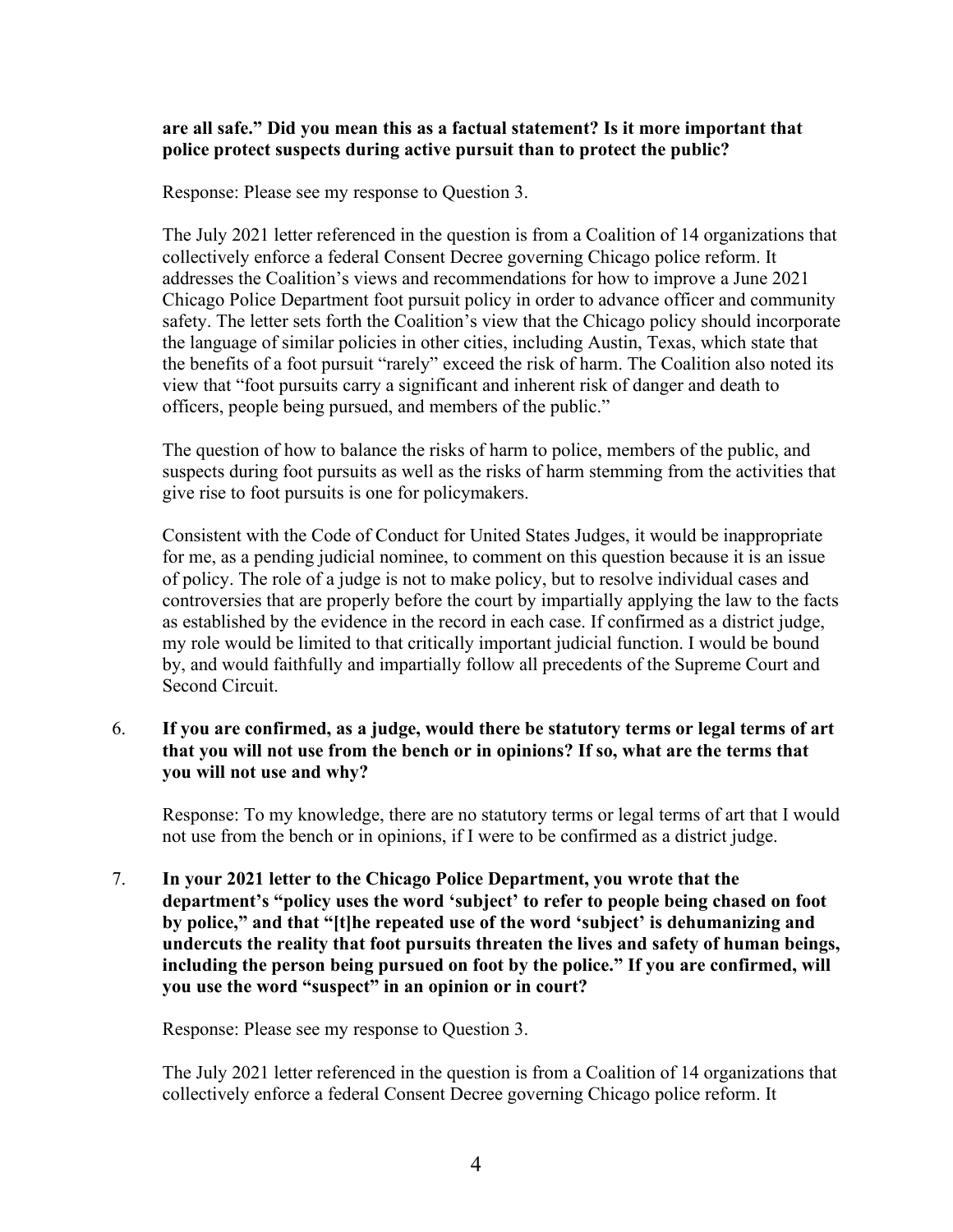#### **are all safe." Did you mean this as a factual statement? Is it more important that police protect suspects during active pursuit than to protect the public?**

Response: Please see my response to Question 3.

The July 2021 letter referenced in the question is from a Coalition of 14 organizations that collectively enforce a federal Consent Decree governing Chicago police reform. It addresses the Coalition's views and recommendations for how to improve a June 2021 Chicago Police Department foot pursuit policy in order to advance officer and community safety. The letter sets forth the Coalition's view that the Chicago policy should incorporate the language of similar policies in other cities, including Austin, Texas, which state that the benefits of a foot pursuit "rarely" exceed the risk of harm. The Coalition also noted its view that "foot pursuits carry a significant and inherent risk of danger and death to officers, people being pursued, and members of the public."

The question of how to balance the risks of harm to police, members of the public, and suspects during foot pursuits as well as the risks of harm stemming from the activities that give rise to foot pursuits is one for policymakers.

Consistent with the Code of Conduct for United States Judges, it would be inappropriate for me, as a pending judicial nominee, to comment on this question because it is an issue of policy. The role of a judge is not to make policy, but to resolve individual cases and controversies that are properly before the court by impartially applying the law to the facts as established by the evidence in the record in each case. If confirmed as a district judge, my role would be limited to that critically important judicial function. I would be bound by, and would faithfully and impartially follow all precedents of the Supreme Court and Second Circuit.

## 6. **If you are confirmed, as a judge, would there be statutory terms or legal terms of art that you will not use from the bench or in opinions? If so, what are the terms that you will not use and why?**

Response: To my knowledge, there are no statutory terms or legal terms of art that I would not use from the bench or in opinions, if I were to be confirmed as a district judge.

7. **In your 2021 letter to the Chicago Police Department, you wrote that the department's "policy uses the word 'subject' to refer to people being chased on foot by police," and that "[t]he repeated use of the word 'subject' is dehumanizing and undercuts the reality that foot pursuits threaten the lives and safety of human beings, including the person being pursued on foot by the police." If you are confirmed, will you use the word "suspect" in an opinion or in court?** 

Response: Please see my response to Question 3.

The July 2021 letter referenced in the question is from a Coalition of 14 organizations that collectively enforce a federal Consent Decree governing Chicago police reform. It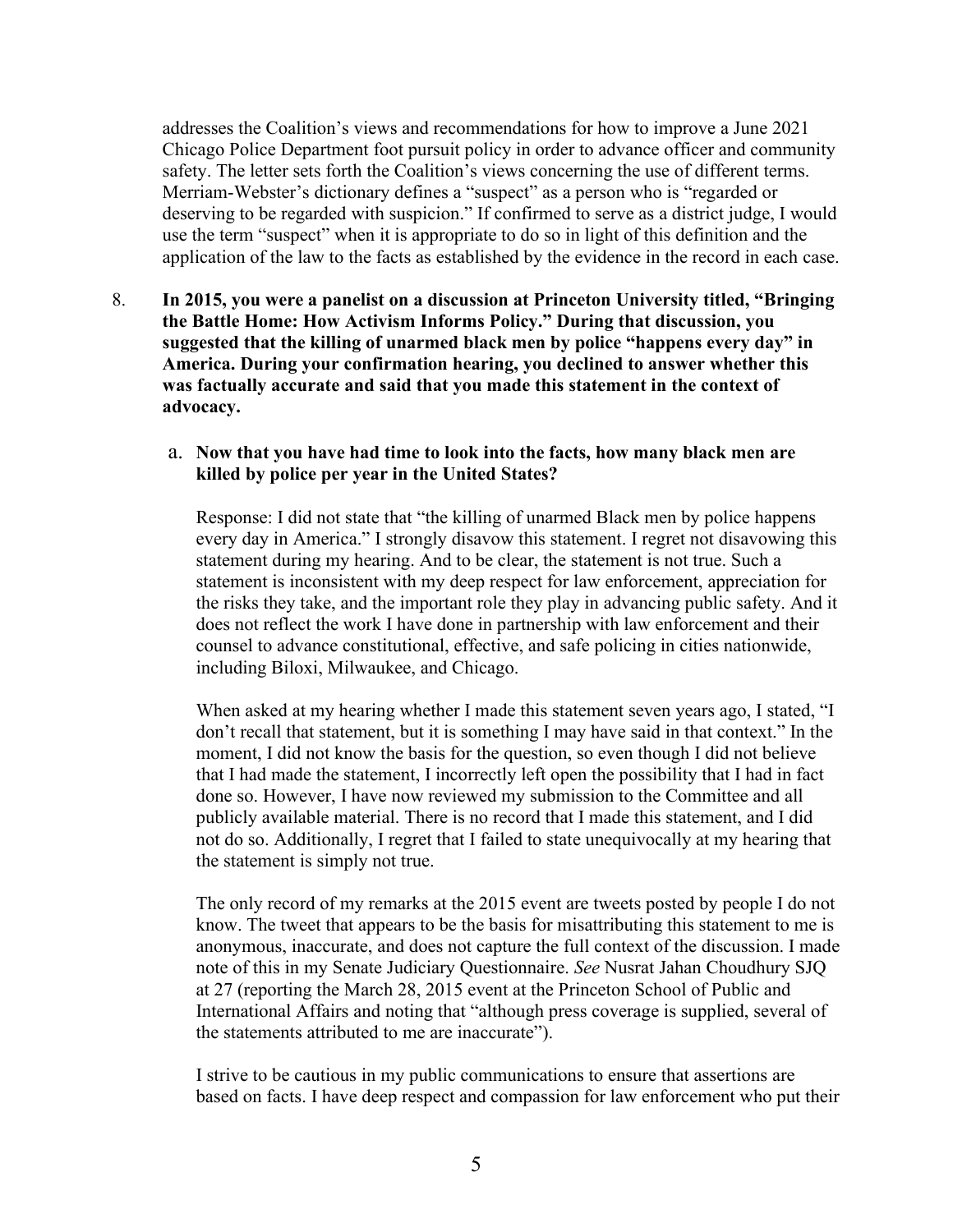addresses the Coalition's views and recommendations for how to improve a June 2021 Chicago Police Department foot pursuit policy in order to advance officer and community safety. The letter sets forth the Coalition's views concerning the use of different terms. Merriam-Webster's dictionary defines a "suspect" as a person who is "regarded or deserving to be regarded with suspicion." If confirmed to serve as a district judge, I would use the term "suspect" when it is appropriate to do so in light of this definition and the application of the law to the facts as established by the evidence in the record in each case.

8. **In 2015, you were a panelist on a discussion at Princeton University titled, "Bringing the Battle Home: How Activism Informs Policy." During that discussion, you suggested that the killing of unarmed black men by police "happens every day" in America. During your confirmation hearing, you declined to answer whether this was factually accurate and said that you made this statement in the context of advocacy.** 

#### a. **Now that you have had time to look into the facts, how many black men are killed by police per year in the United States?**

Response: I did not state that "the killing of unarmed Black men by police happens every day in America." I strongly disavow this statement. I regret not disavowing this statement during my hearing. And to be clear, the statement is not true. Such a statement is inconsistent with my deep respect for law enforcement, appreciation for the risks they take, and the important role they play in advancing public safety. And it does not reflect the work I have done in partnership with law enforcement and their counsel to advance constitutional, effective, and safe policing in cities nationwide, including Biloxi, Milwaukee, and Chicago.

When asked at my hearing whether I made this statement seven years ago, I stated, "I don't recall that statement, but it is something I may have said in that context." In the moment, I did not know the basis for the question, so even though I did not believe that I had made the statement, I incorrectly left open the possibility that I had in fact done so. However, I have now reviewed my submission to the Committee and all publicly available material. There is no record that I made this statement, and I did not do so. Additionally, I regret that I failed to state unequivocally at my hearing that the statement is simply not true.

The only record of my remarks at the 2015 event are tweets posted by people I do not know. The tweet that appears to be the basis for misattributing this statement to me is anonymous, inaccurate, and does not capture the full context of the discussion. I made note of this in my Senate Judiciary Questionnaire. *See* Nusrat Jahan Choudhury SJQ at 27 (reporting the March 28, 2015 event at the Princeton School of Public and International Affairs and noting that "although press coverage is supplied, several of the statements attributed to me are inaccurate").

I strive to be cautious in my public communications to ensure that assertions are based on facts. I have deep respect and compassion for law enforcement who put their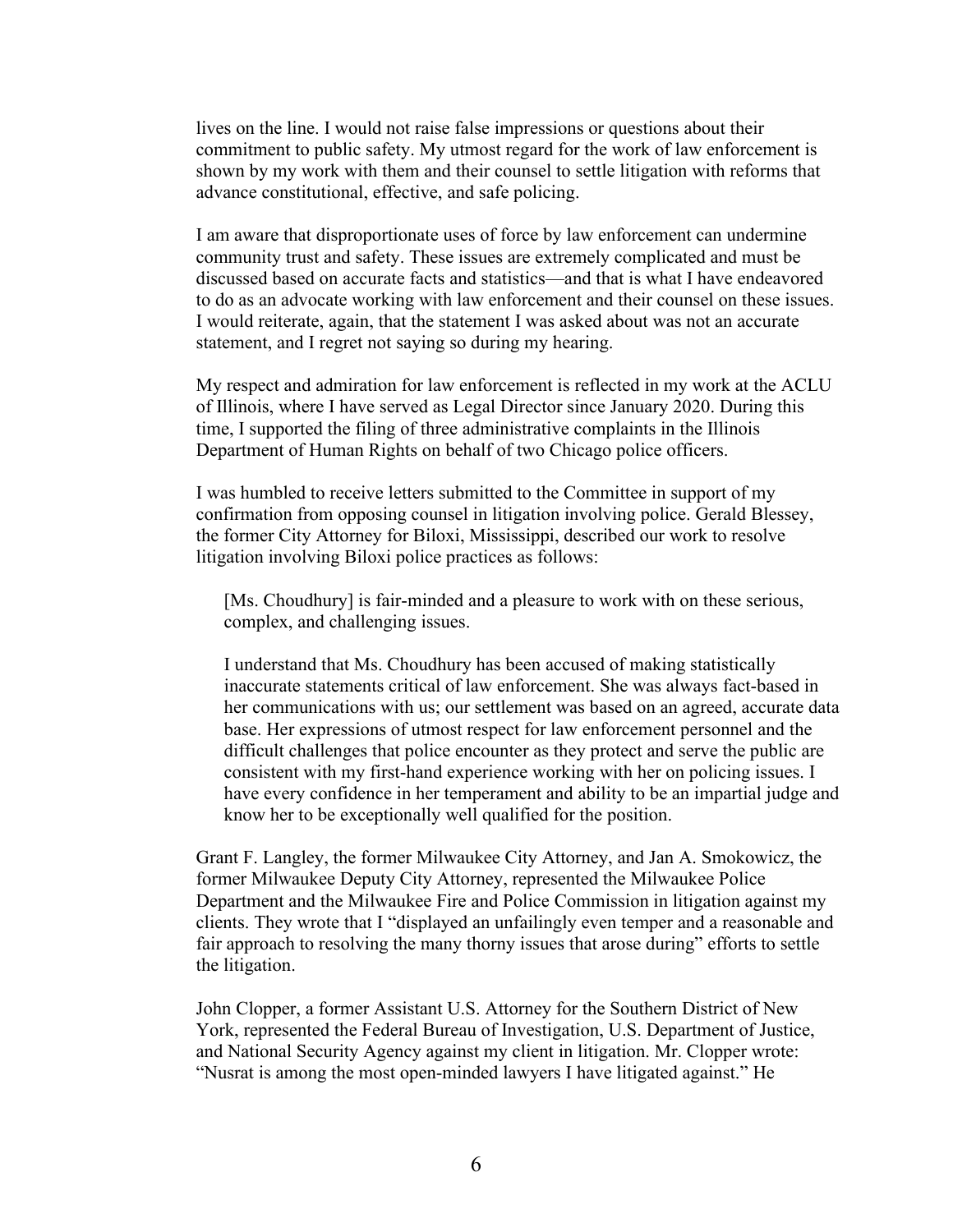lives on the line. I would not raise false impressions or questions about their commitment to public safety. My utmost regard for the work of law enforcement is shown by my work with them and their counsel to settle litigation with reforms that advance constitutional, effective, and safe policing.

I am aware that disproportionate uses of force by law enforcement can undermine community trust and safety. These issues are extremely complicated and must be discussed based on accurate facts and statistics—and that is what I have endeavored to do as an advocate working with law enforcement and their counsel on these issues. I would reiterate, again, that the statement I was asked about was not an accurate statement, and I regret not saying so during my hearing.

My respect and admiration for law enforcement is reflected in my work at the ACLU of Illinois, where I have served as Legal Director since January 2020. During this time, I supported the filing of three administrative complaints in the Illinois Department of Human Rights on behalf of two Chicago police officers.

I was humbled to receive letters submitted to the Committee in support of my confirmation from opposing counsel in litigation involving police. Gerald Blessey, the former City Attorney for Biloxi, Mississippi, described our work to resolve litigation involving Biloxi police practices as follows:

[Ms. Choudhury] is fair-minded and a pleasure to work with on these serious, complex, and challenging issues.

I understand that Ms. Choudhury has been accused of making statistically inaccurate statements critical of law enforcement. She was always fact-based in her communications with us; our settlement was based on an agreed, accurate data base. Her expressions of utmost respect for law enforcement personnel and the difficult challenges that police encounter as they protect and serve the public are consistent with my first-hand experience working with her on policing issues. I have every confidence in her temperament and ability to be an impartial judge and know her to be exceptionally well qualified for the position.

Grant F. Langley, the former Milwaukee City Attorney, and Jan A. Smokowicz, the former Milwaukee Deputy City Attorney, represented the Milwaukee Police Department and the Milwaukee Fire and Police Commission in litigation against my clients. They wrote that I "displayed an unfailingly even temper and a reasonable and fair approach to resolving the many thorny issues that arose during" efforts to settle the litigation.

John Clopper, a former Assistant U.S. Attorney for the Southern District of New York, represented the Federal Bureau of Investigation, U.S. Department of Justice, and National Security Agency against my client in litigation. Mr. Clopper wrote: "Nusrat is among the most open-minded lawyers I have litigated against." He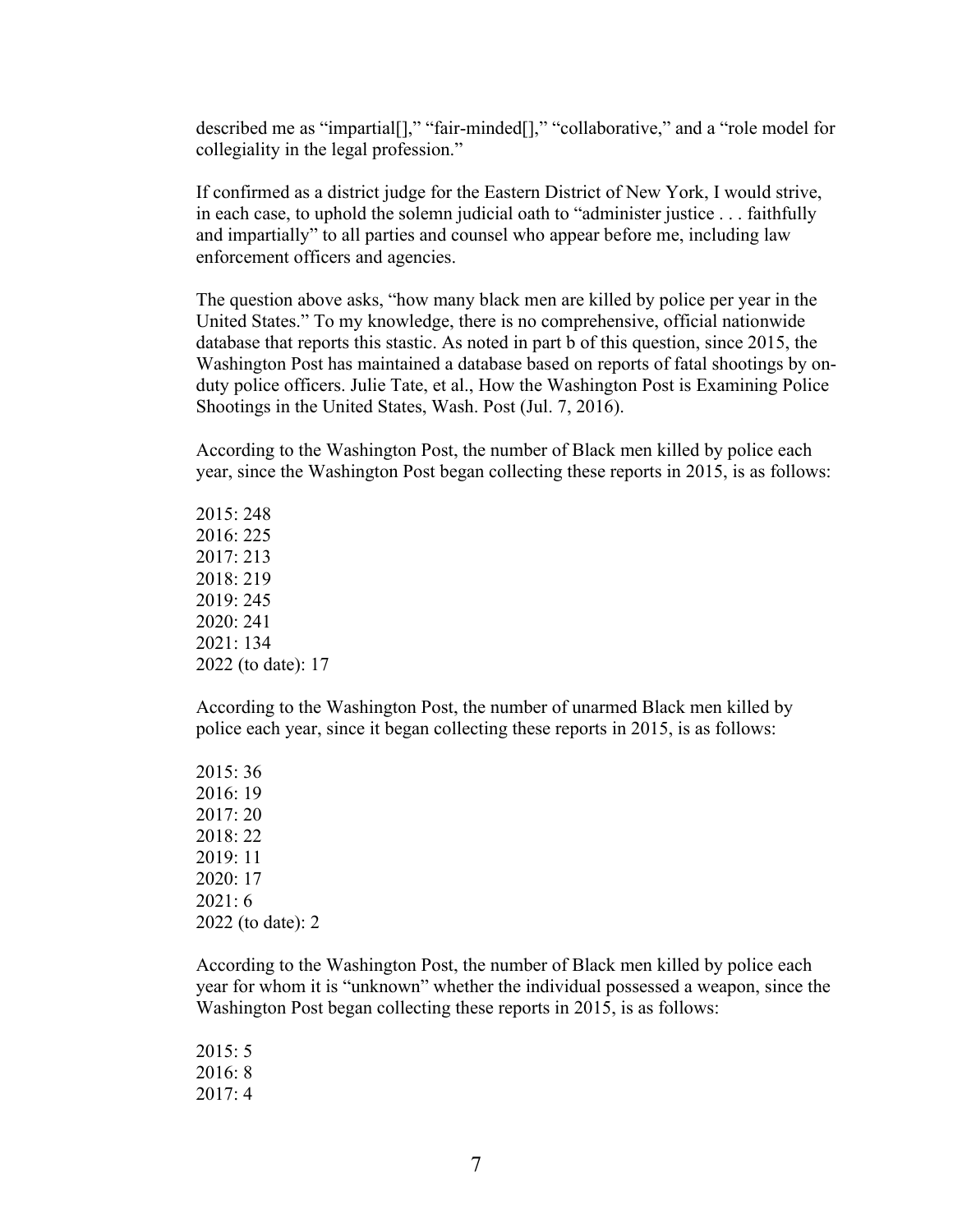described me as "impartial[]," "fair-minded[]," "collaborative," and a "role model for collegiality in the legal profession."

If confirmed as a district judge for the Eastern District of New York, I would strive, in each case, to uphold the solemn judicial oath to "administer justice . . . faithfully and impartially" to all parties and counsel who appear before me, including law enforcement officers and agencies.

The question above asks, "how many black men are killed by police per year in the United States." To my knowledge, there is no comprehensive, official nationwide database that reports this stastic. As noted in part b of this question, since 2015, the Washington Post has maintained a database based on reports of fatal shootings by onduty police officers. Julie Tate, et al., How the Washington Post is Examining Police Shootings in the United States, Wash. Post (Jul. 7, 2016).

According to the Washington Post, the number of Black men killed by police each year, since the Washington Post began collecting these reports in 2015, is as follows:

2015: 248 2016: 225 2017: 213 2018: 219 2019: 245 2020: 241 2021: 134 2022 (to date): 17

According to the Washington Post, the number of unarmed Black men killed by police each year, since it began collecting these reports in 2015, is as follows:

2015: 36 2016: 19 2017: 20 2018: 22 2019: 11 2020: 17 2021: 6 2022 (to date): 2

According to the Washington Post, the number of Black men killed by police each year for whom it is "unknown" whether the individual possessed a weapon, since the Washington Post began collecting these reports in 2015, is as follows:

2015: 5 2016: 8 2017: 4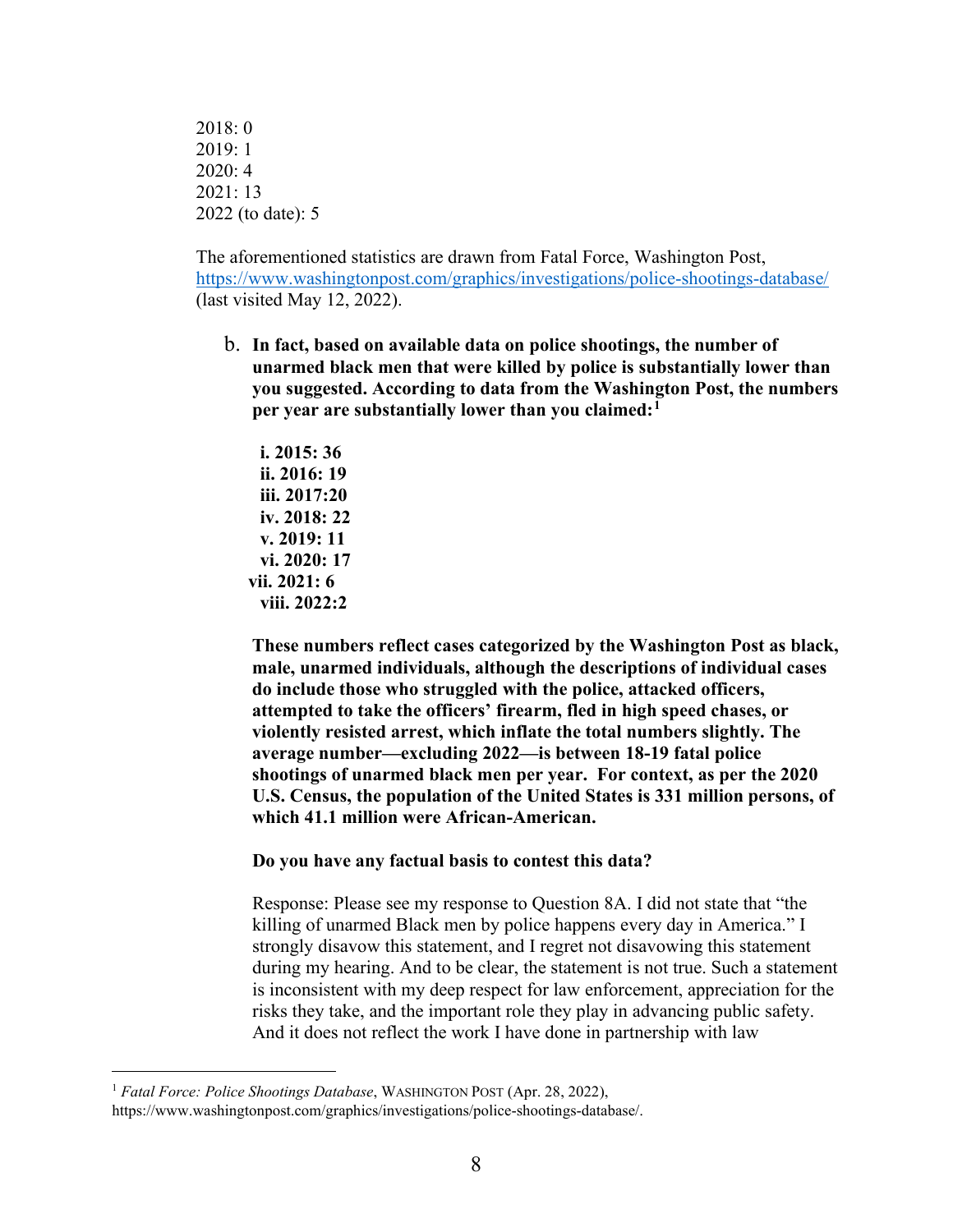2018: 0 2019: 1 2020: 4 2021: 13 2022 (to date): 5

The aforementioned statistics are drawn from Fatal Force, Washington Post, <https://www.washingtonpost.com/graphics/investigations/police-shootings-database/> (last visited May 12, 2022).

b. **In fact, based on available data on police shootings, the number of unarmed black men that were killed by police is substantially lower than you suggested. According to data from the Washington Post, the numbers per year are substantially lower than you claimed:[1](#page-51-0)**

**i. 2015: 36 ii. 2016: 19 iii. 2017:20 iv. 2018: 22 v. 2019: 11 vi. 2020: 17 vii. 2021: 6 viii. 2022:2** 

**These numbers reflect cases categorized by the Washington Post as black, male, unarmed individuals, although the descriptions of individual cases do include those who struggled with the police, attacked officers, attempted to take the officers' firearm, fled in high speed chases, or violently resisted arrest, which inflate the total numbers slightly. The average number—excluding 2022—is between 18-19 fatal police shootings of unarmed black men per year. For context, as per the 2020 U.S. Census, the population of the United States is 331 million persons, of which 41.1 million were African-American.** 

#### **Do you have any factual basis to contest this data?**

Response: Please see my response to Question 8A. I did not state that "the killing of unarmed Black men by police happens every day in America." I strongly disavow this statement, and I regret not disavowing this statement during my hearing. And to be clear, the statement is not true. Such a statement is inconsistent with my deep respect for law enforcement, appreciation for the risks they take, and the important role they play in advancing public safety. And it does not reflect the work I have done in partnership with law

<span id="page-51-0"></span><sup>1</sup> *Fatal Force: Police Shootings Database*, WASHINGTON POST (Apr. 28, 2022), https://www.washingtonpost.com/graphics/investigations/police-shootings-database/.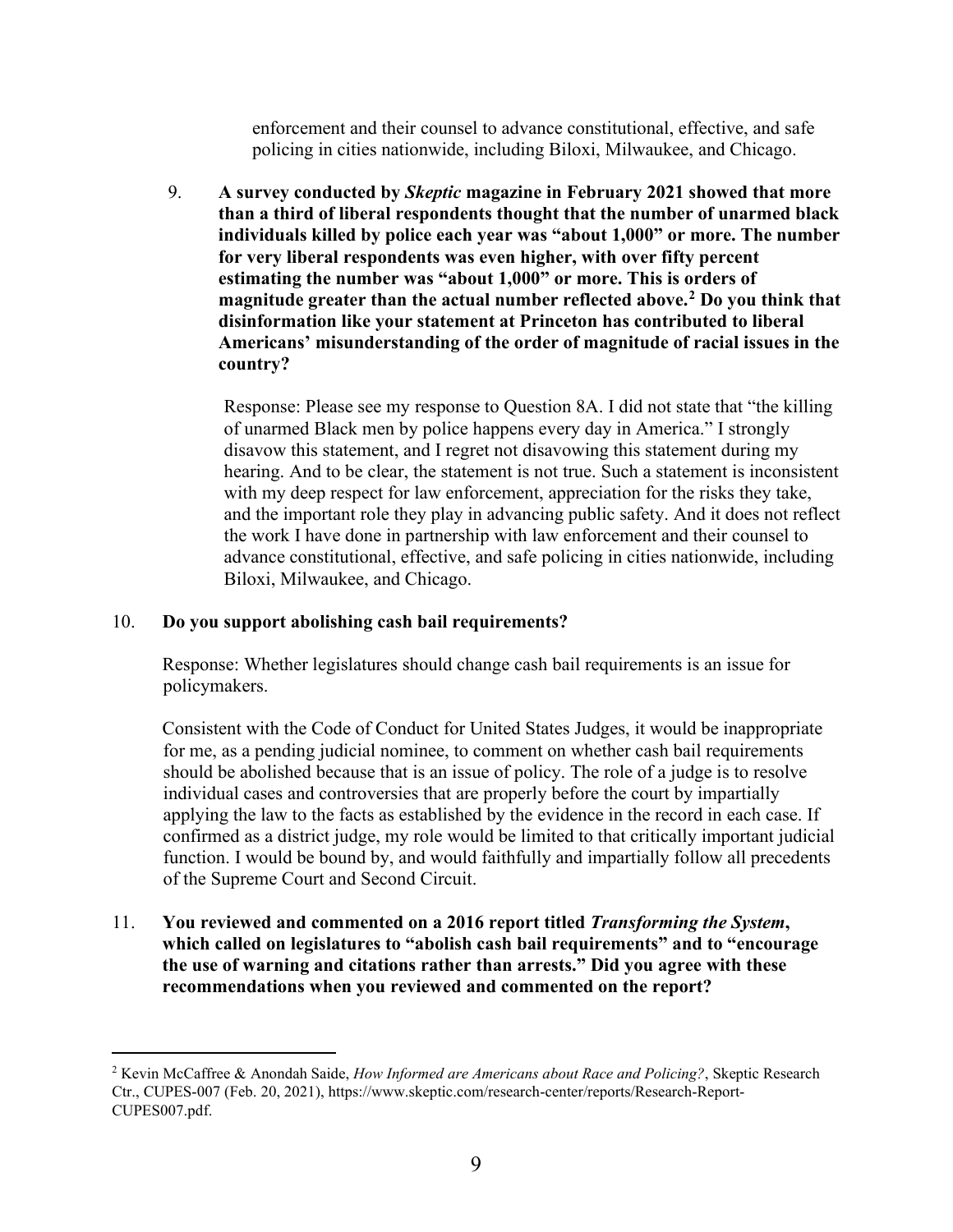enforcement and their counsel to advance constitutional, effective, and safe policing in cities nationwide, including Biloxi, Milwaukee, and Chicago.

9. **A survey conducted by** *Skeptic* **magazine in February 2021 showed that more than a third of liberal respondents thought that the number of unarmed black individuals killed by police each year was "about 1,000" or more. The number for very liberal respondents was even higher, with over fifty percent estimating the number was "about 1,000" or more. This is orders of magnitude greater than the actual number reflected above.[2](#page-52-0) Do you think that disinformation like your statement at Princeton has contributed to liberal Americans' misunderstanding of the order of magnitude of racial issues in the country?**

Response: Please see my response to Question 8A. I did not state that "the killing of unarmed Black men by police happens every day in America." I strongly disavow this statement, and I regret not disavowing this statement during my hearing. And to be clear, the statement is not true. Such a statement is inconsistent with my deep respect for law enforcement, appreciation for the risks they take, and the important role they play in advancing public safety. And it does not reflect the work I have done in partnership with law enforcement and their counsel to advance constitutional, effective, and safe policing in cities nationwide, including Biloxi, Milwaukee, and Chicago.

#### 10. **Do you support abolishing cash bail requirements?**

Response: Whether legislatures should change cash bail requirements is an issue for policymakers.

Consistent with the Code of Conduct for United States Judges, it would be inappropriate for me, as a pending judicial nominee, to comment on whether cash bail requirements should be abolished because that is an issue of policy. The role of a judge is to resolve individual cases and controversies that are properly before the court by impartially applying the law to the facts as established by the evidence in the record in each case. If confirmed as a district judge, my role would be limited to that critically important judicial function. I would be bound by, and would faithfully and impartially follow all precedents of the Supreme Court and Second Circuit.

11. **You reviewed and commented on a 2016 report titled** *Transforming the System***, which called on legislatures to "abolish cash bail requirements" and to "encourage the use of warning and citations rather than arrests." Did you agree with these recommendations when you reviewed and commented on the report?** 

<span id="page-52-0"></span><sup>2</sup> Kevin McCaffree & Anondah Saide, *How Informed are Americans about Race and Policing?*, Skeptic Research Ctr., CUPES-007 (Feb. 20, 2021), https://www.skeptic.com/research-center/reports/Research-Report-CUPES007.pdf.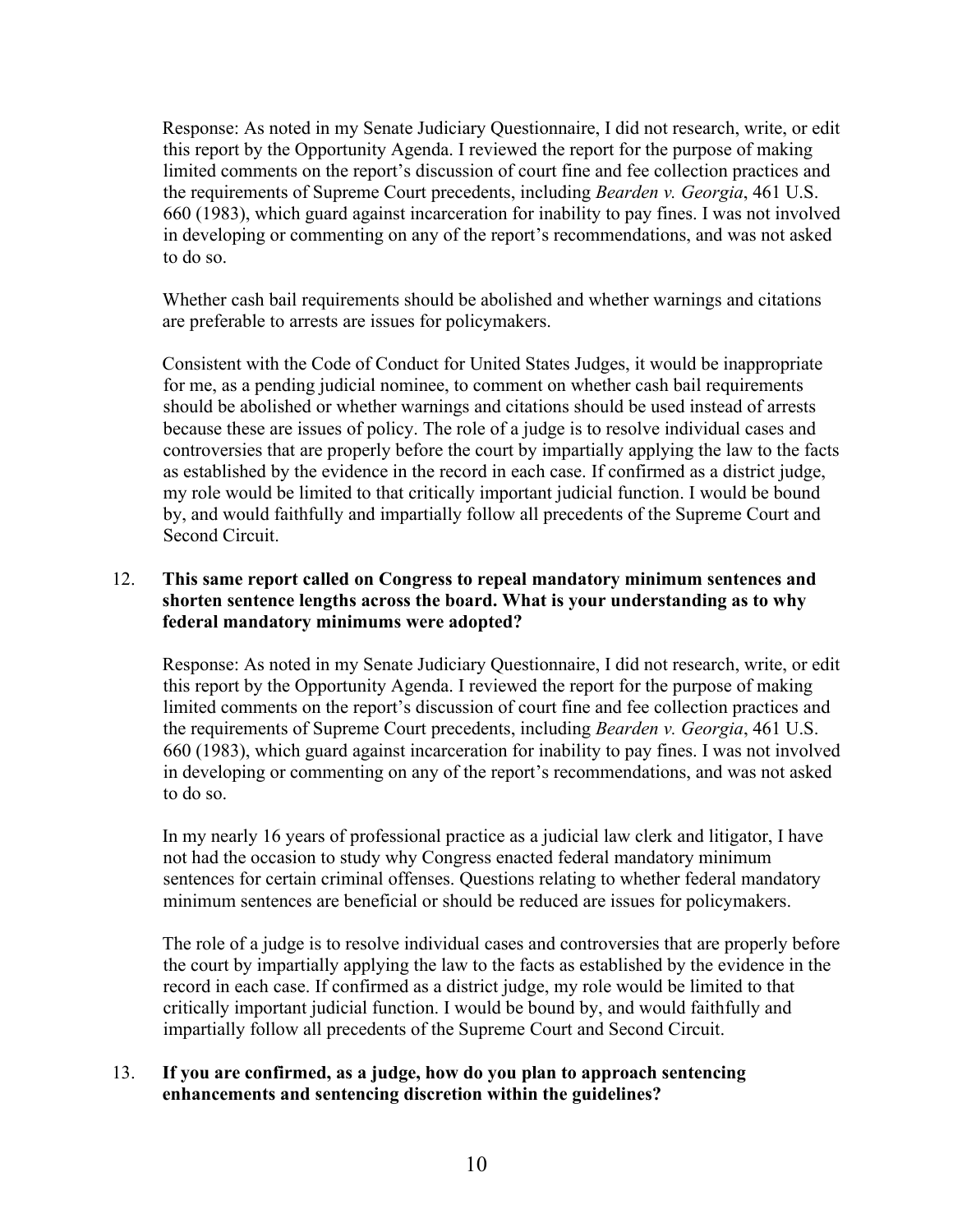Response: As noted in my Senate Judiciary Questionnaire, I did not research, write, or edit this report by the Opportunity Agenda. I reviewed the report for the purpose of making limited comments on the report's discussion of court fine and fee collection practices and the requirements of Supreme Court precedents, including *Bearden v. Georgia*, 461 U.S. 660 (1983), which guard against incarceration for inability to pay fines. I was not involved in developing or commenting on any of the report's recommendations, and was not asked to do so.

Whether cash bail requirements should be abolished and whether warnings and citations are preferable to arrests are issues for policymakers.

Consistent with the Code of Conduct for United States Judges, it would be inappropriate for me, as a pending judicial nominee, to comment on whether cash bail requirements should be abolished or whether warnings and citations should be used instead of arrests because these are issues of policy. The role of a judge is to resolve individual cases and controversies that are properly before the court by impartially applying the law to the facts as established by the evidence in the record in each case. If confirmed as a district judge, my role would be limited to that critically important judicial function. I would be bound by, and would faithfully and impartially follow all precedents of the Supreme Court and Second Circuit.

# 12. **This same report called on Congress to repeal mandatory minimum sentences and shorten sentence lengths across the board. What is your understanding as to why federal mandatory minimums were adopted?**

Response: As noted in my Senate Judiciary Questionnaire, I did not research, write, or edit this report by the Opportunity Agenda. I reviewed the report for the purpose of making limited comments on the report's discussion of court fine and fee collection practices and the requirements of Supreme Court precedents, including *Bearden v. Georgia*, 461 U.S. 660 (1983), which guard against incarceration for inability to pay fines. I was not involved in developing or commenting on any of the report's recommendations, and was not asked to do so.

In my nearly 16 years of professional practice as a judicial law clerk and litigator, I have not had the occasion to study why Congress enacted federal mandatory minimum sentences for certain criminal offenses. Questions relating to whether federal mandatory minimum sentences are beneficial or should be reduced are issues for policymakers.

The role of a judge is to resolve individual cases and controversies that are properly before the court by impartially applying the law to the facts as established by the evidence in the record in each case. If confirmed as a district judge, my role would be limited to that critically important judicial function. I would be bound by, and would faithfully and impartially follow all precedents of the Supreme Court and Second Circuit.

# 13. **If you are confirmed, as a judge, how do you plan to approach sentencing enhancements and sentencing discretion within the guidelines?**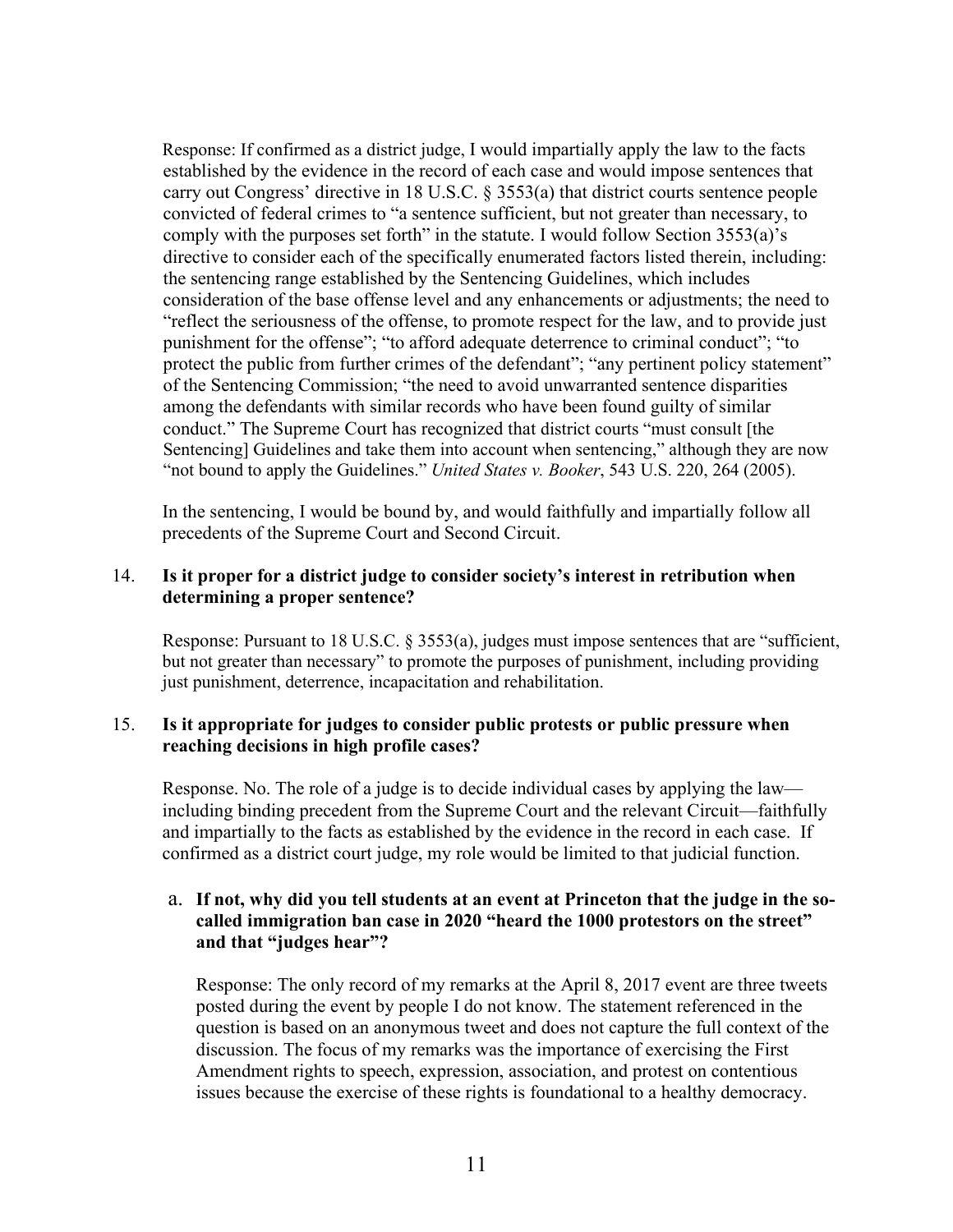Response: If confirmed as a district judge, I would impartially apply the law to the facts established by the evidence in the record of each case and would impose sentences that carry out Congress' directive in 18 U.S.C. § 3553(a) that district courts sentence people convicted of federal crimes to "a sentence sufficient, but not greater than necessary, to comply with the purposes set forth" in the statute. I would follow Section 3553(a)'s directive to consider each of the specifically enumerated factors listed therein, including: the sentencing range established by the Sentencing Guidelines, which includes consideration of the base offense level and any enhancements or adjustments; the need to "reflect the seriousness of the offense, to promote respect for the law, and to provide just punishment for the offense"; "to afford adequate deterrence to criminal conduct"; "to protect the public from further crimes of the defendant"; "any pertinent policy statement" of the Sentencing Commission; "the need to avoid unwarranted sentence disparities among the defendants with similar records who have been found guilty of similar conduct." The Supreme Court has recognized that district courts "must consult [the Sentencing] Guidelines and take them into account when sentencing," although they are now "not bound to apply the Guidelines." *United States v. Booker*, 543 U.S. 220, 264 (2005).

In the sentencing, I would be bound by, and would faithfully and impartially follow all precedents of the Supreme Court and Second Circuit.

#### 14. **Is it proper for a district judge to consider society's interest in retribution when determining a proper sentence?**

Response: Pursuant to 18 U.S.C. § 3553(a), judges must impose sentences that are "sufficient, but not greater than necessary" to promote the purposes of punishment, including providing just punishment, deterrence, incapacitation and rehabilitation.

#### 15. **Is it appropriate for judges to consider public protests or public pressure when reaching decisions in high profile cases?**

Response. No. The role of a judge is to decide individual cases by applying the law including binding precedent from the Supreme Court and the relevant Circuit—faithfully and impartially to the facts as established by the evidence in the record in each case. If confirmed as a district court judge, my role would be limited to that judicial function.

#### a. **If not, why did you tell students at an event at Princeton that the judge in the socalled immigration ban case in 2020 "heard the 1000 protestors on the street" and that "judges hear"?**

Response: The only record of my remarks at the April 8, 2017 event are three tweets posted during the event by people I do not know. The statement referenced in the question is based on an anonymous tweet and does not capture the full context of the discussion. The focus of my remarks was the importance of exercising the First Amendment rights to speech, expression, association, and protest on contentious issues because the exercise of these rights is foundational to a healthy democracy.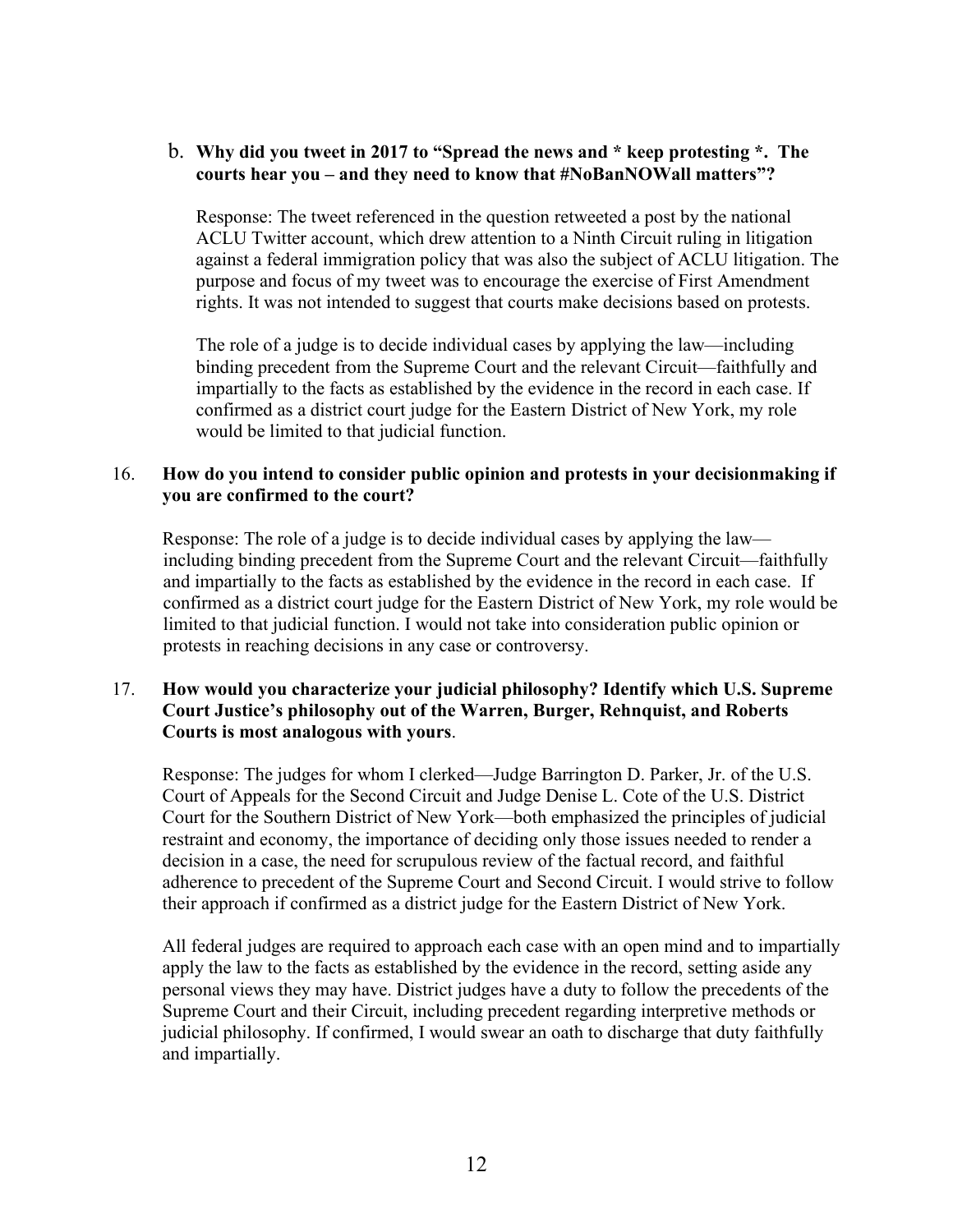### b. **Why did you tweet in 2017 to "Spread the news and \* keep protesting \*. The courts hear you – and they need to know that #NoBanNOWall matters"?**

Response: The tweet referenced in the question retweeted a post by the national ACLU Twitter account, which drew attention to a Ninth Circuit ruling in litigation against a federal immigration policy that was also the subject of ACLU litigation. The purpose and focus of my tweet was to encourage the exercise of First Amendment rights. It was not intended to suggest that courts make decisions based on protests.

The role of a judge is to decide individual cases by applying the law—including binding precedent from the Supreme Court and the relevant Circuit—faithfully and impartially to the facts as established by the evidence in the record in each case. If confirmed as a district court judge for the Eastern District of New York, my role would be limited to that judicial function.

## 16. **How do you intend to consider public opinion and protests in your decisionmaking if you are confirmed to the court?**

Response: The role of a judge is to decide individual cases by applying the law including binding precedent from the Supreme Court and the relevant Circuit—faithfully and impartially to the facts as established by the evidence in the record in each case. If confirmed as a district court judge for the Eastern District of New York, my role would be limited to that judicial function. I would not take into consideration public opinion or protests in reaching decisions in any case or controversy.

#### 17. **How would you characterize your judicial philosophy? Identify which U.S. Supreme Court Justice's philosophy out of the Warren, Burger, Rehnquist, and Roberts Courts is most analogous with yours**.

Response: The judges for whom I clerked—Judge Barrington D. Parker, Jr. of the U.S. Court of Appeals for the Second Circuit and Judge Denise L. Cote of the U.S. District Court for the Southern District of New York—both emphasized the principles of judicial restraint and economy, the importance of deciding only those issues needed to render a decision in a case, the need for scrupulous review of the factual record, and faithful adherence to precedent of the Supreme Court and Second Circuit. I would strive to follow their approach if confirmed as a district judge for the Eastern District of New York.

All federal judges are required to approach each case with an open mind and to impartially apply the law to the facts as established by the evidence in the record, setting aside any personal views they may have. District judges have a duty to follow the precedents of the Supreme Court and their Circuit, including precedent regarding interpretive methods or judicial philosophy. If confirmed, I would swear an oath to discharge that duty faithfully and impartially.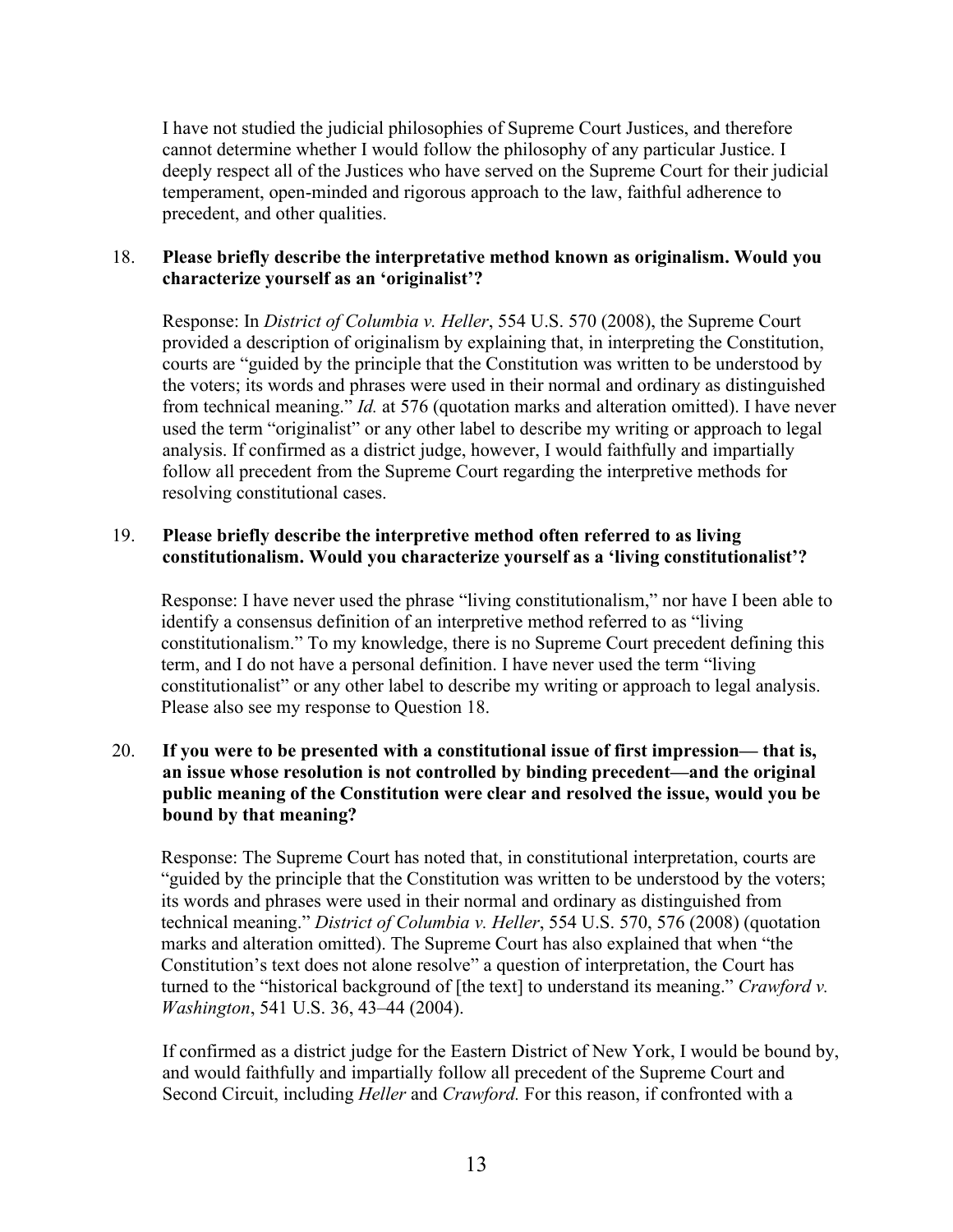I have not studied the judicial philosophies of Supreme Court Justices, and therefore cannot determine whether I would follow the philosophy of any particular Justice. I deeply respect all of the Justices who have served on the Supreme Court for their judicial temperament, open-minded and rigorous approach to the law, faithful adherence to precedent, and other qualities.

### 18. **Please briefly describe the interpretative method known as originalism. Would you characterize yourself as an 'originalist'?**

Response: In *District of Columbia v. Heller*, 554 U.S. 570 (2008), the Supreme Court provided a description of originalism by explaining that, in interpreting the Constitution, courts are "guided by the principle that the Constitution was written to be understood by the voters; its words and phrases were used in their normal and ordinary as distinguished from technical meaning." *Id.* at 576 (quotation marks and alteration omitted). I have never used the term "originalist" or any other label to describe my writing or approach to legal analysis. If confirmed as a district judge, however, I would faithfully and impartially follow all precedent from the Supreme Court regarding the interpretive methods for resolving constitutional cases.

### 19. **Please briefly describe the interpretive method often referred to as living constitutionalism. Would you characterize yourself as a 'living constitutionalist'?**

Response: I have never used the phrase "living constitutionalism," nor have I been able to identify a consensus definition of an interpretive method referred to as "living constitutionalism." To my knowledge, there is no Supreme Court precedent defining this term, and I do not have a personal definition. I have never used the term "living constitutionalist" or any other label to describe my writing or approach to legal analysis. Please also see my response to Question 18.

## 20. **If you were to be presented with a constitutional issue of first impression— that is, an issue whose resolution is not controlled by binding precedent—and the original public meaning of the Constitution were clear and resolved the issue, would you be bound by that meaning?**

Response: The Supreme Court has noted that, in constitutional interpretation, courts are "guided by the principle that the Constitution was written to be understood by the voters; its words and phrases were used in their normal and ordinary as distinguished from technical meaning." *District of Columbia v. Heller*, 554 U.S. 570, 576 (2008) (quotation marks and alteration omitted). The Supreme Court has also explained that when "the Constitution's text does not alone resolve" a question of interpretation, the Court has turned to the "historical background of [the text] to understand its meaning." *Crawford v. Washington*, 541 U.S. 36, 43–44 (2004).

If confirmed as a district judge for the Eastern District of New York, I would be bound by, and would faithfully and impartially follow all precedent of the Supreme Court and Second Circuit, including *Heller* and *Crawford.* For this reason, if confronted with a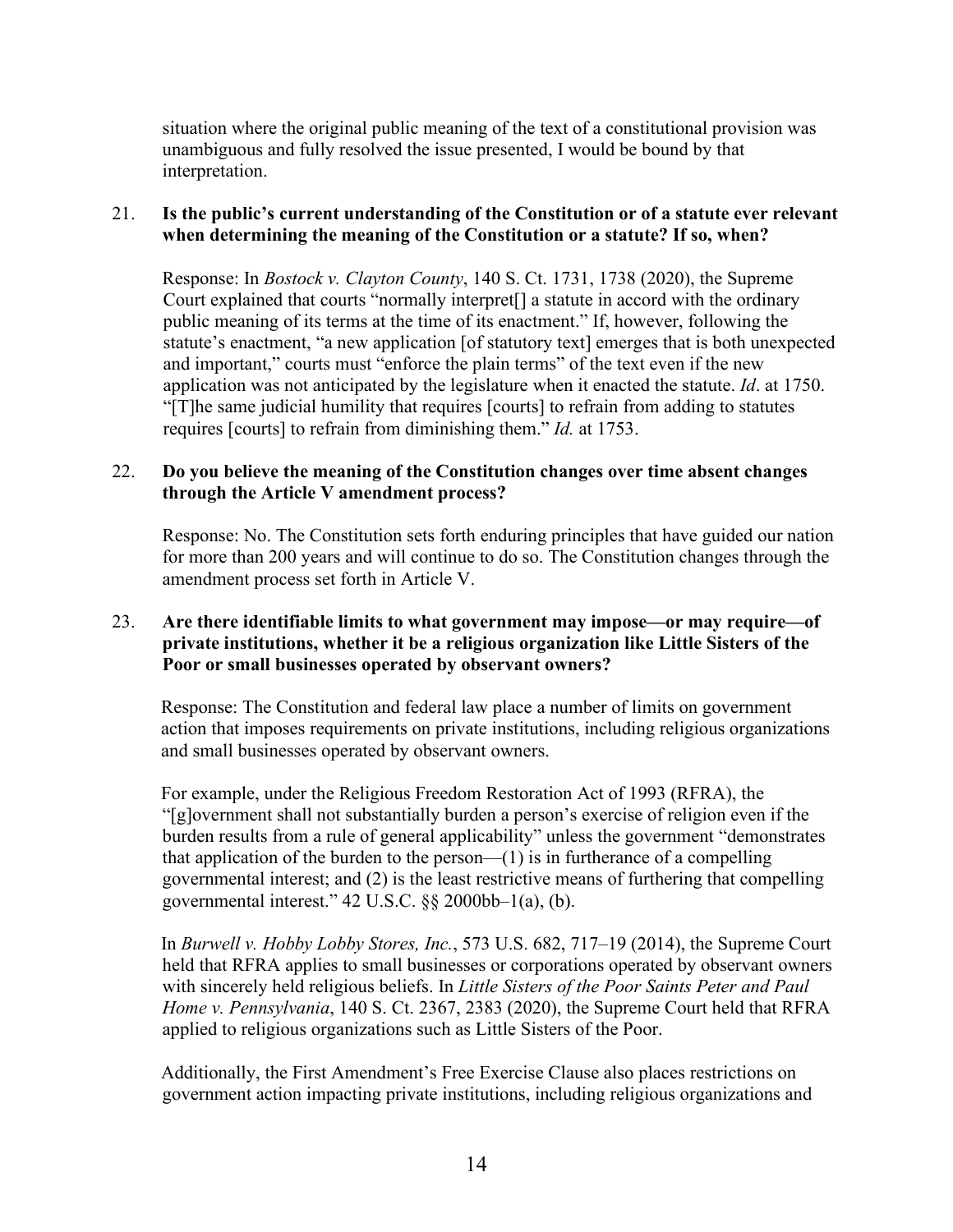situation where the original public meaning of the text of a constitutional provision was unambiguous and fully resolved the issue presented, I would be bound by that interpretation.

## 21. **Is the public's current understanding of the Constitution or of a statute ever relevant when determining the meaning of the Constitution or a statute? If so, when?**

Response: In *Bostock v. Clayton County*, 140 S. Ct. 1731, 1738 (2020), the Supreme Court explained that courts "normally interpret[] a statute in accord with the ordinary public meaning of its terms at the time of its enactment." If, however, following the statute's enactment, "a new application [of statutory text] emerges that is both unexpected and important," courts must "enforce the plain terms" of the text even if the new application was not anticipated by the legislature when it enacted the statute. *Id*. at 1750. "[T]he same judicial humility that requires [courts] to refrain from adding to statutes requires [courts] to refrain from diminishing them." *Id.* at 1753.

### 22. **Do you believe the meaning of the Constitution changes over time absent changes through the Article V amendment process?**

Response: No. The Constitution sets forth enduring principles that have guided our nation for more than 200 years and will continue to do so. The Constitution changes through the amendment process set forth in Article V.

#### 23. **Are there identifiable limits to what government may impose—or may require—of private institutions, whether it be a religious organization like Little Sisters of the Poor or small businesses operated by observant owners?**

Response: The Constitution and federal law place a number of limits on government action that imposes requirements on private institutions, including religious organizations and small businesses operated by observant owners.

For example, under the Religious Freedom Restoration Act of 1993 (RFRA), the "[g]overnment shall not substantially burden a person's exercise of religion even if the burden results from a rule of general applicability" unless the government "demonstrates that application of the burden to the person— $(1)$  is in furtherance of a compelling governmental interest; and (2) is the least restrictive means of furthering that compelling governmental interest."  $42 \text{ U.S.C. }$   $\S\S$   $2000 \text{ bb} - 1$  $(a), (b).$ 

In *Burwell v. Hobby Lobby Stores, Inc.*, 573 U.S. 682, 717–19 (2014), the Supreme Court held that RFRA applies to small businesses or corporations operated by observant owners with sincerely held religious beliefs. In *Little Sisters of the Poor Saints Peter and Paul Home v. Pennsylvania*, 140 S. Ct. 2367, 2383 (2020), the Supreme Court held that RFRA applied to religious organizations such as Little Sisters of the Poor.

Additionally, the First Amendment's Free Exercise Clause also places restrictions on government action impacting private institutions, including religious organizations and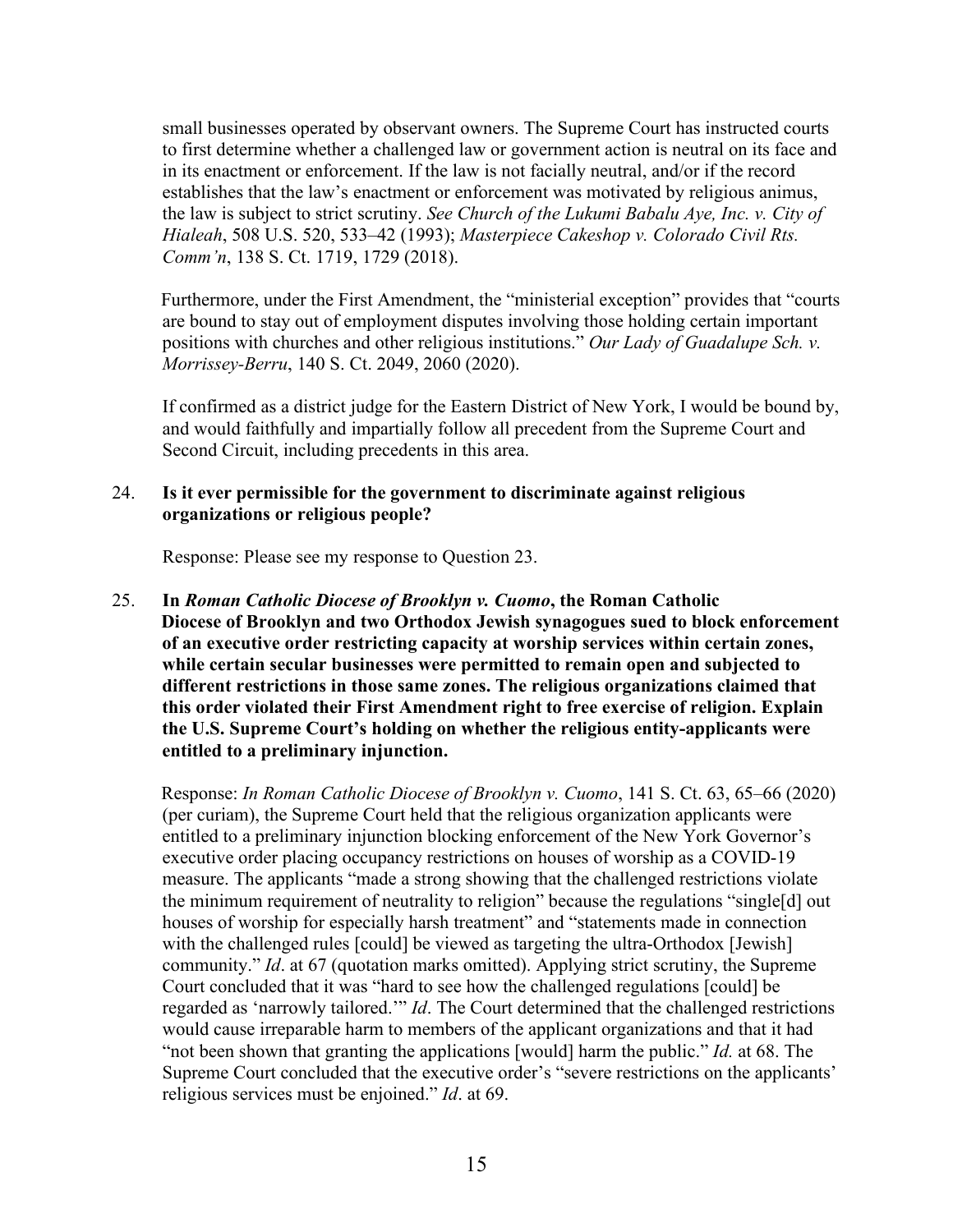small businesses operated by observant owners. The Supreme Court has instructed courts to first determine whether a challenged law or government action is neutral on its face and in its enactment or enforcement. If the law is not facially neutral, and/or if the record establishes that the law's enactment or enforcement was motivated by religious animus, the law is subject to strict scrutiny. *See Church of the Lukumi Babalu Aye, Inc. v. City of Hialeah*, 508 U.S. 520, 533–42 (1993); *Masterpiece Cakeshop v. Colorado Civil Rts. Comm'n*, 138 S. Ct. 1719, 1729 (2018).

Furthermore, under the First Amendment, the "ministerial exception" provides that "courts are bound to stay out of employment disputes involving those holding certain important positions with churches and other religious institutions." *Our Lady of Guadalupe Sch. v. Morrissey-Berru*, 140 S. Ct. 2049, 2060 (2020).

If confirmed as a district judge for the Eastern District of New York, I would be bound by, and would faithfully and impartially follow all precedent from the Supreme Court and Second Circuit, including precedents in this area.

#### 24. **Is it ever permissible for the government to discriminate against religious organizations or religious people?**

Response: Please see my response to Question 23.

25. **In** *Roman Catholic Diocese of Brooklyn v. Cuomo***, the Roman Catholic Diocese of Brooklyn and two Orthodox Jewish synagogues sued to block enforcement of an executive order restricting capacity at worship services within certain zones, while certain secular businesses were permitted to remain open and subjected to different restrictions in those same zones. The religious organizations claimed that this order violated their First Amendment right to free exercise of religion. Explain the U.S. Supreme Court's holding on whether the religious entity-applicants were entitled to a preliminary injunction.**

Response: *In Roman Catholic Diocese of Brooklyn v. Cuomo*, 141 S. Ct. 63, 65–66 (2020) (per curiam), the Supreme Court held that the religious organization applicants were entitled to a preliminary injunction blocking enforcement of the New York Governor's executive order placing occupancy restrictions on houses of worship as a COVID-19 measure. The applicants "made a strong showing that the challenged restrictions violate the minimum requirement of neutrality to religion" because the regulations "single[d] out houses of worship for especially harsh treatment" and "statements made in connection with the challenged rules [could] be viewed as targeting the ultra-Orthodox [Jewish] community." *Id*. at 67 (quotation marks omitted). Applying strict scrutiny, the Supreme Court concluded that it was "hard to see how the challenged regulations [could] be regarded as 'narrowly tailored.'" *Id*. The Court determined that the challenged restrictions would cause irreparable harm to members of the applicant organizations and that it had "not been shown that granting the applications [would] harm the public." *Id.* at 68. The Supreme Court concluded that the executive order's "severe restrictions on the applicants' religious services must be enjoined." *Id*. at 69.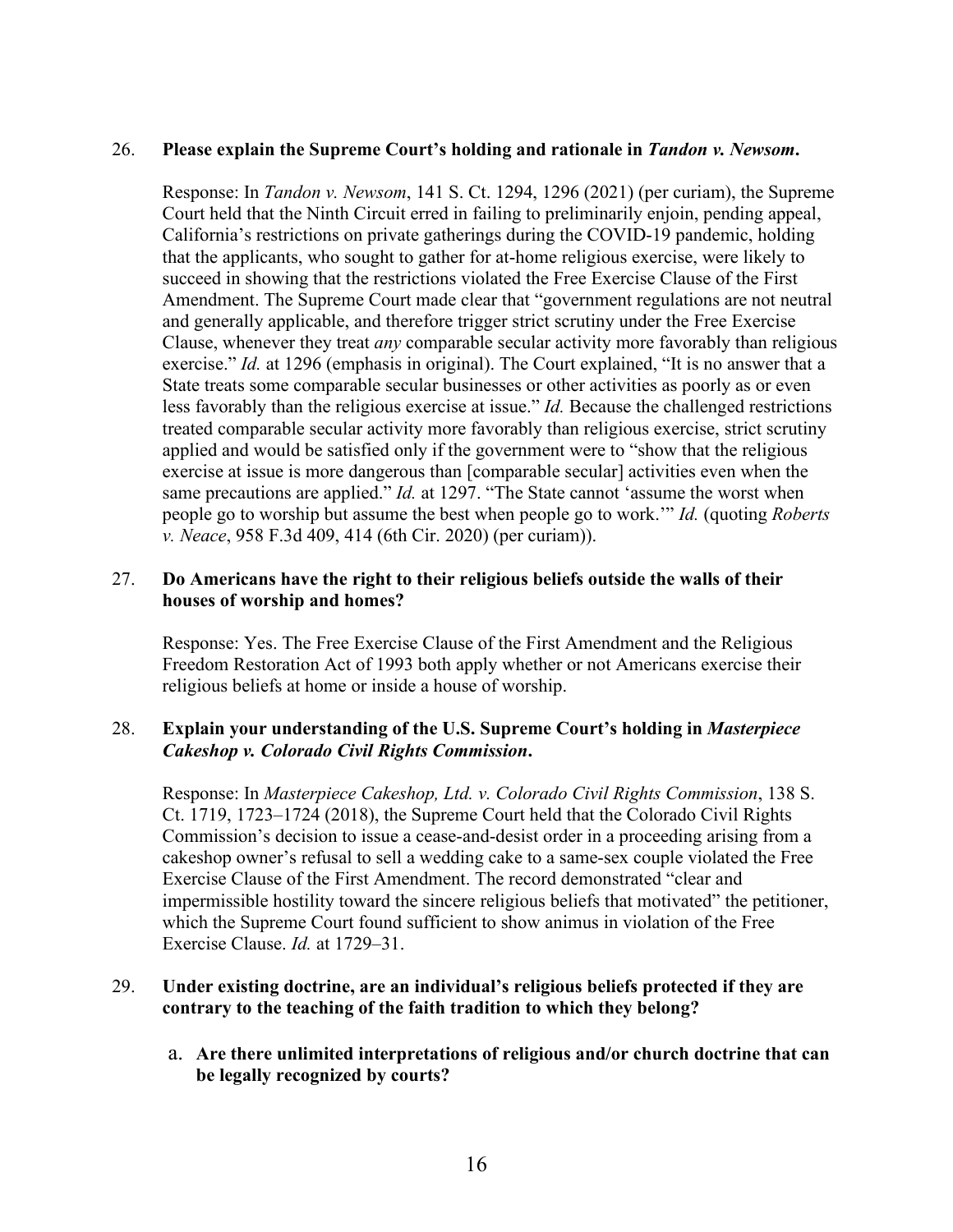#### 26. **Please explain the Supreme Court's holding and rationale in** *Tandon v. Newsom***.**

Response: In *Tandon v. Newsom*, 141 S. Ct. 1294, 1296 (2021) (per curiam), the Supreme Court held that the Ninth Circuit erred in failing to preliminarily enjoin, pending appeal, California's restrictions on private gatherings during the COVID-19 pandemic, holding that the applicants, who sought to gather for at-home religious exercise, were likely to succeed in showing that the restrictions violated the Free Exercise Clause of the First Amendment. The Supreme Court made clear that "government regulations are not neutral and generally applicable, and therefore trigger strict scrutiny under the Free Exercise Clause, whenever they treat *any* comparable secular activity more favorably than religious exercise." *Id.* at 1296 (emphasis in original). The Court explained, "It is no answer that a State treats some comparable secular businesses or other activities as poorly as or even less favorably than the religious exercise at issue." *Id.* Because the challenged restrictions treated comparable secular activity more favorably than religious exercise, strict scrutiny applied and would be satisfied only if the government were to "show that the religious exercise at issue is more dangerous than [comparable secular] activities even when the same precautions are applied." *Id.* at 1297. "The State cannot 'assume the worst when people go to worship but assume the best when people go to work.'" *Id.* (quoting *Roberts v. Neace*, 958 F.3d 409, 414 (6th Cir. 2020) (per curiam)).

### 27. **Do Americans have the right to their religious beliefs outside the walls of their houses of worship and homes?**

Response: Yes. The Free Exercise Clause of the First Amendment and the Religious Freedom Restoration Act of 1993 both apply whether or not Americans exercise their religious beliefs at home or inside a house of worship.

### 28. **Explain your understanding of the U.S. Supreme Court's holding in** *Masterpiece Cakeshop v. Colorado Civil Rights Commission***.**

Response: In *Masterpiece Cakeshop, Ltd. v. Colorado Civil Rights Commission*, 138 S. Ct. 1719, 1723–1724 (2018), the Supreme Court held that the Colorado Civil Rights Commission's decision to issue a cease-and-desist order in a proceeding arising from a cakeshop owner's refusal to sell a wedding cake to a same-sex couple violated the Free Exercise Clause of the First Amendment. The record demonstrated "clear and impermissible hostility toward the sincere religious beliefs that motivated" the petitioner, which the Supreme Court found sufficient to show animus in violation of the Free Exercise Clause. *Id.* at 1729–31.

### 29. **Under existing doctrine, are an individual's religious beliefs protected if they are contrary to the teaching of the faith tradition to which they belong?**

a. **Are there unlimited interpretations of religious and/or church doctrine that can be legally recognized by courts?**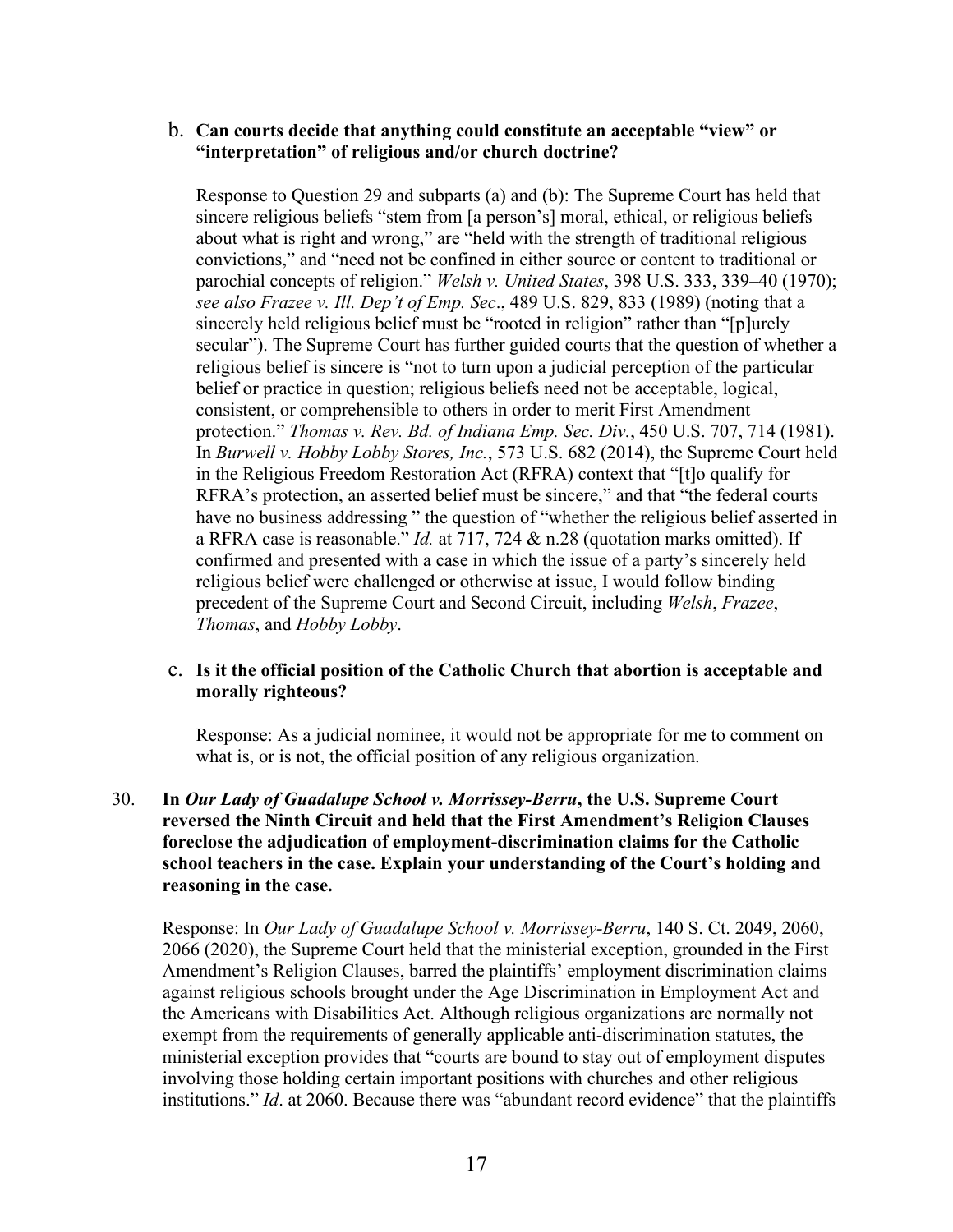### b. **Can courts decide that anything could constitute an acceptable "view" or "interpretation" of religious and/or church doctrine?**

Response to Question 29 and subparts (a) and (b): The Supreme Court has held that sincere religious beliefs "stem from [a person's] moral, ethical, or religious beliefs about what is right and wrong," are "held with the strength of traditional religious convictions," and "need not be confined in either source or content to traditional or parochial concepts of religion." *Welsh v. United States*, 398 U.S. 333, 339–40 (1970); *see also Frazee v. Ill. Dep't of Emp. Sec*., 489 U.S. 829, 833 (1989) (noting that a sincerely held religious belief must be "rooted in religion" rather than "[p]urely secular"). The Supreme Court has further guided courts that the question of whether a religious belief is sincere is "not to turn upon a judicial perception of the particular belief or practice in question; religious beliefs need not be acceptable, logical, consistent, or comprehensible to others in order to merit First Amendment protection." *Thomas v. Rev. Bd. of Indiana Emp. Sec. Div.*, 450 U.S. 707, 714 (1981). In *Burwell v. Hobby Lobby Stores, Inc.*, 573 U.S. 682 (2014), the Supreme Court held in the Religious Freedom Restoration Act (RFRA) context that "[t]o qualify for RFRA's protection, an asserted belief must be sincere," and that "the federal courts have no business addressing " the question of "whether the religious belief asserted in a RFRA case is reasonable." *Id.* at 717, 724 & n.28 (quotation marks omitted). If confirmed and presented with a case in which the issue of a party's sincerely held religious belief were challenged or otherwise at issue, I would follow binding precedent of the Supreme Court and Second Circuit, including *Welsh*, *Frazee*, *Thomas*, and *Hobby Lobby*.

### c. **Is it the official position of the Catholic Church that abortion is acceptable and morally righteous?**

Response: As a judicial nominee, it would not be appropriate for me to comment on what is, or is not, the official position of any religious organization.

## 30. **In** *Our Lady of Guadalupe School v. Morrissey-Berru***, the U.S. Supreme Court reversed the Ninth Circuit and held that the First Amendment's Religion Clauses foreclose the adjudication of employment-discrimination claims for the Catholic school teachers in the case. Explain your understanding of the Court's holding and reasoning in the case.**

Response: In *Our Lady of Guadalupe School v. Morrissey-Berru*, 140 S. Ct. 2049, 2060, 2066 (2020), the Supreme Court held that the ministerial exception, grounded in the First Amendment's Religion Clauses, barred the plaintiffs' employment discrimination claims against religious schools brought under the Age Discrimination in Employment Act and the Americans with Disabilities Act. Although religious organizations are normally not exempt from the requirements of generally applicable anti-discrimination statutes, the ministerial exception provides that "courts are bound to stay out of employment disputes involving those holding certain important positions with churches and other religious institutions." *Id*. at 2060. Because there was "abundant record evidence" that the plaintiffs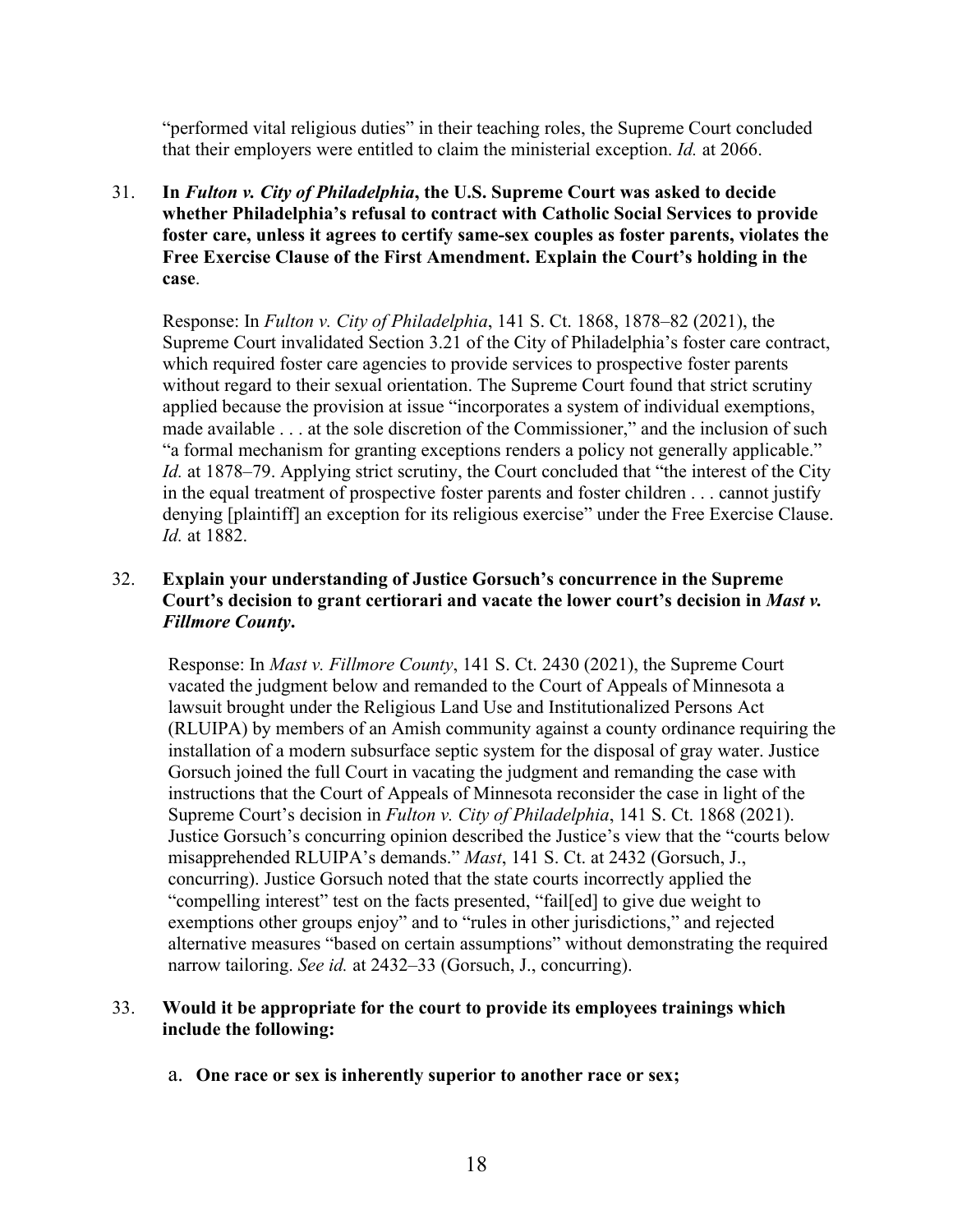"performed vital religious duties" in their teaching roles, the Supreme Court concluded that their employers were entitled to claim the ministerial exception. *Id.* at 2066.

31. **In** *Fulton v. City of Philadelphia***, the U.S. Supreme Court was asked to decide whether Philadelphia's refusal to contract with Catholic Social Services to provide foster care, unless it agrees to certify same-sex couples as foster parents, violates the Free Exercise Clause of the First Amendment. Explain the Court's holding in the case**.

Response: In *Fulton v. City of Philadelphia*, 141 S. Ct. 1868, 1878–82 (2021), the Supreme Court invalidated Section 3.21 of the City of Philadelphia's foster care contract, which required foster care agencies to provide services to prospective foster parents without regard to their sexual orientation. The Supreme Court found that strict scrutiny applied because the provision at issue "incorporates a system of individual exemptions, made available . . . at the sole discretion of the Commissioner," and the inclusion of such "a formal mechanism for granting exceptions renders a policy not generally applicable." *Id.* at 1878–79. Applying strict scrutiny, the Court concluded that "the interest of the City in the equal treatment of prospective foster parents and foster children . . . cannot justify denying [plaintiff] an exception for its religious exercise" under the Free Exercise Clause. *Id.* at 1882.

### 32. **Explain your understanding of Justice Gorsuch's concurrence in the Supreme Court's decision to grant certiorari and vacate the lower court's decision in** *Mast v. Fillmore County***.**

Response: In *Mast v. Fillmore County*, 141 S. Ct. 2430 (2021), the Supreme Court vacated the judgment below and remanded to the Court of Appeals of Minnesota a lawsuit brought under the Religious Land Use and Institutionalized Persons Act (RLUIPA) by members of an Amish community against a county ordinance requiring the installation of a modern subsurface septic system for the disposal of gray water. Justice Gorsuch joined the full Court in vacating the judgment and remanding the case with instructions that the Court of Appeals of Minnesota reconsider the case in light of the Supreme Court's decision in *Fulton v. City of Philadelphia*, 141 S. Ct. 1868 (2021). Justice Gorsuch's concurring opinion described the Justice's view that the "courts below misapprehended RLUIPA's demands." *Mast*, 141 S. Ct. at 2432 (Gorsuch, J., concurring). Justice Gorsuch noted that the state courts incorrectly applied the "compelling interest" test on the facts presented, "fail[ed] to give due weight to exemptions other groups enjoy" and to "rules in other jurisdictions," and rejected alternative measures "based on certain assumptions" without demonstrating the required narrow tailoring. *See id.* at 2432–33 (Gorsuch, J., concurring).

#### 33. **Would it be appropriate for the court to provide its employees trainings which include the following:**

a. **One race or sex is inherently superior to another race or sex;**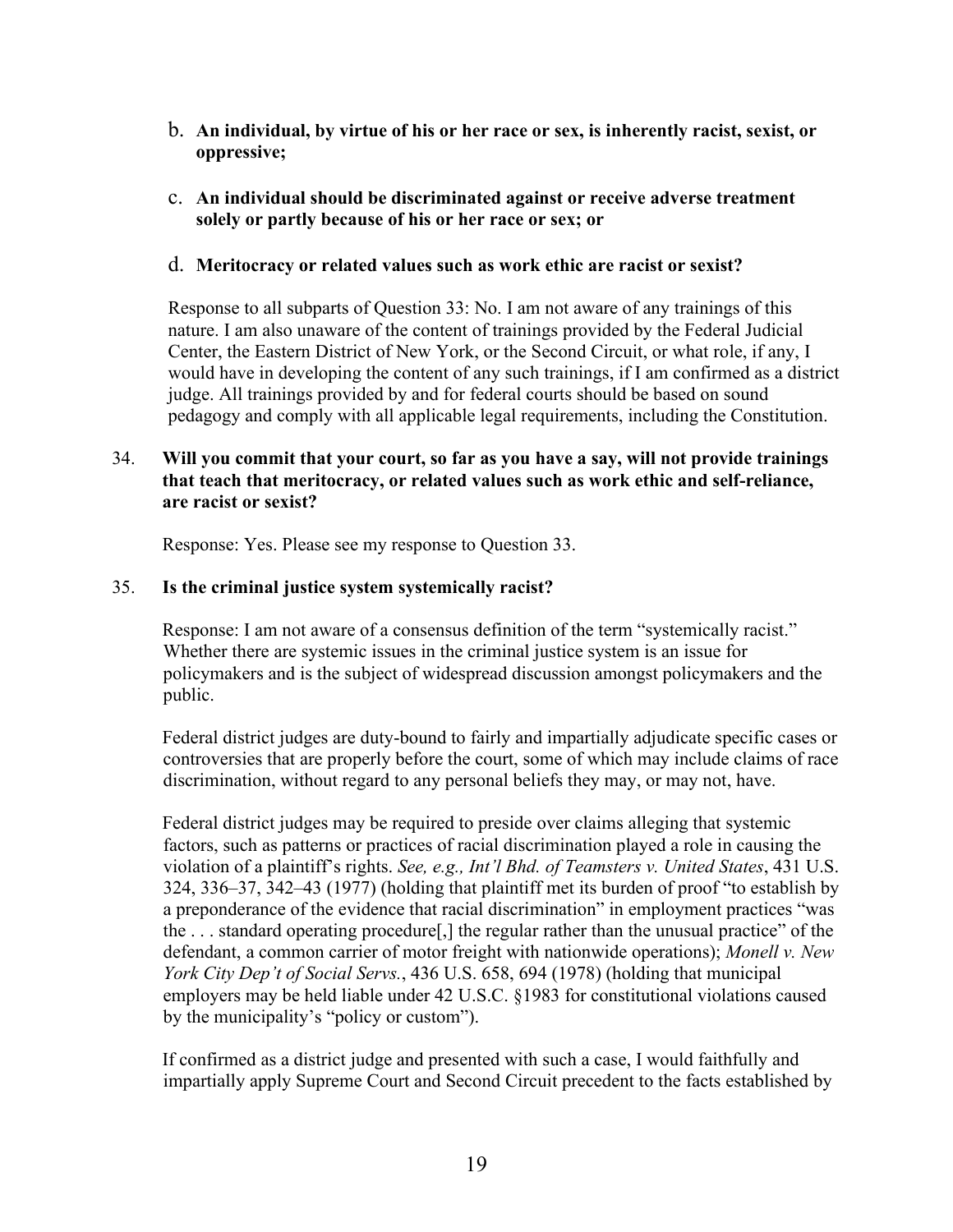- b. **An individual, by virtue of his or her race or sex, is inherently racist, sexist, or oppressive;**
- c. **An individual should be discriminated against or receive adverse treatment solely or partly because of his or her race or sex; or**

#### d. **Meritocracy or related values such as work ethic are racist or sexist?**

Response to all subparts of Question 33: No. I am not aware of any trainings of this nature. I am also unaware of the content of trainings provided by the Federal Judicial Center, the Eastern District of New York, or the Second Circuit, or what role, if any, I would have in developing the content of any such trainings, if I am confirmed as a district judge. All trainings provided by and for federal courts should be based on sound pedagogy and comply with all applicable legal requirements, including the Constitution.

## 34. **Will you commit that your court, so far as you have a say, will not provide trainings that teach that meritocracy, or related values such as work ethic and self-reliance, are racist or sexist?**

Response: Yes. Please see my response to Question 33.

#### 35. **Is the criminal justice system systemically racist?**

Response: I am not aware of a consensus definition of the term "systemically racist." Whether there are systemic issues in the criminal justice system is an issue for policymakers and is the subject of widespread discussion amongst policymakers and the public.

Federal district judges are duty-bound to fairly and impartially adjudicate specific cases or controversies that are properly before the court, some of which may include claims of race discrimination, without regard to any personal beliefs they may, or may not, have.

Federal district judges may be required to preside over claims alleging that systemic factors, such as patterns or practices of racial discrimination played a role in causing the violation of a plaintiff's rights. *See, e.g., Int'l Bhd. of Teamsters v. United States*, 431 U.S. 324, 336–37, 342–43 (1977) (holding that plaintiff met its burden of proof "to establish by a preponderance of the evidence that racial discrimination" in employment practices "was the . . . standard operating procedure[,] the regular rather than the unusual practice" of the defendant, a common carrier of motor freight with nationwide operations); *Monell v. New York City Dep't of Social Servs.*, 436 U.S. 658, 694 (1978) (holding that municipal employers may be held liable under 42 U.S.C. §1983 for constitutional violations caused by the municipality's "policy or custom").

If confirmed as a district judge and presented with such a case, I would faithfully and impartially apply Supreme Court and Second Circuit precedent to the facts established by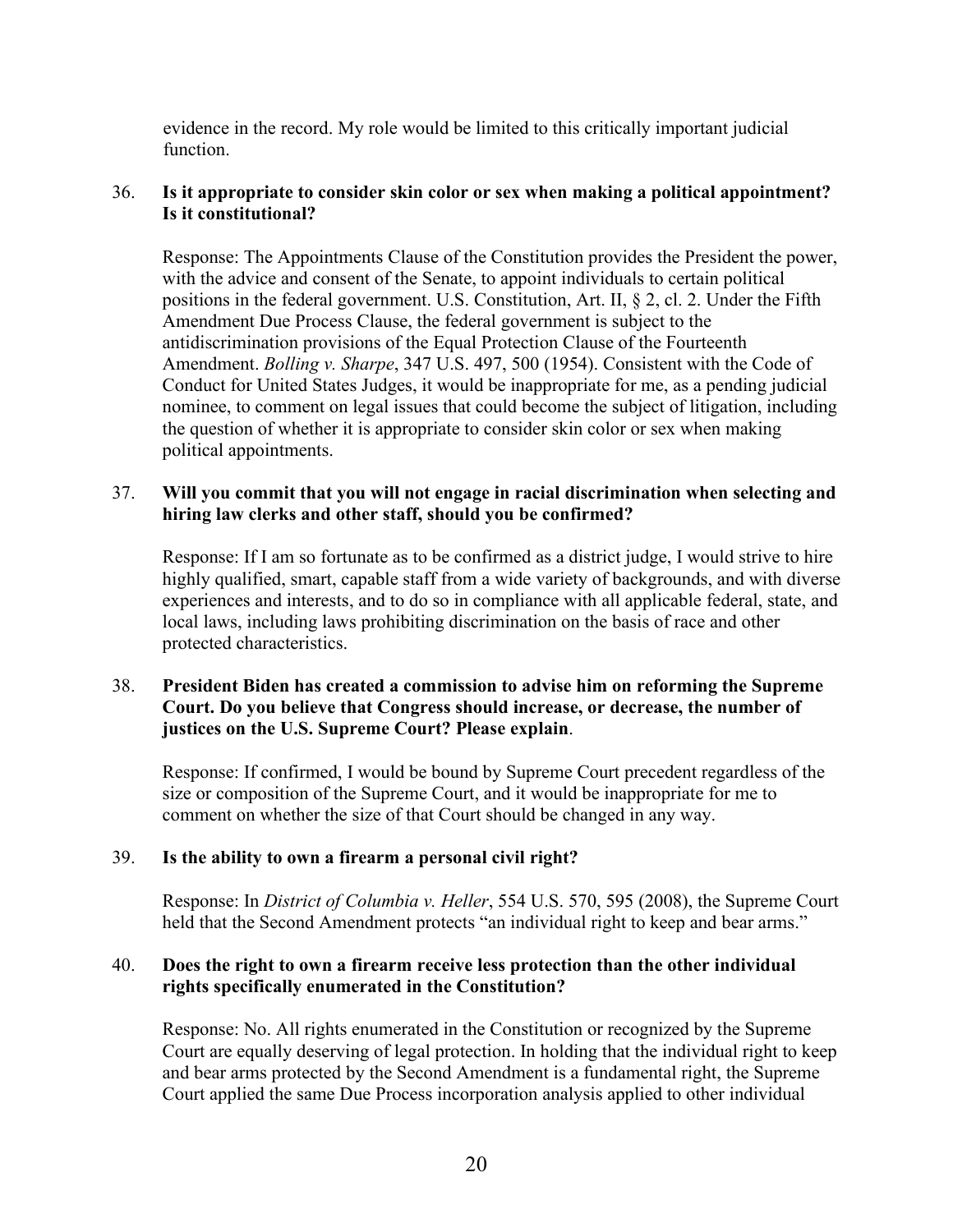evidence in the record. My role would be limited to this critically important judicial function.

## 36. **Is it appropriate to consider skin color or sex when making a political appointment? Is it constitutional?**

Response: The Appointments Clause of the Constitution provides the President the power, with the advice and consent of the Senate, to appoint individuals to certain political positions in the federal government. U.S. Constitution, Art. II, § 2, cl. 2. Under the Fifth Amendment Due Process Clause, the federal government is subject to the antidiscrimination provisions of the Equal Protection Clause of the Fourteenth Amendment. *Bolling v. Sharpe*, 347 U.S. 497, 500 (1954). Consistent with the Code of Conduct for United States Judges, it would be inappropriate for me, as a pending judicial nominee, to comment on legal issues that could become the subject of litigation, including the question of whether it is appropriate to consider skin color or sex when making political appointments.

#### 37. **Will you commit that you will not engage in racial discrimination when selecting and hiring law clerks and other staff, should you be confirmed?**

Response: If I am so fortunate as to be confirmed as a district judge, I would strive to hire highly qualified, smart, capable staff from a wide variety of backgrounds, and with diverse experiences and interests, and to do so in compliance with all applicable federal, state, and local laws, including laws prohibiting discrimination on the basis of race and other protected characteristics.

### 38. **President Biden has created a commission to advise him on reforming the Supreme Court. Do you believe that Congress should increase, or decrease, the number of justices on the U.S. Supreme Court? Please explain**.

Response: If confirmed, I would be bound by Supreme Court precedent regardless of the size or composition of the Supreme Court, and it would be inappropriate for me to comment on whether the size of that Court should be changed in any way.

#### 39. **Is the ability to own a firearm a personal civil right?**

Response: In *District of Columbia v. Heller*, 554 U.S. 570, 595 (2008), the Supreme Court held that the Second Amendment protects "an individual right to keep and bear arms."

### 40. **Does the right to own a firearm receive less protection than the other individual rights specifically enumerated in the Constitution?**

Response: No. All rights enumerated in the Constitution or recognized by the Supreme Court are equally deserving of legal protection. In holding that the individual right to keep and bear arms protected by the Second Amendment is a fundamental right, the Supreme Court applied the same Due Process incorporation analysis applied to other individual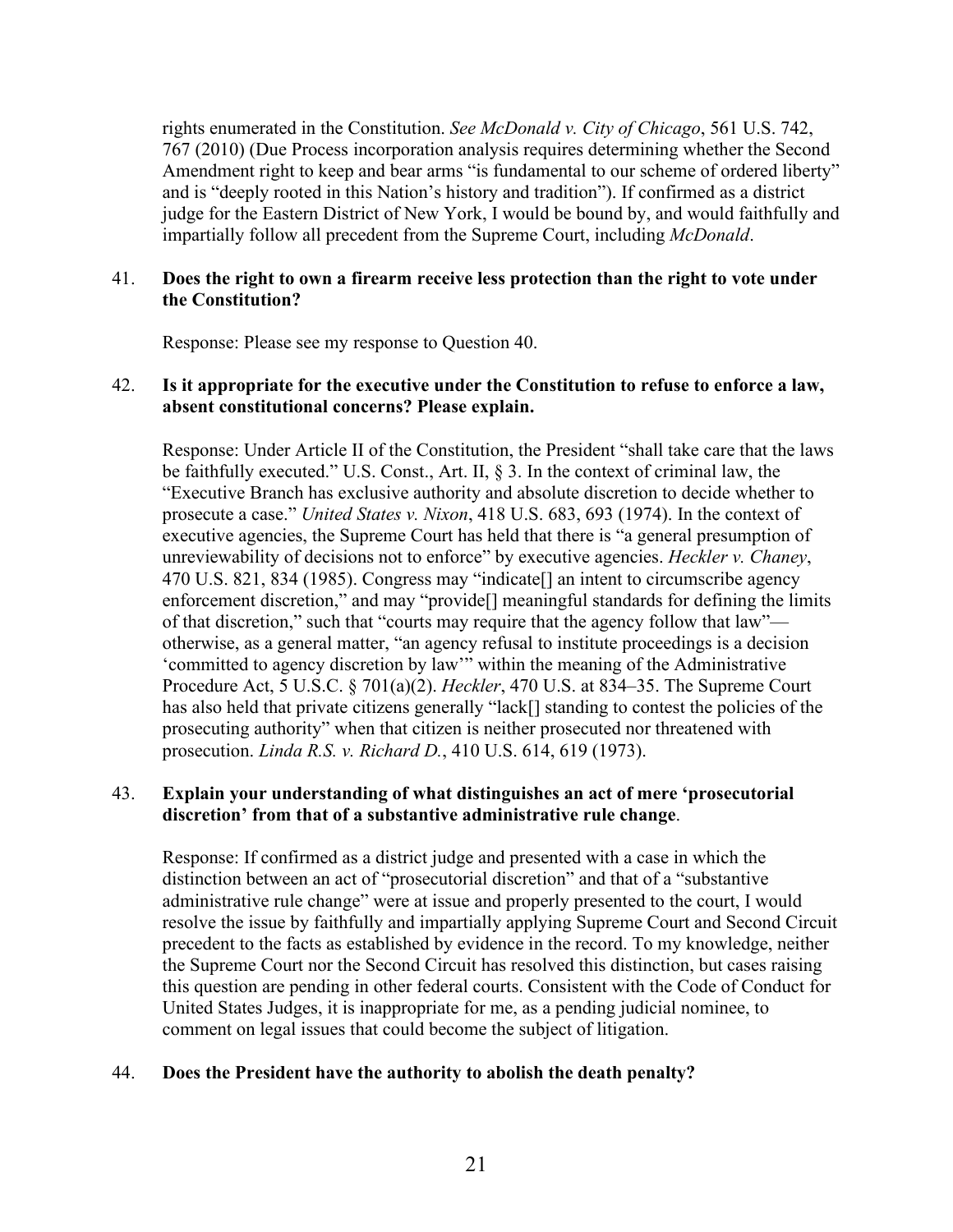rights enumerated in the Constitution. *See McDonald v. City of Chicago*, 561 U.S. 742, 767 (2010) (Due Process incorporation analysis requires determining whether the Second Amendment right to keep and bear arms "is fundamental to our scheme of ordered liberty" and is "deeply rooted in this Nation's history and tradition"). If confirmed as a district judge for the Eastern District of New York, I would be bound by, and would faithfully and impartially follow all precedent from the Supreme Court, including *McDonald*.

#### 41. **Does the right to own a firearm receive less protection than the right to vote under the Constitution?**

Response: Please see my response to Question 40.

#### 42. **Is it appropriate for the executive under the Constitution to refuse to enforce a law, absent constitutional concerns? Please explain.**

Response: Under Article II of the Constitution, the President "shall take care that the laws be faithfully executed." U.S. Const., Art. II, § 3. In the context of criminal law, the "Executive Branch has exclusive authority and absolute discretion to decide whether to prosecute a case." *United States v. Nixon*, 418 U.S. 683, 693 (1974). In the context of executive agencies, the Supreme Court has held that there is "a general presumption of unreviewability of decisions not to enforce" by executive agencies. *Heckler v. Chaney*, 470 U.S. 821, 834 (1985). Congress may "indicate[] an intent to circumscribe agency enforcement discretion," and may "provide[] meaningful standards for defining the limits of that discretion," such that "courts may require that the agency follow that law" otherwise, as a general matter, "an agency refusal to institute proceedings is a decision 'committed to agency discretion by law'" within the meaning of the Administrative Procedure Act, 5 U.S.C. § 701(a)(2). *Heckler*, 470 U.S. at 834–35. The Supreme Court has also held that private citizens generally "lack[] standing to contest the policies of the prosecuting authority" when that citizen is neither prosecuted nor threatened with prosecution. *Linda R.S. v. Richard D.*, 410 U.S. 614, 619 (1973).

### 43. **Explain your understanding of what distinguishes an act of mere 'prosecutorial discretion' from that of a substantive administrative rule change**.

Response: If confirmed as a district judge and presented with a case in which the distinction between an act of "prosecutorial discretion" and that of a "substantive administrative rule change" were at issue and properly presented to the court, I would resolve the issue by faithfully and impartially applying Supreme Court and Second Circuit precedent to the facts as established by evidence in the record. To my knowledge, neither the Supreme Court nor the Second Circuit has resolved this distinction, but cases raising this question are pending in other federal courts. Consistent with the Code of Conduct for United States Judges, it is inappropriate for me, as a pending judicial nominee, to comment on legal issues that could become the subject of litigation.

#### 44. **Does the President have the authority to abolish the death penalty?**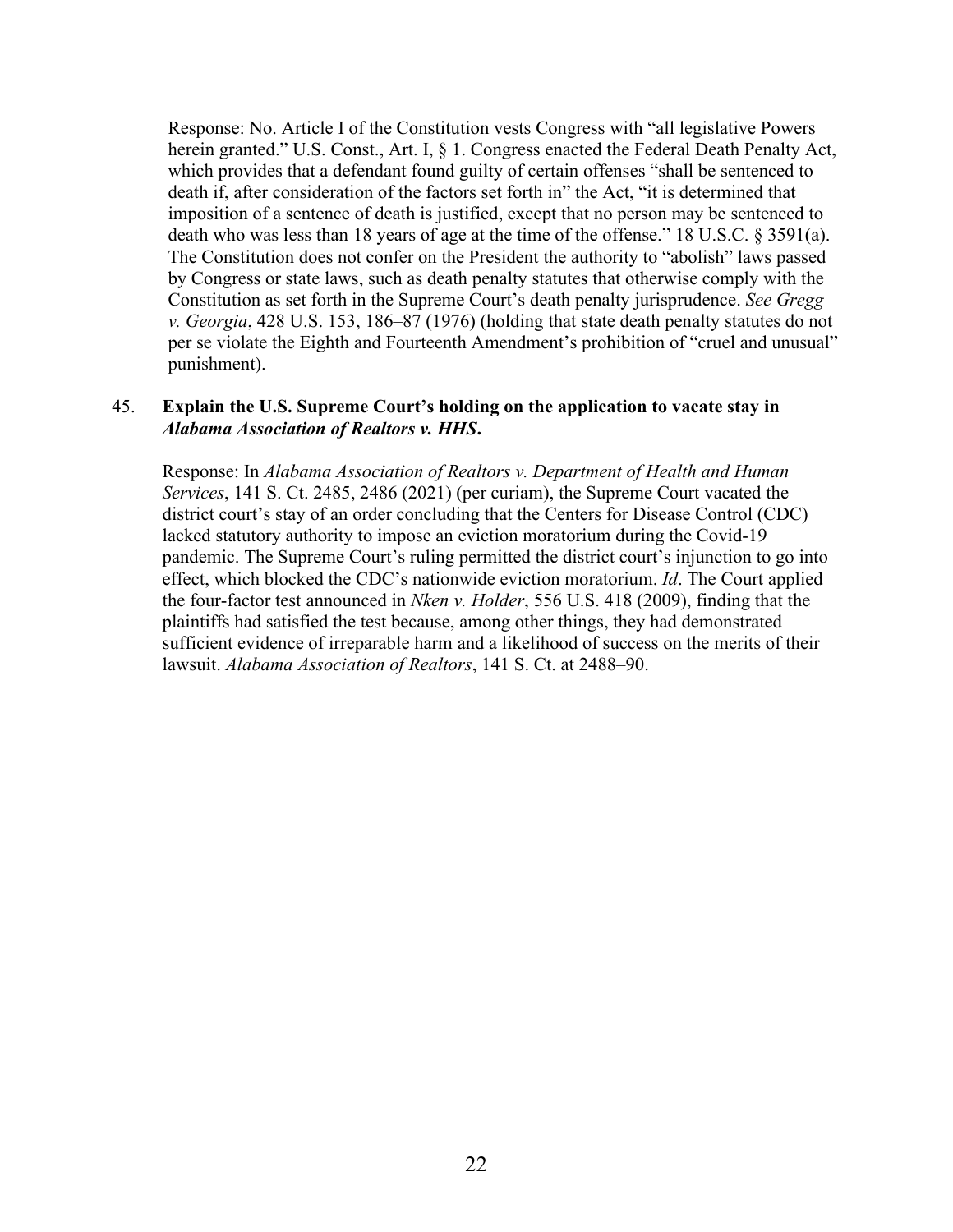Response: No. Article I of the Constitution vests Congress with "all legislative Powers herein granted." U.S. Const., Art. I, § 1. Congress enacted the Federal Death Penalty Act, which provides that a defendant found guilty of certain offenses "shall be sentenced to death if, after consideration of the factors set forth in" the Act, "it is determined that imposition of a sentence of death is justified, except that no person may be sentenced to death who was less than 18 years of age at the time of the offense." 18 U.S.C. § 3591(a). The Constitution does not confer on the President the authority to "abolish" laws passed by Congress or state laws, such as death penalty statutes that otherwise comply with the Constitution as set forth in the Supreme Court's death penalty jurisprudence. *See Gregg v. Georgia*, 428 U.S. 153, 186–87 (1976) (holding that state death penalty statutes do not per se violate the Eighth and Fourteenth Amendment's prohibition of "cruel and unusual" punishment).

#### 45. **Explain the U.S. Supreme Court's holding on the application to vacate stay in**  *Alabama Association of Realtors v. HHS***.**

Response: In *Alabama Association of Realtors v. Department of Health and Human Services*, 141 S. Ct. 2485, 2486 (2021) (per curiam), the Supreme Court vacated the district court's stay of an order concluding that the Centers for Disease Control (CDC) lacked statutory authority to impose an eviction moratorium during the Covid-19 pandemic. The Supreme Court's ruling permitted the district court's injunction to go into effect, which blocked the CDC's nationwide eviction moratorium. *Id*. The Court applied the four-factor test announced in *Nken v. Holder*, 556 U.S. 418 (2009), finding that the plaintiffs had satisfied the test because, among other things, they had demonstrated sufficient evidence of irreparable harm and a likelihood of success on the merits of their lawsuit. *Alabama Association of Realtors*, 141 S. Ct. at 2488–90.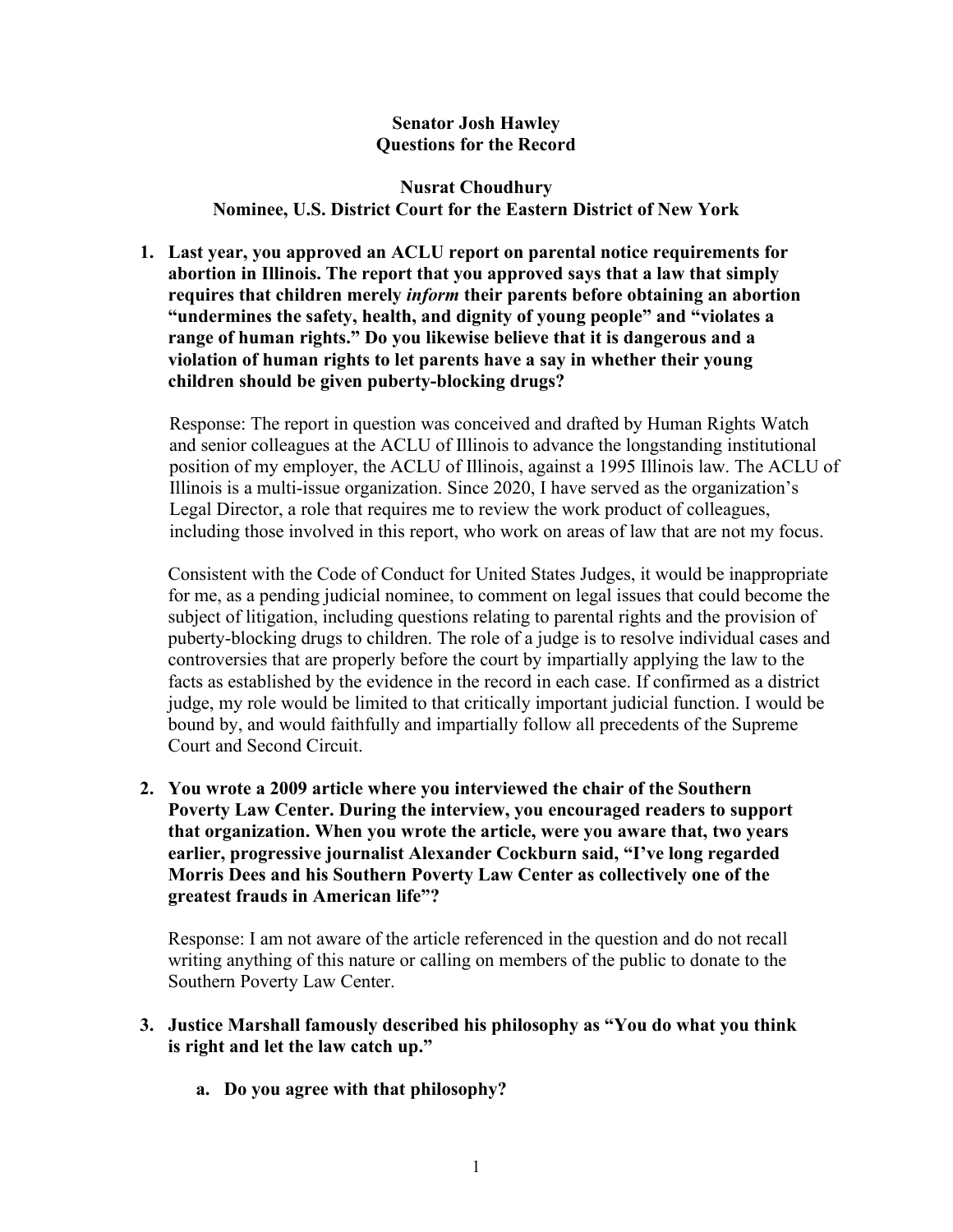### **Senator Josh Hawley Questions for the Record**

#### **Nusrat Choudhury Nominee, U.S. District Court for the Eastern District of New York**

**1. Last year, you approved an ACLU report on parental notice requirements for abortion in Illinois. The report that you approved says that a law that simply requires that children merely** *inform* **their parents before obtaining an abortion "undermines the safety, health, and dignity of young people" and "violates a range of human rights." Do you likewise believe that it is dangerous and a violation of human rights to let parents have a say in whether their young children should be given puberty-blocking drugs?**

Response: The report in question was conceived and drafted by Human Rights Watch and senior colleagues at the ACLU of Illinois to advance the longstanding institutional position of my employer, the ACLU of Illinois, against a 1995 Illinois law. The ACLU of Illinois is a multi-issue organization. Since 2020, I have served as the organization's Legal Director, a role that requires me to review the work product of colleagues, including those involved in this report, who work on areas of law that are not my focus.

Consistent with the Code of Conduct for United States Judges, it would be inappropriate for me, as a pending judicial nominee, to comment on legal issues that could become the subject of litigation, including questions relating to parental rights and the provision of puberty-blocking drugs to children. The role of a judge is to resolve individual cases and controversies that are properly before the court by impartially applying the law to the facts as established by the evidence in the record in each case. If confirmed as a district judge, my role would be limited to that critically important judicial function. I would be bound by, and would faithfully and impartially follow all precedents of the Supreme Court and Second Circuit.

**2. You wrote a 2009 article where you interviewed the chair of the Southern Poverty Law Center. During the interview, you encouraged readers to support that organization. When you wrote the article, were you aware that, two years earlier, progressive journalist Alexander Cockburn said, "I've long regarded Morris Dees and his Southern Poverty Law Center as collectively one of the greatest frauds in American life"?**

Response: I am not aware of the article referenced in the question and do not recall writing anything of this nature or calling on members of the public to donate to the Southern Poverty Law Center.

- **3. Justice Marshall famously described his philosophy as "You do what you think is right and let the law catch up."** 
	- **a. Do you agree with that philosophy?**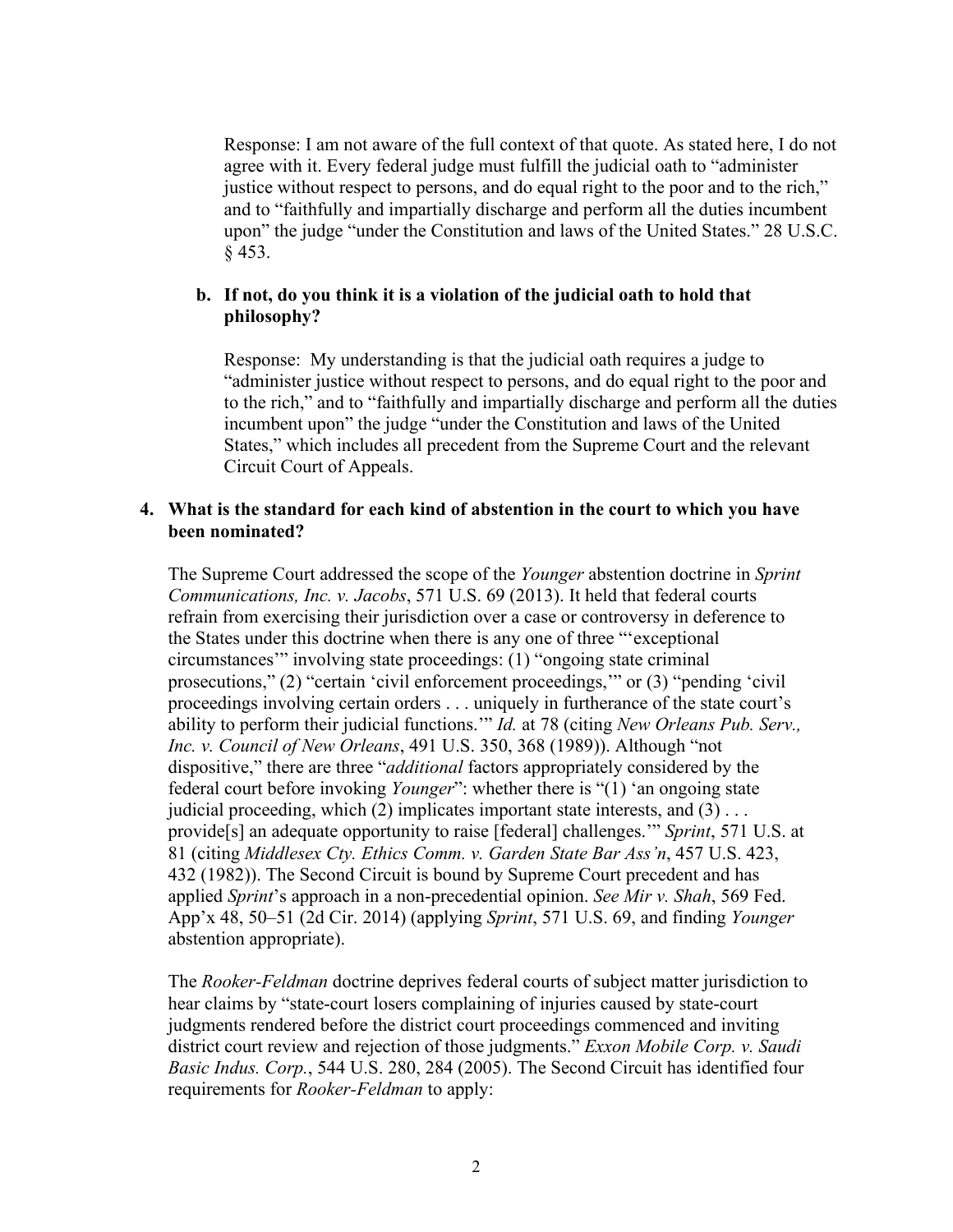Response: I am not aware of the full context of that quote. As stated here, I do not agree with it. Every federal judge must fulfill the judicial oath to "administer justice without respect to persons, and do equal right to the poor and to the rich," and to "faithfully and impartially discharge and perform all the duties incumbent upon" the judge "under the Constitution and laws of the United States." 28 U.S.C. § 453.

#### **b. If not, do you think it is a violation of the judicial oath to hold that philosophy?**

Response: My understanding is that the judicial oath requires a judge to "administer justice without respect to persons, and do equal right to the poor and to the rich," and to "faithfully and impartially discharge and perform all the duties incumbent upon" the judge "under the Constitution and laws of the United States," which includes all precedent from the Supreme Court and the relevant Circuit Court of Appeals.

#### **4. What is the standard for each kind of abstention in the court to which you have been nominated?**

The Supreme Court addressed the scope of the *Younger* abstention doctrine in *Sprint Communications, Inc. v. Jacobs*, 571 U.S. 69 (2013). It held that federal courts refrain from exercising their jurisdiction over a case or controversy in deference to the States under this doctrine when there is any one of three "'exceptional circumstances'" involving state proceedings: (1) "ongoing state criminal prosecutions," (2) "certain 'civil enforcement proceedings,'" or (3) "pending 'civil proceedings involving certain orders . . . uniquely in furtherance of the state court's ability to perform their judicial functions.'" *Id.* at 78 (citing *New Orleans Pub. Serv., Inc. v. Council of New Orleans*, 491 U.S. 350, 368 (1989)). Although "not dispositive," there are three "*additional* factors appropriately considered by the federal court before invoking *Younger*": whether there is "(1) 'an ongoing state judicial proceeding, which  $(2)$  implicates important state interests, and  $(3)$ ... provide[s] an adequate opportunity to raise [federal] challenges.'" *Sprint*, 571 U.S. at 81 (citing *Middlesex Cty. Ethics Comm. v. Garden State Bar Ass'n*, 457 U.S. 423, 432 (1982)). The Second Circuit is bound by Supreme Court precedent and has applied *Sprint*'s approach in a non-precedential opinion. *See Mir v. Shah*, 569 Fed. App'x 48, 50–51 (2d Cir. 2014) (applying *Sprint*, 571 U.S. 69, and finding *Younger*  abstention appropriate).

The *Rooker-Feldman* doctrine deprives federal courts of subject matter jurisdiction to hear claims by "state-court losers complaining of injuries caused by state-court judgments rendered before the district court proceedings commenced and inviting district court review and rejection of those judgments." *Exxon Mobile Corp. v. Saudi Basic Indus. Corp.*, 544 U.S. 280, 284 (2005). The Second Circuit has identified four requirements for *Rooker-Feldman* to apply: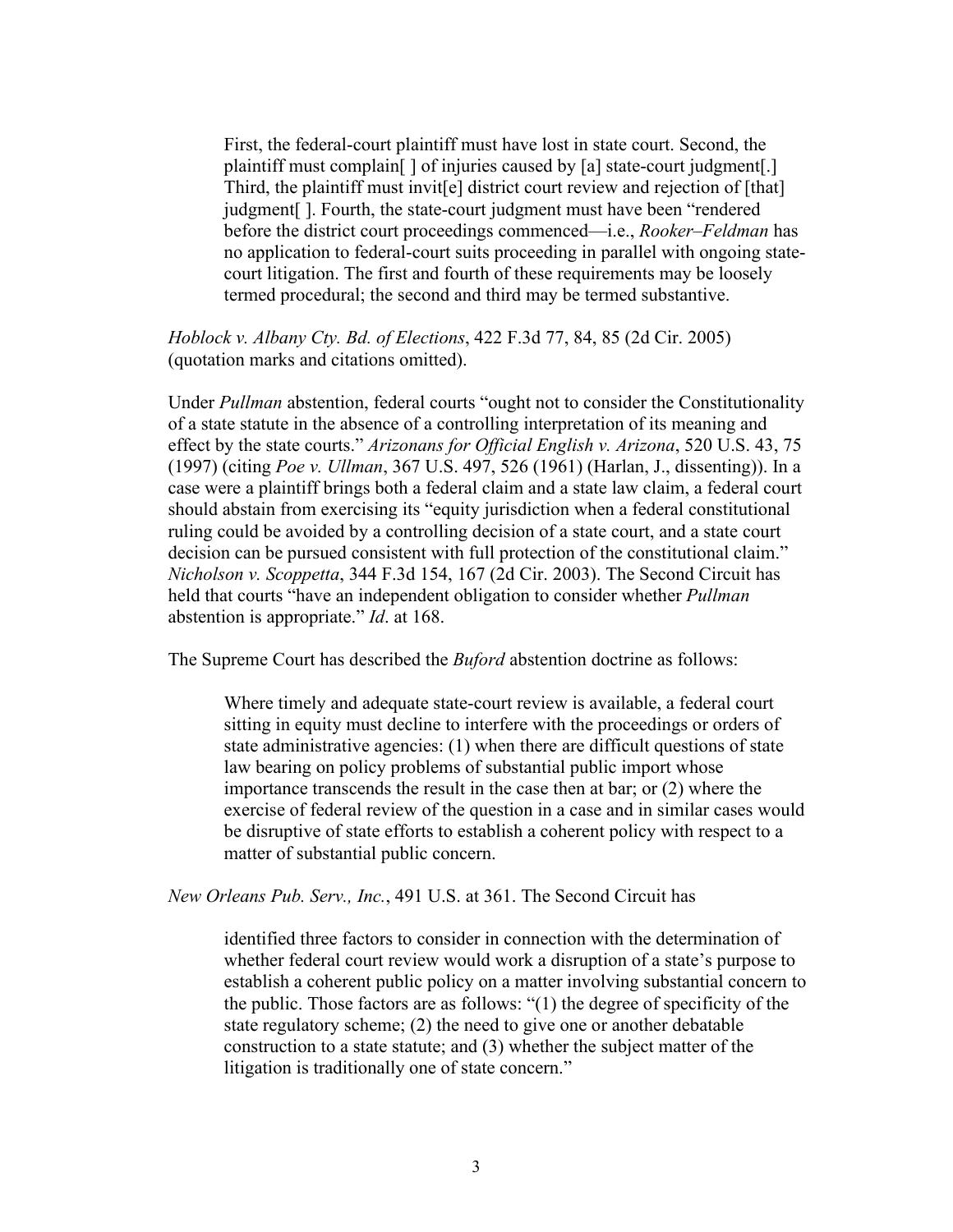First, the federal-court plaintiff must have lost in state court. Second, the plaintiff must complain[ ] of injuries caused by [a] state-court judgment[.] Third, the plaintiff must invit[e] district court review and rejection of [that] judgment[ ]. Fourth, the state-court judgment must have been "rendered before the district court proceedings commenced—i.e., *Rooker–Feldman* has no application to federal-court suits proceeding in parallel with ongoing statecourt litigation. The first and fourth of these requirements may be loosely termed procedural; the second and third may be termed substantive.

*Hoblock v. Albany Cty. Bd. of Elections*, 422 F.3d 77, 84, 85 (2d Cir. 2005) (quotation marks and citations omitted).

Under *Pullman* abstention, federal courts "ought not to consider the Constitutionality of a state statute in the absence of a controlling interpretation of its meaning and effect by the state courts." *Arizonans for Official English v. Arizona*, 520 U.S. 43, 75 (1997) (citing *Poe v. Ullman*, 367 U.S. 497, 526 (1961) (Harlan, J., dissenting)). In a case were a plaintiff brings both a federal claim and a state law claim, a federal court should abstain from exercising its "equity jurisdiction when a federal constitutional ruling could be avoided by a controlling decision of a state court, and a state court decision can be pursued consistent with full protection of the constitutional claim." *Nicholson v. Scoppetta*, 344 F.3d 154, 167 (2d Cir. 2003). The Second Circuit has held that courts "have an independent obligation to consider whether *Pullman* abstention is appropriate." *Id*. at 168.

The Supreme Court has described the *Buford* abstention doctrine as follows:

Where timely and adequate state-court review is available, a federal court sitting in equity must decline to interfere with the proceedings or orders of state administrative agencies: (1) when there are difficult questions of state law bearing on policy problems of substantial public import whose importance transcends the result in the case then at bar; or (2) where the exercise of federal review of the question in a case and in similar cases would be disruptive of state efforts to establish a coherent policy with respect to a matter of substantial public concern.

*New Orleans Pub. Serv., Inc.*, 491 U.S. at 361. The Second Circuit has

identified three factors to consider in connection with the determination of whether federal court review would work a disruption of a state's purpose to establish a coherent public policy on a matter involving substantial concern to the public. Those factors are as follows: "(1) the degree of specificity of the state regulatory scheme; (2) the need to give one or another debatable construction to a state statute; and (3) whether the subject matter of the litigation is traditionally one of state concern."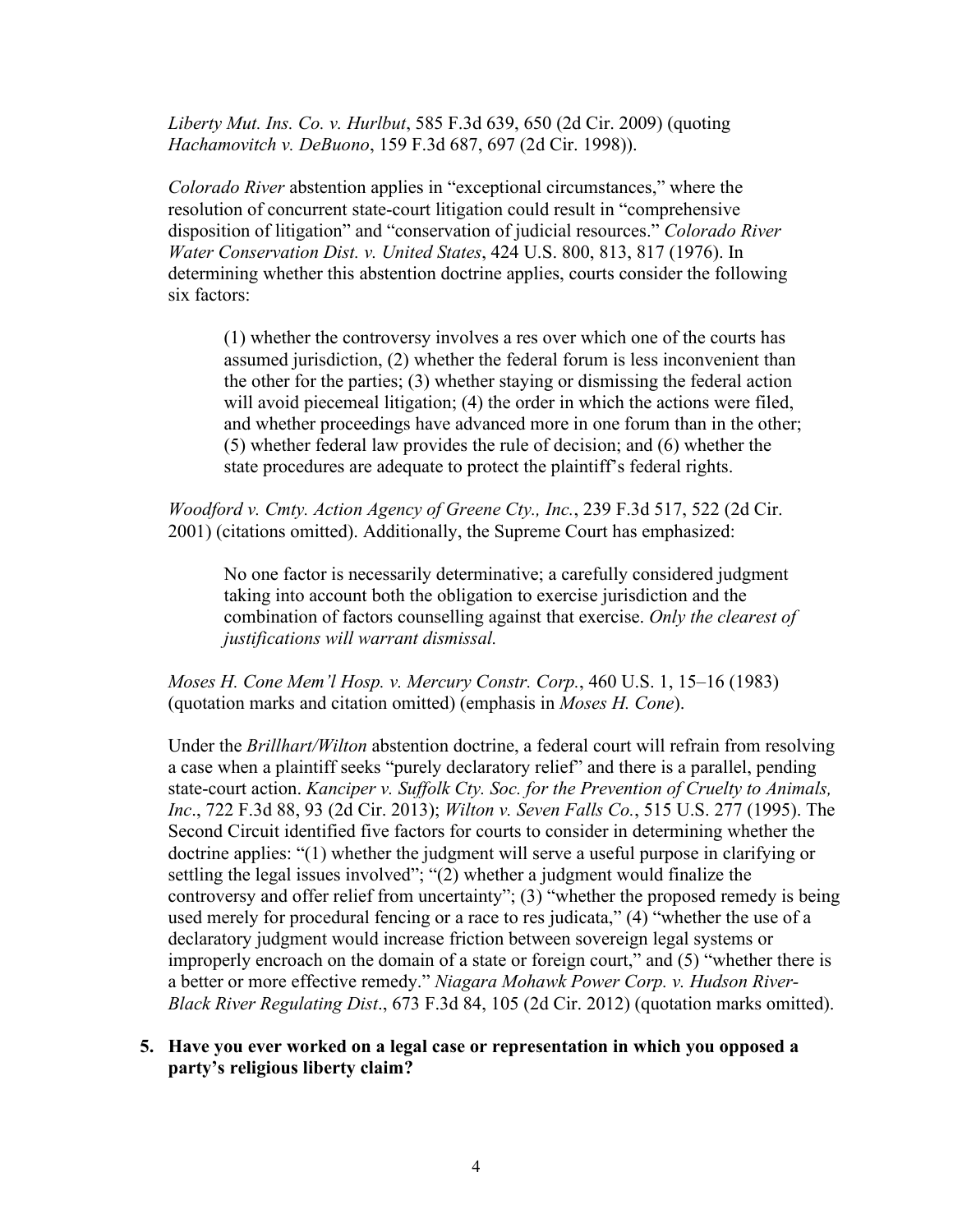*Liberty Mut. Ins. Co. v. Hurlbut*, 585 F.3d 639, 650 (2d Cir. 2009) (quoting *Hachamovitch v. DeBuono*, 159 F.3d 687, 697 (2d Cir. 1998)).

*Colorado River* abstention applies in "exceptional circumstances," where the resolution of concurrent state-court litigation could result in "comprehensive disposition of litigation" and "conservation of judicial resources." *Colorado River Water Conservation Dist. v. United States*, 424 U.S. 800, 813, 817 (1976). In determining whether this abstention doctrine applies, courts consider the following six factors:

(1) whether the controversy involves a res over which one of the courts has assumed jurisdiction, (2) whether the federal forum is less inconvenient than the other for the parties; (3) whether staying or dismissing the federal action will avoid piecemeal litigation; (4) the order in which the actions were filed, and whether proceedings have advanced more in one forum than in the other; (5) whether federal law provides the rule of decision; and (6) whether the state procedures are adequate to protect the plaintiff's federal rights.

*Woodford v. Cmty. Action Agency of Greene Cty., Inc.*, 239 F.3d 517, 522 (2d Cir. 2001) (citations omitted). Additionally, the Supreme Court has emphasized:

No one factor is necessarily determinative; a carefully considered judgment taking into account both the obligation to exercise jurisdiction and the combination of factors counselling against that exercise. *Only the clearest of justifications will warrant dismissal.*

*Moses H. Cone Mem'l Hosp. v. Mercury Constr. Corp.*, 460 U.S. 1, 15–16 (1983) (quotation marks and citation omitted) (emphasis in *Moses H. Cone*).

Under the *Brillhart/Wilton* abstention doctrine, a federal court will refrain from resolving a case when a plaintiff seeks "purely declaratory relief" and there is a parallel, pending state-court action. *Kanciper v. Suffolk Cty. Soc. for the Prevention of Cruelty to Animals, Inc*., 722 F.3d 88, 93 (2d Cir. 2013); *Wilton v. Seven Falls Co.*, 515 U.S. 277 (1995). The Second Circuit identified five factors for courts to consider in determining whether the doctrine applies: "(1) whether the judgment will serve a useful purpose in clarifying or settling the legal issues involved"; "(2) whether a judgment would finalize the controversy and offer relief from uncertainty"; (3) "whether the proposed remedy is being used merely for procedural fencing or a race to res judicata," (4) "whether the use of a declaratory judgment would increase friction between sovereign legal systems or improperly encroach on the domain of a state or foreign court," and (5) "whether there is a better or more effective remedy." *Niagara Mohawk Power Corp. v. Hudson River-Black River Regulating Dist*., 673 F.3d 84, 105 (2d Cir. 2012) (quotation marks omitted).

#### **5. Have you ever worked on a legal case or representation in which you opposed a party's religious liberty claim?**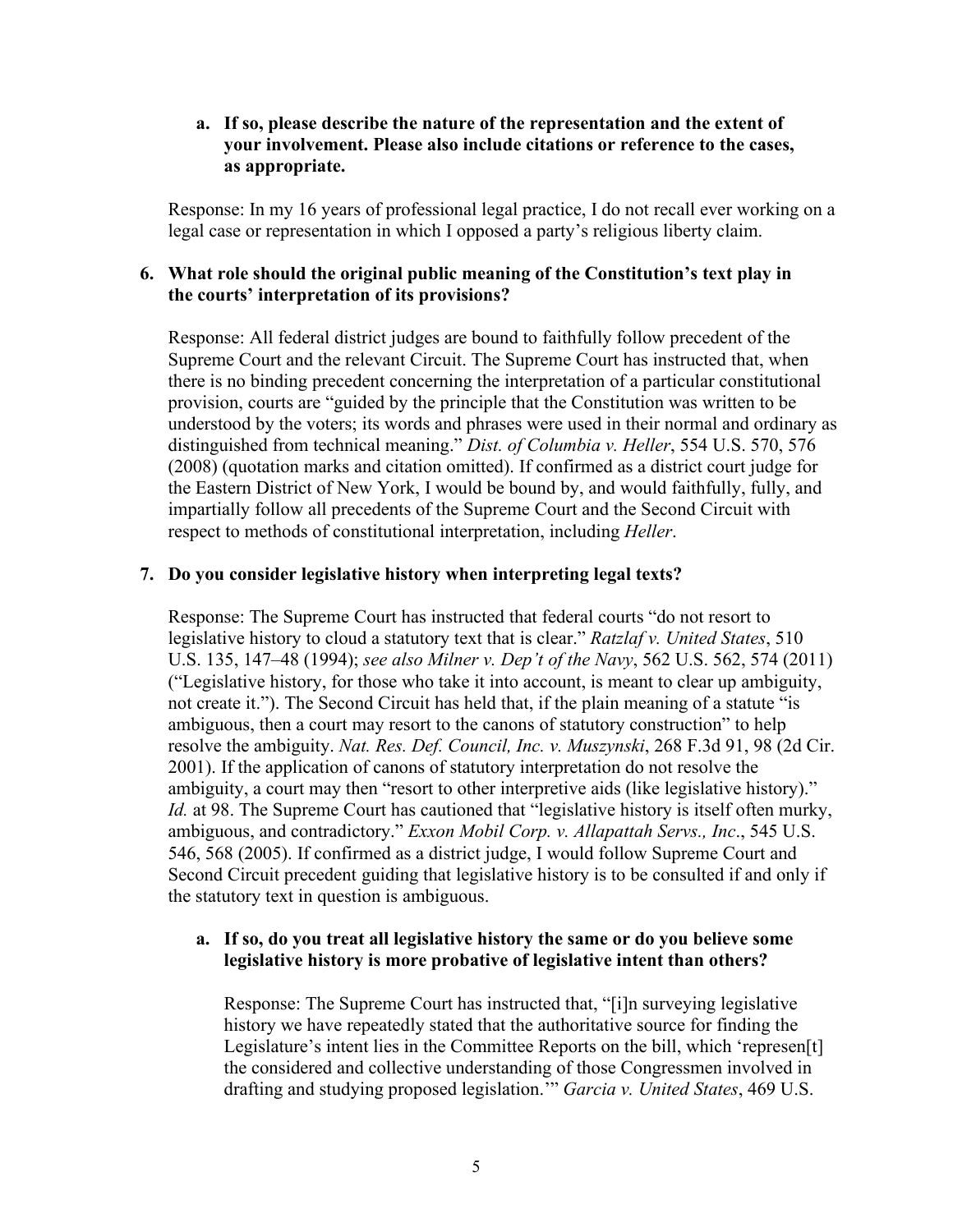#### **a. If so, please describe the nature of the representation and the extent of your involvement. Please also include citations or reference to the cases, as appropriate.**

Response: In my 16 years of professional legal practice, I do not recall ever working on a legal case or representation in which I opposed a party's religious liberty claim.

### **6. What role should the original public meaning of the Constitution's text play in the courts' interpretation of its provisions?**

Response: All federal district judges are bound to faithfully follow precedent of the Supreme Court and the relevant Circuit. The Supreme Court has instructed that, when there is no binding precedent concerning the interpretation of a particular constitutional provision, courts are "guided by the principle that the Constitution was written to be understood by the voters; its words and phrases were used in their normal and ordinary as distinguished from technical meaning." *Dist. of Columbia v. Heller*, 554 U.S. 570, 576 (2008) (quotation marks and citation omitted). If confirmed as a district court judge for the Eastern District of New York, I would be bound by, and would faithfully, fully, and impartially follow all precedents of the Supreme Court and the Second Circuit with respect to methods of constitutional interpretation, including *Heller*.

### **7. Do you consider legislative history when interpreting legal texts?**

Response: The Supreme Court has instructed that federal courts "do not resort to legislative history to cloud a statutory text that is clear." *Ratzlaf v. United States*, 510 U.S. 135, 147–48 (1994); *see also Milner v. Dep't of the Navy*, 562 U.S. 562, 574 (2011) ("Legislative history, for those who take it into account, is meant to clear up ambiguity, not create it."). The Second Circuit has held that, if the plain meaning of a statute "is ambiguous, then a court may resort to the canons of statutory construction" to help resolve the ambiguity. *Nat. Res. Def. Council, Inc. v. Muszynski*, 268 F.3d 91, 98 (2d Cir. 2001). If the application of canons of statutory interpretation do not resolve the ambiguity, a court may then "resort to other interpretive aids (like legislative history)." *Id.* at 98. The Supreme Court has cautioned that "legislative history is itself often murky, ambiguous, and contradictory." *Exxon Mobil Corp. v. Allapattah Servs., Inc*., 545 U.S. 546, 568 (2005). If confirmed as a district judge, I would follow Supreme Court and Second Circuit precedent guiding that legislative history is to be consulted if and only if the statutory text in question is ambiguous.

#### **a. If so, do you treat all legislative history the same or do you believe some legislative history is more probative of legislative intent than others?**

Response: The Supreme Court has instructed that, "[i]n surveying legislative history we have repeatedly stated that the authoritative source for finding the Legislature's intent lies in the Committee Reports on the bill, which 'represen[t] the considered and collective understanding of those Congressmen involved in drafting and studying proposed legislation.'" *Garcia v. United States*, 469 U.S.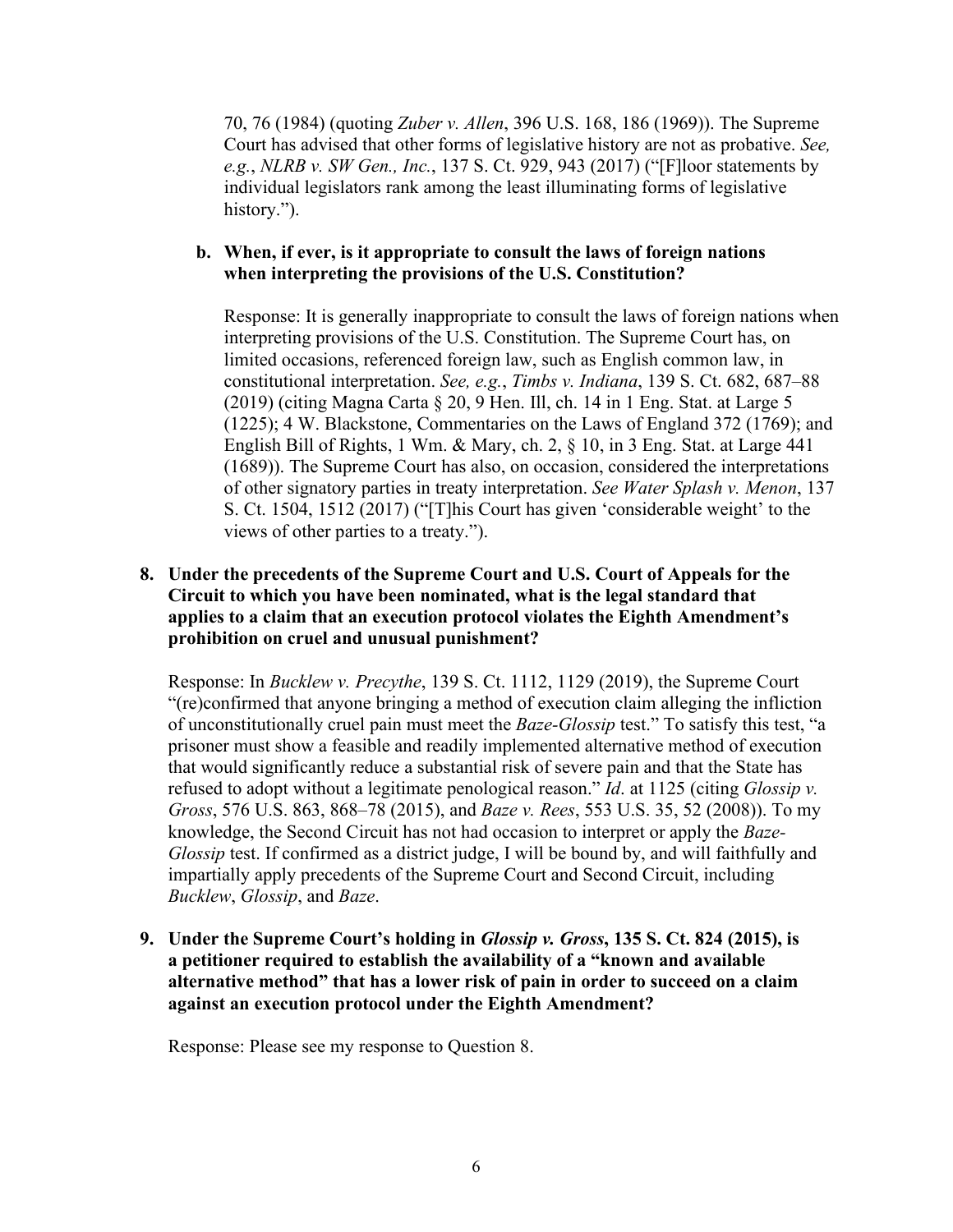70, 76 (1984) (quoting *Zuber v. Allen*, 396 U.S. 168, 186 (1969)). The Supreme Court has advised that other forms of legislative history are not as probative. *See, e.g.*, *NLRB v. SW Gen., Inc.*, 137 S. Ct. 929, 943 (2017) ("[F]loor statements by individual legislators rank among the least illuminating forms of legislative history.").

### **b. When, if ever, is it appropriate to consult the laws of foreign nations when interpreting the provisions of the U.S. Constitution?**

Response: It is generally inappropriate to consult the laws of foreign nations when interpreting provisions of the U.S. Constitution. The Supreme Court has, on limited occasions, referenced foreign law, such as English common law, in constitutional interpretation. *See, e.g.*, *Timbs v. Indiana*, 139 S. Ct. 682, 687–88 (2019) (citing Magna Carta § 20, 9 Hen. Ill, ch. 14 in 1 Eng. Stat. at Large 5 (1225); 4 W. Blackstone, Commentaries on the Laws of England 372 (1769); and English Bill of Rights, 1 Wm. & Mary, ch. 2, § 10, in 3 Eng. Stat. at Large 441 (1689)). The Supreme Court has also, on occasion, considered the interpretations of other signatory parties in treaty interpretation. *See Water Splash v. Menon*, 137 S. Ct. 1504, 1512 (2017) ("[T]his Court has given 'considerable weight' to the views of other parties to a treaty.").

## **8. Under the precedents of the Supreme Court and U.S. Court of Appeals for the Circuit to which you have been nominated, what is the legal standard that applies to a claim that an execution protocol violates the Eighth Amendment's prohibition on cruel and unusual punishment?**

Response: In *Bucklew v. Precythe*, 139 S. Ct. 1112, 1129 (2019), the Supreme Court "(re)confirmed that anyone bringing a method of execution claim alleging the infliction of unconstitutionally cruel pain must meet the *Baze-Glossip* test." To satisfy this test, "a prisoner must show a feasible and readily implemented alternative method of execution that would significantly reduce a substantial risk of severe pain and that the State has refused to adopt without a legitimate penological reason." *Id*. at 1125 (citing *Glossip v. Gross*, 576 U.S. 863, 868–78 (2015), and *Baze v. Rees*, 553 U.S. 35, 52 (2008)). To my knowledge, the Second Circuit has not had occasion to interpret or apply the *Baze-Glossip* test. If confirmed as a district judge, I will be bound by, and will faithfully and impartially apply precedents of the Supreme Court and Second Circuit, including *Bucklew*, *Glossip*, and *Baze*.

**9. Under the Supreme Court's holding in** *Glossip v. Gross***, 135 S. Ct. 824 (2015), is a petitioner required to establish the availability of a "known and available alternative method" that has a lower risk of pain in order to succeed on a claim against an execution protocol under the Eighth Amendment?**

Response: Please see my response to Question 8.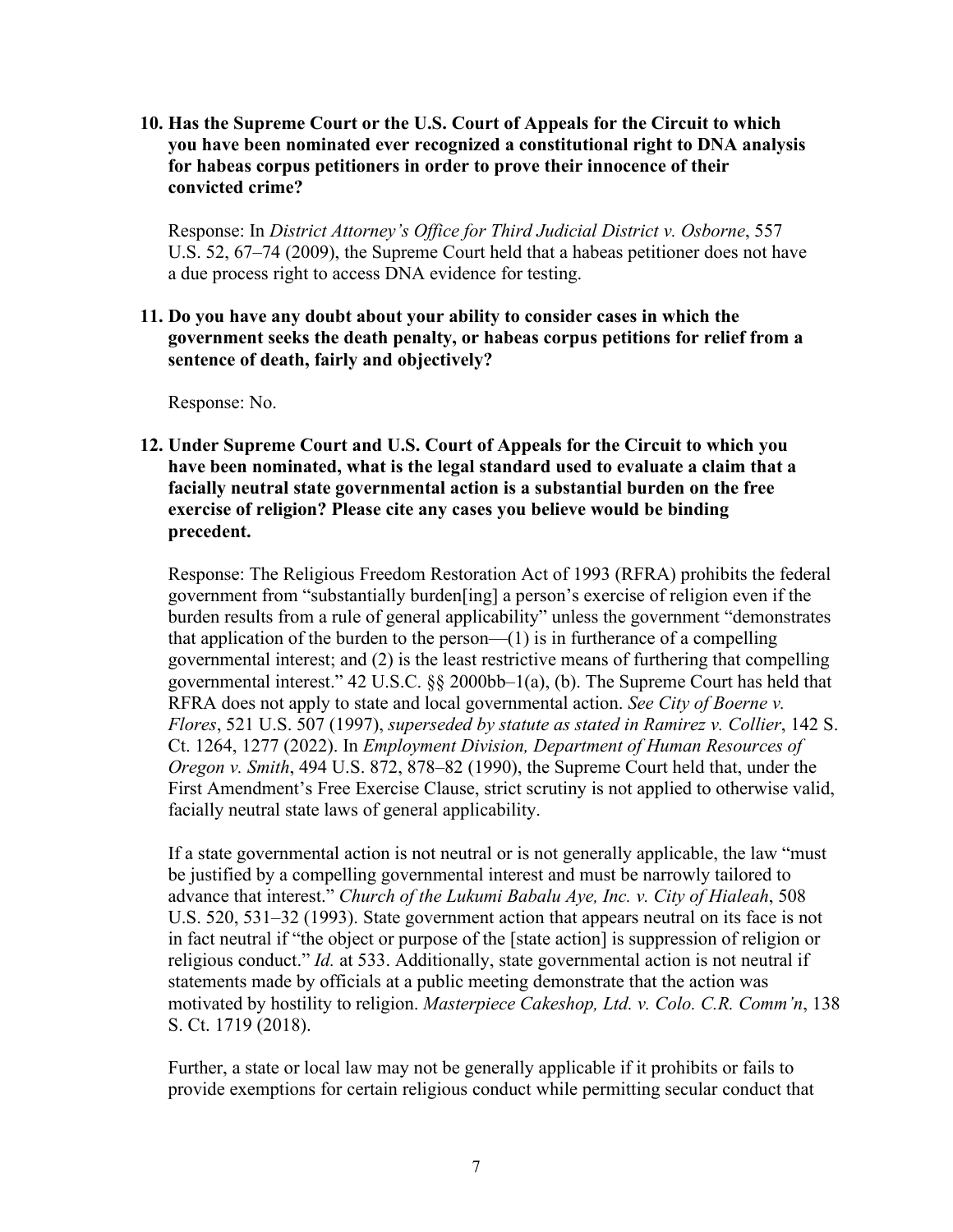**10. Has the Supreme Court or the U.S. Court of Appeals for the Circuit to which you have been nominated ever recognized a constitutional right to DNA analysis for habeas corpus petitioners in order to prove their innocence of their convicted crime?**

Response: In *District Attorney's Office for Third Judicial District v. Osborne*, 557 U.S. 52, 67–74 (2009), the Supreme Court held that a habeas petitioner does not have a due process right to access DNA evidence for testing.

**11. Do you have any doubt about your ability to consider cases in which the government seeks the death penalty, or habeas corpus petitions for relief from a sentence of death, fairly and objectively?**

Response: No.

**12. Under Supreme Court and U.S. Court of Appeals for the Circuit to which you have been nominated, what is the legal standard used to evaluate a claim that a facially neutral state governmental action is a substantial burden on the free exercise of religion? Please cite any cases you believe would be binding precedent.**

Response: The Religious Freedom Restoration Act of 1993 (RFRA) prohibits the federal government from "substantially burden[ing] a person's exercise of religion even if the burden results from a rule of general applicability" unless the government "demonstrates that application of the burden to the person— $(1)$  is in furtherance of a compelling governmental interest; and (2) is the least restrictive means of furthering that compelling governmental interest." 42 U.S.C. §§ 2000bb–1(a), (b). The Supreme Court has held that RFRA does not apply to state and local governmental action. *See City of Boerne v. Flores*, 521 U.S. 507 (1997), *superseded by statute as stated in Ramirez v. Collier*, 142 S. Ct. 1264, 1277 (2022). In *Employment Division, Department of Human Resources of Oregon v. Smith*, 494 U.S. 872, 878–82 (1990), the Supreme Court held that, under the First Amendment's Free Exercise Clause, strict scrutiny is not applied to otherwise valid, facially neutral state laws of general applicability.

If a state governmental action is not neutral or is not generally applicable, the law "must be justified by a compelling governmental interest and must be narrowly tailored to advance that interest." *Church of the Lukumi Babalu Aye, Inc. v. City of Hialeah*, 508 U.S. 520, 531–32 (1993). State government action that appears neutral on its face is not in fact neutral if "the object or purpose of the [state action] is suppression of religion or religious conduct." *Id.* at 533. Additionally, state governmental action is not neutral if statements made by officials at a public meeting demonstrate that the action was motivated by hostility to religion. *Masterpiece Cakeshop, Ltd. v. Colo. C.R. Comm'n*, 138 S. Ct. 1719 (2018).

Further, a state or local law may not be generally applicable if it prohibits or fails to provide exemptions for certain religious conduct while permitting secular conduct that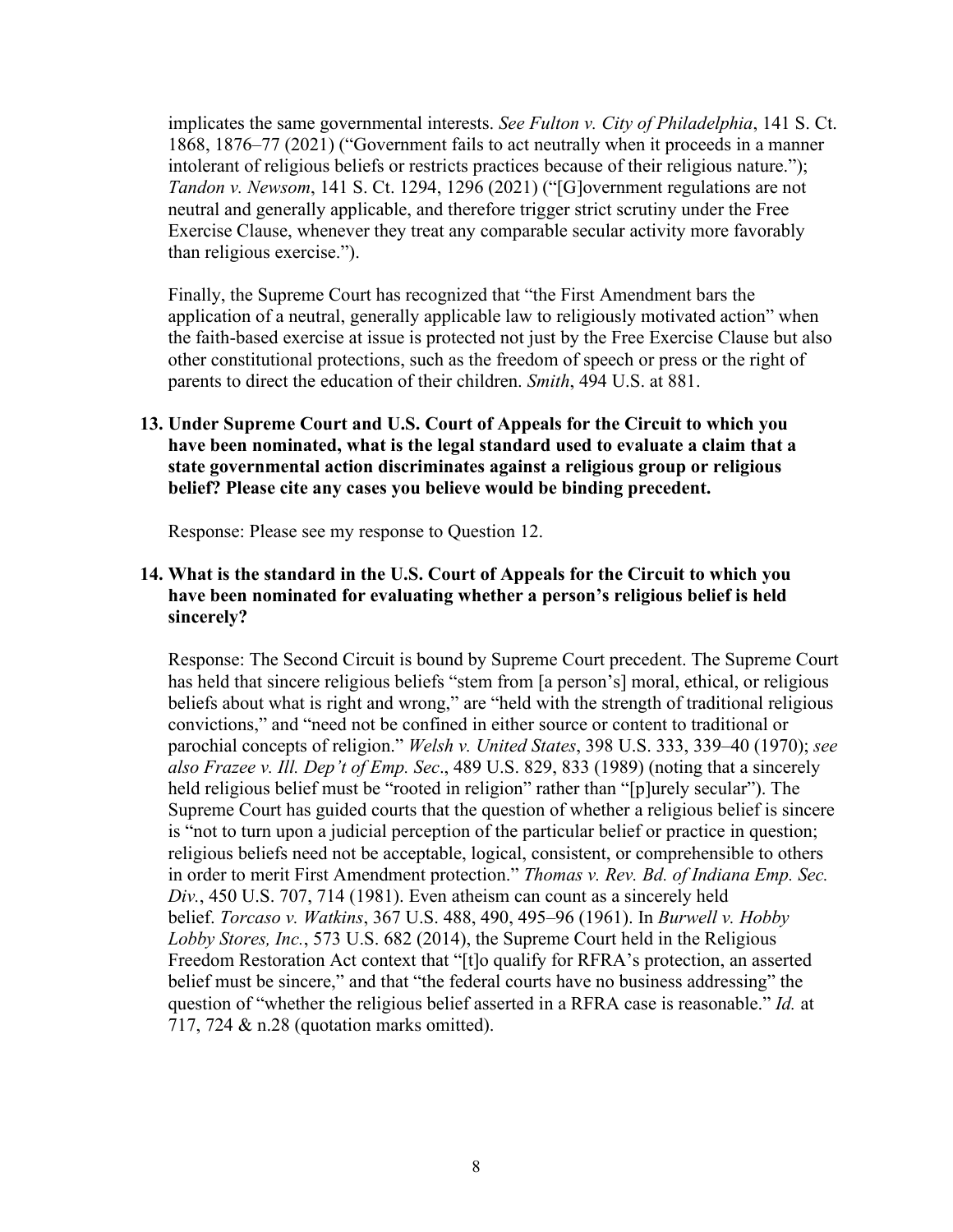implicates the same governmental interests. *See Fulton v. City of Philadelphia*, 141 S. Ct. 1868, 1876–77 (2021) ("Government fails to act neutrally when it proceeds in a manner intolerant of religious beliefs or restricts practices because of their religious nature."); *Tandon v. Newsom*, 141 S. Ct. 1294, 1296 (2021) ("[G]overnment regulations are not neutral and generally applicable, and therefore trigger strict scrutiny under the Free Exercise Clause, whenever they treat any comparable secular activity more favorably than religious exercise.").

Finally, the Supreme Court has recognized that "the First Amendment bars the application of a neutral, generally applicable law to religiously motivated action" when the faith-based exercise at issue is protected not just by the Free Exercise Clause but also other constitutional protections, such as the freedom of speech or press or the right of parents to direct the education of their children. *Smith*, 494 U.S. at 881.

# **13. Under Supreme Court and U.S. Court of Appeals for the Circuit to which you have been nominated, what is the legal standard used to evaluate a claim that a state governmental action discriminates against a religious group or religious belief? Please cite any cases you believe would be binding precedent.**

Response: Please see my response to Question 12.

# **14. What is the standard in the U.S. Court of Appeals for the Circuit to which you have been nominated for evaluating whether a person's religious belief is held sincerely?**

Response: The Second Circuit is bound by Supreme Court precedent. The Supreme Court has held that sincere religious beliefs "stem from [a person's] moral, ethical, or religious beliefs about what is right and wrong," are "held with the strength of traditional religious convictions," and "need not be confined in either source or content to traditional or parochial concepts of religion." *Welsh v. United States*, 398 U.S. 333, 339–40 (1970); *see also Frazee v. Ill. Dep't of Emp. Sec*., 489 U.S. 829, 833 (1989) (noting that a sincerely held religious belief must be "rooted in religion" rather than "[p]urely secular"). The Supreme Court has guided courts that the question of whether a religious belief is sincere is "not to turn upon a judicial perception of the particular belief or practice in question; religious beliefs need not be acceptable, logical, consistent, or comprehensible to others in order to merit First Amendment protection." *Thomas v. Rev. Bd. of Indiana Emp. Sec. Div.*, 450 U.S. 707, 714 (1981). Even atheism can count as a sincerely held belief. *Torcaso v. Watkins*, 367 U.S. 488, 490, 495–96 (1961). In *Burwell v. Hobby Lobby Stores, Inc.*, 573 U.S. 682 (2014), the Supreme Court held in the Religious Freedom Restoration Act context that "[t]o qualify for RFRA's protection, an asserted belief must be sincere," and that "the federal courts have no business addressing" the question of "whether the religious belief asserted in a RFRA case is reasonable." *Id.* at 717, 724 & n.28 (quotation marks omitted).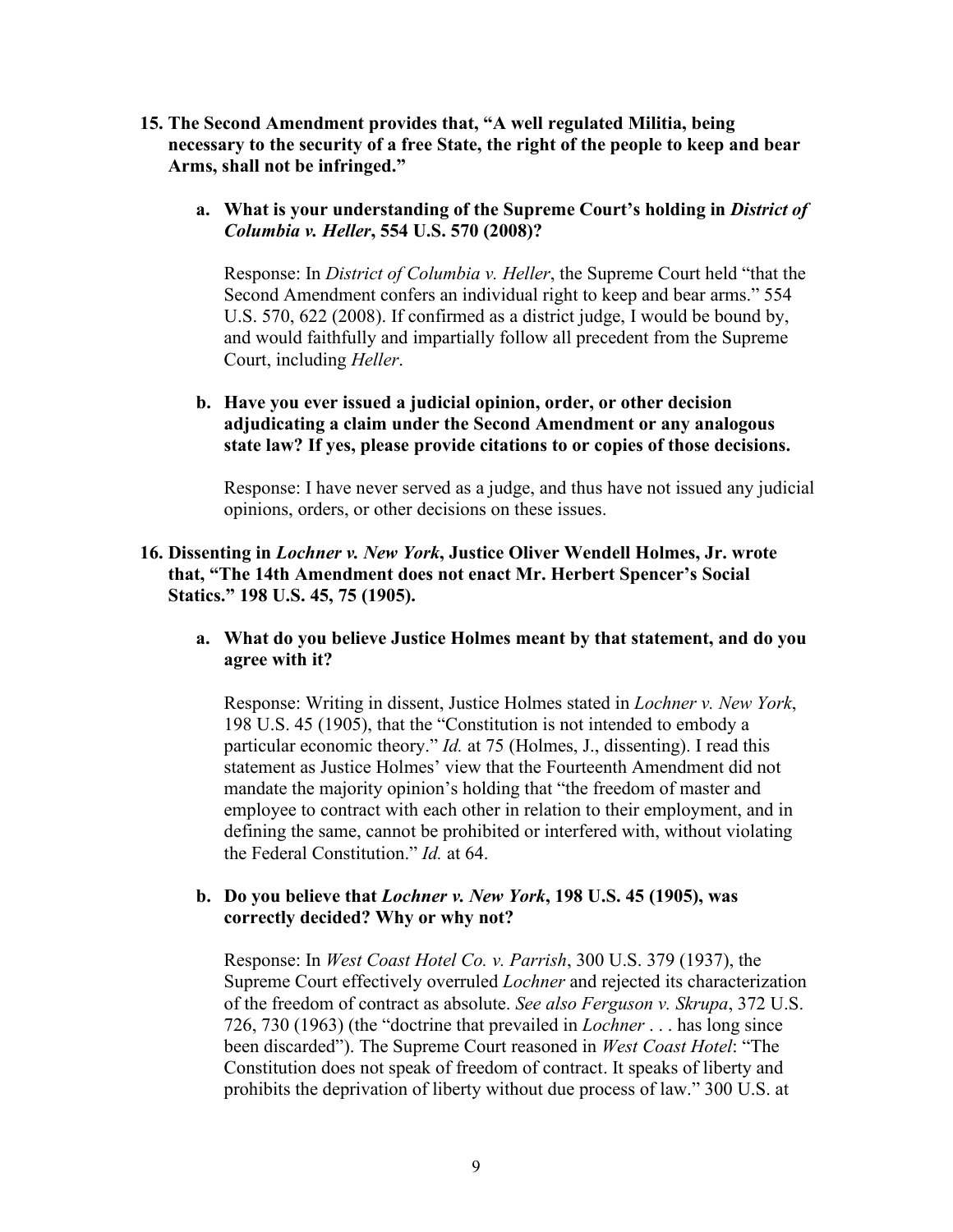- **15. The Second Amendment provides that, "A well regulated Militia, being necessary to the security of a free State, the right of the people to keep and bear Arms, shall not be infringed."**
	- **a. What is your understanding of the Supreme Court's holding in** *District of Columbia v. Heller***, 554 U.S. 570 (2008)?**

Response: In *District of Columbia v. Heller*, the Supreme Court held "that the Second Amendment confers an individual right to keep and bear arms." 554 U.S. 570, 622 (2008). If confirmed as a district judge, I would be bound by, and would faithfully and impartially follow all precedent from the Supreme Court, including *Heller*.

**b. Have you ever issued a judicial opinion, order, or other decision adjudicating a claim under the Second Amendment or any analogous state law? If yes, please provide citations to or copies of those decisions.**

Response: I have never served as a judge, and thus have not issued any judicial opinions, orders, or other decisions on these issues.

# **16. Dissenting in** *Lochner v. New York***, Justice Oliver Wendell Holmes, Jr. wrote that, "The 14th Amendment does not enact Mr. Herbert Spencer's Social Statics." 198 U.S. 45, 75 (1905).**

**a. What do you believe Justice Holmes meant by that statement, and do you agree with it?**

Response: Writing in dissent, Justice Holmes stated in *Lochner v. New York*, 198 U.S. 45 (1905), that the "Constitution is not intended to embody a particular economic theory." *Id.* at 75 (Holmes, J., dissenting). I read this statement as Justice Holmes' view that the Fourteenth Amendment did not mandate the majority opinion's holding that "the freedom of master and employee to contract with each other in relation to their employment, and in defining the same, cannot be prohibited or interfered with, without violating the Federal Constitution." *Id.* at 64.

# **b. Do you believe that** *Lochner v. New York***, 198 U.S. 45 (1905), was correctly decided? Why or why not?**

Response: In *West Coast Hotel Co. v. Parrish*, 300 U.S. 379 (1937), the Supreme Court effectively overruled *Lochner* and rejected its characterization of the freedom of contract as absolute. *See also Ferguson v. Skrupa*, 372 U.S. 726, 730 (1963) (the "doctrine that prevailed in *Lochner* . . . has long since been discarded"). The Supreme Court reasoned in *West Coast Hotel*: "The Constitution does not speak of freedom of contract. It speaks of liberty and prohibits the deprivation of liberty without due process of law." 300 U.S. at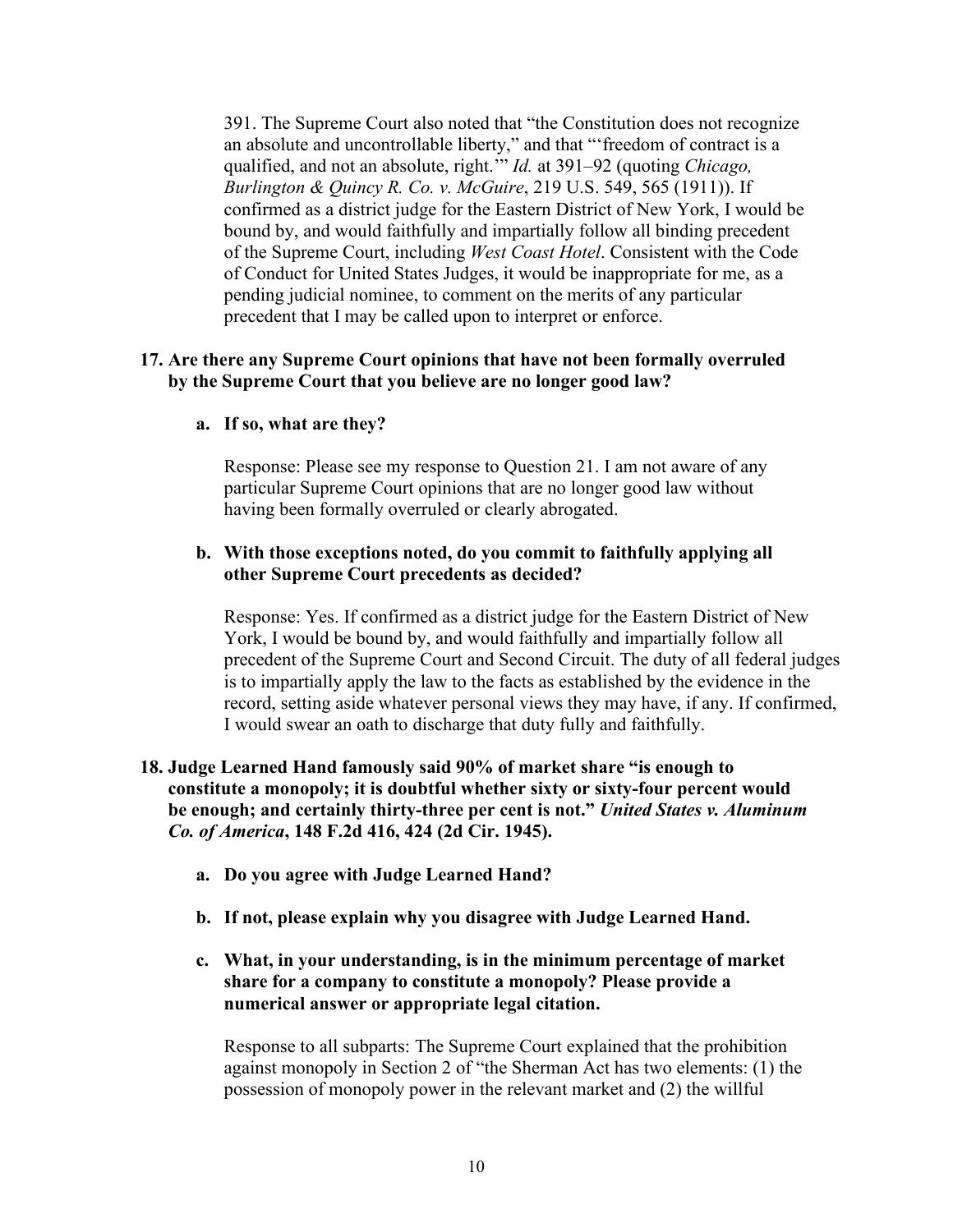391. The Supreme Court also noted that "the Constitution does not recognize an absolute and uncontrollable liberty," and that "'freedom of contract is a qualified, and not an absolute, right.'" *Id.* at 391–92 (quoting *Chicago, Burlington & Quincy R. Co. v. McGuire*, 219 U.S. 549, 565 (1911)). If confirmed as a district judge for the Eastern District of New York, I would be bound by, and would faithfully and impartially follow all binding precedent of the Supreme Court, including *West Coast Hotel*. Consistent with the Code of Conduct for United States Judges, it would be inappropriate for me, as a pending judicial nominee, to comment on the merits of any particular precedent that I may be called upon to interpret or enforce.

# **17. Are there any Supreme Court opinions that have not been formally overruled by the Supreme Court that you believe are no longer good law?**

### **a. If so, what are they?**

Response: Please see my response to Question 21. I am not aware of any particular Supreme Court opinions that are no longer good law without having been formally overruled or clearly abrogated.

## **b. With those exceptions noted, do you commit to faithfully applying all other Supreme Court precedents as decided?**

Response: Yes. If confirmed as a district judge for the Eastern District of New York, I would be bound by, and would faithfully and impartially follow all precedent of the Supreme Court and Second Circuit. The duty of all federal judges is to impartially apply the law to the facts as established by the evidence in the record, setting aside whatever personal views they may have, if any. If confirmed, I would swear an oath to discharge that duty fully and faithfully.

# **18. Judge Learned Hand famously said 90% of market share "is enough to constitute a monopoly; it is doubtful whether sixty or sixty-four percent would be enough; and certainly thirty-three per cent is not."** *United States v. Aluminum Co. of America***, 148 F.2d 416, 424 (2d Cir. 1945).**

- **a. Do you agree with Judge Learned Hand?**
- **b. If not, please explain why you disagree with Judge Learned Hand.**
- **c. What, in your understanding, is in the minimum percentage of market share for a company to constitute a monopoly? Please provide a numerical answer or appropriate legal citation.**

Response to all subparts: The Supreme Court explained that the prohibition against monopoly in Section 2 of "the Sherman Act has two elements: (1) the possession of monopoly power in the relevant market and (2) the willful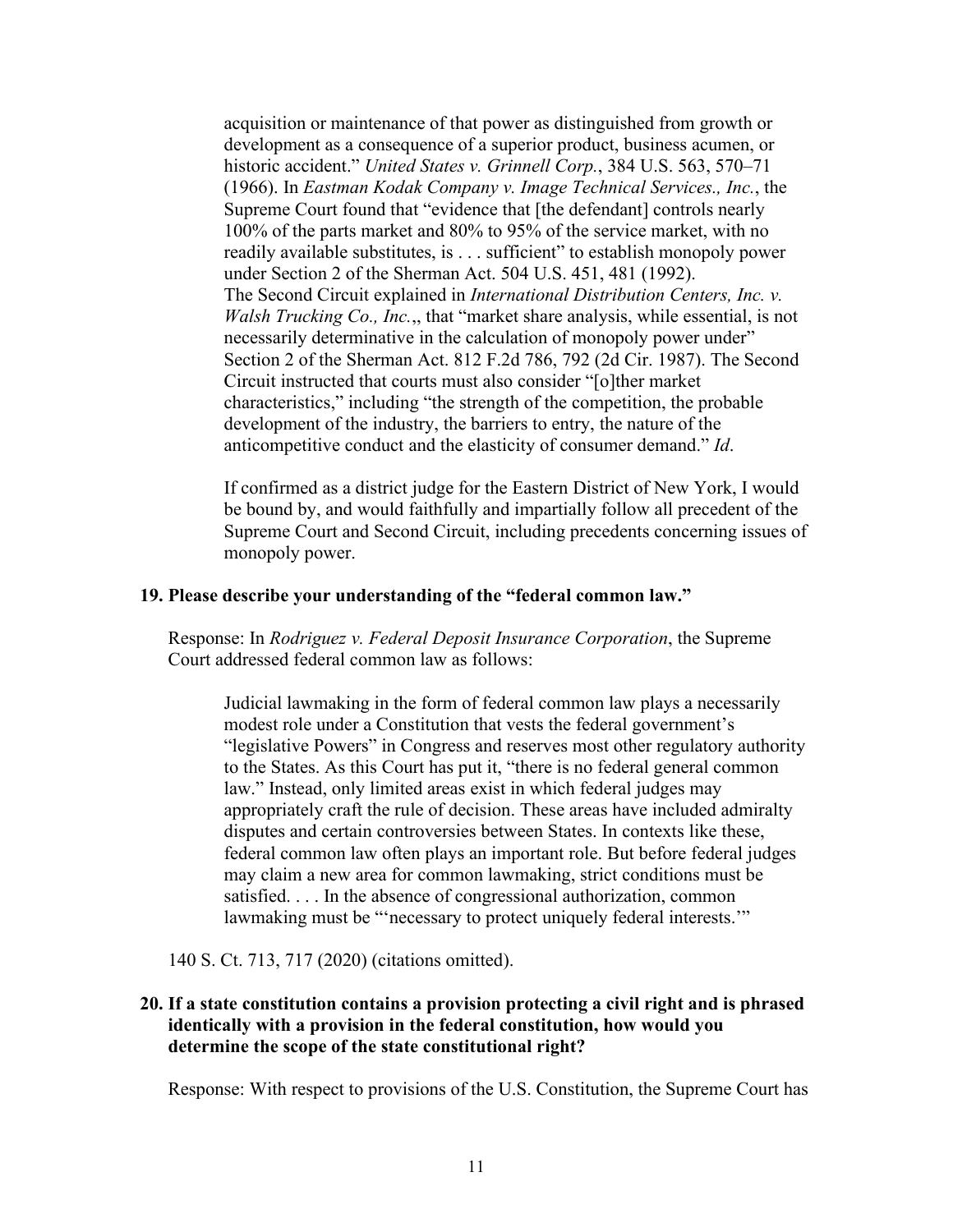acquisition or maintenance of that power as distinguished from growth or development as a consequence of a superior product, business acumen, or historic accident." *United States v. Grinnell Corp.*, 384 U.S. 563, 570–71 (1966). In *Eastman Kodak Company v. Image Technical Services., Inc.*, the Supreme Court found that "evidence that [the defendant] controls nearly 100% of the parts market and 80% to 95% of the service market, with no readily available substitutes, is . . . sufficient" to establish monopoly power under Section 2 of the Sherman Act. 504 U.S. 451, 481 (1992). The Second Circuit explained in *International Distribution Centers, Inc. v. Walsh Trucking Co., Inc.*,, that "market share analysis, while essential, is not necessarily determinative in the calculation of monopoly power under" Section 2 of the Sherman Act. 812 F.2d 786, 792 (2d Cir. 1987). The Second Circuit instructed that courts must also consider "[o]ther market characteristics," including "the strength of the competition, the probable development of the industry, the barriers to entry, the nature of the anticompetitive conduct and the elasticity of consumer demand." *Id*.

If confirmed as a district judge for the Eastern District of New York, I would be bound by, and would faithfully and impartially follow all precedent of the Supreme Court and Second Circuit, including precedents concerning issues of monopoly power.

#### **19. Please describe your understanding of the "federal common law."**

Response: In *Rodriguez v. Federal Deposit Insurance Corporation*, the Supreme Court addressed federal common law as follows:

Judicial lawmaking in the form of federal common law plays a necessarily modest role under a Constitution that vests the federal government's "legislative Powers" in Congress and reserves most other regulatory authority to the States. As this Court has put it, "there is no federal general common law." Instead, only limited areas exist in which federal judges may appropriately craft the rule of decision. These areas have included admiralty disputes and certain controversies between States. In contexts like these, federal common law often plays an important role. But before federal judges may claim a new area for common lawmaking, strict conditions must be satisfied. . . . In the absence of congressional authorization, common lawmaking must be "'necessary to protect uniquely federal interests."

140 S. Ct. 713, 717 (2020) (citations omitted).

# **20. If a state constitution contains a provision protecting a civil right and is phrased identically with a provision in the federal constitution, how would you determine the scope of the state constitutional right?**

Response: With respect to provisions of the U.S. Constitution, the Supreme Court has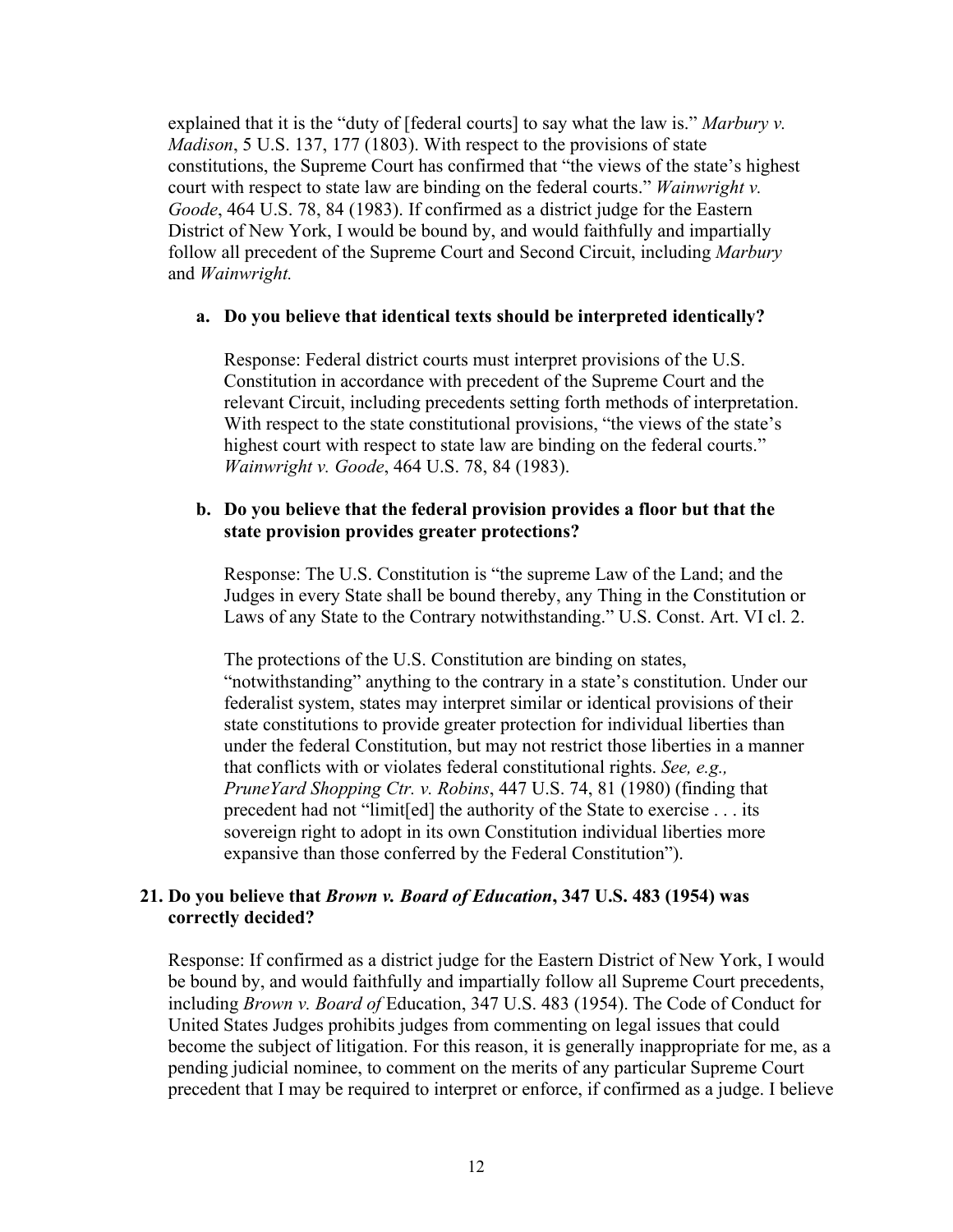explained that it is the "duty of [federal courts] to say what the law is." *Marbury v. Madison*, 5 U.S. 137, 177 (1803). With respect to the provisions of state constitutions, the Supreme Court has confirmed that "the views of the state's highest court with respect to state law are binding on the federal courts." *Wainwright v. Goode*, 464 U.S. 78, 84 (1983). If confirmed as a district judge for the Eastern District of New York, I would be bound by, and would faithfully and impartially follow all precedent of the Supreme Court and Second Circuit, including *Marbury* and *Wainwright.*

#### **a. Do you believe that identical texts should be interpreted identically?**

Response: Federal district courts must interpret provisions of the U.S. Constitution in accordance with precedent of the Supreme Court and the relevant Circuit, including precedents setting forth methods of interpretation. With respect to the state constitutional provisions, "the views of the state's highest court with respect to state law are binding on the federal courts." *Wainwright v. Goode*, 464 U.S. 78, 84 (1983).

### **b. Do you believe that the federal provision provides a floor but that the state provision provides greater protections?**

Response: The U.S. Constitution is "the supreme Law of the Land; and the Judges in every State shall be bound thereby, any Thing in the Constitution or Laws of any State to the Contrary notwithstanding." U.S. Const. Art. VI cl. 2.

The protections of the U.S. Constitution are binding on states, "notwithstanding" anything to the contrary in a state's constitution. Under our federalist system, states may interpret similar or identical provisions of their state constitutions to provide greater protection for individual liberties than under the federal Constitution, but may not restrict those liberties in a manner that conflicts with or violates federal constitutional rights. *See, e.g., PruneYard Shopping Ctr. v. Robins*, 447 U.S. 74, 81 (1980) (finding that precedent had not "limit[ed] the authority of the State to exercise . . . its sovereign right to adopt in its own Constitution individual liberties more expansive than those conferred by the Federal Constitution").

# **21. Do you believe that** *Brown v. Board of Education***, 347 U.S. 483 (1954) was correctly decided?**

Response: If confirmed as a district judge for the Eastern District of New York, I would be bound by, and would faithfully and impartially follow all Supreme Court precedents, including *Brown v. Board of* Education, 347 U.S. 483 (1954). The Code of Conduct for United States Judges prohibits judges from commenting on legal issues that could become the subject of litigation. For this reason, it is generally inappropriate for me, as a pending judicial nominee, to comment on the merits of any particular Supreme Court precedent that I may be required to interpret or enforce, if confirmed as a judge. I believe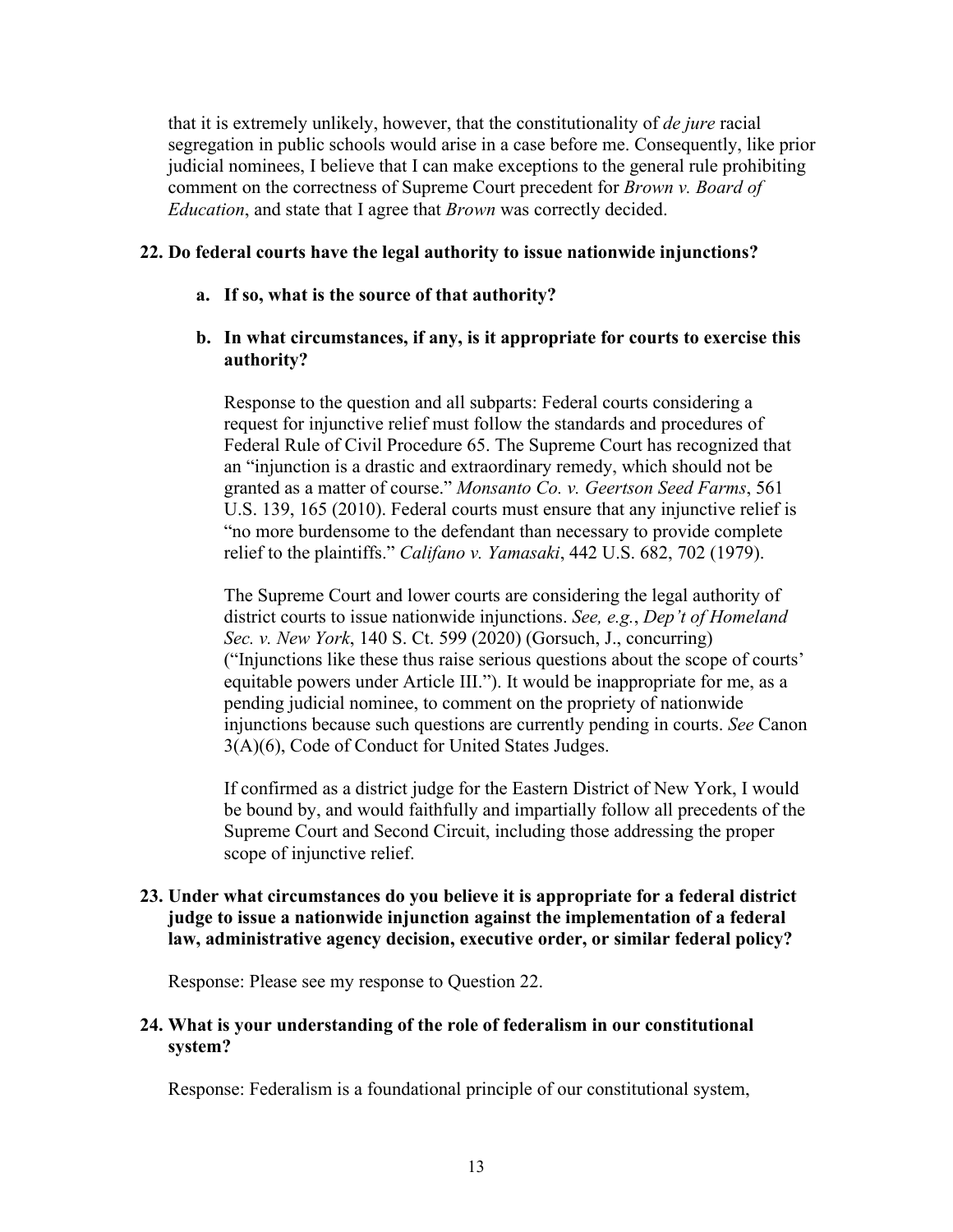that it is extremely unlikely, however, that the constitutionality of *de jure* racial segregation in public schools would arise in a case before me. Consequently, like prior judicial nominees, I believe that I can make exceptions to the general rule prohibiting comment on the correctness of Supreme Court precedent for *Brown v. Board of Education*, and state that I agree that *Brown* was correctly decided.

## **22. Do federal courts have the legal authority to issue nationwide injunctions?**

**a. If so, what is the source of that authority?** 

# **b. In what circumstances, if any, is it appropriate for courts to exercise this authority?**

Response to the question and all subparts: Federal courts considering a request for injunctive relief must follow the standards and procedures of Federal Rule of Civil Procedure 65. The Supreme Court has recognized that an "injunction is a drastic and extraordinary remedy, which should not be granted as a matter of course." *Monsanto Co. v. Geertson Seed Farms*, 561 U.S. 139, 165 (2010). Federal courts must ensure that any injunctive relief is "no more burdensome to the defendant than necessary to provide complete relief to the plaintiffs." *Califano v. Yamasaki*, 442 U.S. 682, 702 (1979).

The Supreme Court and lower courts are considering the legal authority of district courts to issue nationwide injunctions. *See, e.g.*, *Dep't of Homeland Sec. v. New York*, 140 S. Ct. 599 (2020) (Gorsuch, J., concurring) ("Injunctions like these thus raise serious questions about the scope of courts' equitable powers under Article III."). It would be inappropriate for me, as a pending judicial nominee, to comment on the propriety of nationwide injunctions because such questions are currently pending in courts. *See* Canon 3(A)(6), Code of Conduct for United States Judges.

If confirmed as a district judge for the Eastern District of New York, I would be bound by, and would faithfully and impartially follow all precedents of the Supreme Court and Second Circuit, including those addressing the proper scope of injunctive relief.

# **23. Under what circumstances do you believe it is appropriate for a federal district judge to issue a nationwide injunction against the implementation of a federal law, administrative agency decision, executive order, or similar federal policy?**

Response: Please see my response to Question 22.

# **24. What is your understanding of the role of federalism in our constitutional system?**

Response: Federalism is a foundational principle of our constitutional system,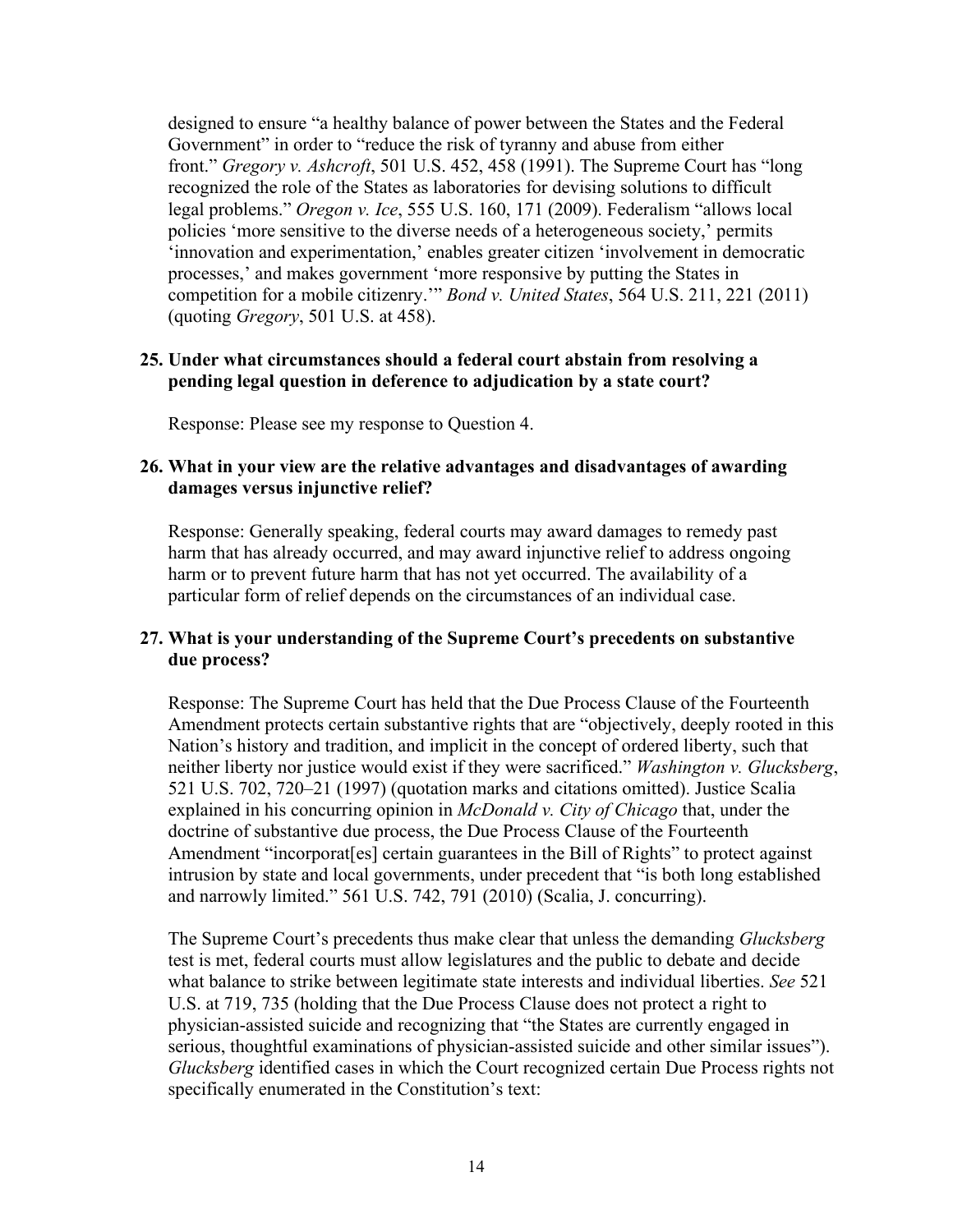designed to ensure "a healthy balance of power between the States and the Federal Government" in order to "reduce the risk of tyranny and abuse from either front." *Gregory v. Ashcroft*, 501 U.S. 452, 458 (1991). The Supreme Court has "long recognized the role of the States as laboratories for devising solutions to difficult legal problems." *Oregon v. Ice*, 555 U.S. 160, 171 (2009). Federalism "allows local policies 'more sensitive to the diverse needs of a heterogeneous society,' permits 'innovation and experimentation,' enables greater citizen 'involvement in democratic processes,' and makes government 'more responsive by putting the States in competition for a mobile citizenry.'" *Bond v. United States*, 564 U.S. 211, 221 (2011) (quoting *Gregory*, 501 U.S. at 458).

# **25. Under what circumstances should a federal court abstain from resolving a pending legal question in deference to adjudication by a state court?**

Response: Please see my response to Question 4.

# **26. What in your view are the relative advantages and disadvantages of awarding damages versus injunctive relief?**

Response: Generally speaking, federal courts may award damages to remedy past harm that has already occurred, and may award injunctive relief to address ongoing harm or to prevent future harm that has not yet occurred. The availability of a particular form of relief depends on the circumstances of an individual case.

# **27. What is your understanding of the Supreme Court's precedents on substantive due process?**

Response: The Supreme Court has held that the Due Process Clause of the Fourteenth Amendment protects certain substantive rights that are "objectively, deeply rooted in this Nation's history and tradition, and implicit in the concept of ordered liberty, such that neither liberty nor justice would exist if they were sacrificed." *Washington v. Glucksberg*, 521 U.S. 702, 720–21 (1997) (quotation marks and citations omitted). Justice Scalia explained in his concurring opinion in *McDonald v. City of Chicago* that, under the doctrine of substantive due process, the Due Process Clause of the Fourteenth Amendment "incorporat[es] certain guarantees in the Bill of Rights" to protect against intrusion by state and local governments, under precedent that "is both long established and narrowly limited." 561 U.S. 742, 791 (2010) (Scalia, J. concurring).

The Supreme Court's precedents thus make clear that unless the demanding *Glucksberg* test is met, federal courts must allow legislatures and the public to debate and decide what balance to strike between legitimate state interests and individual liberties. *See* 521 U.S. at 719, 735 (holding that the Due Process Clause does not protect a right to physician-assisted suicide and recognizing that "the States are currently engaged in serious, thoughtful examinations of physician-assisted suicide and other similar issues"). *Glucksberg* identified cases in which the Court recognized certain Due Process rights not specifically enumerated in the Constitution's text: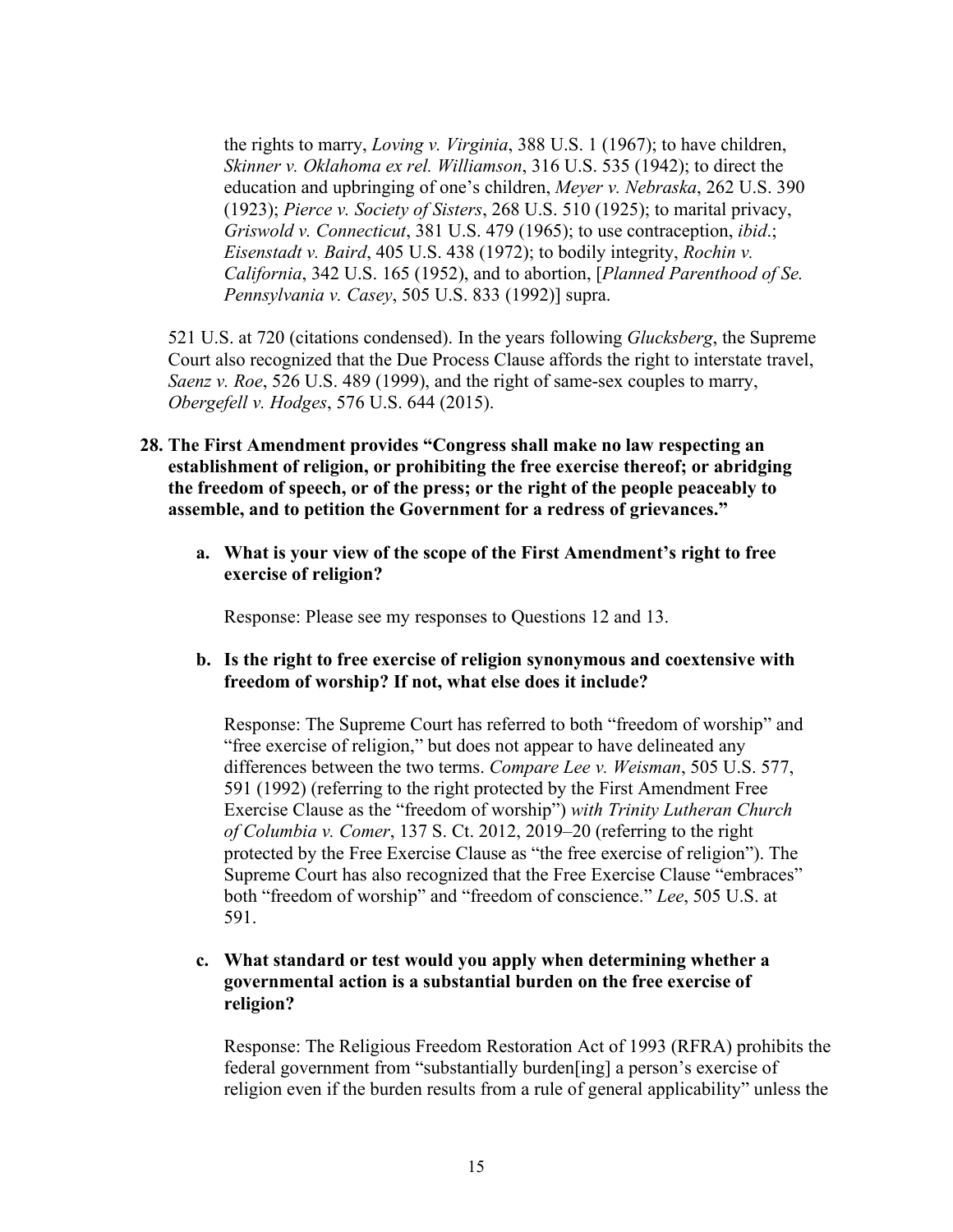the rights to marry, *Loving v. Virginia*, 388 U.S. 1 (1967); to have children, *Skinner v. Oklahoma ex rel. Williamson*, 316 U.S. 535 (1942); to direct the education and upbringing of one's children, *Meyer v. Nebraska*, 262 U.S. 390 (1923); *Pierce v. Society of Sisters*, 268 U.S. 510 (1925); to marital privacy, *Griswold v. Connecticut*, 381 U.S. 479 (1965); to use contraception, *ibid*.; *Eisenstadt v. Baird*, 405 U.S. 438 (1972); to bodily integrity, *Rochin v. California*, 342 U.S. 165 (1952), and to abortion, [*Planned Parenthood of Se. Pennsylvania v. Casey*, 505 U.S. 833 (1992)] supra.

521 U.S. at 720 (citations condensed). In the years following *Glucksberg*, the Supreme Court also recognized that the Due Process Clause affords the right to interstate travel, *Saenz v. Roe*, 526 U.S. 489 (1999), and the right of same-sex couples to marry, *Obergefell v. Hodges*, 576 U.S. 644 (2015).

- **28. The First Amendment provides "Congress shall make no law respecting an establishment of religion, or prohibiting the free exercise thereof; or abridging the freedom of speech, or of the press; or the right of the people peaceably to assemble, and to petition the Government for a redress of grievances."**
	- **a. What is your view of the scope of the First Amendment's right to free exercise of religion?**

Response: Please see my responses to Questions 12 and 13.

**b. Is the right to free exercise of religion synonymous and coextensive with freedom of worship? If not, what else does it include?**

Response: The Supreme Court has referred to both "freedom of worship" and "free exercise of religion," but does not appear to have delineated any differences between the two terms. *Compare Lee v. Weisman*, 505 U.S. 577, 591 (1992) (referring to the right protected by the First Amendment Free Exercise Clause as the "freedom of worship") *with Trinity Lutheran Church of Columbia v. Comer*, 137 S. Ct. 2012, 2019–20 (referring to the right protected by the Free Exercise Clause as "the free exercise of religion"). The Supreme Court has also recognized that the Free Exercise Clause "embraces" both "freedom of worship" and "freedom of conscience." *Lee*, 505 U.S. at 591.

# **c. What standard or test would you apply when determining whether a governmental action is a substantial burden on the free exercise of religion?**

Response: The Religious Freedom Restoration Act of 1993 (RFRA) prohibits the federal government from "substantially burden[ing] a person's exercise of religion even if the burden results from a rule of general applicability" unless the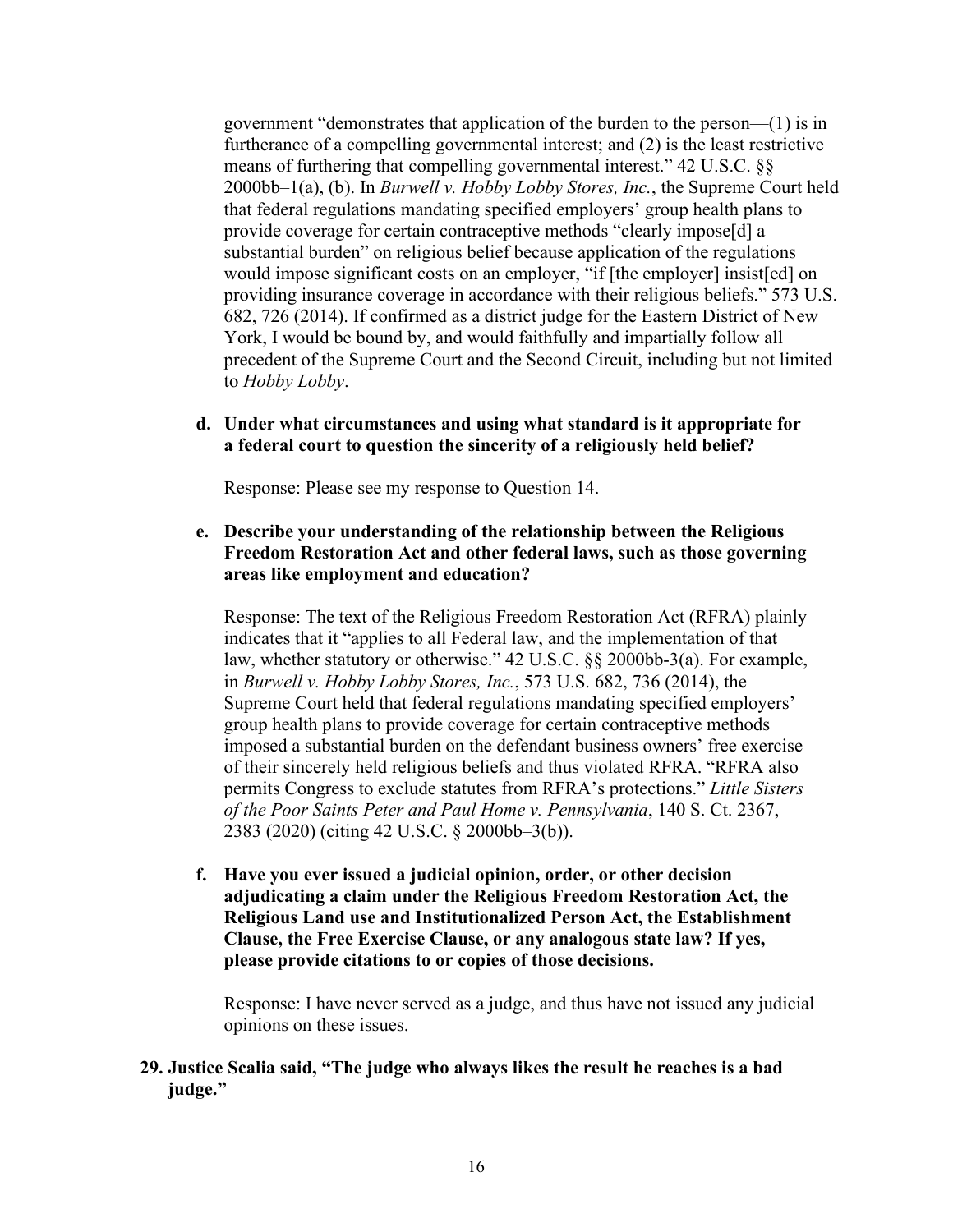government "demonstrates that application of the burden to the person—(1) is in furtherance of a compelling governmental interest; and (2) is the least restrictive means of furthering that compelling governmental interest." 42 U.S.C. §§ 2000bb–1(a), (b). In *Burwell v. Hobby Lobby Stores, Inc.*, the Supreme Court held that federal regulations mandating specified employers' group health plans to provide coverage for certain contraceptive methods "clearly impose[d] a substantial burden" on religious belief because application of the regulations would impose significant costs on an employer, "if [the employer] insist[ed] on providing insurance coverage in accordance with their religious beliefs." 573 U.S. 682, 726 (2014). If confirmed as a district judge for the Eastern District of New York, I would be bound by, and would faithfully and impartially follow all precedent of the Supreme Court and the Second Circuit, including but not limited to *Hobby Lobby*.

## **d. Under what circumstances and using what standard is it appropriate for a federal court to question the sincerity of a religiously held belief?**

Response: Please see my response to Question 14.

# **e. Describe your understanding of the relationship between the Religious Freedom Restoration Act and other federal laws, such as those governing areas like employment and education?**

Response: The text of the Religious Freedom Restoration Act (RFRA) plainly indicates that it "applies to all Federal law, and the implementation of that law, whether statutory or otherwise." 42 U.S.C. §§ 2000bb-3(a). For example, in *Burwell v. Hobby Lobby Stores, Inc.*, 573 U.S. 682, 736 (2014), the Supreme Court held that federal regulations mandating specified employers' group health plans to provide coverage for certain contraceptive methods imposed a substantial burden on the defendant business owners' free exercise of their sincerely held religious beliefs and thus violated RFRA. "RFRA also permits Congress to exclude statutes from RFRA's protections." *Little Sisters of the Poor Saints Peter and Paul Home v. Pennsylvania*, 140 S. Ct. 2367, 2383 (2020) (citing 42 U.S.C. § 2000bb–3(b)).

**f. Have you ever issued a judicial opinion, order, or other decision adjudicating a claim under the Religious Freedom Restoration Act, the Religious Land use and Institutionalized Person Act, the Establishment Clause, the Free Exercise Clause, or any analogous state law? If yes, please provide citations to or copies of those decisions.**

Response: I have never served as a judge, and thus have not issued any judicial opinions on these issues.

# **29. Justice Scalia said, "The judge who always likes the result he reaches is a bad judge."**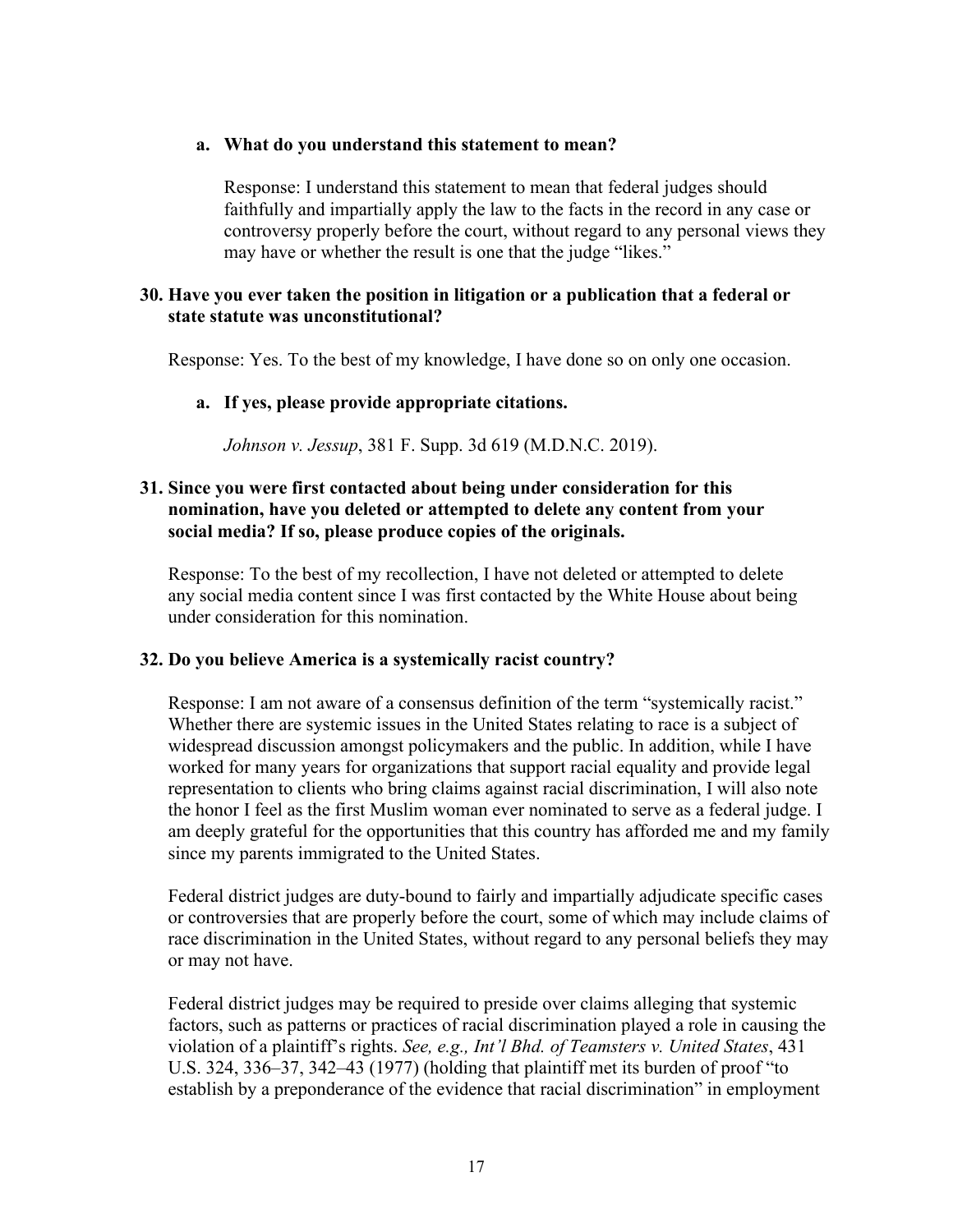#### **a. What do you understand this statement to mean?**

Response: I understand this statement to mean that federal judges should faithfully and impartially apply the law to the facts in the record in any case or controversy properly before the court, without regard to any personal views they may have or whether the result is one that the judge "likes."

## **30. Have you ever taken the position in litigation or a publication that a federal or state statute was unconstitutional?**

Response: Yes. To the best of my knowledge, I have done so on only one occasion.

### **a. If yes, please provide appropriate citations.**

*Johnson v. Jessup*, 381 F. Supp. 3d 619 (M.D.N.C. 2019).

# **31. Since you were first contacted about being under consideration for this nomination, have you deleted or attempted to delete any content from your social media? If so, please produce copies of the originals.**

Response: To the best of my recollection, I have not deleted or attempted to delete any social media content since I was first contacted by the White House about being under consideration for this nomination.

# **32. Do you believe America is a systemically racist country?**

Response: I am not aware of a consensus definition of the term "systemically racist." Whether there are systemic issues in the United States relating to race is a subject of widespread discussion amongst policymakers and the public. In addition, while I have worked for many years for organizations that support racial equality and provide legal representation to clients who bring claims against racial discrimination, I will also note the honor I feel as the first Muslim woman ever nominated to serve as a federal judge. I am deeply grateful for the opportunities that this country has afforded me and my family since my parents immigrated to the United States.

Federal district judges are duty-bound to fairly and impartially adjudicate specific cases or controversies that are properly before the court, some of which may include claims of race discrimination in the United States, without regard to any personal beliefs they may or may not have.

Federal district judges may be required to preside over claims alleging that systemic factors, such as patterns or practices of racial discrimination played a role in causing the violation of a plaintiff's rights. *See, e.g., Int'l Bhd. of Teamsters v. United States*, 431 U.S. 324, 336–37, 342–43 (1977) (holding that plaintiff met its burden of proof "to establish by a preponderance of the evidence that racial discrimination" in employment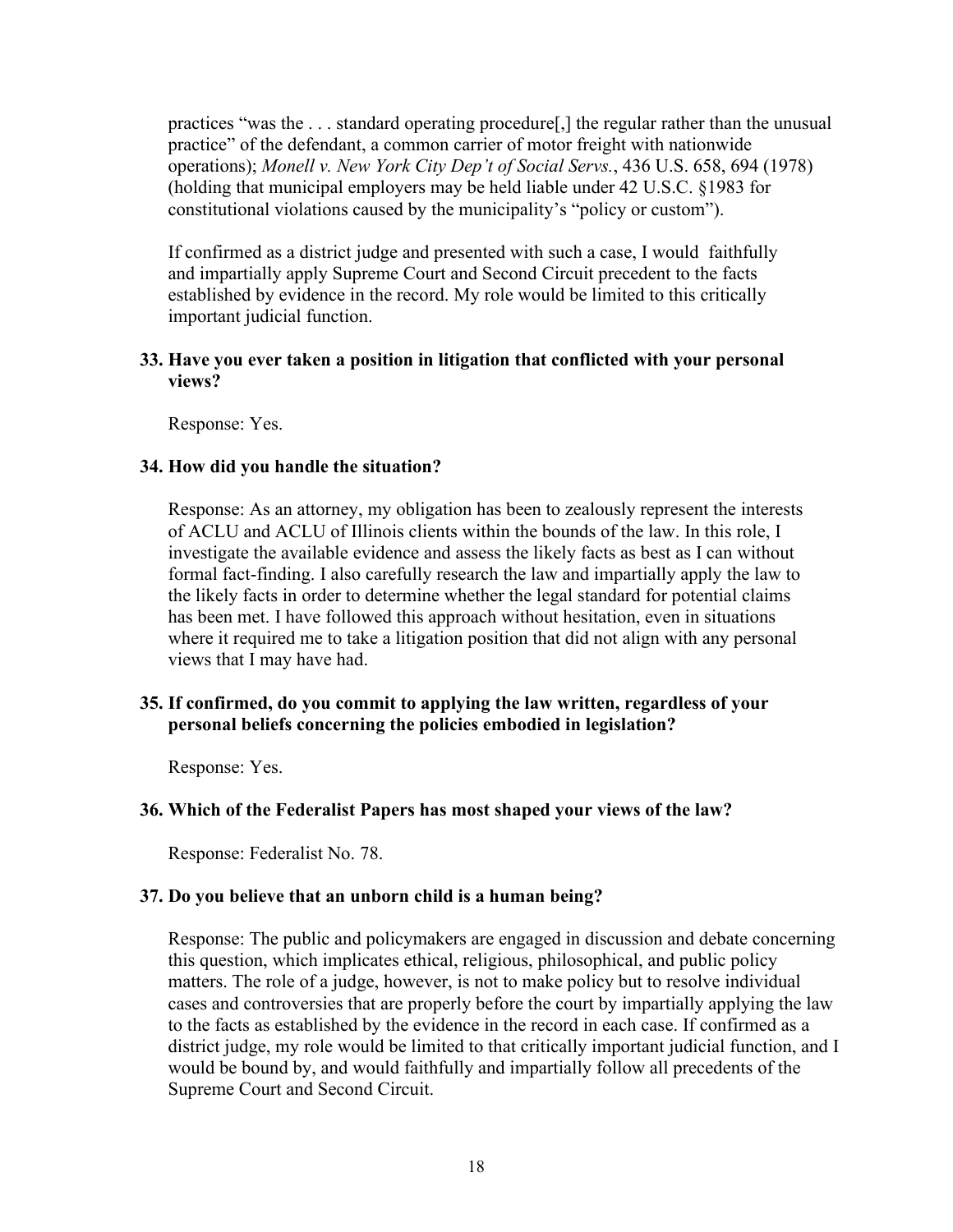practices "was the . . . standard operating procedure[,] the regular rather than the unusual practice" of the defendant, a common carrier of motor freight with nationwide operations); *Monell v. New York City Dep't of Social Servs.*, 436 U.S. 658, 694 (1978) (holding that municipal employers may be held liable under 42 U.S.C. §1983 for constitutional violations caused by the municipality's "policy or custom").

If confirmed as a district judge and presented with such a case, I would faithfully and impartially apply Supreme Court and Second Circuit precedent to the facts established by evidence in the record. My role would be limited to this critically important judicial function.

# **33. Have you ever taken a position in litigation that conflicted with your personal views?**

Response: Yes.

# **34. How did you handle the situation?**

Response: As an attorney, my obligation has been to zealously represent the interests of ACLU and ACLU of Illinois clients within the bounds of the law. In this role, I investigate the available evidence and assess the likely facts as best as I can without formal fact-finding. I also carefully research the law and impartially apply the law to the likely facts in order to determine whether the legal standard for potential claims has been met. I have followed this approach without hesitation, even in situations where it required me to take a litigation position that did not align with any personal views that I may have had.

### **35. If confirmed, do you commit to applying the law written, regardless of your personal beliefs concerning the policies embodied in legislation?**

Response: Yes.

# **36. Which of the Federalist Papers has most shaped your views of the law?**

Response: Federalist No. 78.

# **37. Do you believe that an unborn child is a human being?**

Response: The public and policymakers are engaged in discussion and debate concerning this question, which implicates ethical, religious, philosophical, and public policy matters. The role of a judge, however, is not to make policy but to resolve individual cases and controversies that are properly before the court by impartially applying the law to the facts as established by the evidence in the record in each case. If confirmed as a district judge, my role would be limited to that critically important judicial function, and I would be bound by, and would faithfully and impartially follow all precedents of the Supreme Court and Second Circuit.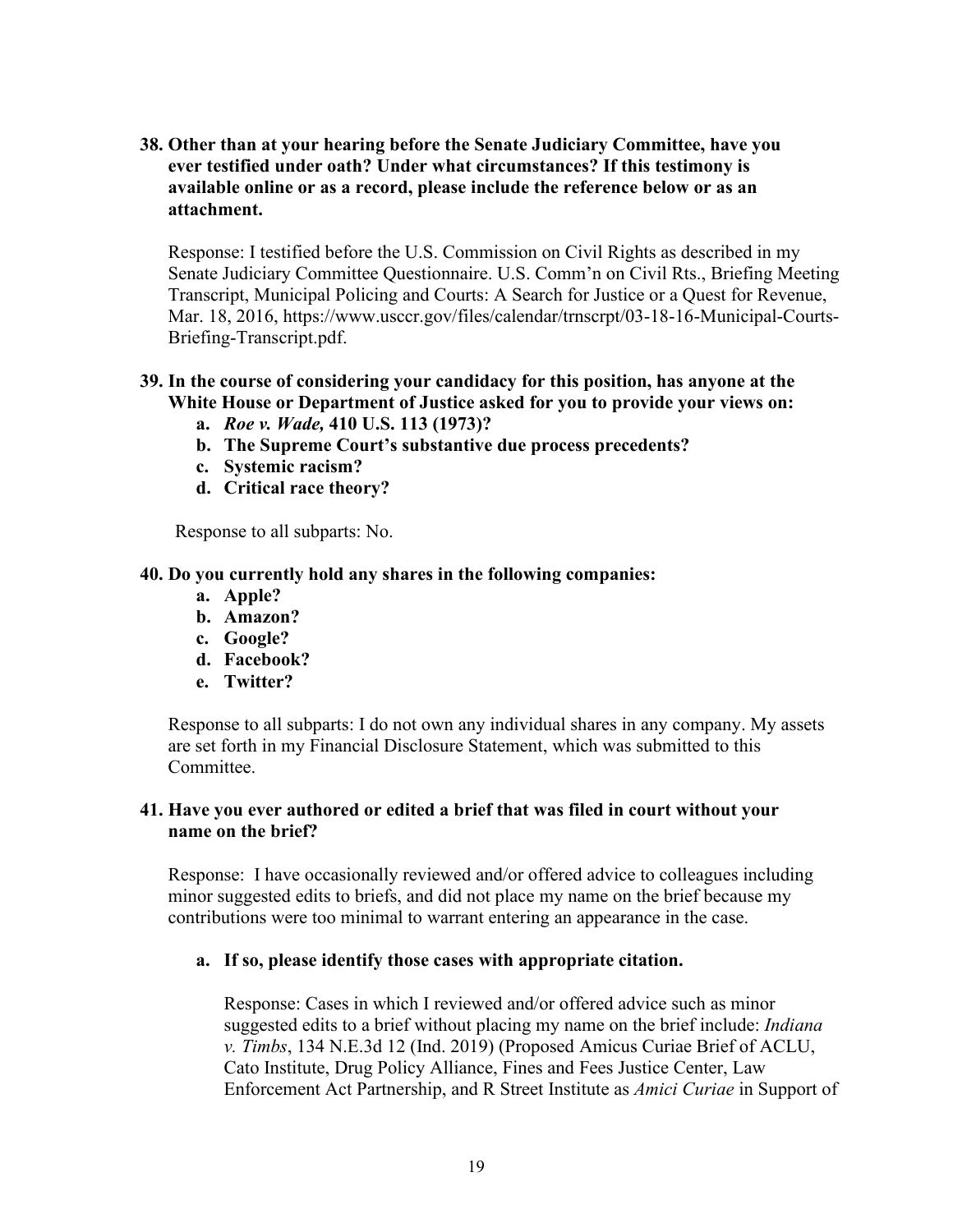**38. Other than at your hearing before the Senate Judiciary Committee, have you ever testified under oath? Under what circumstances? If this testimony is available online or as a record, please include the reference below or as an attachment.** 

Response: I testified before the U.S. Commission on Civil Rights as described in my Senate Judiciary Committee Questionnaire. U.S. Comm'n on Civil Rts., Briefing Meeting Transcript, Municipal Policing and Courts: A Search for Justice or a Quest for Revenue, Mar. 18, 2016, https://www.usccr.gov/files/calendar/trnscrpt/03-18-16-Municipal-Courts-Briefing-Transcript.pdf.

# **39. In the course of considering your candidacy for this position, has anyone at the White House or Department of Justice asked for you to provide your views on:**

- **a.** *Roe v. Wade,* **410 U.S. 113 (1973)?**
- **b. The Supreme Court's substantive due process precedents?**
- **c. Systemic racism?**
- **d. Critical race theory?**

Response to all subparts: No.

### **40. Do you currently hold any shares in the following companies:**

- **a. Apple?**
- **b. Amazon?**
- **c. Google?**
- **d. Facebook?**
- **e. Twitter?**

Response to all subparts: I do not own any individual shares in any company. My assets are set forth in my Financial Disclosure Statement, which was submitted to this Committee.

# **41. Have you ever authored or edited a brief that was filed in court without your name on the brief?**

Response: I have occasionally reviewed and/or offered advice to colleagues including minor suggested edits to briefs, and did not place my name on the brief because my contributions were too minimal to warrant entering an appearance in the case.

### **a. If so, please identify those cases with appropriate citation.**

Response: Cases in which I reviewed and/or offered advice such as minor suggested edits to a brief without placing my name on the brief include: *Indiana v. Timbs*, 134 N.E.3d 12 (Ind. 2019) (Proposed Amicus Curiae Brief of ACLU, Cato Institute, Drug Policy Alliance, Fines and Fees Justice Center, Law Enforcement Act Partnership, and R Street Institute as *Amici Curiae* in Support of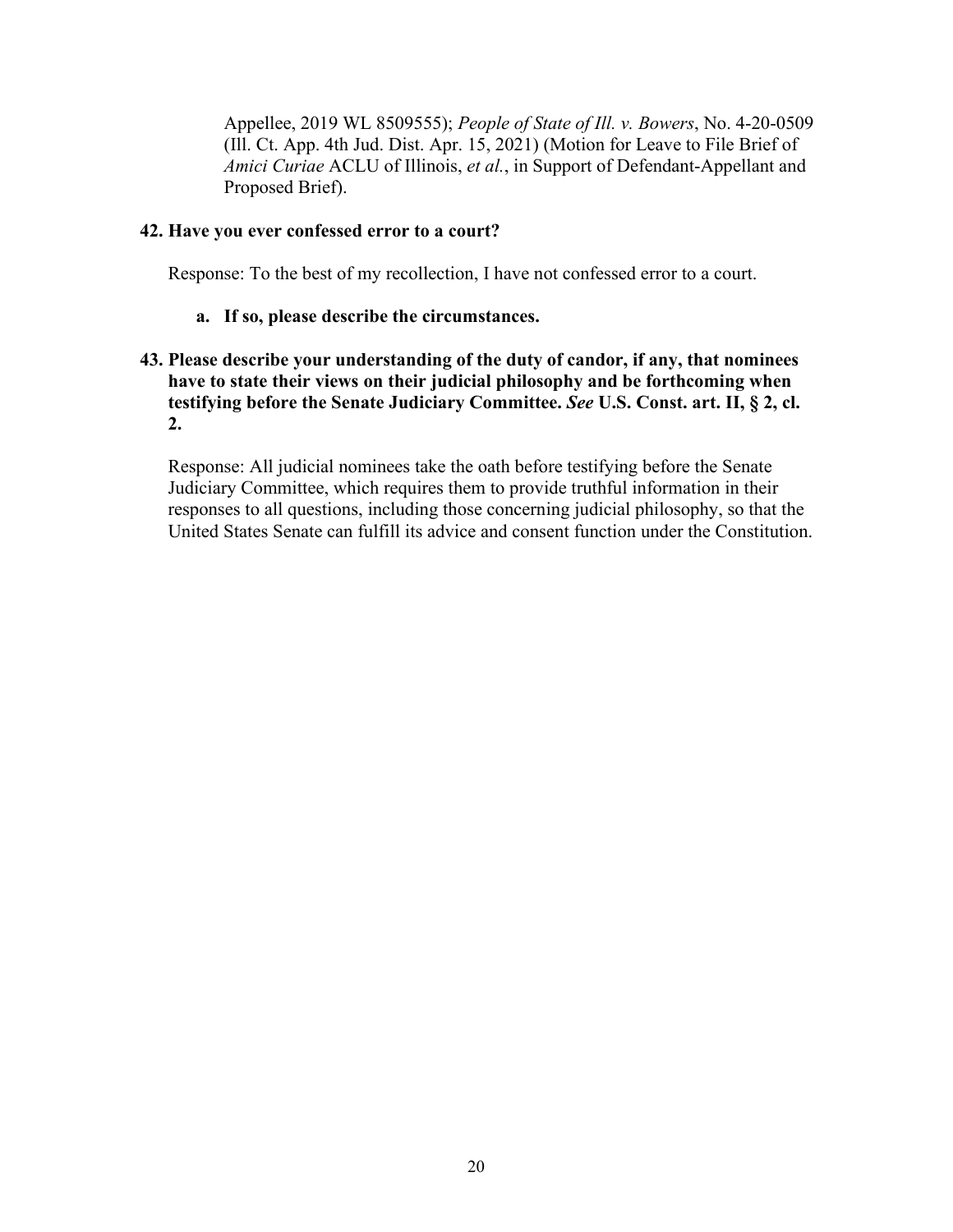Appellee, 2019 WL 8509555); *People of State of Ill. v. Bowers*, No. 4-20-0509 (Ill. Ct. App. 4th Jud. Dist. Apr. 15, 2021) (Motion for Leave to File Brief of *Amici Curiae* ACLU of Illinois, *et al.*, in Support of Defendant-Appellant and Proposed Brief).

## **42. Have you ever confessed error to a court?**

Response: To the best of my recollection, I have not confessed error to a court.

# **a. If so, please describe the circumstances.**

# **43. Please describe your understanding of the duty of candor, if any, that nominees have to state their views on their judicial philosophy and be forthcoming when testifying before the Senate Judiciary Committee.** *See* **U.S. Const. art. II, § 2, cl. 2.**

Response: All judicial nominees take the oath before testifying before the Senate Judiciary Committee, which requires them to provide truthful information in their responses to all questions, including those concerning judicial philosophy, so that the United States Senate can fulfill its advice and consent function under the Constitution.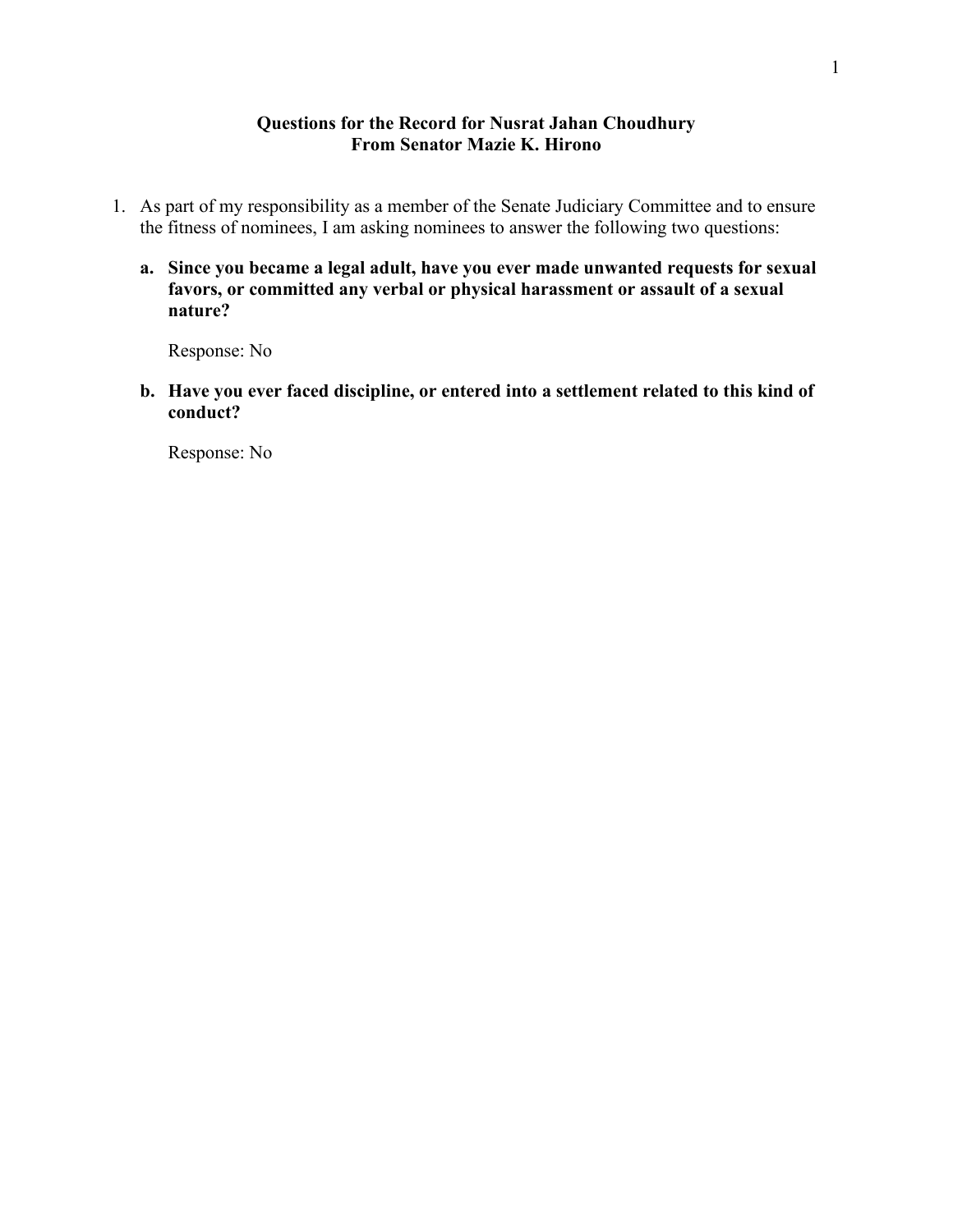#### **Questions for the Record for Nusrat Jahan Choudhury From Senator Mazie K. Hirono**

- 1. As part of my responsibility as a member of the Senate Judiciary Committee and to ensure the fitness of nominees, I am asking nominees to answer the following two questions:
	- **a. Since you became a legal adult, have you ever made unwanted requests for sexual favors, or committed any verbal or physical harassment or assault of a sexual nature?**

Response: No

**b. Have you ever faced discipline, or entered into a settlement related to this kind of conduct?** 

Response: No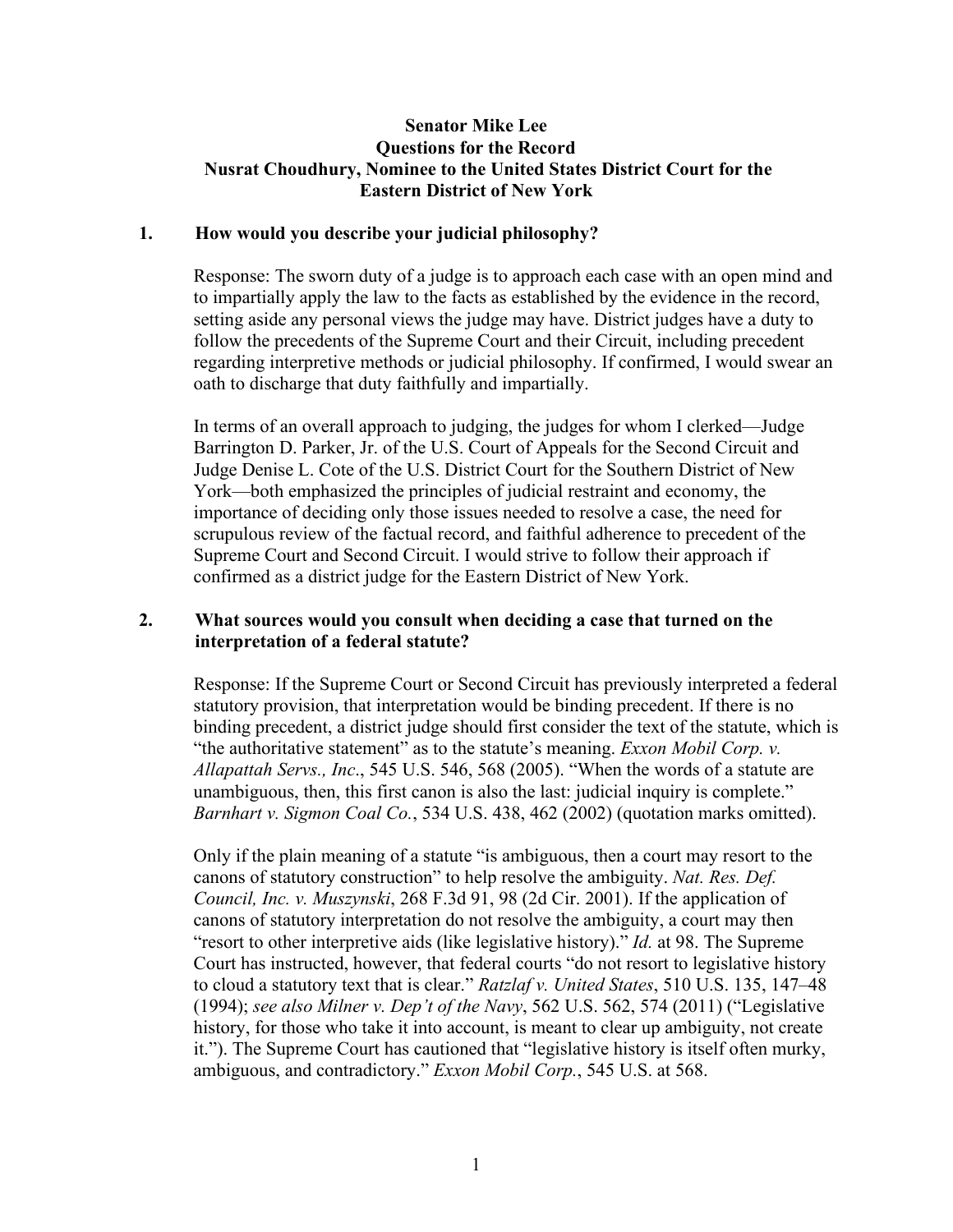# **Senator Mike Lee Questions for the Record Nusrat Choudhury, Nominee to the United States District Court for the Eastern District of New York**

### **1. How would you describe your judicial philosophy?**

Response: The sworn duty of a judge is to approach each case with an open mind and to impartially apply the law to the facts as established by the evidence in the record, setting aside any personal views the judge may have. District judges have a duty to follow the precedents of the Supreme Court and their Circuit, including precedent regarding interpretive methods or judicial philosophy. If confirmed, I would swear an oath to discharge that duty faithfully and impartially.

In terms of an overall approach to judging, the judges for whom I clerked—Judge Barrington D. Parker, Jr. of the U.S. Court of Appeals for the Second Circuit and Judge Denise L. Cote of the U.S. District Court for the Southern District of New York—both emphasized the principles of judicial restraint and economy, the importance of deciding only those issues needed to resolve a case, the need for scrupulous review of the factual record, and faithful adherence to precedent of the Supreme Court and Second Circuit. I would strive to follow their approach if confirmed as a district judge for the Eastern District of New York.

# **2. What sources would you consult when deciding a case that turned on the interpretation of a federal statute?**

Response: If the Supreme Court or Second Circuit has previously interpreted a federal statutory provision, that interpretation would be binding precedent. If there is no binding precedent, a district judge should first consider the text of the statute, which is "the authoritative statement" as to the statute's meaning. *Exxon Mobil Corp. v. Allapattah Servs., Inc*., 545 U.S. 546, 568 (2005). "When the words of a statute are unambiguous, then, this first canon is also the last: judicial inquiry is complete." *Barnhart v. Sigmon Coal Co.*, 534 U.S. 438, 462 (2002) (quotation marks omitted).

Only if the plain meaning of a statute "is ambiguous, then a court may resort to the canons of statutory construction" to help resolve the ambiguity. *Nat. Res. Def. Council, Inc. v. Muszynski*, 268 F.3d 91, 98 (2d Cir. 2001). If the application of canons of statutory interpretation do not resolve the ambiguity, a court may then "resort to other interpretive aids (like legislative history)." *Id.* at 98. The Supreme Court has instructed, however, that federal courts "do not resort to legislative history to cloud a statutory text that is clear." *Ratzlaf v. United States*, 510 U.S. 135, 147–48 (1994); *see also Milner v. Dep't of the Navy*, 562 U.S. 562, 574 (2011) ("Legislative history, for those who take it into account, is meant to clear up ambiguity, not create it."). The Supreme Court has cautioned that "legislative history is itself often murky, ambiguous, and contradictory." *Exxon Mobil Corp.*, 545 U.S. at 568.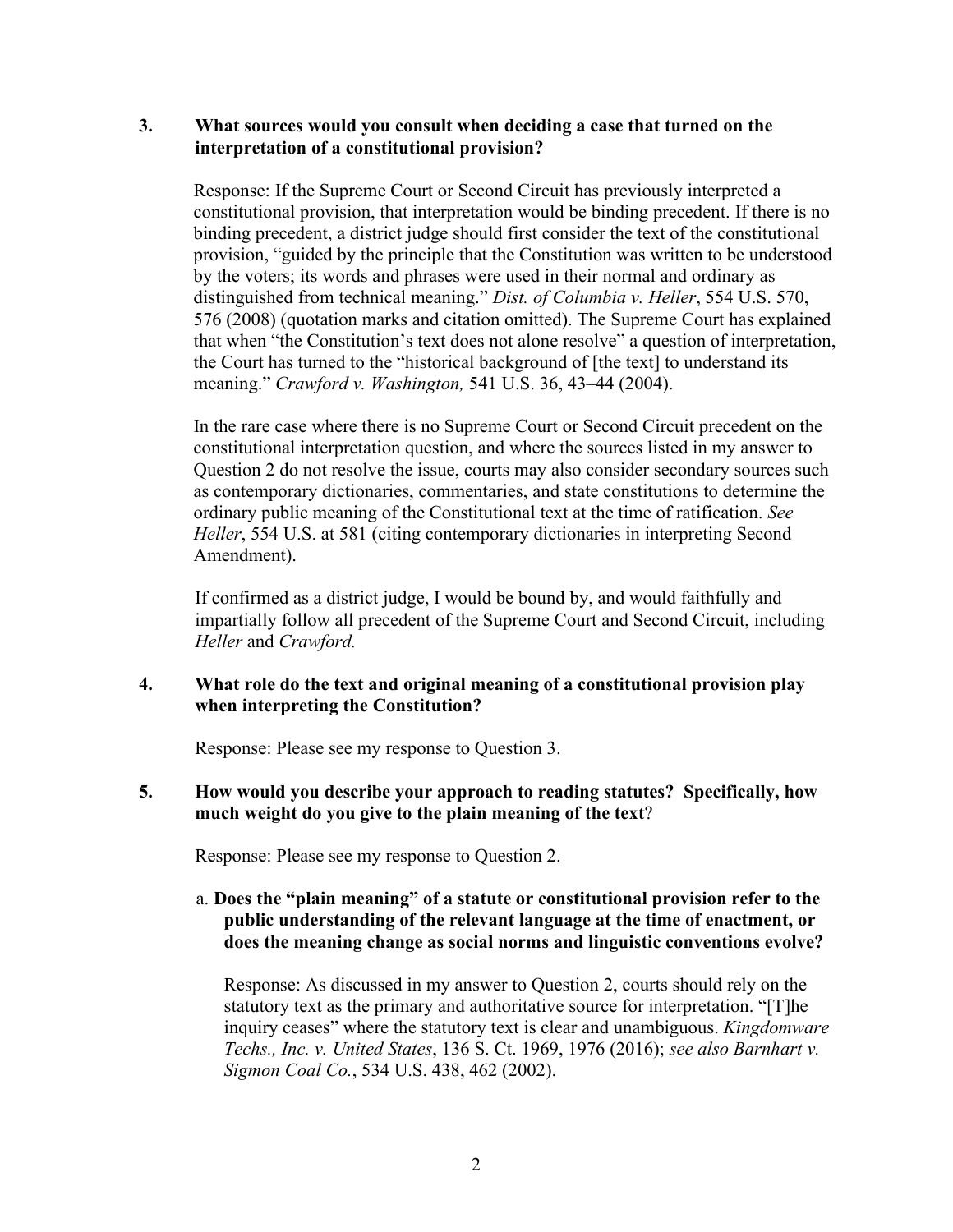# **3. What sources would you consult when deciding a case that turned on the interpretation of a constitutional provision?**

Response: If the Supreme Court or Second Circuit has previously interpreted a constitutional provision, that interpretation would be binding precedent. If there is no binding precedent, a district judge should first consider the text of the constitutional provision, "guided by the principle that the Constitution was written to be understood by the voters; its words and phrases were used in their normal and ordinary as distinguished from technical meaning." *Dist. of Columbia v. Heller*, 554 U.S. 570, 576 (2008) (quotation marks and citation omitted). The Supreme Court has explained that when "the Constitution's text does not alone resolve" a question of interpretation, the Court has turned to the "historical background of [the text] to understand its meaning." *Crawford v. Washington,* 541 U.S. 36, 43–44 (2004).

In the rare case where there is no Supreme Court or Second Circuit precedent on the constitutional interpretation question, and where the sources listed in my answer to Question 2 do not resolve the issue, courts may also consider secondary sources such as contemporary dictionaries, commentaries, and state constitutions to determine the ordinary public meaning of the Constitutional text at the time of ratification. *See Heller*, 554 U.S. at 581 (citing contemporary dictionaries in interpreting Second Amendment).

If confirmed as a district judge, I would be bound by, and would faithfully and impartially follow all precedent of the Supreme Court and Second Circuit, including *Heller* and *Crawford.*

# **4. What role do the text and original meaning of a constitutional provision play when interpreting the Constitution?**

Response: Please see my response to Question 3.

# **5. How would you describe your approach to reading statutes? Specifically, how much weight do you give to the plain meaning of the text**?

Response: Please see my response to Question 2.

# a. **Does the "plain meaning" of a statute or constitutional provision refer to the public understanding of the relevant language at the time of enactment, or does the meaning change as social norms and linguistic conventions evolve?**

Response: As discussed in my answer to Question 2, courts should rely on the statutory text as the primary and authoritative source for interpretation. "[T]he inquiry ceases" where the statutory text is clear and unambiguous. *Kingdomware Techs., Inc. v. United States*, 136 S. Ct. 1969, 1976 (2016); *see also Barnhart v. Sigmon Coal Co.*, 534 U.S. 438, 462 (2002).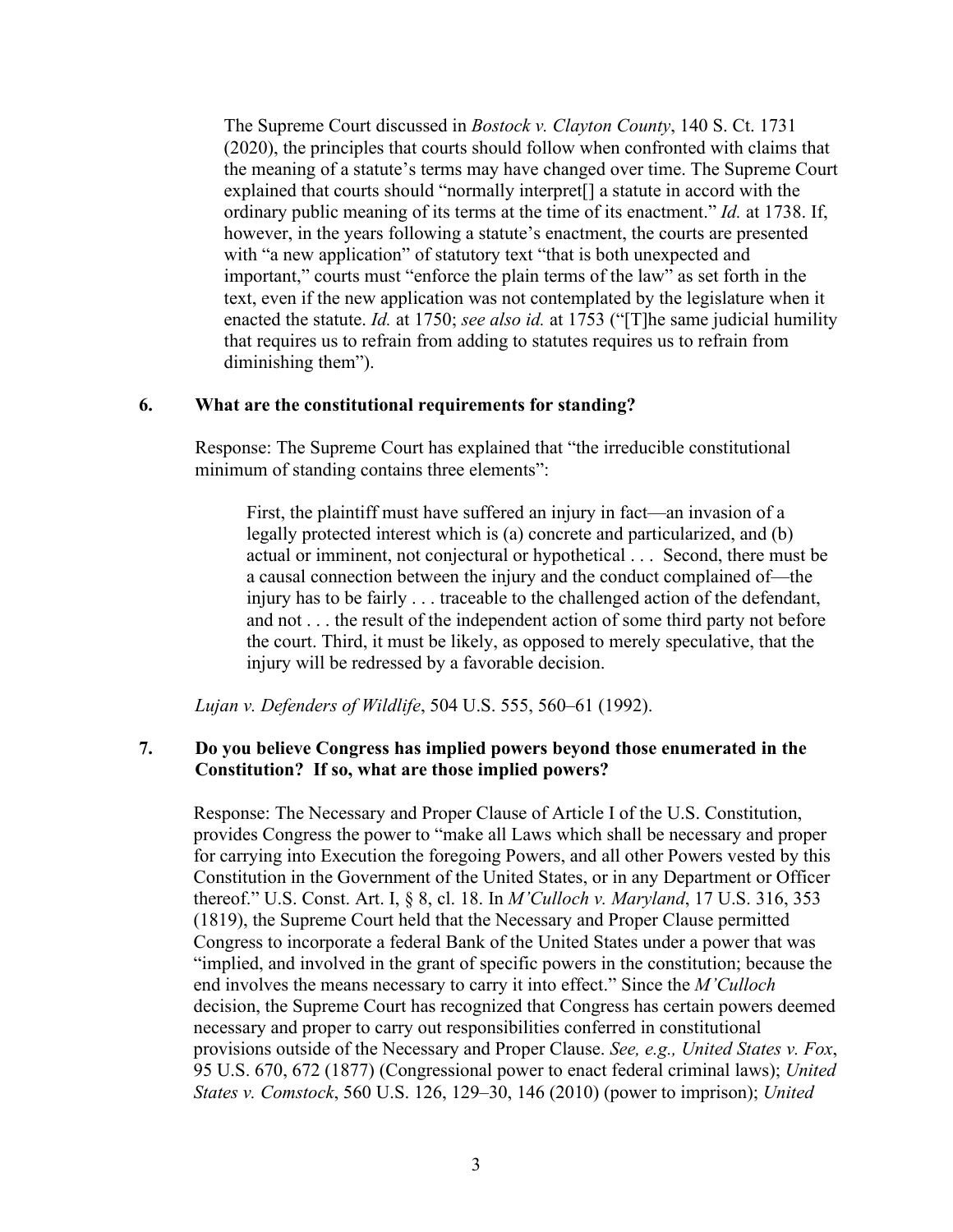The Supreme Court discussed in *Bostock v. Clayton County*, 140 S. Ct. 1731 (2020), the principles that courts should follow when confronted with claims that the meaning of a statute's terms may have changed over time. The Supreme Court explained that courts should "normally interpret[] a statute in accord with the ordinary public meaning of its terms at the time of its enactment." *Id.* at 1738. If, however, in the years following a statute's enactment, the courts are presented with "a new application" of statutory text "that is both unexpected and important," courts must "enforce the plain terms of the law" as set forth in the text, even if the new application was not contemplated by the legislature when it enacted the statute. *Id.* at 1750; *see also id.* at 1753 ("[T]he same judicial humility that requires us to refrain from adding to statutes requires us to refrain from diminishing them").

### **6. What are the constitutional requirements for standing?**

Response: The Supreme Court has explained that "the irreducible constitutional minimum of standing contains three elements":

First, the plaintiff must have suffered an injury in fact—an invasion of a legally protected interest which is (a) concrete and particularized, and (b) actual or imminent, not conjectural or hypothetical . . . Second, there must be a causal connection between the injury and the conduct complained of—the injury has to be fairly . . . traceable to the challenged action of the defendant, and not . . . the result of the independent action of some third party not before the court. Third, it must be likely, as opposed to merely speculative, that the injury will be redressed by a favorable decision.

*Lujan v. Defenders of Wildlife*, 504 U.S. 555, 560–61 (1992).

## **7. Do you believe Congress has implied powers beyond those enumerated in the Constitution? If so, what are those implied powers?**

Response: The Necessary and Proper Clause of Article I of the U.S. Constitution, provides Congress the power to "make all Laws which shall be necessary and proper for carrying into Execution the foregoing Powers, and all other Powers vested by this Constitution in the Government of the United States, or in any Department or Officer thereof." U.S. Const. Art. I, § 8, cl. 18. In *M'Culloch v. Maryland*, 17 U.S. 316, 353 (1819), the Supreme Court held that the Necessary and Proper Clause permitted Congress to incorporate a federal Bank of the United States under a power that was "implied, and involved in the grant of specific powers in the constitution; because the end involves the means necessary to carry it into effect." Since the *M'Culloch* decision, the Supreme Court has recognized that Congress has certain powers deemed necessary and proper to carry out responsibilities conferred in constitutional provisions outside of the Necessary and Proper Clause. *See, e.g., United States v. Fox*, 95 U.S. 670, 672 (1877) (Congressional power to enact federal criminal laws); *United States v. Comstock*, 560 U.S. 126, 129–30, 146 (2010) (power to imprison); *United*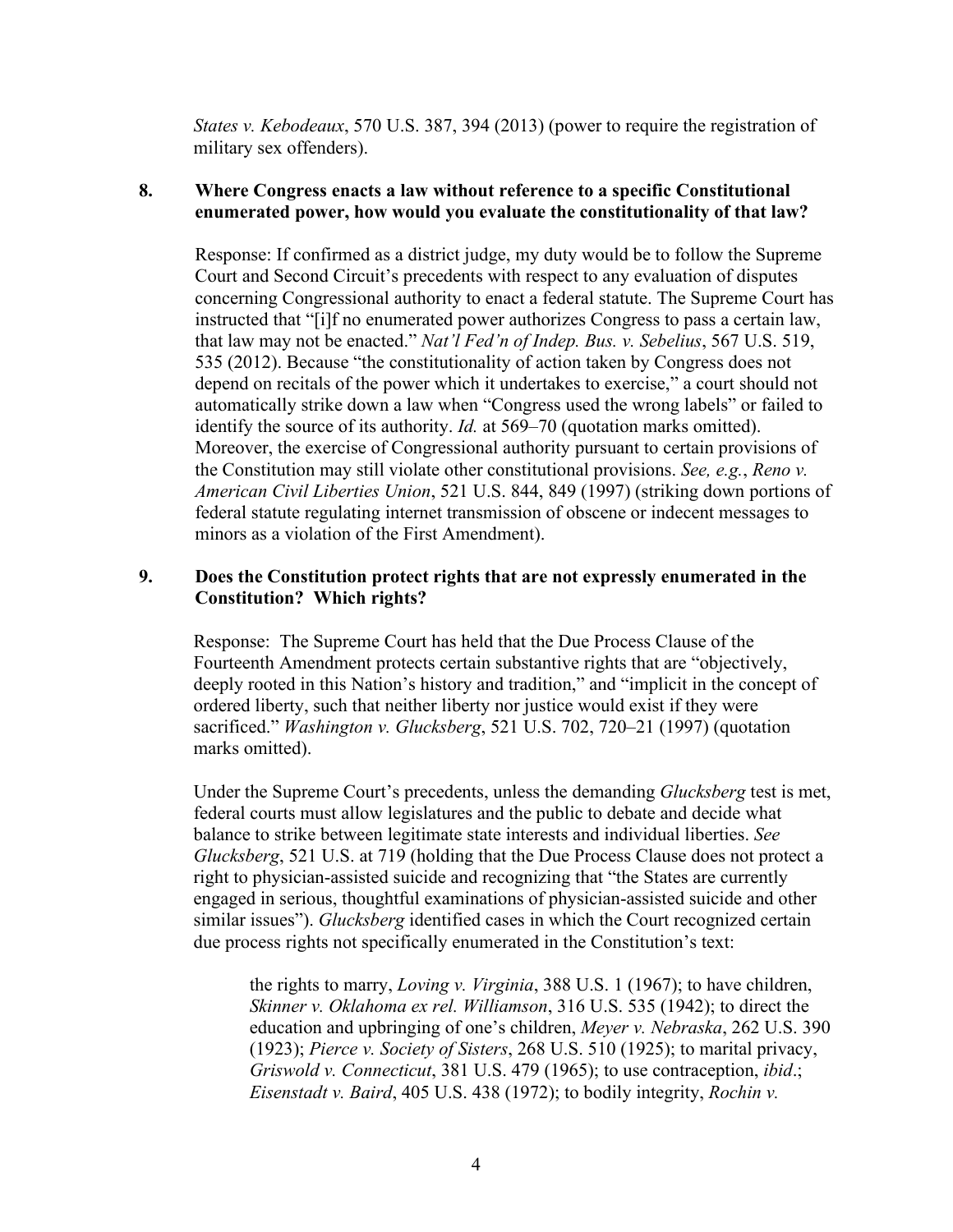*States v. Kebodeaux*, 570 U.S. 387, 394 (2013) (power to require the registration of military sex offenders).

# **8. Where Congress enacts a law without reference to a specific Constitutional enumerated power, how would you evaluate the constitutionality of that law?**

Response: If confirmed as a district judge, my duty would be to follow the Supreme Court and Second Circuit's precedents with respect to any evaluation of disputes concerning Congressional authority to enact a federal statute. The Supreme Court has instructed that "[i]f no enumerated power authorizes Congress to pass a certain law, that law may not be enacted." *Nat'l Fed'n of Indep. Bus. v. Sebelius*, 567 U.S. 519, 535 (2012). Because "the constitutionality of action taken by Congress does not depend on recitals of the power which it undertakes to exercise," a court should not automatically strike down a law when "Congress used the wrong labels" or failed to identify the source of its authority. *Id.* at 569–70 (quotation marks omitted). Moreover, the exercise of Congressional authority pursuant to certain provisions of the Constitution may still violate other constitutional provisions. *See, e.g.*, *Reno v. American Civil Liberties Union*, 521 U.S. 844, 849 (1997) (striking down portions of federal statute regulating internet transmission of obscene or indecent messages to minors as a violation of the First Amendment).

# **9. Does the Constitution protect rights that are not expressly enumerated in the Constitution? Which rights?**

Response: The Supreme Court has held that the Due Process Clause of the Fourteenth Amendment protects certain substantive rights that are "objectively, deeply rooted in this Nation's history and tradition," and "implicit in the concept of ordered liberty, such that neither liberty nor justice would exist if they were sacrificed." *Washington v. Glucksberg*, 521 U.S. 702, 720–21 (1997) (quotation marks omitted).

Under the Supreme Court's precedents, unless the demanding *Glucksberg* test is met, federal courts must allow legislatures and the public to debate and decide what balance to strike between legitimate state interests and individual liberties. *See Glucksberg*, 521 U.S. at 719 (holding that the Due Process Clause does not protect a right to physician-assisted suicide and recognizing that "the States are currently engaged in serious, thoughtful examinations of physician-assisted suicide and other similar issues"). *Glucksberg* identified cases in which the Court recognized certain due process rights not specifically enumerated in the Constitution's text:

the rights to marry, *Loving v. Virginia*, 388 U.S. 1 (1967); to have children, *Skinner v. Oklahoma ex rel. Williamson*, 316 U.S. 535 (1942); to direct the education and upbringing of one's children, *Meyer v. Nebraska*, 262 U.S. 390 (1923); *Pierce v. Society of Sisters*, 268 U.S. 510 (1925); to marital privacy, *Griswold v. Connecticut*, 381 U.S. 479 (1965); to use contraception, *ibid*.; *Eisenstadt v. Baird*, 405 U.S. 438 (1972); to bodily integrity, *Rochin v.*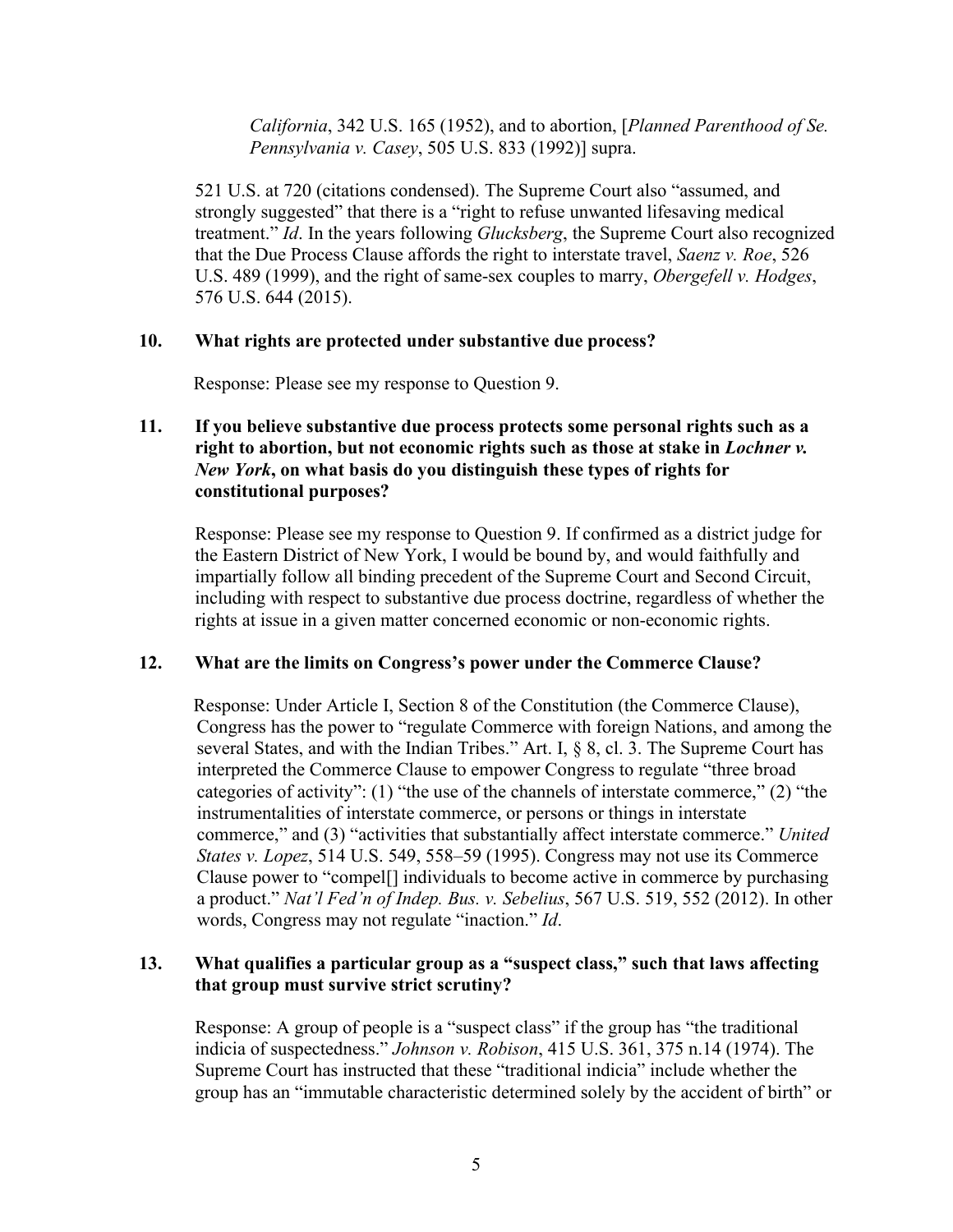*California*, 342 U.S. 165 (1952), and to abortion, [*Planned Parenthood of Se. Pennsylvania v. Casey*, 505 U.S. 833 (1992)] supra.

521 U.S. at 720 (citations condensed). The Supreme Court also "assumed, and strongly suggested" that there is a "right to refuse unwanted lifesaving medical treatment." *Id*. In the years following *Glucksberg*, the Supreme Court also recognized that the Due Process Clause affords the right to interstate travel, *Saenz v. Roe*, 526 U.S. 489 (1999), and the right of same-sex couples to marry, *Obergefell v. Hodges*, 576 U.S. 644 (2015).

### **10. What rights are protected under substantive due process?**

Response: Please see my response to Question 9.

# **11. If you believe substantive due process protects some personal rights such as a right to abortion, but not economic rights such as those at stake in** *Lochner v. New York***, on what basis do you distinguish these types of rights for constitutional purposes?**

Response: Please see my response to Question 9. If confirmed as a district judge for the Eastern District of New York, I would be bound by, and would faithfully and impartially follow all binding precedent of the Supreme Court and Second Circuit, including with respect to substantive due process doctrine, regardless of whether the rights at issue in a given matter concerned economic or non-economic rights.

#### **12. What are the limits on Congress's power under the Commerce Clause?**

Response: Under Article I, Section 8 of the Constitution (the Commerce Clause), Congress has the power to "regulate Commerce with foreign Nations, and among the several States, and with the Indian Tribes." Art. I, § 8, cl. 3. The Supreme Court has interpreted the Commerce Clause to empower Congress to regulate "three broad categories of activity": (1) "the use of the channels of interstate commerce," (2) "the instrumentalities of interstate commerce, or persons or things in interstate commerce," and (3) "activities that substantially affect interstate commerce." *United States v. Lopez*, 514 U.S. 549, 558–59 (1995). Congress may not use its Commerce Clause power to "compel[] individuals to become active in commerce by purchasing a product." *Nat'l Fed'n of Indep. Bus. v. Sebelius*, 567 U.S. 519, 552 (2012). In other words, Congress may not regulate "inaction." *Id*.

#### **13. What qualifies a particular group as a "suspect class," such that laws affecting that group must survive strict scrutiny?**

Response: A group of people is a "suspect class" if the group has "the traditional indicia of suspectedness." *Johnson v. Robison*, 415 U.S. 361, 375 n.14 (1974). The Supreme Court has instructed that these "traditional indicia" include whether the group has an "immutable characteristic determined solely by the accident of birth" or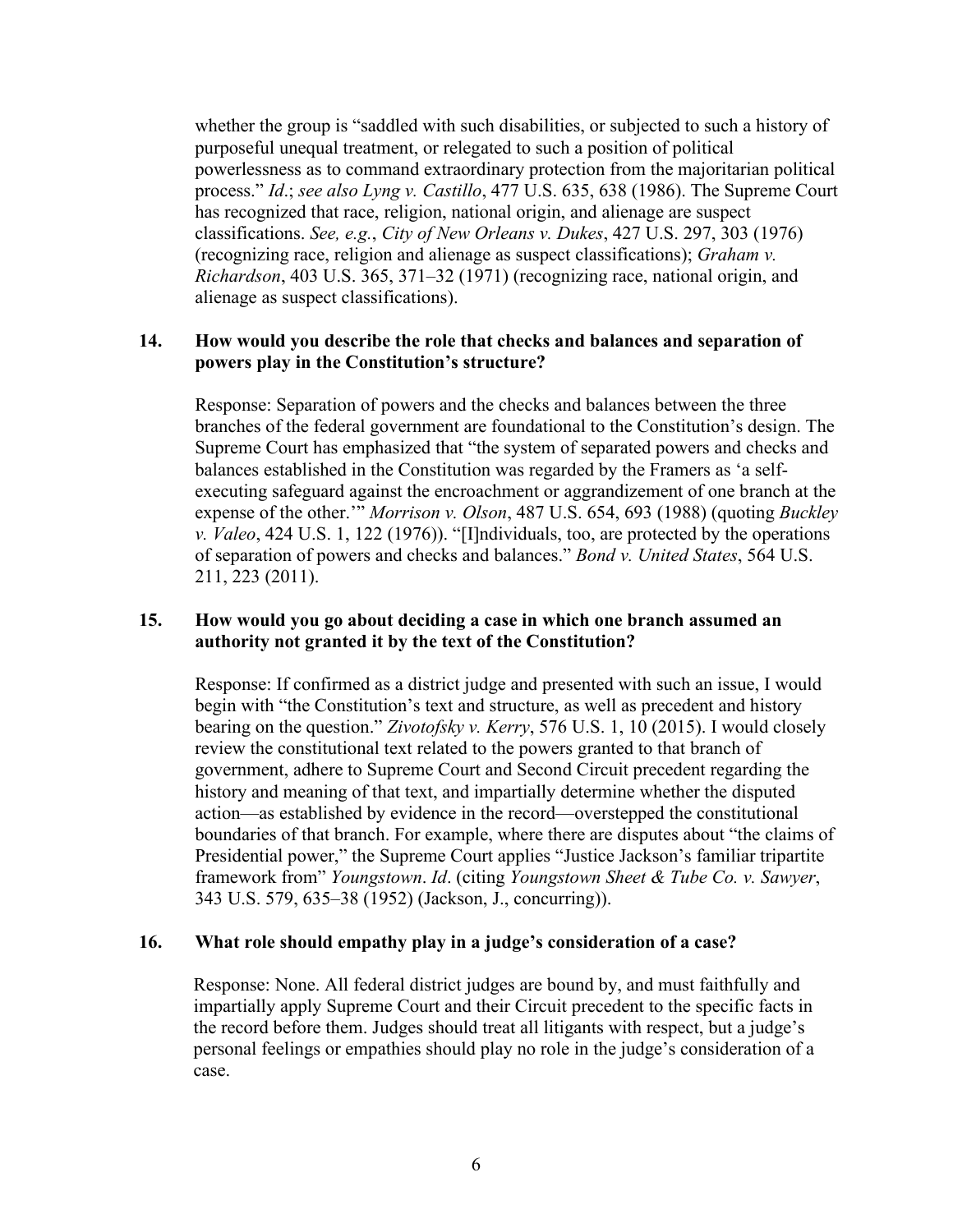whether the group is "saddled with such disabilities, or subjected to such a history of purposeful unequal treatment, or relegated to such a position of political powerlessness as to command extraordinary protection from the majoritarian political process." *Id*.; *see also Lyng v. Castillo*, 477 U.S. 635, 638 (1986). The Supreme Court has recognized that race, religion, national origin, and alienage are suspect classifications. *See, e.g.*, *City of New Orleans v. Dukes*, 427 U.S. 297, 303 (1976) (recognizing race, religion and alienage as suspect classifications); *Graham v. Richardson*, 403 U.S. 365, 371–32 (1971) (recognizing race, national origin, and alienage as suspect classifications).

## **14. How would you describe the role that checks and balances and separation of powers play in the Constitution's structure?**

Response: Separation of powers and the checks and balances between the three branches of the federal government are foundational to the Constitution's design. The Supreme Court has emphasized that "the system of separated powers and checks and balances established in the Constitution was regarded by the Framers as 'a selfexecuting safeguard against the encroachment or aggrandizement of one branch at the expense of the other.'" *Morrison v. Olson*, 487 U.S. 654, 693 (1988) (quoting *Buckley v. Valeo*, 424 U.S. 1, 122 (1976)). "[I]ndividuals, too, are protected by the operations of separation of powers and checks and balances." *Bond v. United States*, 564 U.S. 211, 223 (2011).

# **15. How would you go about deciding a case in which one branch assumed an authority not granted it by the text of the Constitution?**

Response: If confirmed as a district judge and presented with such an issue, I would begin with "the Constitution's text and structure, as well as precedent and history bearing on the question." *Zivotofsky v. Kerry*, 576 U.S. 1, 10 (2015). I would closely review the constitutional text related to the powers granted to that branch of government, adhere to Supreme Court and Second Circuit precedent regarding the history and meaning of that text, and impartially determine whether the disputed action—as established by evidence in the record—overstepped the constitutional boundaries of that branch. For example, where there are disputes about "the claims of Presidential power," the Supreme Court applies "Justice Jackson's familiar tripartite framework from" *Youngstown*. *Id*. (citing *Youngstown Sheet & Tube Co. v. Sawyer*, 343 U.S. 579, 635–38 (1952) (Jackson, J., concurring)).

### **16. What role should empathy play in a judge's consideration of a case?**

Response: None. All federal district judges are bound by, and must faithfully and impartially apply Supreme Court and their Circuit precedent to the specific facts in the record before them. Judges should treat all litigants with respect, but a judge's personal feelings or empathies should play no role in the judge's consideration of a case.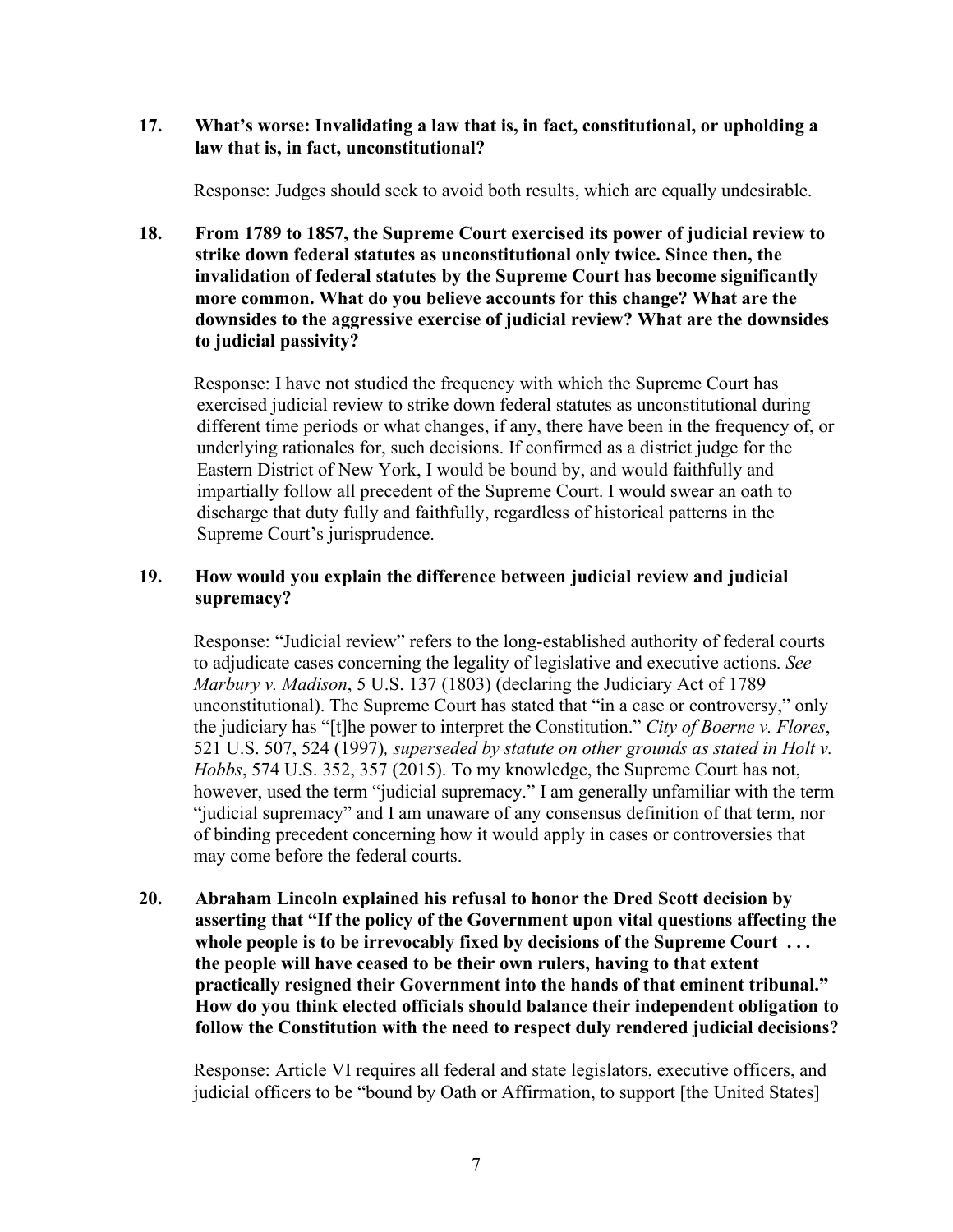# **17. What's worse: Invalidating a law that is, in fact, constitutional, or upholding a law that is, in fact, unconstitutional?**

Response: Judges should seek to avoid both results, which are equally undesirable.

**18. From 1789 to 1857, the Supreme Court exercised its power of judicial review to strike down federal statutes as unconstitutional only twice. Since then, the invalidation of federal statutes by the Supreme Court has become significantly more common. What do you believe accounts for this change? What are the downsides to the aggressive exercise of judicial review? What are the downsides to judicial passivity?** 

Response: I have not studied the frequency with which the Supreme Court has exercised judicial review to strike down federal statutes as unconstitutional during different time periods or what changes, if any, there have been in the frequency of, or underlying rationales for, such decisions. If confirmed as a district judge for the Eastern District of New York, I would be bound by, and would faithfully and impartially follow all precedent of the Supreme Court. I would swear an oath to discharge that duty fully and faithfully, regardless of historical patterns in the Supreme Court's jurisprudence.

# **19. How would you explain the difference between judicial review and judicial supremacy?**

Response: "Judicial review" refers to the long-established authority of federal courts to adjudicate cases concerning the legality of legislative and executive actions. *See Marbury v. Madison*, 5 U.S. 137 (1803) (declaring the Judiciary Act of 1789 unconstitutional). The Supreme Court has stated that "in a case or controversy," only the judiciary has "[t]he power to interpret the Constitution." *City of Boerne v. Flores*, 521 U.S. 507, 524 (1997)*, superseded by statute on other grounds as stated in Holt v. Hobbs*, 574 U.S. 352, 357 (2015). To my knowledge, the Supreme Court has not, however, used the term "judicial supremacy." I am generally unfamiliar with the term "judicial supremacy" and I am unaware of any consensus definition of that term, nor of binding precedent concerning how it would apply in cases or controversies that may come before the federal courts.

**20. Abraham Lincoln explained his refusal to honor the Dred Scott decision by asserting that "If the policy of the Government upon vital questions affecting the whole people is to be irrevocably fixed by decisions of the Supreme Court . . . the people will have ceased to be their own rulers, having to that extent practically resigned their Government into the hands of that eminent tribunal." How do you think elected officials should balance their independent obligation to follow the Constitution with the need to respect duly rendered judicial decisions?** 

Response: Article VI requires all federal and state legislators, executive officers, and judicial officers to be "bound by Oath or Affirmation, to support [the United States]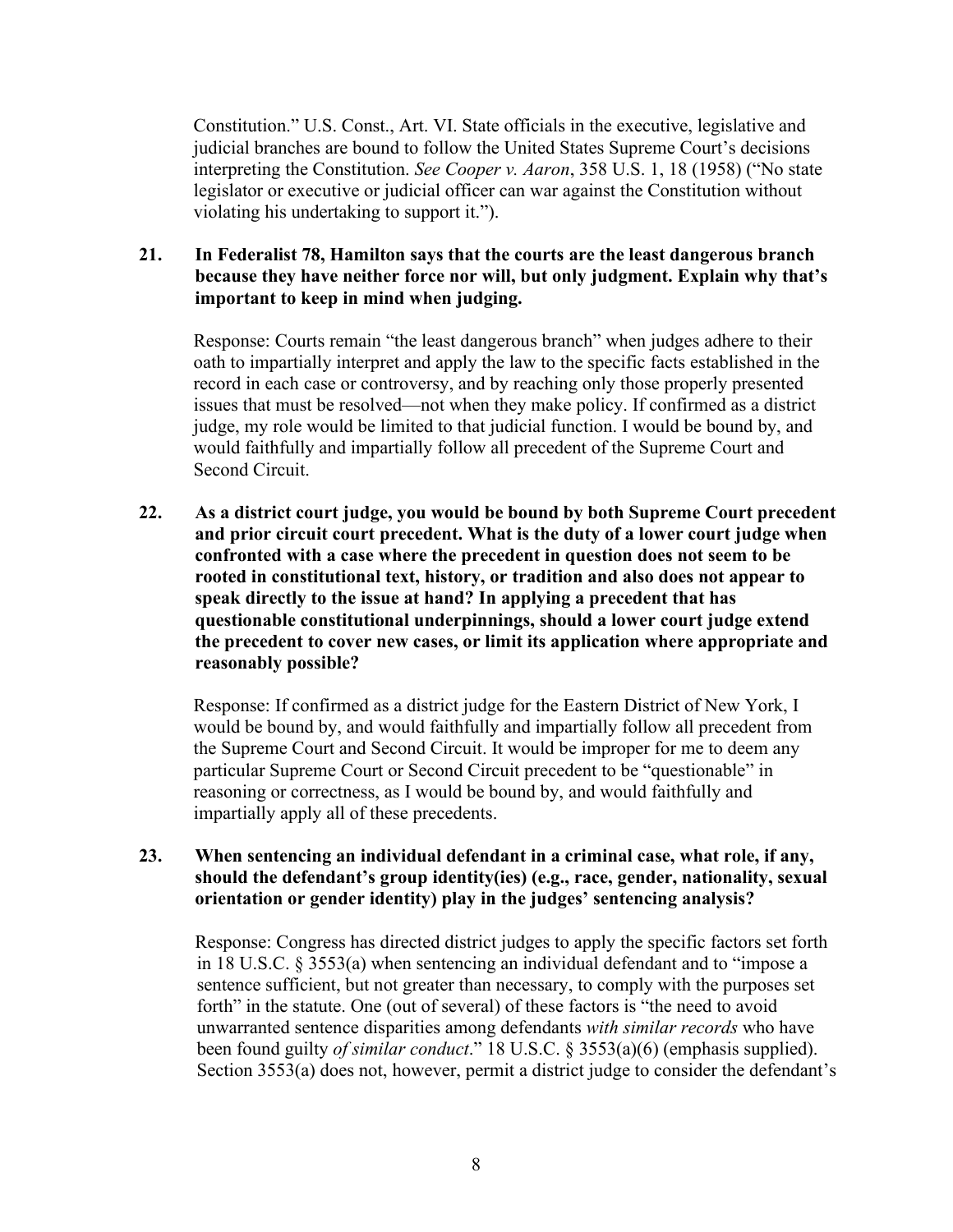Constitution." U.S. Const., Art. VI. State officials in the executive, legislative and judicial branches are bound to follow the United States Supreme Court's decisions interpreting the Constitution. *See Cooper v. Aaron*, 358 U.S. 1, 18 (1958) ("No state legislator or executive or judicial officer can war against the Constitution without violating his undertaking to support it.").

## **21. In Federalist 78, Hamilton says that the courts are the least dangerous branch because they have neither force nor will, but only judgment. Explain why that's important to keep in mind when judging.**

Response: Courts remain "the least dangerous branch" when judges adhere to their oath to impartially interpret and apply the law to the specific facts established in the record in each case or controversy, and by reaching only those properly presented issues that must be resolved—not when they make policy. If confirmed as a district judge, my role would be limited to that judicial function. I would be bound by, and would faithfully and impartially follow all precedent of the Supreme Court and Second Circuit.

**22. As a district court judge, you would be bound by both Supreme Court precedent and prior circuit court precedent. What is the duty of a lower court judge when confronted with a case where the precedent in question does not seem to be rooted in constitutional text, history, or tradition and also does not appear to speak directly to the issue at hand? In applying a precedent that has questionable constitutional underpinnings, should a lower court judge extend the precedent to cover new cases, or limit its application where appropriate and reasonably possible?** 

Response: If confirmed as a district judge for the Eastern District of New York, I would be bound by, and would faithfully and impartially follow all precedent from the Supreme Court and Second Circuit. It would be improper for me to deem any particular Supreme Court or Second Circuit precedent to be "questionable" in reasoning or correctness, as I would be bound by, and would faithfully and impartially apply all of these precedents.

## **23. When sentencing an individual defendant in a criminal case, what role, if any, should the defendant's group identity(ies) (e.g., race, gender, nationality, sexual orientation or gender identity) play in the judges' sentencing analysis?**

Response: Congress has directed district judges to apply the specific factors set forth in 18 U.S.C. § 3553(a) when sentencing an individual defendant and to "impose a sentence sufficient, but not greater than necessary, to comply with the purposes set forth" in the statute. One (out of several) of these factors is "the need to avoid unwarranted sentence disparities among defendants *with similar records* who have been found guilty *of similar conduct*." 18 U.S.C. § 3553(a)(6) (emphasis supplied). Section 3553(a) does not, however, permit a district judge to consider the defendant's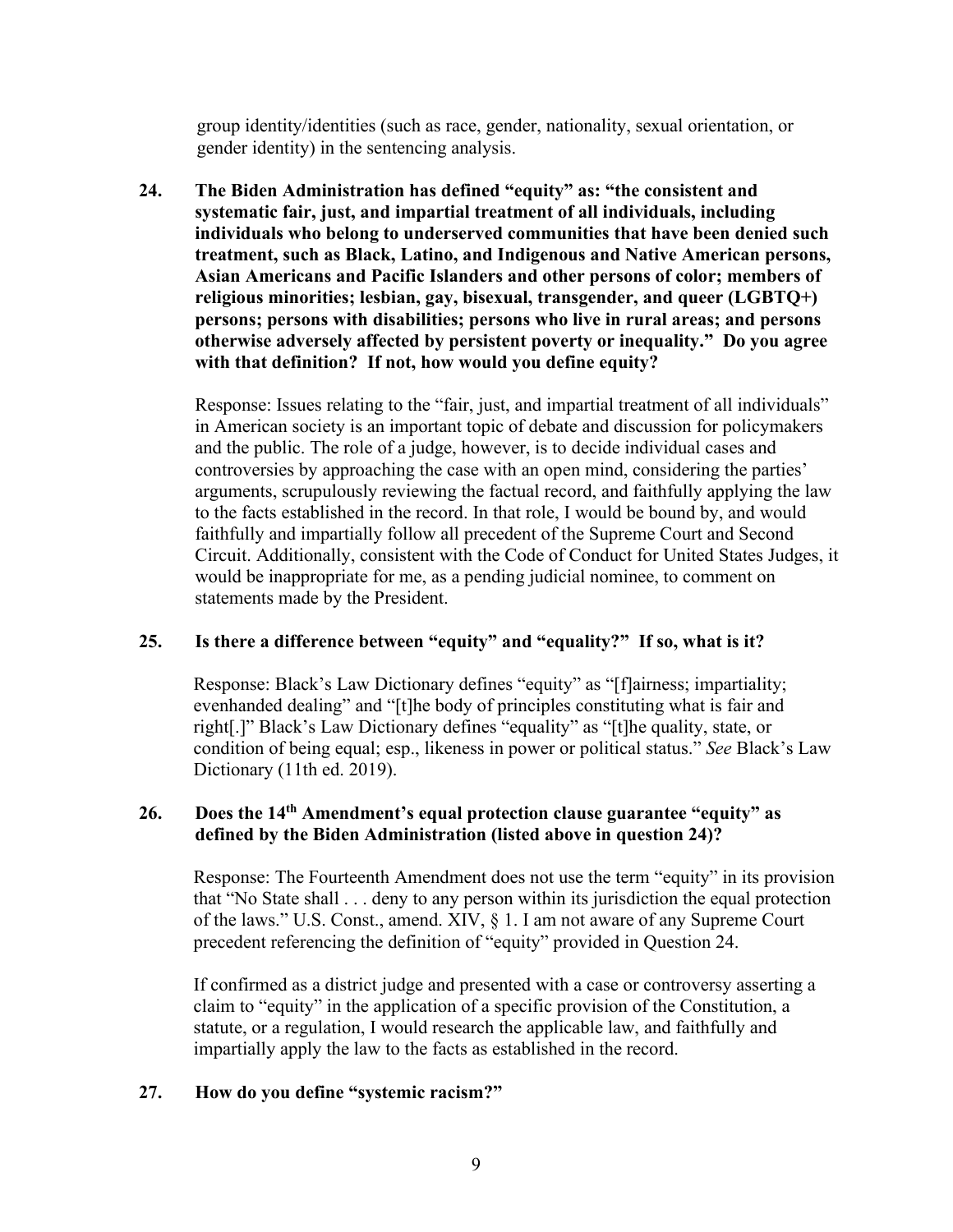group identity/identities (such as race, gender, nationality, sexual orientation, or gender identity) in the sentencing analysis.

**24. The Biden Administration has defined "equity" as: "the consistent and systematic fair, just, and impartial treatment of all individuals, including individuals who belong to underserved communities that have been denied such treatment, such as Black, Latino, and Indigenous and Native American persons, Asian Americans and Pacific Islanders and other persons of color; members of religious minorities; lesbian, gay, bisexual, transgender, and queer (LGBTQ+) persons; persons with disabilities; persons who live in rural areas; and persons otherwise adversely affected by persistent poverty or inequality." Do you agree with that definition? If not, how would you define equity?** 

Response: Issues relating to the "fair, just, and impartial treatment of all individuals" in American society is an important topic of debate and discussion for policymakers and the public. The role of a judge, however, is to decide individual cases and controversies by approaching the case with an open mind, considering the parties' arguments, scrupulously reviewing the factual record, and faithfully applying the law to the facts established in the record. In that role, I would be bound by, and would faithfully and impartially follow all precedent of the Supreme Court and Second Circuit. Additionally, consistent with the Code of Conduct for United States Judges, it would be inappropriate for me, as a pending judicial nominee, to comment on statements made by the President.

### **25. Is there a difference between "equity" and "equality?" If so, what is it?**

Response: Black's Law Dictionary defines "equity" as "[f]airness; impartiality; evenhanded dealing" and "[t]he body of principles constituting what is fair and right[.]" Black's Law Dictionary defines "equality" as "[t]he quality, state, or condition of being equal; esp., likeness in power or political status." *See* Black's Law Dictionary (11th ed. 2019).

# **26. Does the 14th Amendment's equal protection clause guarantee "equity" as defined by the Biden Administration (listed above in question 24)?**

Response: The Fourteenth Amendment does not use the term "equity" in its provision that "No State shall . . . deny to any person within its jurisdiction the equal protection of the laws." U.S. Const., amend. XIV, § 1. I am not aware of any Supreme Court precedent referencing the definition of "equity" provided in Question 24.

If confirmed as a district judge and presented with a case or controversy asserting a claim to "equity" in the application of a specific provision of the Constitution, a statute, or a regulation, I would research the applicable law, and faithfully and impartially apply the law to the facts as established in the record.

### **27. How do you define "systemic racism?"**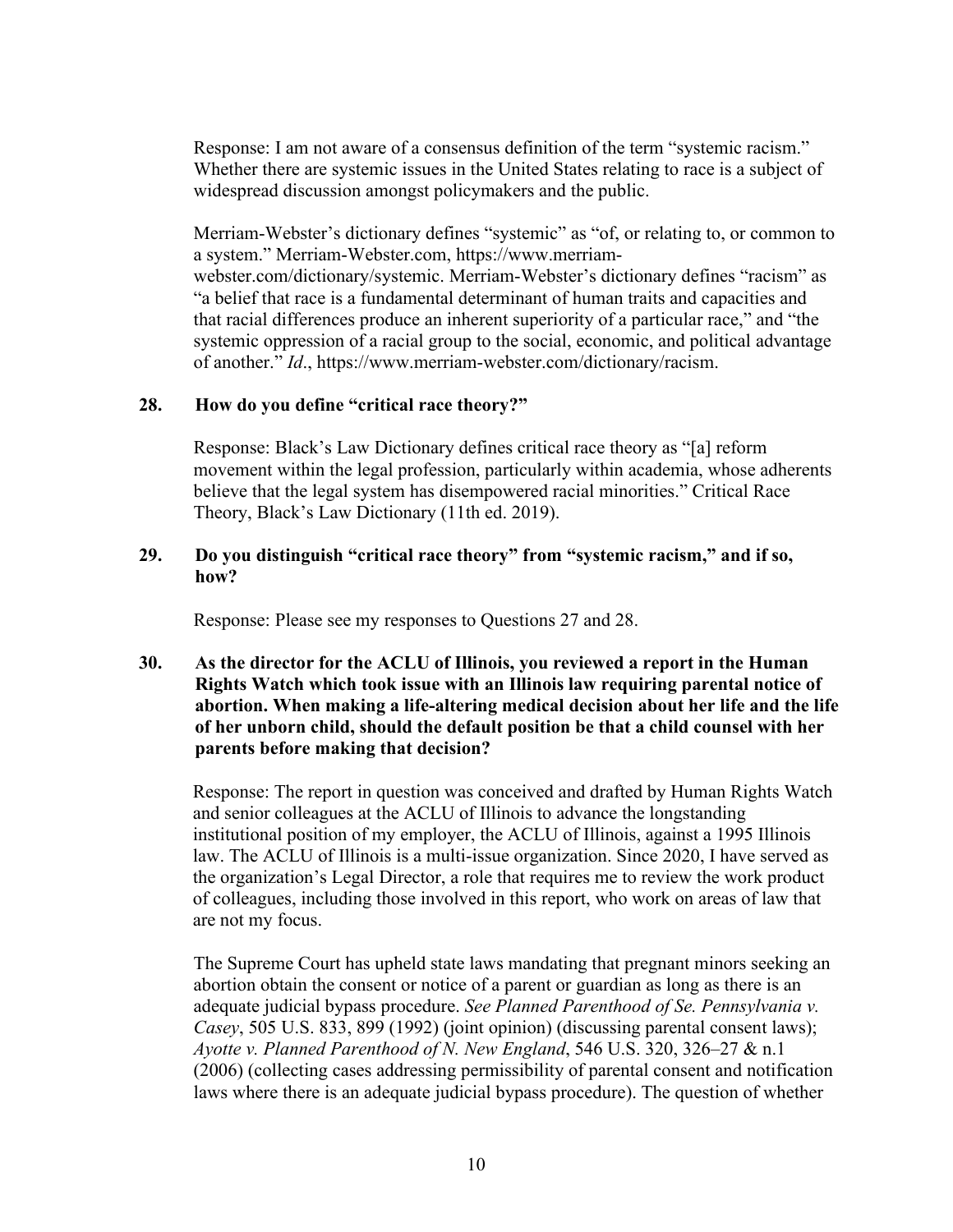Response: I am not aware of a consensus definition of the term "systemic racism." Whether there are systemic issues in the United States relating to race is a subject of widespread discussion amongst policymakers and the public.

Merriam-Webster's dictionary defines "systemic" as "of, or relating to, or common to a system." Merriam-Webster.com, https://www.merriamwebster.com/dictionary/systemic. Merriam-Webster's dictionary defines "racism" as "a belief that race is a fundamental determinant of human traits and capacities and that racial differences produce an inherent superiority of a particular race," and "the systemic oppression of a racial group to the social, economic, and political advantage of another." *Id*., https://www.merriam-webster.com/dictionary/racism.

### **28. How do you define "critical race theory?"**

Response: Black's Law Dictionary defines critical race theory as "[a] reform movement within the legal profession, particularly within academia, whose adherents believe that the legal system has disempowered racial minorities." Critical Race Theory, Black's Law Dictionary (11th ed. 2019).

# **29. Do you distinguish "critical race theory" from "systemic racism," and if so, how?**

Response: Please see my responses to Questions 27 and 28.

# **30. As the director for the ACLU of Illinois, you reviewed a report in the Human Rights Watch which took issue with an Illinois law requiring parental notice of abortion. When making a life-altering medical decision about her life and the life of her unborn child, should the default position be that a child counsel with her parents before making that decision?**

Response: The report in question was conceived and drafted by Human Rights Watch and senior colleagues at the ACLU of Illinois to advance the longstanding institutional position of my employer, the ACLU of Illinois, against a 1995 Illinois law. The ACLU of Illinois is a multi-issue organization. Since 2020, I have served as the organization's Legal Director, a role that requires me to review the work product of colleagues, including those involved in this report, who work on areas of law that are not my focus.

The Supreme Court has upheld state laws mandating that pregnant minors seeking an abortion obtain the consent or notice of a parent or guardian as long as there is an adequate judicial bypass procedure. *See Planned Parenthood of Se. Pennsylvania v. Casey*, 505 U.S. 833, 899 (1992) (joint opinion) (discussing parental consent laws); *Ayotte v. Planned Parenthood of N. New England*, 546 U.S. 320, 326–27 & n.1 (2006) (collecting cases addressing permissibility of parental consent and notification laws where there is an adequate judicial bypass procedure). The question of whether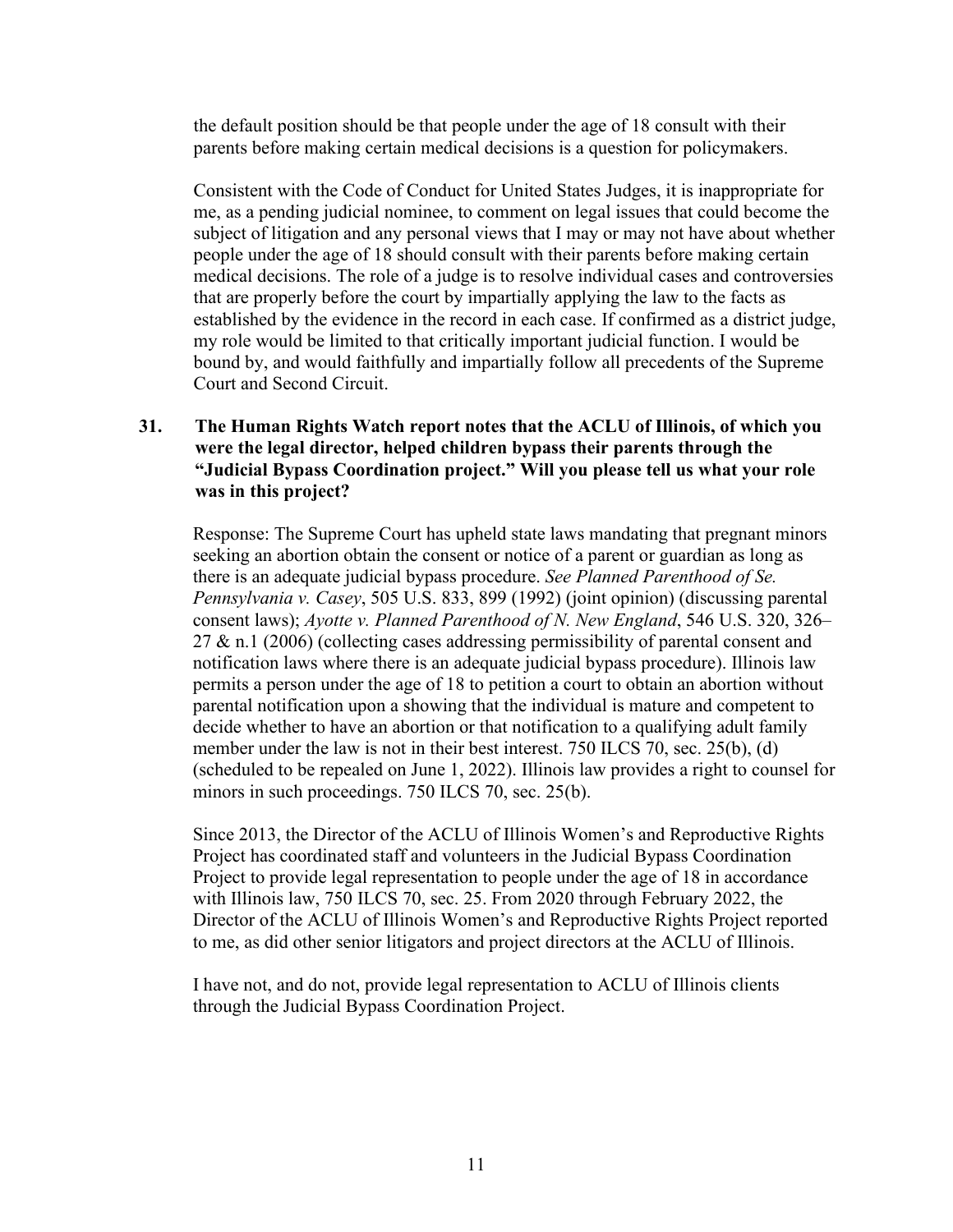the default position should be that people under the age of 18 consult with their parents before making certain medical decisions is a question for policymakers.

Consistent with the Code of Conduct for United States Judges, it is inappropriate for me, as a pending judicial nominee, to comment on legal issues that could become the subject of litigation and any personal views that I may or may not have about whether people under the age of 18 should consult with their parents before making certain medical decisions. The role of a judge is to resolve individual cases and controversies that are properly before the court by impartially applying the law to the facts as established by the evidence in the record in each case. If confirmed as a district judge, my role would be limited to that critically important judicial function. I would be bound by, and would faithfully and impartially follow all precedents of the Supreme Court and Second Circuit.

# **31. The Human Rights Watch report notes that the ACLU of Illinois, of which you were the legal director, helped children bypass their parents through the "Judicial Bypass Coordination project." Will you please tell us what your role was in this project?**

Response: The Supreme Court has upheld state laws mandating that pregnant minors seeking an abortion obtain the consent or notice of a parent or guardian as long as there is an adequate judicial bypass procedure. *See Planned Parenthood of Se. Pennsylvania v. Casey*, 505 U.S. 833, 899 (1992) (joint opinion) (discussing parental consent laws); *Ayotte v. Planned Parenthood of N. New England*, 546 U.S. 320, 326– 27 & n.1 (2006) (collecting cases addressing permissibility of parental consent and notification laws where there is an adequate judicial bypass procedure). Illinois law permits a person under the age of 18 to petition a court to obtain an abortion without parental notification upon a showing that the individual is mature and competent to decide whether to have an abortion or that notification to a qualifying adult family member under the law is not in their best interest. 750 ILCS 70, sec. 25(b), (d) (scheduled to be repealed on June 1, 2022). Illinois law provides a right to counsel for minors in such proceedings. 750 ILCS 70, sec. 25(b).

Since 2013, the Director of the ACLU of Illinois Women's and Reproductive Rights Project has coordinated staff and volunteers in the Judicial Bypass Coordination Project to provide legal representation to people under the age of 18 in accordance with Illinois law, 750 ILCS 70, sec. 25. From 2020 through February 2022, the Director of the ACLU of Illinois Women's and Reproductive Rights Project reported to me, as did other senior litigators and project directors at the ACLU of Illinois.

I have not, and do not, provide legal representation to ACLU of Illinois clients through the Judicial Bypass Coordination Project.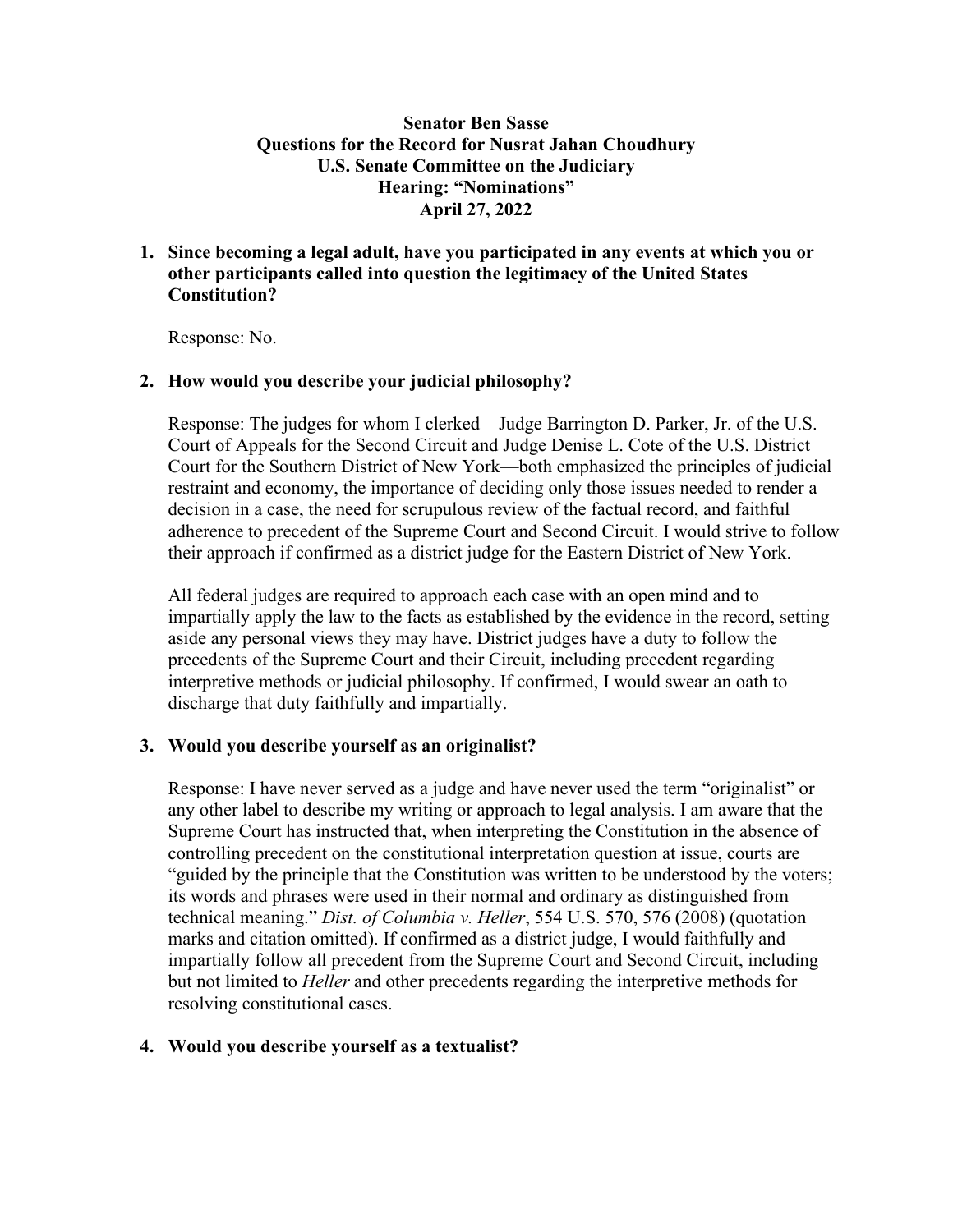# **Senator Ben Sasse Questions for the Record for Nusrat Jahan Choudhury U.S. Senate Committee on the Judiciary Hearing: "Nominations" April 27, 2022**

# **1. Since becoming a legal adult, have you participated in any events at which you or other participants called into question the legitimacy of the United States Constitution?**

Response: No.

# **2. How would you describe your judicial philosophy?**

Response: The judges for whom I clerked—Judge Barrington D. Parker, Jr. of the U.S. Court of Appeals for the Second Circuit and Judge Denise L. Cote of the U.S. District Court for the Southern District of New York—both emphasized the principles of judicial restraint and economy, the importance of deciding only those issues needed to render a decision in a case, the need for scrupulous review of the factual record, and faithful adherence to precedent of the Supreme Court and Second Circuit. I would strive to follow their approach if confirmed as a district judge for the Eastern District of New York.

All federal judges are required to approach each case with an open mind and to impartially apply the law to the facts as established by the evidence in the record, setting aside any personal views they may have. District judges have a duty to follow the precedents of the Supreme Court and their Circuit, including precedent regarding interpretive methods or judicial philosophy. If confirmed, I would swear an oath to discharge that duty faithfully and impartially.

### **3. Would you describe yourself as an originalist?**

Response: I have never served as a judge and have never used the term "originalist" or any other label to describe my writing or approach to legal analysis. I am aware that the Supreme Court has instructed that, when interpreting the Constitution in the absence of controlling precedent on the constitutional interpretation question at issue, courts are "guided by the principle that the Constitution was written to be understood by the voters; its words and phrases were used in their normal and ordinary as distinguished from technical meaning." *Dist. of Columbia v. Heller*, 554 U.S. 570, 576 (2008) (quotation marks and citation omitted). If confirmed as a district judge, I would faithfully and impartially follow all precedent from the Supreme Court and Second Circuit, including but not limited to *Heller* and other precedents regarding the interpretive methods for resolving constitutional cases.

### **4. Would you describe yourself as a textualist?**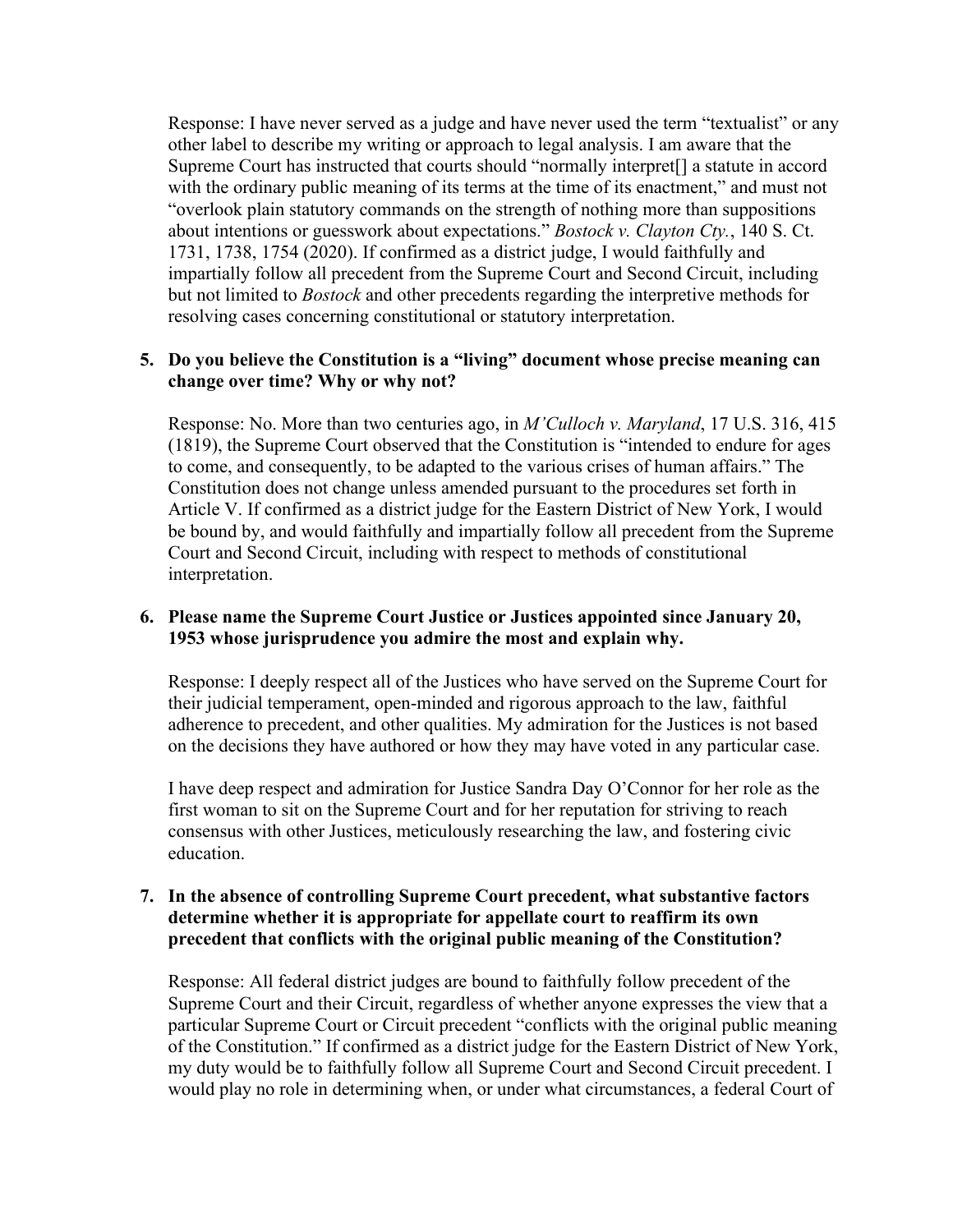Response: I have never served as a judge and have never used the term "textualist" or any other label to describe my writing or approach to legal analysis. I am aware that the Supreme Court has instructed that courts should "normally interpret[] a statute in accord with the ordinary public meaning of its terms at the time of its enactment," and must not "overlook plain statutory commands on the strength of nothing more than suppositions about intentions or guesswork about expectations." *Bostock v. Clayton Cty.*, 140 S. Ct. 1731, 1738, 1754 (2020). If confirmed as a district judge, I would faithfully and impartially follow all precedent from the Supreme Court and Second Circuit, including but not limited to *Bostock* and other precedents regarding the interpretive methods for resolving cases concerning constitutional or statutory interpretation.

# **5. Do you believe the Constitution is a "living" document whose precise meaning can change over time? Why or why not?**

Response: No. More than two centuries ago, in *M'Culloch v. Maryland*, 17 U.S. 316, 415 (1819), the Supreme Court observed that the Constitution is "intended to endure for ages to come, and consequently, to be adapted to the various crises of human affairs." The Constitution does not change unless amended pursuant to the procedures set forth in Article V. If confirmed as a district judge for the Eastern District of New York, I would be bound by, and would faithfully and impartially follow all precedent from the Supreme Court and Second Circuit, including with respect to methods of constitutional interpretation.

# **6. Please name the Supreme Court Justice or Justices appointed since January 20, 1953 whose jurisprudence you admire the most and explain why.**

Response: I deeply respect all of the Justices who have served on the Supreme Court for their judicial temperament, open-minded and rigorous approach to the law, faithful adherence to precedent, and other qualities. My admiration for the Justices is not based on the decisions they have authored or how they may have voted in any particular case.

I have deep respect and admiration for Justice Sandra Day O'Connor for her role as the first woman to sit on the Supreme Court and for her reputation for striving to reach consensus with other Justices, meticulously researching the law, and fostering civic education.

# **7. In the absence of controlling Supreme Court precedent, what substantive factors determine whether it is appropriate for appellate court to reaffirm its own precedent that conflicts with the original public meaning of the Constitution?**

Response: All federal district judges are bound to faithfully follow precedent of the Supreme Court and their Circuit, regardless of whether anyone expresses the view that a particular Supreme Court or Circuit precedent "conflicts with the original public meaning of the Constitution." If confirmed as a district judge for the Eastern District of New York, my duty would be to faithfully follow all Supreme Court and Second Circuit precedent. I would play no role in determining when, or under what circumstances, a federal Court of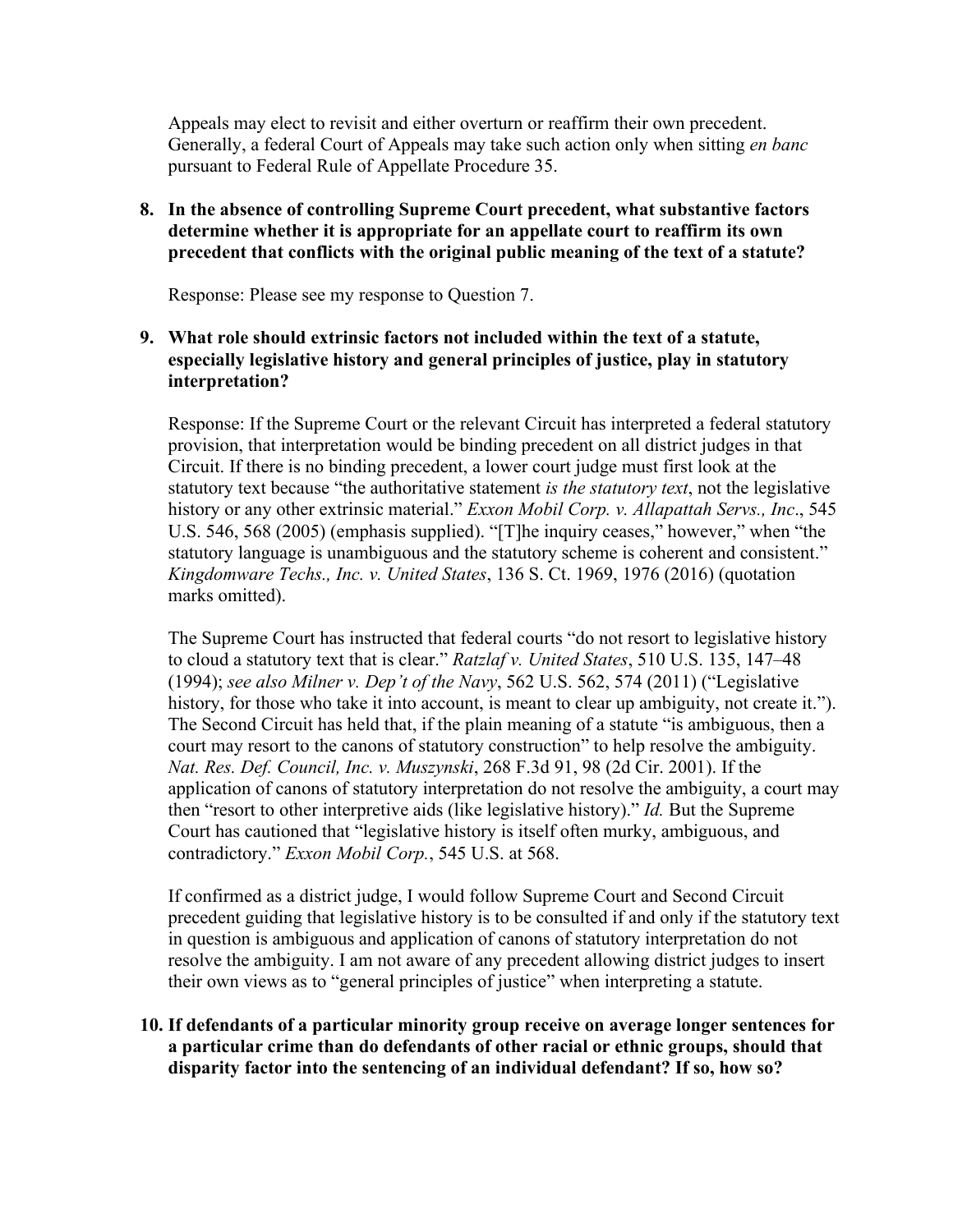Appeals may elect to revisit and either overturn or reaffirm their own precedent. Generally, a federal Court of Appeals may take such action only when sitting *en banc* pursuant to Federal Rule of Appellate Procedure 35.

# **8. In the absence of controlling Supreme Court precedent, what substantive factors determine whether it is appropriate for an appellate court to reaffirm its own precedent that conflicts with the original public meaning of the text of a statute?**

Response: Please see my response to Question 7.

# **9. What role should extrinsic factors not included within the text of a statute, especially legislative history and general principles of justice, play in statutory interpretation?**

Response: If the Supreme Court or the relevant Circuit has interpreted a federal statutory provision, that interpretation would be binding precedent on all district judges in that Circuit. If there is no binding precedent, a lower court judge must first look at the statutory text because "the authoritative statement *is the statutory text*, not the legislative history or any other extrinsic material." *Exxon Mobil Corp. v. Allapattah Servs., Inc*., 545 U.S. 546, 568 (2005) (emphasis supplied). "[T]he inquiry ceases," however," when "the statutory language is unambiguous and the statutory scheme is coherent and consistent." *Kingdomware Techs., Inc. v. United States*, 136 S. Ct. 1969, 1976 (2016) (quotation marks omitted).

The Supreme Court has instructed that federal courts "do not resort to legislative history to cloud a statutory text that is clear." *Ratzlaf v. United States*, 510 U.S. 135, 147–48 (1994); *see also Milner v. Dep't of the Navy*, 562 U.S. 562, 574 (2011) ("Legislative history, for those who take it into account, is meant to clear up ambiguity, not create it."). The Second Circuit has held that, if the plain meaning of a statute "is ambiguous, then a court may resort to the canons of statutory construction" to help resolve the ambiguity. *Nat. Res. Def. Council, Inc. v. Muszynski*, 268 F.3d 91, 98 (2d Cir. 2001). If the application of canons of statutory interpretation do not resolve the ambiguity, a court may then "resort to other interpretive aids (like legislative history)." *Id.* But the Supreme Court has cautioned that "legislative history is itself often murky, ambiguous, and contradictory." *Exxon Mobil Corp.*, 545 U.S. at 568.

If confirmed as a district judge, I would follow Supreme Court and Second Circuit precedent guiding that legislative history is to be consulted if and only if the statutory text in question is ambiguous and application of canons of statutory interpretation do not resolve the ambiguity. I am not aware of any precedent allowing district judges to insert their own views as to "general principles of justice" when interpreting a statute.

**10. If defendants of a particular minority group receive on average longer sentences for a particular crime than do defendants of other racial or ethnic groups, should that disparity factor into the sentencing of an individual defendant? If so, how so?**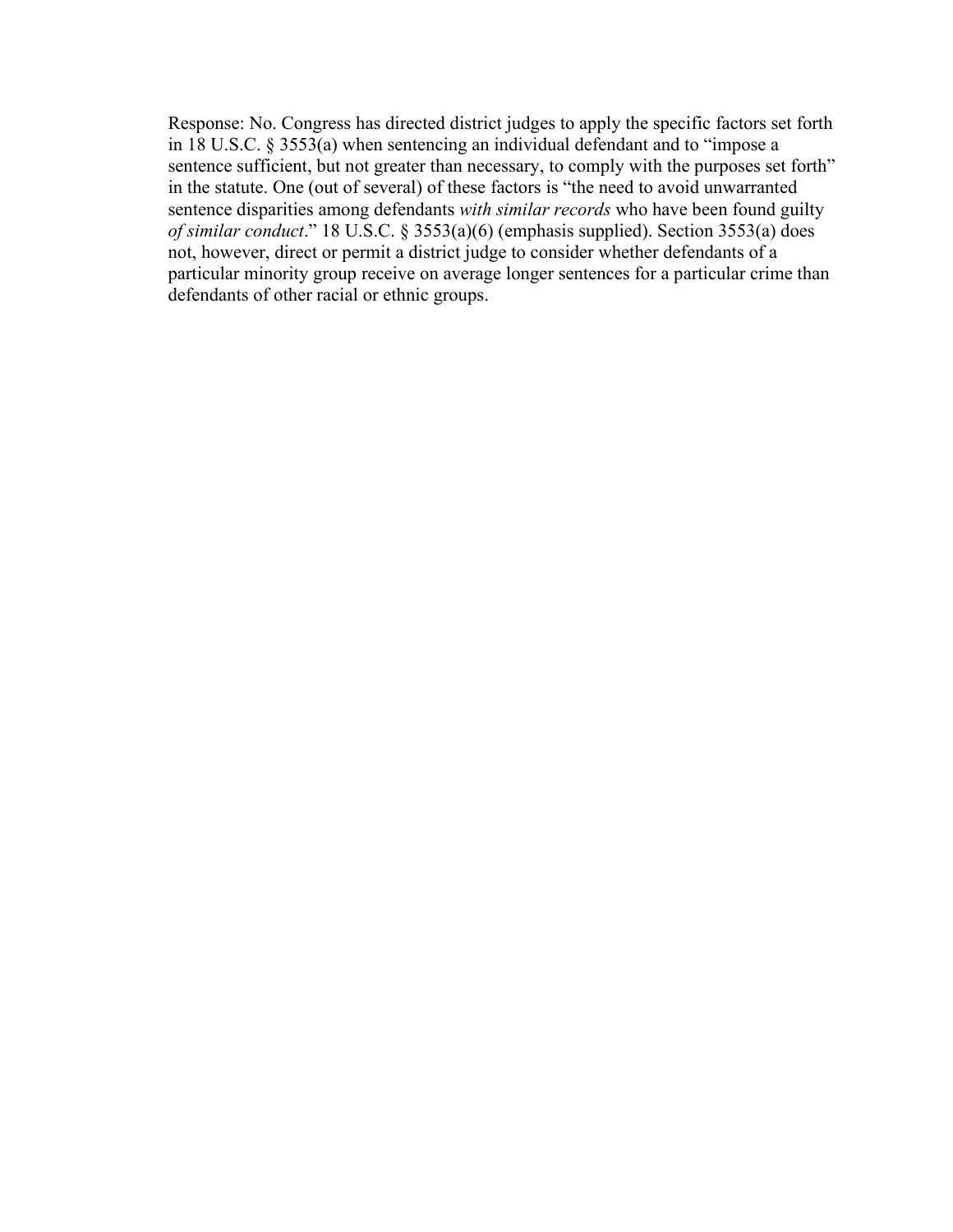Response: No. Congress has directed district judges to apply the specific factors set forth in 18 U.S.C. § 3553(a) when sentencing an individual defendant and to "impose a sentence sufficient, but not greater than necessary, to comply with the purposes set forth" in the statute. One (out of several) of these factors is "the need to avoid unwarranted sentence disparities among defendants *with similar records* who have been found guilty *of similar conduct*." 18 U.S.C. § 3553(a)(6) (emphasis supplied). Section 3553(a) does not, however, direct or permit a district judge to consider whether defendants of a particular minority group receive on average longer sentences for a particular crime than defendants of other racial or ethnic groups.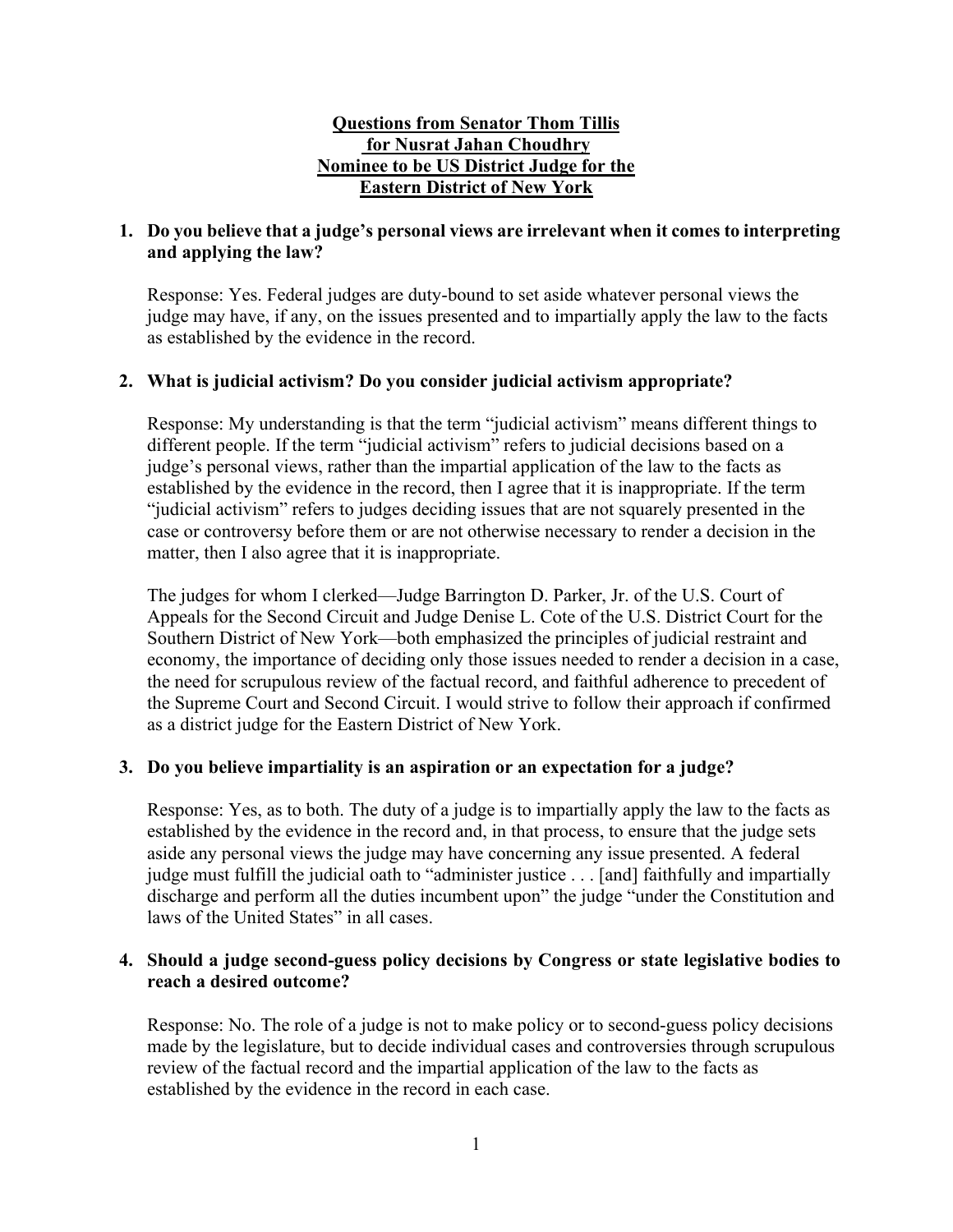# **Questions from Senator Thom Tillis for Nusrat Jahan Choudhry Nominee to be US District Judge for the Eastern District of New York**

# **1. Do you believe that a judge's personal views are irrelevant when it comes to interpreting and applying the law?**

Response: Yes. Federal judges are duty-bound to set aside whatever personal views the judge may have, if any, on the issues presented and to impartially apply the law to the facts as established by the evidence in the record.

# **2. What is judicial activism? Do you consider judicial activism appropriate?**

Response: My understanding is that the term "judicial activism" means different things to different people. If the term "judicial activism" refers to judicial decisions based on a judge's personal views, rather than the impartial application of the law to the facts as established by the evidence in the record, then I agree that it is inappropriate. If the term "judicial activism" refers to judges deciding issues that are not squarely presented in the case or controversy before them or are not otherwise necessary to render a decision in the matter, then I also agree that it is inappropriate.

The judges for whom I clerked—Judge Barrington D. Parker, Jr. of the U.S. Court of Appeals for the Second Circuit and Judge Denise L. Cote of the U.S. District Court for the Southern District of New York—both emphasized the principles of judicial restraint and economy, the importance of deciding only those issues needed to render a decision in a case, the need for scrupulous review of the factual record, and faithful adherence to precedent of the Supreme Court and Second Circuit. I would strive to follow their approach if confirmed as a district judge for the Eastern District of New York.

# **3. Do you believe impartiality is an aspiration or an expectation for a judge?**

Response: Yes, as to both. The duty of a judge is to impartially apply the law to the facts as established by the evidence in the record and, in that process, to ensure that the judge sets aside any personal views the judge may have concerning any issue presented. A federal judge must fulfill the judicial oath to "administer justice . . . [and] faithfully and impartially discharge and perform all the duties incumbent upon" the judge "under the Constitution and laws of the United States" in all cases.

# **4. Should a judge second-guess policy decisions by Congress or state legislative bodies to reach a desired outcome?**

Response: No. The role of a judge is not to make policy or to second-guess policy decisions made by the legislature, but to decide individual cases and controversies through scrupulous review of the factual record and the impartial application of the law to the facts as established by the evidence in the record in each case.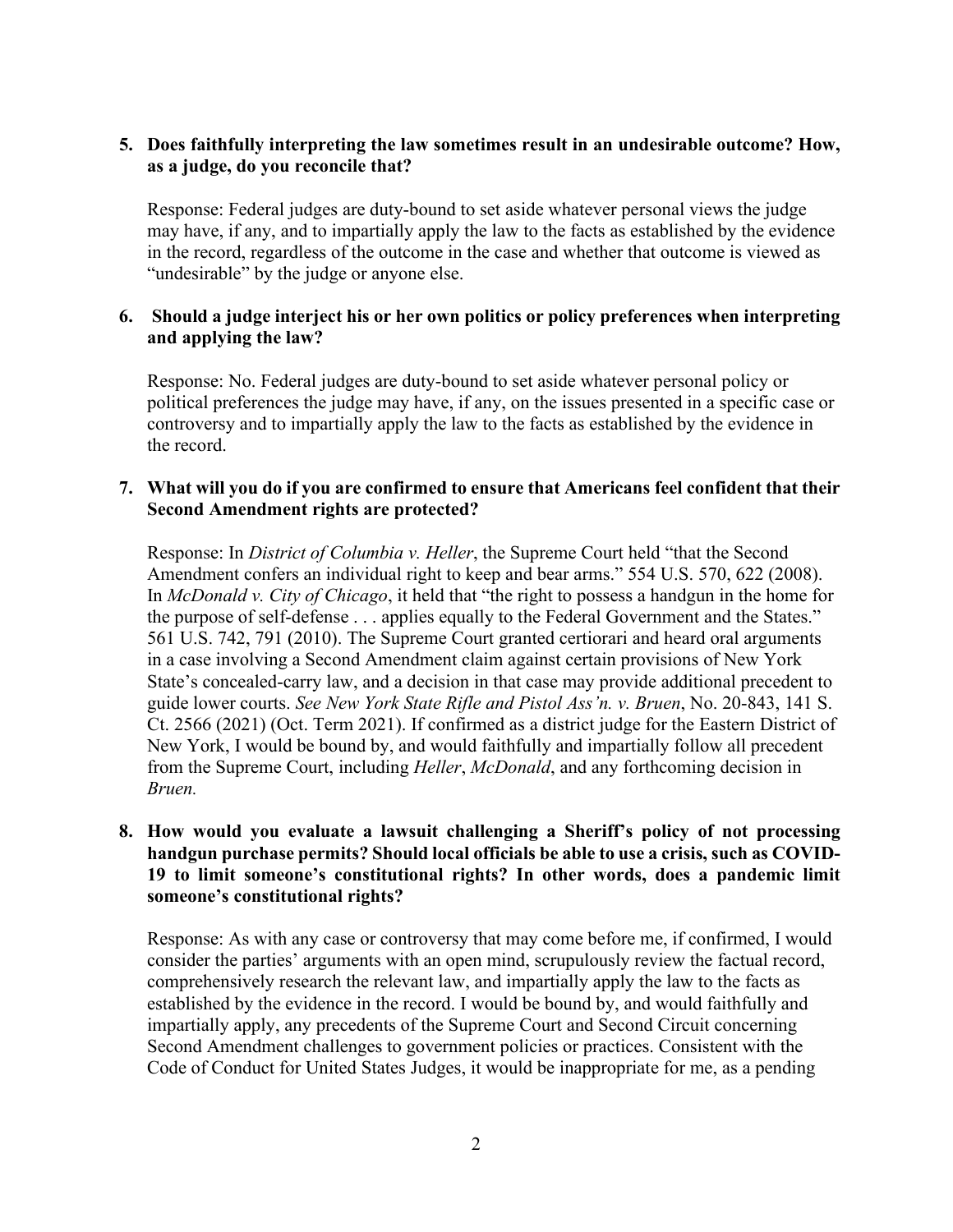# **5. Does faithfully interpreting the law sometimes result in an undesirable outcome? How, as a judge, do you reconcile that?**

Response: Federal judges are duty-bound to set aside whatever personal views the judge may have, if any, and to impartially apply the law to the facts as established by the evidence in the record, regardless of the outcome in the case and whether that outcome is viewed as "undesirable" by the judge or anyone else.

# **6. Should a judge interject his or her own politics or policy preferences when interpreting and applying the law?**

Response: No. Federal judges are duty-bound to set aside whatever personal policy or political preferences the judge may have, if any, on the issues presented in a specific case or controversy and to impartially apply the law to the facts as established by the evidence in the record.

## **7. What will you do if you are confirmed to ensure that Americans feel confident that their Second Amendment rights are protected?**

Response: In *District of Columbia v. Heller*, the Supreme Court held "that the Second Amendment confers an individual right to keep and bear arms." 554 U.S. 570, 622 (2008). In *McDonald v. City of Chicago*, it held that "the right to possess a handgun in the home for the purpose of self-defense . . . applies equally to the Federal Government and the States." 561 U.S. 742, 791 (2010). The Supreme Court granted certiorari and heard oral arguments in a case involving a Second Amendment claim against certain provisions of New York State's concealed-carry law, and a decision in that case may provide additional precedent to guide lower courts. *See New York State Rifle and Pistol Ass'n. v. Bruen*, No. 20-843, 141 S. Ct. 2566 (2021) (Oct. Term 2021). If confirmed as a district judge for the Eastern District of New York, I would be bound by, and would faithfully and impartially follow all precedent from the Supreme Court, including *Heller*, *McDonald*, and any forthcoming decision in *Bruen.*

# **8. How would you evaluate a lawsuit challenging a Sheriff's policy of not processing handgun purchase permits? Should local officials be able to use a crisis, such as COVID-19 to limit someone's constitutional rights? In other words, does a pandemic limit someone's constitutional rights?**

Response: As with any case or controversy that may come before me, if confirmed, I would consider the parties' arguments with an open mind, scrupulously review the factual record, comprehensively research the relevant law, and impartially apply the law to the facts as established by the evidence in the record. I would be bound by, and would faithfully and impartially apply, any precedents of the Supreme Court and Second Circuit concerning Second Amendment challenges to government policies or practices. Consistent with the Code of Conduct for United States Judges, it would be inappropriate for me, as a pending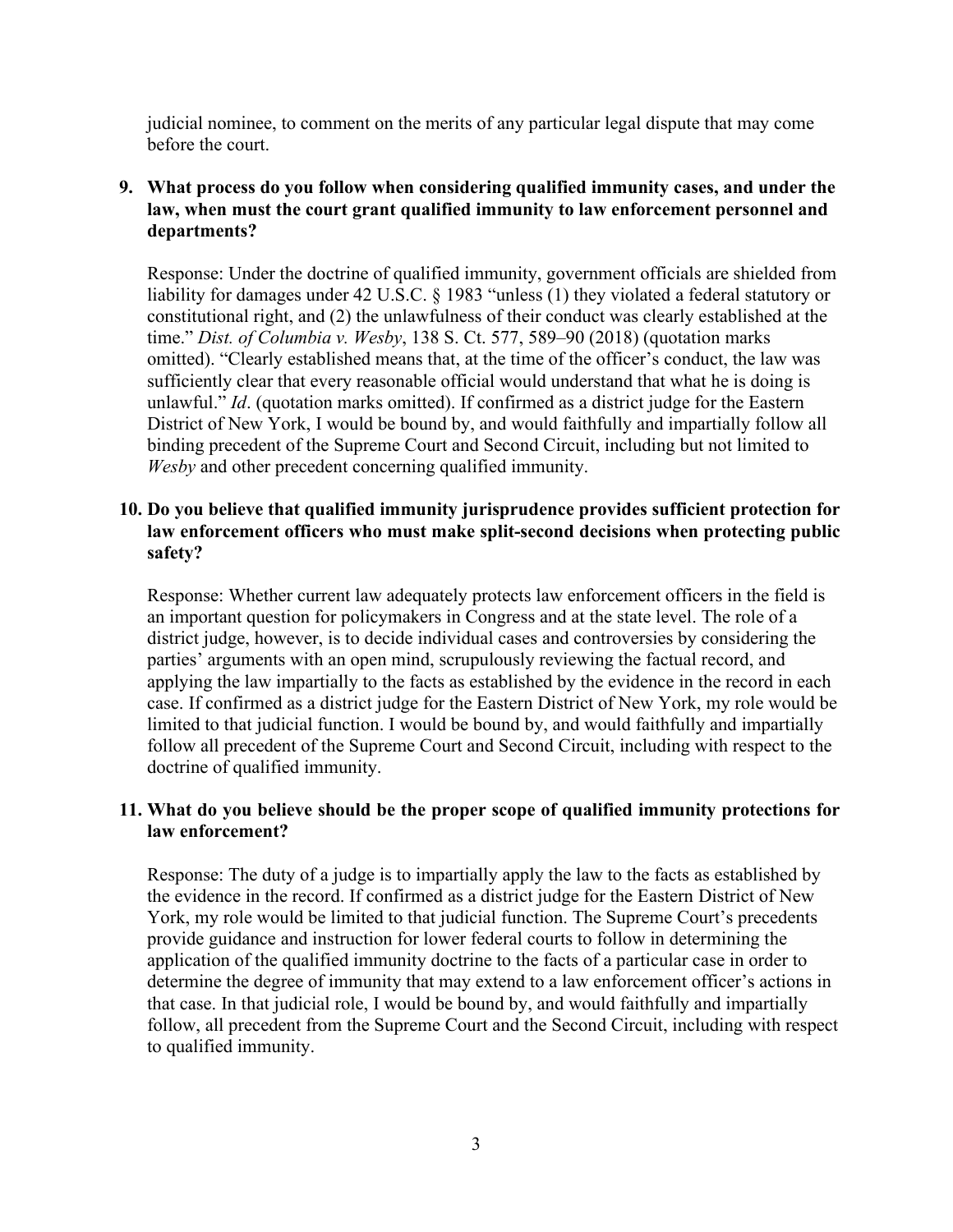judicial nominee, to comment on the merits of any particular legal dispute that may come before the court.

# **9. What process do you follow when considering qualified immunity cases, and under the law, when must the court grant qualified immunity to law enforcement personnel and departments?**

Response: Under the doctrine of qualified immunity, government officials are shielded from liability for damages under 42 U.S.C. § 1983 "unless (1) they violated a federal statutory or constitutional right, and (2) the unlawfulness of their conduct was clearly established at the time." *Dist. of Columbia v. Wesby*, 138 S. Ct. 577, 589–90 (2018) (quotation marks omitted). "Clearly established means that, at the time of the officer's conduct, the law was sufficiently clear that every reasonable official would understand that what he is doing is unlawful." *Id*. (quotation marks omitted). If confirmed as a district judge for the Eastern District of New York, I would be bound by, and would faithfully and impartially follow all binding precedent of the Supreme Court and Second Circuit, including but not limited to *Wesby* and other precedent concerning qualified immunity.

# **10. Do you believe that qualified immunity jurisprudence provides sufficient protection for law enforcement officers who must make split-second decisions when protecting public safety?**

Response: Whether current law adequately protects law enforcement officers in the field is an important question for policymakers in Congress and at the state level. The role of a district judge, however, is to decide individual cases and controversies by considering the parties' arguments with an open mind, scrupulously reviewing the factual record, and applying the law impartially to the facts as established by the evidence in the record in each case. If confirmed as a district judge for the Eastern District of New York, my role would be limited to that judicial function. I would be bound by, and would faithfully and impartially follow all precedent of the Supreme Court and Second Circuit, including with respect to the doctrine of qualified immunity.

# **11. What do you believe should be the proper scope of qualified immunity protections for law enforcement?**

Response: The duty of a judge is to impartially apply the law to the facts as established by the evidence in the record. If confirmed as a district judge for the Eastern District of New York, my role would be limited to that judicial function. The Supreme Court's precedents provide guidance and instruction for lower federal courts to follow in determining the application of the qualified immunity doctrine to the facts of a particular case in order to determine the degree of immunity that may extend to a law enforcement officer's actions in that case. In that judicial role, I would be bound by, and would faithfully and impartially follow, all precedent from the Supreme Court and the Second Circuit, including with respect to qualified immunity.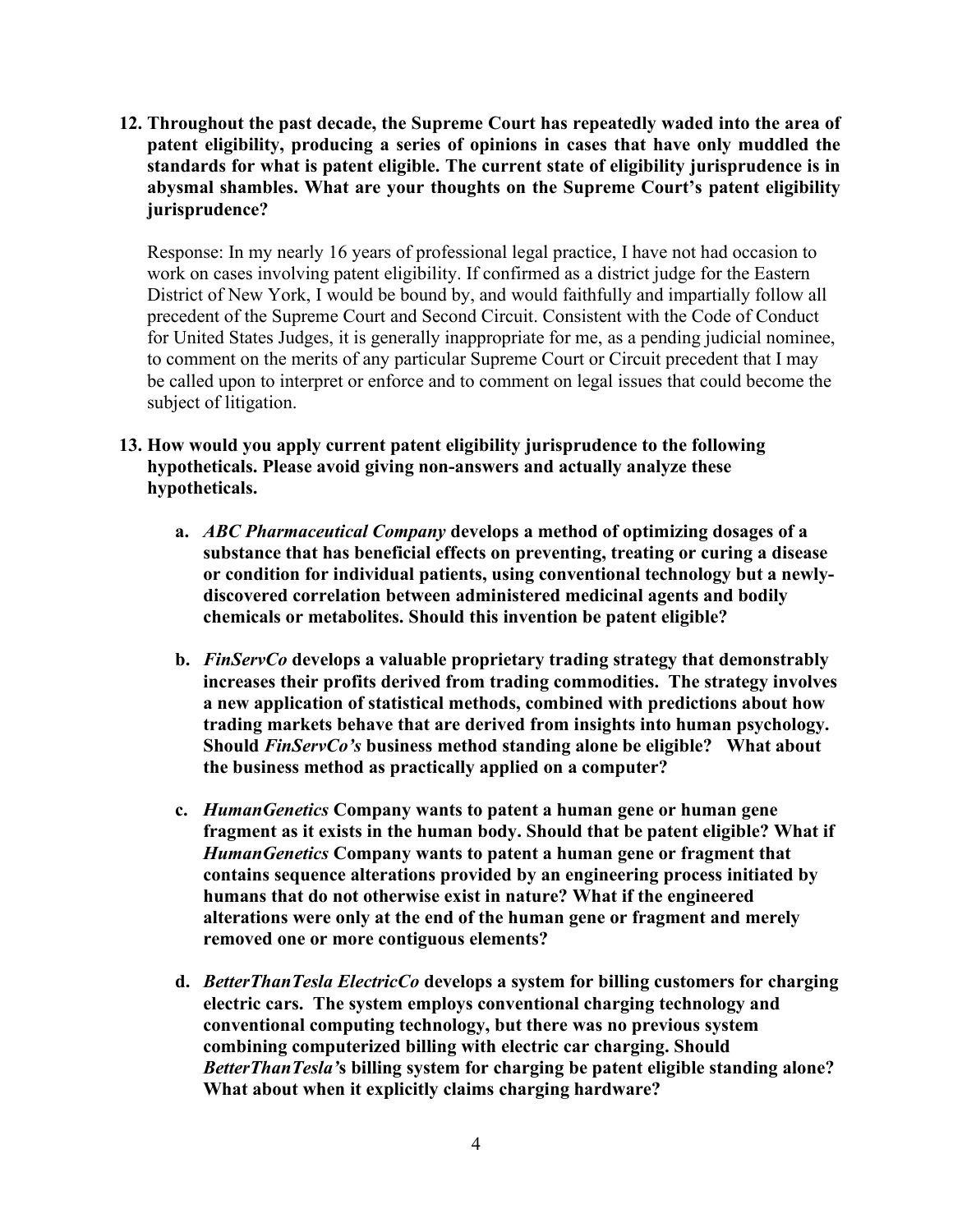**12. Throughout the past decade, the Supreme Court has repeatedly waded into the area of patent eligibility, producing a series of opinions in cases that have only muddled the standards for what is patent eligible. The current state of eligibility jurisprudence is in abysmal shambles. What are your thoughts on the Supreme Court's patent eligibility jurisprudence?** 

Response: In my nearly 16 years of professional legal practice, I have not had occasion to work on cases involving patent eligibility. If confirmed as a district judge for the Eastern District of New York, I would be bound by, and would faithfully and impartially follow all precedent of the Supreme Court and Second Circuit. Consistent with the Code of Conduct for United States Judges, it is generally inappropriate for me, as a pending judicial nominee, to comment on the merits of any particular Supreme Court or Circuit precedent that I may be called upon to interpret or enforce and to comment on legal issues that could become the subject of litigation.

- **13. How would you apply current patent eligibility jurisprudence to the following hypotheticals. Please avoid giving non-answers and actually analyze these hypotheticals.** 
	- **a.** *ABC Pharmaceutical Company* **develops a method of optimizing dosages of a substance that has beneficial effects on preventing, treating or curing a disease or condition for individual patients, using conventional technology but a newlydiscovered correlation between administered medicinal agents and bodily chemicals or metabolites. Should this invention be patent eligible?**
	- **b.** *FinServCo* **develops a valuable proprietary trading strategy that demonstrably increases their profits derived from trading commodities. The strategy involves a new application of statistical methods, combined with predictions about how trading markets behave that are derived from insights into human psychology. Should** *FinServCo's* **business method standing alone be eligible? What about the business method as practically applied on a computer?**
	- **c.** *HumanGenetics* **Company wants to patent a human gene or human gene fragment as it exists in the human body. Should that be patent eligible? What if**  *HumanGenetics* **Company wants to patent a human gene or fragment that contains sequence alterations provided by an engineering process initiated by humans that do not otherwise exist in nature? What if the engineered alterations were only at the end of the human gene or fragment and merely removed one or more contiguous elements?**
	- **d.** *BetterThanTesla ElectricCo* **develops a system for billing customers for charging electric cars. The system employs conventional charging technology and conventional computing technology, but there was no previous system combining computerized billing with electric car charging. Should**  *BetterThanTesla'***s billing system for charging be patent eligible standing alone? What about when it explicitly claims charging hardware?**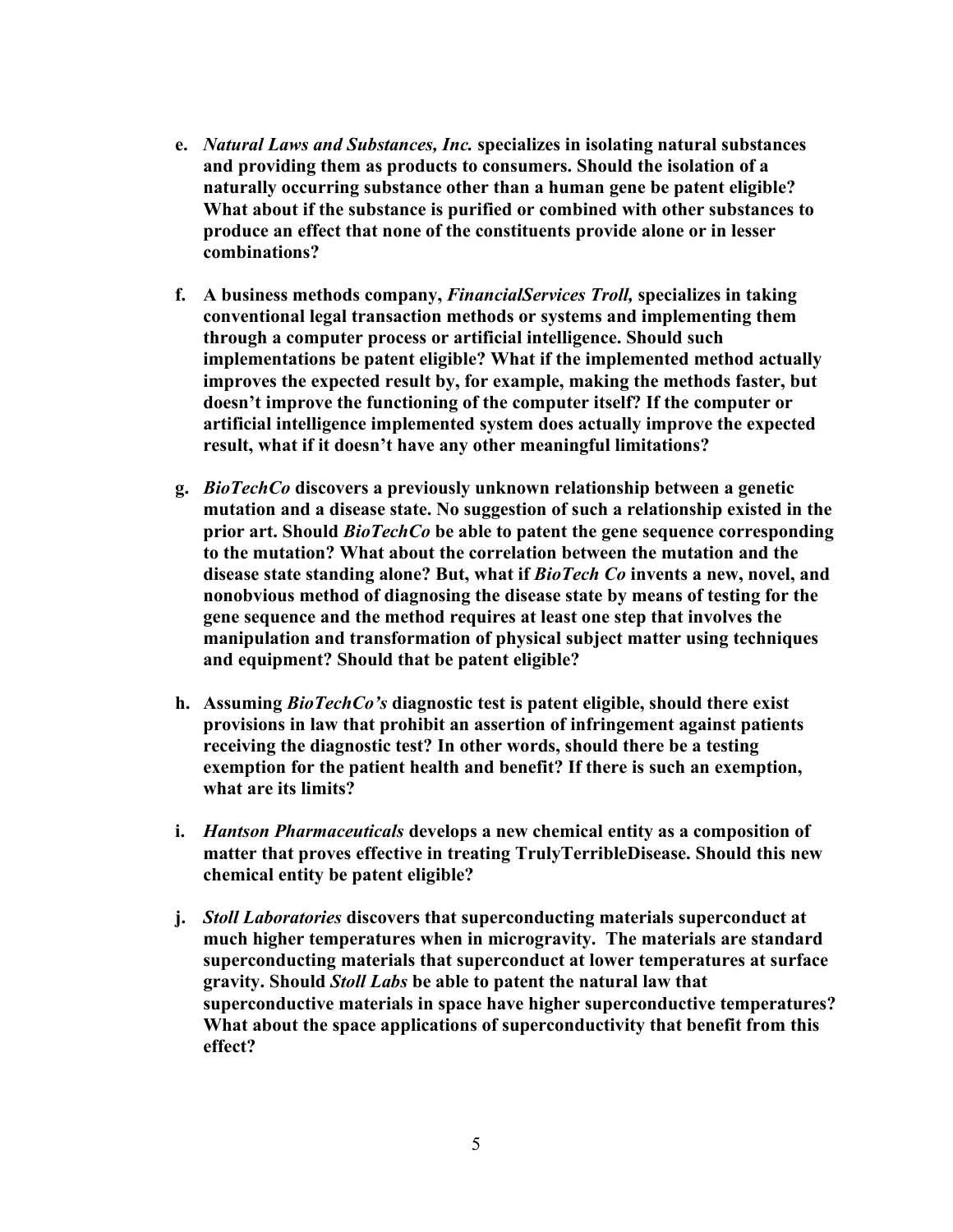- **e.** *Natural Laws and Substances, Inc.* **specializes in isolating natural substances and providing them as products to consumers. Should the isolation of a naturally occurring substance other than a human gene be patent eligible? What about if the substance is purified or combined with other substances to produce an effect that none of the constituents provide alone or in lesser combinations?**
- **f. A business methods company,** *FinancialServices Troll,* **specializes in taking conventional legal transaction methods or systems and implementing them through a computer process or artificial intelligence. Should such implementations be patent eligible? What if the implemented method actually improves the expected result by, for example, making the methods faster, but doesn't improve the functioning of the computer itself? If the computer or artificial intelligence implemented system does actually improve the expected result, what if it doesn't have any other meaningful limitations?**
- **g.** *BioTechCo* **discovers a previously unknown relationship between a genetic mutation and a disease state. No suggestion of such a relationship existed in the prior art. Should** *BioTechCo* **be able to patent the gene sequence corresponding to the mutation? What about the correlation between the mutation and the disease state standing alone? But, what if** *BioTech Co* **invents a new, novel, and nonobvious method of diagnosing the disease state by means of testing for the gene sequence and the method requires at least one step that involves the manipulation and transformation of physical subject matter using techniques and equipment? Should that be patent eligible?**
- **h. Assuming** *BioTechCo's* **diagnostic test is patent eligible, should there exist provisions in law that prohibit an assertion of infringement against patients receiving the diagnostic test? In other words, should there be a testing exemption for the patient health and benefit? If there is such an exemption, what are its limits?**
- **i.** *Hantson Pharmaceuticals* **develops a new chemical entity as a composition of matter that proves effective in treating TrulyTerribleDisease. Should this new chemical entity be patent eligible?**
- **j.** *Stoll Laboratories* **discovers that superconducting materials superconduct at much higher temperatures when in microgravity. The materials are standard superconducting materials that superconduct at lower temperatures at surface gravity. Should** *Stoll Labs* **be able to patent the natural law that superconductive materials in space have higher superconductive temperatures? What about the space applications of superconductivity that benefit from this effect?**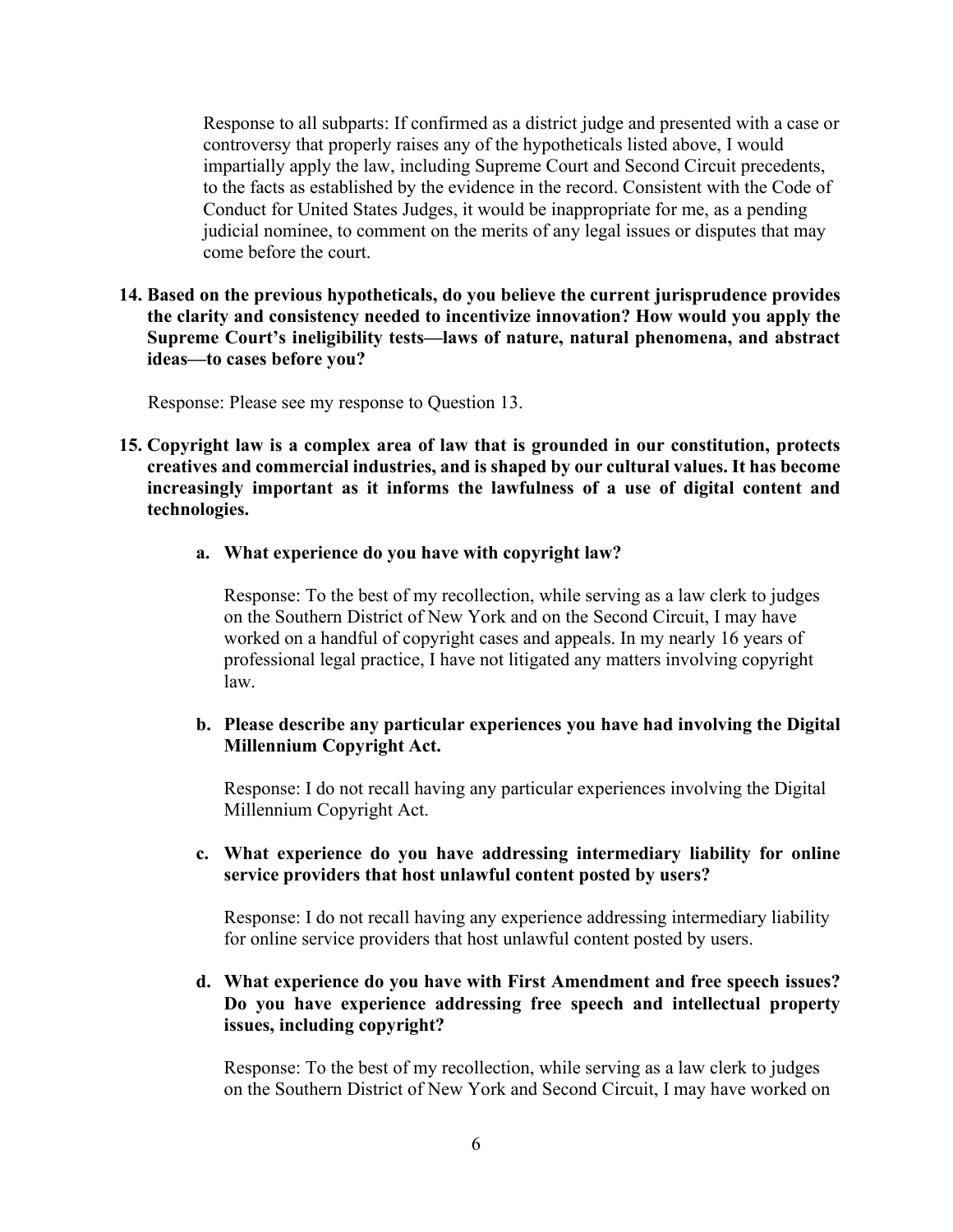Response to all subparts: If confirmed as a district judge and presented with a case or controversy that properly raises any of the hypotheticals listed above, I would impartially apply the law, including Supreme Court and Second Circuit precedents, to the facts as established by the evidence in the record. Consistent with the Code of Conduct for United States Judges, it would be inappropriate for me, as a pending judicial nominee, to comment on the merits of any legal issues or disputes that may come before the court.

**14. Based on the previous hypotheticals, do you believe the current jurisprudence provides the clarity and consistency needed to incentivize innovation? How would you apply the Supreme Court's ineligibility tests—laws of nature, natural phenomena, and abstract ideas—to cases before you?**

Response: Please see my response to Question 13.

- **15. Copyright law is a complex area of law that is grounded in our constitution, protects creatives and commercial industries, and is shaped by our cultural values. It has become increasingly important as it informs the lawfulness of a use of digital content and technologies.** 
	- **a. What experience do you have with copyright law?**

Response: To the best of my recollection, while serving as a law clerk to judges on the Southern District of New York and on the Second Circuit, I may have worked on a handful of copyright cases and appeals. In my nearly 16 years of professional legal practice, I have not litigated any matters involving copyright law.

**b. Please describe any particular experiences you have had involving the Digital Millennium Copyright Act.** 

Response: I do not recall having any particular experiences involving the Digital Millennium Copyright Act.

**c. What experience do you have addressing intermediary liability for online service providers that host unlawful content posted by users?**

Response: I do not recall having any experience addressing intermediary liability for online service providers that host unlawful content posted by users.

**d. What experience do you have with First Amendment and free speech issues? Do you have experience addressing free speech and intellectual property issues, including copyright?**

Response: To the best of my recollection, while serving as a law clerk to judges on the Southern District of New York and Second Circuit, I may have worked on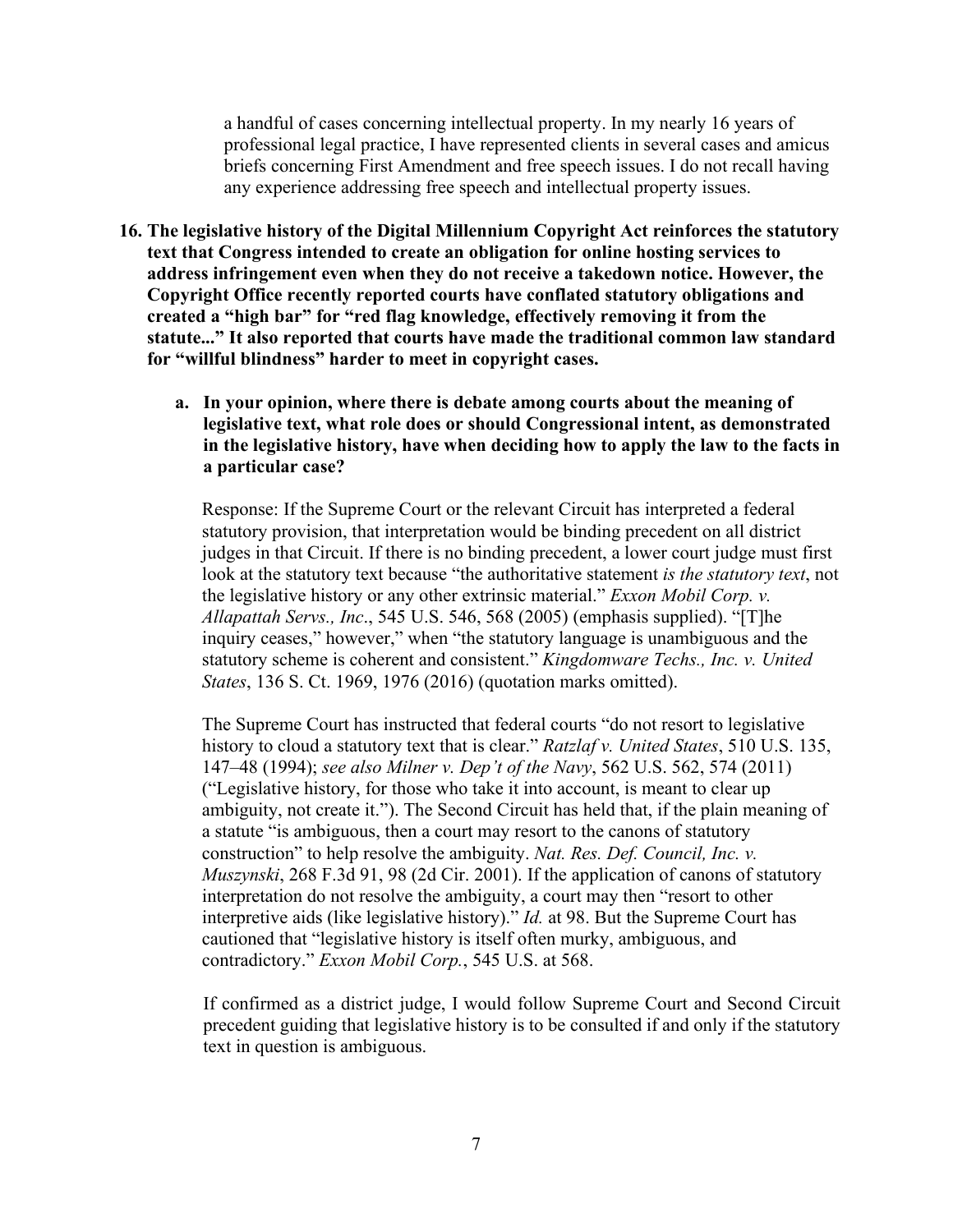a handful of cases concerning intellectual property. In my nearly 16 years of professional legal practice, I have represented clients in several cases and amicus briefs concerning First Amendment and free speech issues. I do not recall having any experience addressing free speech and intellectual property issues.

- **16. The legislative history of the Digital Millennium Copyright Act reinforces the statutory text that Congress intended to create an obligation for online hosting services to address infringement even when they do not receive a takedown notice. However, the Copyright Office recently reported courts have conflated statutory obligations and created a "high bar" for "red flag knowledge, effectively removing it from the statute..." It also reported that courts have made the traditional common law standard for "willful blindness" harder to meet in copyright cases.**
	- **a. In your opinion, where there is debate among courts about the meaning of legislative text, what role does or should Congressional intent, as demonstrated in the legislative history, have when deciding how to apply the law to the facts in a particular case?**

Response: If the Supreme Court or the relevant Circuit has interpreted a federal statutory provision, that interpretation would be binding precedent on all district judges in that Circuit. If there is no binding precedent, a lower court judge must first look at the statutory text because "the authoritative statement *is the statutory text*, not the legislative history or any other extrinsic material." *Exxon Mobil Corp. v. Allapattah Servs., Inc*., 545 U.S. 546, 568 (2005) (emphasis supplied). "[T]he inquiry ceases," however," when "the statutory language is unambiguous and the statutory scheme is coherent and consistent." *Kingdomware Techs., Inc. v. United States*, 136 S. Ct. 1969, 1976 (2016) (quotation marks omitted).

The Supreme Court has instructed that federal courts "do not resort to legislative history to cloud a statutory text that is clear." *Ratzlaf v. United States*, 510 U.S. 135, 147–48 (1994); *see also Milner v. Dep't of the Navy*, 562 U.S. 562, 574 (2011) ("Legislative history, for those who take it into account, is meant to clear up ambiguity, not create it."). The Second Circuit has held that, if the plain meaning of a statute "is ambiguous, then a court may resort to the canons of statutory construction" to help resolve the ambiguity. *Nat. Res. Def. Council, Inc. v. Muszynski*, 268 F.3d 91, 98 (2d Cir. 2001). If the application of canons of statutory interpretation do not resolve the ambiguity, a court may then "resort to other interpretive aids (like legislative history)." *Id.* at 98. But the Supreme Court has cautioned that "legislative history is itself often murky, ambiguous, and contradictory." *Exxon Mobil Corp.*, 545 U.S. at 568.

If confirmed as a district judge, I would follow Supreme Court and Second Circuit precedent guiding that legislative history is to be consulted if and only if the statutory text in question is ambiguous.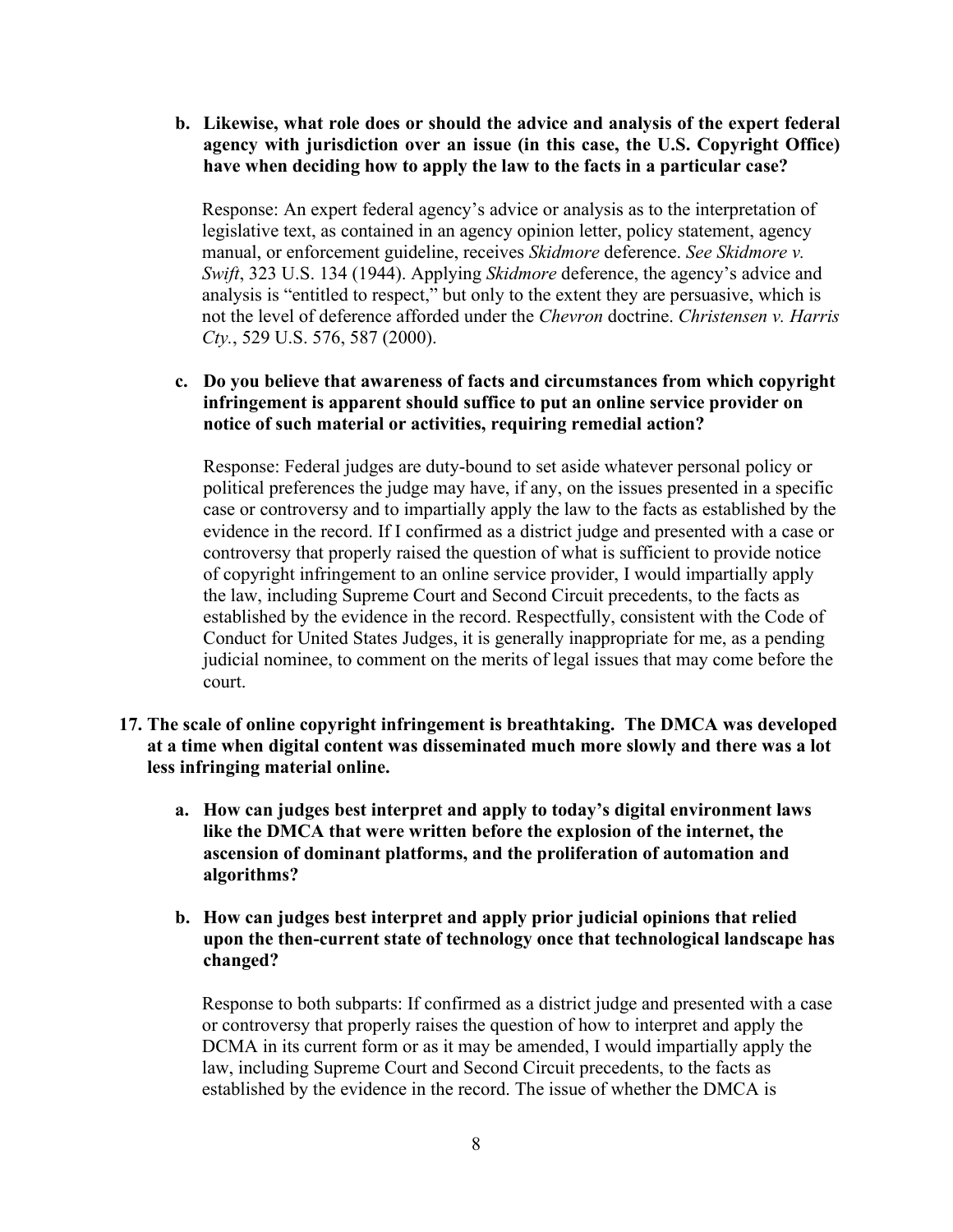**b. Likewise, what role does or should the advice and analysis of the expert federal agency with jurisdiction over an issue (in this case, the U.S. Copyright Office) have when deciding how to apply the law to the facts in a particular case?**

Response: An expert federal agency's advice or analysis as to the interpretation of legislative text, as contained in an agency opinion letter, policy statement, agency manual, or enforcement guideline, receives *Skidmore* deference. *See Skidmore v. Swift*, 323 U.S. 134 (1944). Applying *Skidmore* deference, the agency's advice and analysis is "entitled to respect," but only to the extent they are persuasive, which is not the level of deference afforded under the *Chevron* doctrine. *Christensen v. Harris Cty.*, 529 U.S. 576, 587 (2000).

# **c. Do you believe that awareness of facts and circumstances from which copyright infringement is apparent should suffice to put an online service provider on notice of such material or activities, requiring remedial action?**

Response: Federal judges are duty-bound to set aside whatever personal policy or political preferences the judge may have, if any, on the issues presented in a specific case or controversy and to impartially apply the law to the facts as established by the evidence in the record. If I confirmed as a district judge and presented with a case or controversy that properly raised the question of what is sufficient to provide notice of copyright infringement to an online service provider, I would impartially apply the law, including Supreme Court and Second Circuit precedents, to the facts as established by the evidence in the record. Respectfully, consistent with the Code of Conduct for United States Judges, it is generally inappropriate for me, as a pending judicial nominee, to comment on the merits of legal issues that may come before the court.

- **17. The scale of online copyright infringement is breathtaking. The DMCA was developed at a time when digital content was disseminated much more slowly and there was a lot less infringing material online.** 
	- **a. How can judges best interpret and apply to today's digital environment laws like the DMCA that were written before the explosion of the internet, the ascension of dominant platforms, and the proliferation of automation and algorithms?**
	- **b. How can judges best interpret and apply prior judicial opinions that relied upon the then-current state of technology once that technological landscape has changed?**

Response to both subparts: If confirmed as a district judge and presented with a case or controversy that properly raises the question of how to interpret and apply the DCMA in its current form or as it may be amended, I would impartially apply the law, including Supreme Court and Second Circuit precedents, to the facts as established by the evidence in the record. The issue of whether the DMCA is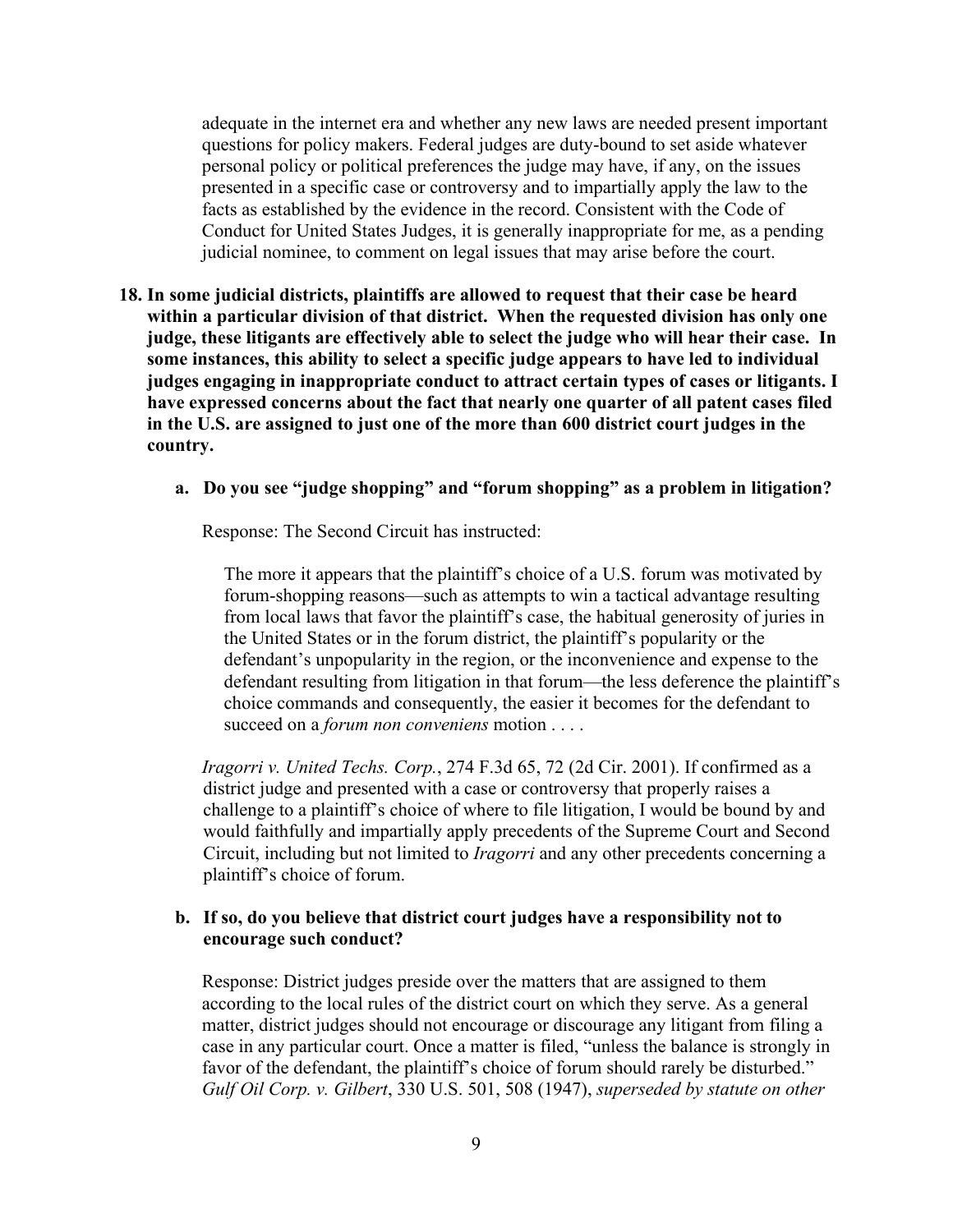adequate in the internet era and whether any new laws are needed present important questions for policy makers. Federal judges are duty-bound to set aside whatever personal policy or political preferences the judge may have, if any, on the issues presented in a specific case or controversy and to impartially apply the law to the facts as established by the evidence in the record. Consistent with the Code of Conduct for United States Judges, it is generally inappropriate for me, as a pending judicial nominee, to comment on legal issues that may arise before the court.

**18. In some judicial districts, plaintiffs are allowed to request that their case be heard within a particular division of that district. When the requested division has only one judge, these litigants are effectively able to select the judge who will hear their case. In some instances, this ability to select a specific judge appears to have led to individual judges engaging in inappropriate conduct to attract certain types of cases or litigants. I have expressed concerns about the fact that nearly one quarter of all patent cases filed in the U.S. are assigned to just one of the more than 600 district court judges in the country.** 

## **a. Do you see "judge shopping" and "forum shopping" as a problem in litigation?**

Response: The Second Circuit has instructed:

The more it appears that the plaintiff's choice of a U.S. forum was motivated by forum-shopping reasons—such as attempts to win a tactical advantage resulting from local laws that favor the plaintiff's case, the habitual generosity of juries in the United States or in the forum district, the plaintiff's popularity or the defendant's unpopularity in the region, or the inconvenience and expense to the defendant resulting from litigation in that forum—the less deference the plaintiff's choice commands and consequently, the easier it becomes for the defendant to succeed on a *forum non conveniens* motion . . . .

*Iragorri v. United Techs. Corp.*, 274 F.3d 65, 72 (2d Cir. 2001). If confirmed as a district judge and presented with a case or controversy that properly raises a challenge to a plaintiff's choice of where to file litigation, I would be bound by and would faithfully and impartially apply precedents of the Supreme Court and Second Circuit, including but not limited to *Iragorri* and any other precedents concerning a plaintiff's choice of forum.

#### **b. If so, do you believe that district court judges have a responsibility not to encourage such conduct?**

Response: District judges preside over the matters that are assigned to them according to the local rules of the district court on which they serve. As a general matter, district judges should not encourage or discourage any litigant from filing a case in any particular court. Once a matter is filed, "unless the balance is strongly in favor of the defendant, the plaintiff's choice of forum should rarely be disturbed." *Gulf Oil Corp. v. Gilbert*, 330 U.S. 501, 508 (1947), *superseded by statute on other*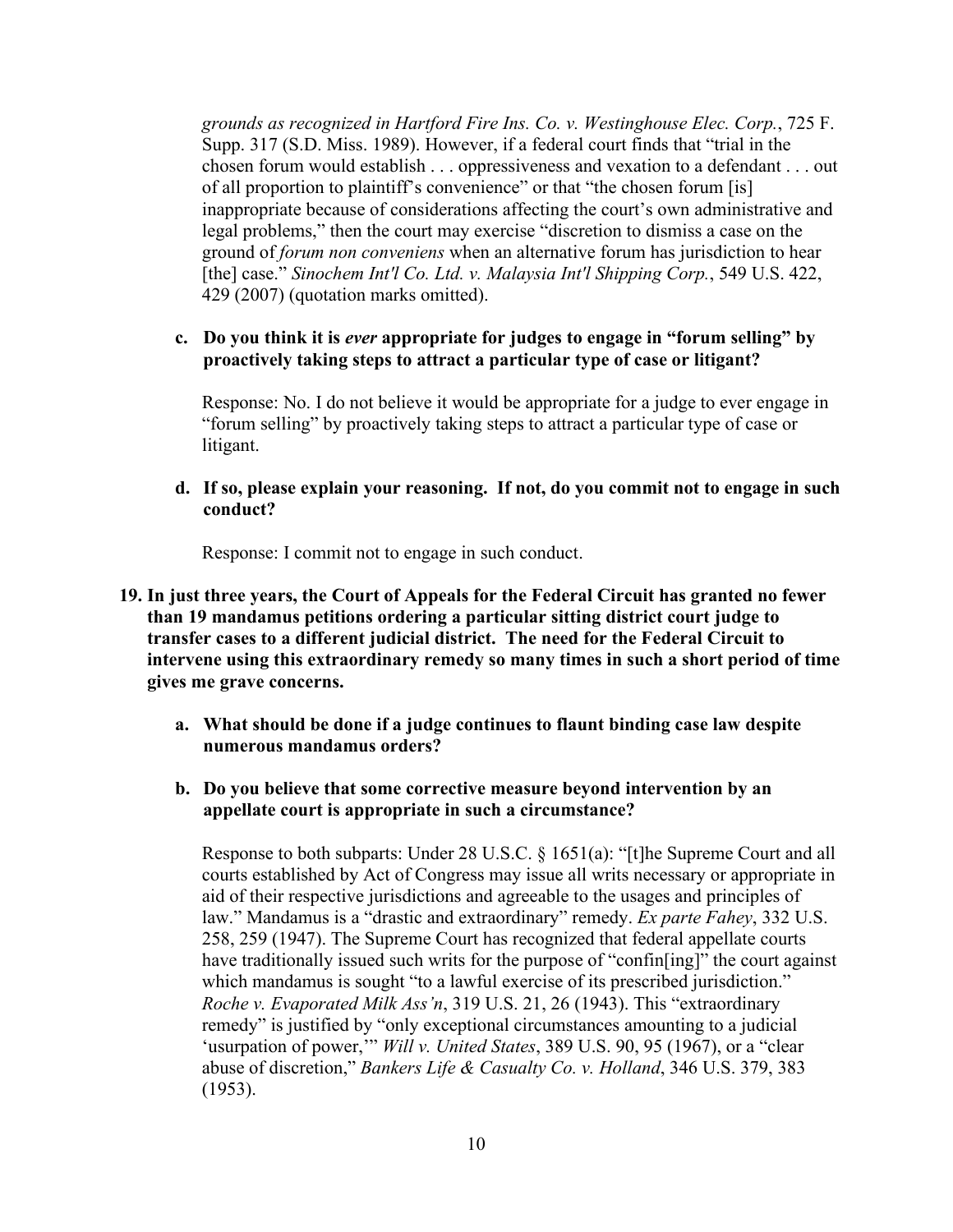*grounds as recognized in Hartford Fire Ins. Co. v. Westinghouse Elec. Corp.*, 725 F. Supp. 317 (S.D. Miss. 1989). However, if a federal court finds that "trial in the chosen forum would establish . . . oppressiveness and vexation to a defendant . . . out of all proportion to plaintiff's convenience" or that "the chosen forum [is] inappropriate because of considerations affecting the court's own administrative and legal problems," then the court may exercise "discretion to dismiss a case on the ground of *forum non conveniens* when an alternative forum has jurisdiction to hear [the] case." *Sinochem Int'l Co. Ltd. v. Malaysia Int'l Shipping Corp.*, 549 U.S. 422, 429 (2007) (quotation marks omitted).

## **c. Do you think it is** *ever* **appropriate for judges to engage in "forum selling" by proactively taking steps to attract a particular type of case or litigant?**

Response: No. I do not believe it would be appropriate for a judge to ever engage in "forum selling" by proactively taking steps to attract a particular type of case or litigant.

**d. If so, please explain your reasoning. If not, do you commit not to engage in such conduct?**

Response: I commit not to engage in such conduct.

- **19. In just three years, the Court of Appeals for the Federal Circuit has granted no fewer than 19 mandamus petitions ordering a particular sitting district court judge to transfer cases to a different judicial district. The need for the Federal Circuit to intervene using this extraordinary remedy so many times in such a short period of time gives me grave concerns.**
	- **a. What should be done if a judge continues to flaunt binding case law despite numerous mandamus orders?**
	- **b. Do you believe that some corrective measure beyond intervention by an appellate court is appropriate in such a circumstance?**

Response to both subparts: Under 28 U.S.C. § 1651(a): "[t]he Supreme Court and all courts established by Act of Congress may issue all writs necessary or appropriate in aid of their respective jurisdictions and agreeable to the usages and principles of law." Mandamus is a "drastic and extraordinary" remedy. *Ex parte Fahey*, 332 U.S. 258, 259 (1947). The Supreme Court has recognized that federal appellate courts have traditionally issued such writs for the purpose of "confin[ing]" the court against which mandamus is sought "to a lawful exercise of its prescribed jurisdiction." *Roche v. Evaporated Milk Ass'n*, 319 U.S. 21, 26 (1943). This "extraordinary remedy" is justified by "only exceptional circumstances amounting to a judicial 'usurpation of power,'" *Will v. United States*, 389 U.S. 90, 95 (1967), or a "clear abuse of discretion," *Bankers Life & Casualty Co. v. Holland*, 346 U.S. 379, 383 (1953).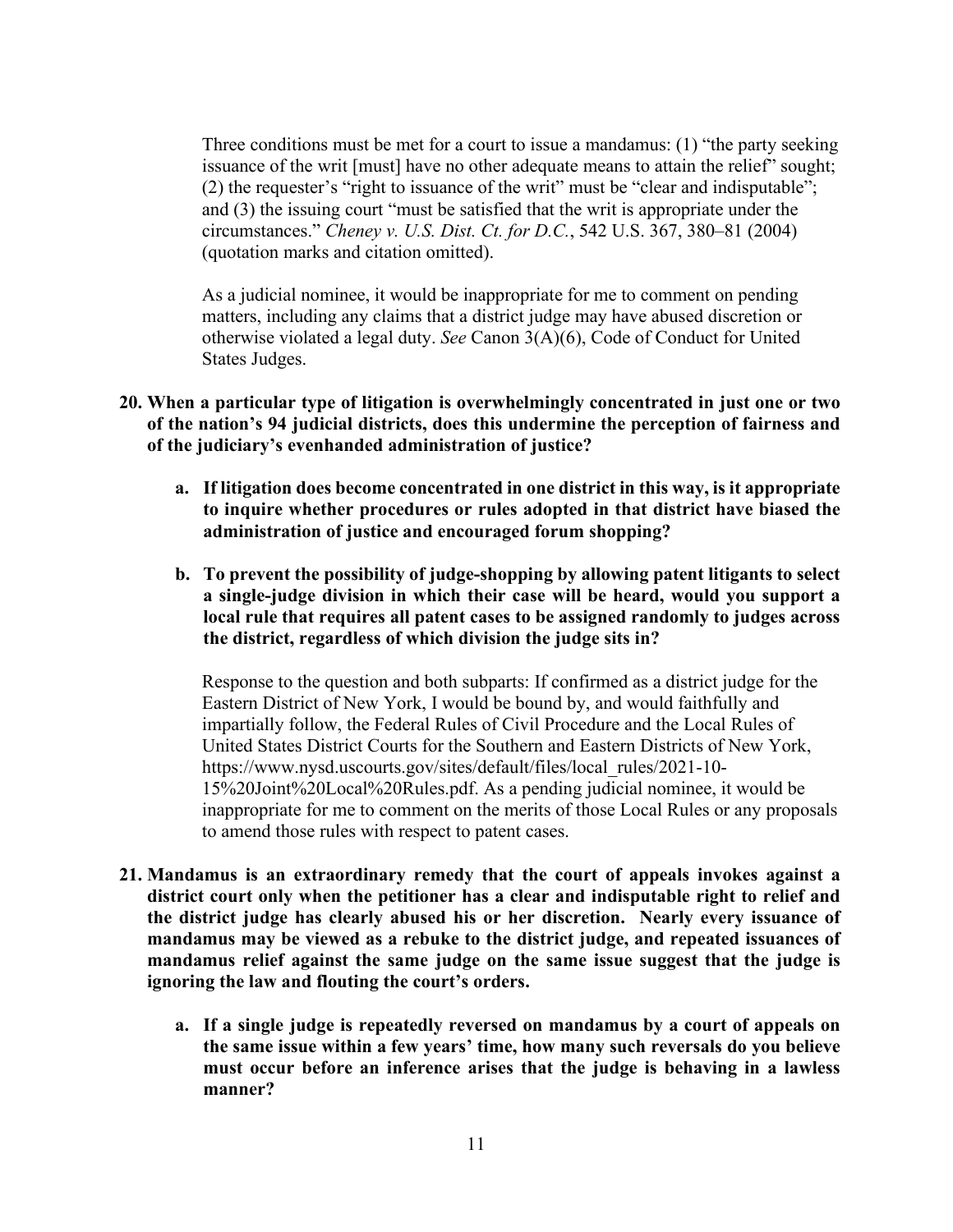Three conditions must be met for a court to issue a mandamus: (1) "the party seeking issuance of the writ [must] have no other adequate means to attain the relief" sought; (2) the requester's "right to issuance of the writ" must be "clear and indisputable"; and (3) the issuing court "must be satisfied that the writ is appropriate under the circumstances." *Cheney v. U.S. Dist. Ct. for D.C.*, 542 U.S. 367, 380–81 (2004) (quotation marks and citation omitted).

As a judicial nominee, it would be inappropriate for me to comment on pending matters, including any claims that a district judge may have abused discretion or otherwise violated a legal duty. *See* Canon 3(A)(6), Code of Conduct for United States Judges.

- **20. When a particular type of litigation is overwhelmingly concentrated in just one or two of the nation's 94 judicial districts, does this undermine the perception of fairness and of the judiciary's evenhanded administration of justice?**
	- **a. If litigation does become concentrated in one district in this way, is it appropriate to inquire whether procedures or rules adopted in that district have biased the administration of justice and encouraged forum shopping?**
	- **b. To prevent the possibility of judge-shopping by allowing patent litigants to select a single-judge division in which their case will be heard, would you support a local rule that requires all patent cases to be assigned randomly to judges across the district, regardless of which division the judge sits in?**

Response to the question and both subparts: If confirmed as a district judge for the Eastern District of New York, I would be bound by, and would faithfully and impartially follow, the Federal Rules of Civil Procedure and the Local Rules of United States District Courts for the Southern and Eastern Districts of New York, https://www.nysd.uscourts.gov/sites/default/files/local\_rules/2021-10- 15%20Joint%20Local%20Rules.pdf. As a pending judicial nominee, it would be inappropriate for me to comment on the merits of those Local Rules or any proposals to amend those rules with respect to patent cases.

- **21. Mandamus is an extraordinary remedy that the court of appeals invokes against a district court only when the petitioner has a clear and indisputable right to relief and the district judge has clearly abused his or her discretion. Nearly every issuance of mandamus may be viewed as a rebuke to the district judge, and repeated issuances of mandamus relief against the same judge on the same issue suggest that the judge is ignoring the law and flouting the court's orders.** 
	- **a. If a single judge is repeatedly reversed on mandamus by a court of appeals on the same issue within a few years' time, how many such reversals do you believe must occur before an inference arises that the judge is behaving in a lawless manner?**